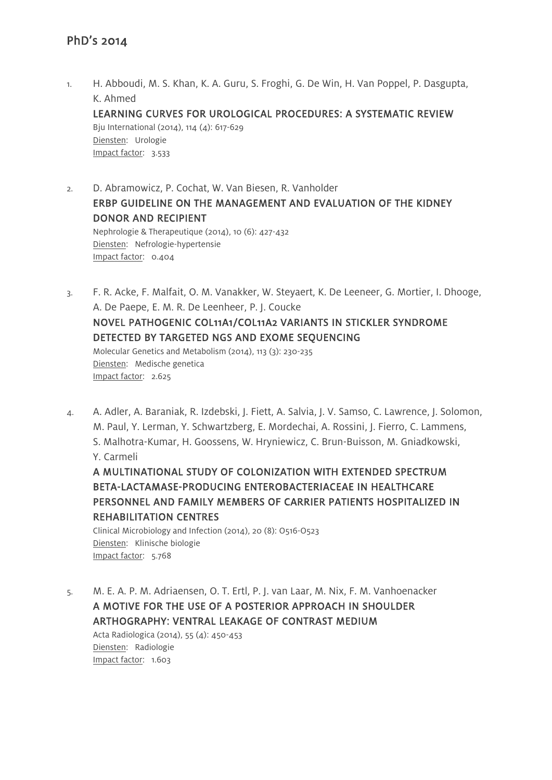1. H. Abboudi, M. S. Khan, K. A. Guru, S. Froghi, G. De Win, H. Van Poppel, P. Dasgupta, K. Ahmed LEARNING CURVES FOR UROLOGICAL PROCEDURES: A SYSTEMATIC REVIEW Bju International (2014), 114 (4): 617-629 Diensten: Urologie Impact factor: 3.533

- 2. D. Abramowicz, P. Cochat, W. Van Biesen, R. Vanholder ERBP GUIDELINE ON THE MANAGEMENT AND EVALUATION OF THE KIDNEY DONOR AND RECIPIENT Nephrologie & Therapeutique (2014), 10 (6): 427-432 Diensten: Nefrologie-hypertensie Impact factor: 0.404
- 3. F. R. Acke, F. Malfait, O. M. Vanakker, W. Steyaert, K. De Leeneer, G. Mortier, I. Dhooge, A. De Paepe, E. M. R. De Leenheer, P. J. Coucke NOVEL PATHOGENIC COL11A1/COL11A2 VARIANTS IN STICKLER SYNDROME DETECTED BY TARGETED NGS AND EXOME SEQUENCING Molecular Genetics and Metabolism (2014), 113 (3): 230-235 Diensten: Medische genetica Impact factor: 2.625
- 4. A. Adler, A. Baraniak, R. Izdebski, J. Fiett, A. Salvia, J. V. Samso, C. Lawrence, J. Solomon, M. Paul, Y. Lerman, Y. Schwartzberg, E. Mordechai, A. Rossini, J. Fierro, C. Lammens, S. Malhotra-Kumar, H. Goossens, W. Hryniewicz, C. Brun-Buisson, M. Gniadkowski, Y. Carmeli A MULTINATIONAL STUDY OF COLONIZATION WITH EXTENDED SPECTRUM

BETA-LACTAMASE-PRODUCING ENTEROBACTERIACEAE IN HEALTHCARE PERSONNEL AND FAMILY MEMBERS OF CARRIER PATIENTS HOSPITALIZED IN REHABILITATION CENTRES

Clinical Microbiology and Infection (2014), 20 (8): O516-O523 Diensten: Klinische biologie Impact factor: 5.768

5. M. E. A. P. M. Adriaensen, O. T. Ertl, P. J. van Laar, M. Nix, F. M. Vanhoenacker A MOTIVE FOR THE USE OF A POSTERIOR APPROACH IN SHOULDER ARTHOGRAPHY: VENTRAL LEAKAGE OF CONTRAST MEDIUM Acta Radiologica (2014), 55 (4):  $450 - 453$ Diensten: Radiologie Impact factor: 1.603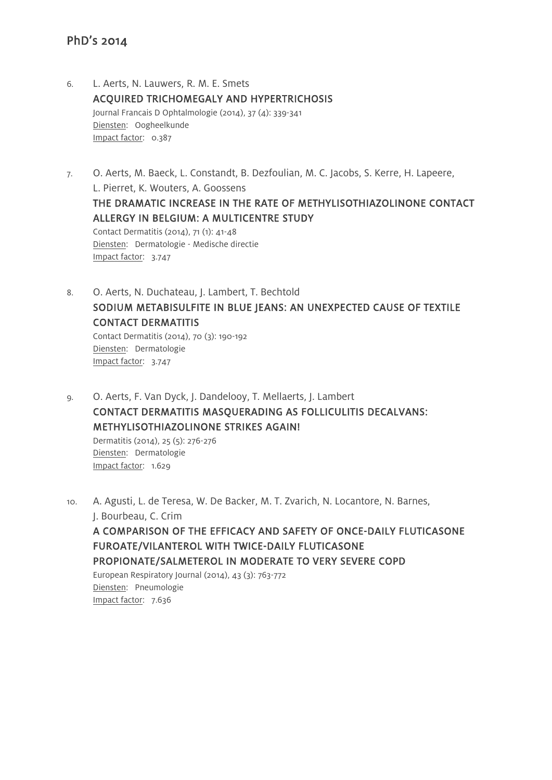- 6. L. Aerts, N. Lauwers, R. M. E. Smets ACQUIRED TRICHOMEGALY AND HYPERTRICHOSIS Journal Francais D Ophtalmologie (2014), 37 (4): 339-341 Diensten: Oogheelkunde Impact factor: 0.387
- 7. O. Aerts, M. Baeck, L. Constandt, B. Dezfoulian, M. C. Jacobs, S. Kerre, H. Lapeere, L. Pierret, K. Wouters, A. Goossens THE DRAMATIC INCREASE IN THE RATE OF METHYLISOTHIAZOLINONE CONTACT ALLERGY IN BELGIUM: A MULTICENTRE STUDY Contact Dermatitis (2014), 71 (1): 41-48 Diensten: Dermatologie - Medische directie Impact factor: 3.747
- 8. O. Aerts, N. Duchateau, J. Lambert, T. Bechtold SODIUM METABISULFITE IN BLUE JEANS: AN UNEXPECTED CAUSE OF TEXTILE CONTACT DERMATITIS Contact Dermatitis (2014), 70 (3): 190-192 Diensten: Dermatologie Impact factor: 3.747
- 9. O. Aerts, F. Van Dyck, J. Dandelooy, T. Mellaerts, J. Lambert CONTACT DERMATITIS MASQUERADING AS FOLLICULITIS DECALVANS: METHYLISOTHIAZOLINONE STRIKES AGAIN! Dermatitis (2014), 25 (5): 276-276

Diensten: Dermatologie Impact factor: 1.629

10. A. Agusti, L. de Teresa, W. De Backer, M. T. Zvarich, N. Locantore, N. Barnes, J. Bourbeau, C. Crim A COMPARISON OF THE EFFICACY AND SAFETY OF ONCE-DAILY FLUTICASONE FUROATE/VILANTEROL WITH TWICE-DAILY FLUTICASONE PROPIONATE/SALMETEROL IN MODERATE TO VERY SEVERE COPD European Respiratory Journal (2014), 43 (3): 763-772 Diensten: Pneumologie Impact factor: 7.636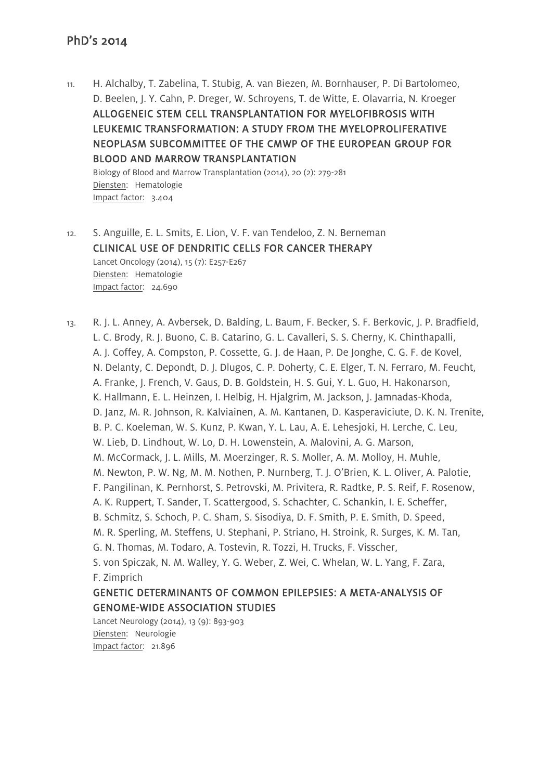11. H. Alchalby, T. Zabelina, T. Stubig, A. van Biezen, M. Bornhauser, P. Di Bartolomeo, D. Beelen, J. Y. Cahn, P. Dreger, W. Schroyens, T. de Witte, E. Olavarria, N. Kroeger ALLOGENEIC STEM CELL TRANSPLANTATION FOR MYELOFIBROSIS WITH LEUKEMIC TRANSFORMATION: A STUDY FROM THE MYELOPROLIFERATIVE NEOPLASM SUBCOMMITTEE OF THE CMWP OF THE EUROPEAN GROUP FOR BLOOD AND MARROW TRANSPLANTATION

Biology of Blood and Marrow Transplantation (2014), 20 (2): 279-281 Diensten: Hematologie Impact factor: 3.404

12. S. Anguille, E. L. Smits, E. Lion, V. F. van Tendeloo, Z. N. Berneman CLINICAL USE OF DENDRITIC CELLS FOR CANCER THERAPY Lancet Oncology (2014), 15 (7): E257-E267 Diensten: Hematologie Impact factor: 24.690

13. R. J. L. Anney, A. Avbersek, D. Balding, L. Baum, F. Becker, S. F. Berkovic, J. P. Bradfield, L. C. Brody, R. J. Buono, C. B. Catarino, G. L. Cavalleri, S. S. Cherny, K. Chinthapalli, A. J. Coffey, A. Compston, P. Cossette, G. J. de Haan, P. De Jonghe, C. G. F. de Kovel, N. Delanty, C. Depondt, D. J. Dlugos, C. P. Doherty, C. E. Elger, T. N. Ferraro, M. Feucht, A. Franke, J. French, V. Gaus, D. B. Goldstein, H. S. Gui, Y. L. Guo, H. Hakonarson, K. Hallmann, E. L. Heinzen, I. Helbig, H. Hjalgrim, M. Jackson, J. Jamnadas-Khoda, D. Janz, M. R. Johnson, R. Kalviainen, A. M. Kantanen, D. Kasperaviciute, D. K. N. Trenite, B. P. C. Koeleman, W. S. Kunz, P. Kwan, Y. L. Lau, A. E. Lehesjoki, H. Lerche, C. Leu, W. Lieb, D. Lindhout, W. Lo, D. H. Lowenstein, A. Malovini, A. G. Marson, M. McCormack, J. L. Mills, M. Moerzinger, R. S. Moller, A. M. Molloy, H. Muhle, M. Newton, P. W. Ng, M. M. Nothen, P. Nurnberg, T. J. O'Brien, K. L. Oliver, A. Palotie, F. Pangilinan, K. Pernhorst, S. Petrovski, M. Privitera, R. Radtke, P. S. Reif, F. Rosenow, A. K. Ruppert, T. Sander, T. Scattergood, S. Schachter, C. Schankin, I. E. Scheffer, B. Schmitz, S. Schoch, P. C. Sham, S. Sisodiya, D. F. Smith, P. E. Smith, D. Speed, M. R. Sperling, M. Steffens, U. Stephani, P. Striano, H. Stroink, R. Surges, K. M. Tan, G. N. Thomas, M. Todaro, A. Tostevin, R. Tozzi, H. Trucks, F. Visscher, S. von Spiczak, N. M. Walley, Y. G. Weber, Z. Wei, C. Whelan, W. L. Yang, F. Zara, F. Zimprich GENETIC DETERMINANTS OF COMMON EPILEPSIES: A META-ANALYSIS OF GENOME-WIDE ASSOCIATION STUDIES

Lancet Neurology (2014), 13 (9): 893-903 Diensten: Neurologie Impact factor: 21.896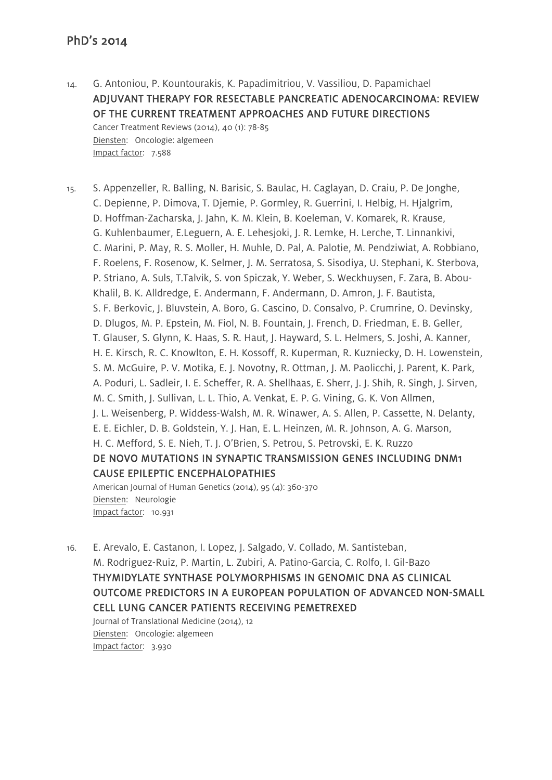14. G. Antoniou, P. Kountourakis, K. Papadimitriou, V. Vassiliou, D. Papamichael ADJUVANT THERAPY FOR RESECTABLE PANCREATIC ADENOCARCINOMA: REVIEW OF THE CURRENT TREATMENT APPROACHES AND FUTURE DIRECTIONS Cancer Treatment Reviews (2014), 40 (1): 78-85 Diensten: Oncologie: algemeen Impact factor: 7.588

15. S. Appenzeller, R. Balling, N. Barisic, S. Baulac, H. Caglayan, D. Craiu, P. De Jonghe, C. Depienne, P. Dimova, T. Djemie, P. Gormley, R. Guerrini, I. Helbig, H. Hjalgrim, D. Hoffman-Zacharska, J. Jahn, K. M. Klein, B. Koeleman, V. Komarek, R. Krause, G. Kuhlenbaumer, E.Leguern, A. E. Lehesjoki, J. R. Lemke, H. Lerche, T. Linnankivi, C. Marini, P. May, R. S. Moller, H. Muhle, D. Pal, A. Palotie, M. Pendziwiat, A. Robbiano, F. Roelens, F. Rosenow, K. Selmer, J. M. Serratosa, S. Sisodiya, U. Stephani, K. Sterbova, P. Striano, A. Suls, T.Talvik, S. von Spiczak, Y. Weber, S. Weckhuysen, F. Zara, B. Abou-Khalil, B. K. Alldredge, E. Andermann, F. Andermann, D. Amron, J. F. Bautista, S. F. Berkovic, J. Bluvstein, A. Boro, G. Cascino, D. Consalvo, P. Crumrine, O. Devinsky, D. Dlugos, M. P. Epstein, M. Fiol, N. B. Fountain, J. French, D. Friedman, E. B. Geller, T. Glauser, S. Glynn, K. Haas, S. R. Haut, J. Hayward, S. L. Helmers, S. Joshi, A. Kanner, H. E. Kirsch, R. C. Knowlton, E. H. Kossoff, R. Kuperman, R. Kuzniecky, D. H. Lowenstein, S. M. McGuire, P. V. Motika, E. J. Novotny, R. Ottman, J. M. Paolicchi, J. Parent, K. Park, A. Poduri, L. Sadleir, I. E. Scheffer, R. A. Shellhaas, E. Sherr, J. J. Shih, R. Singh, J. Sirven, M. C. Smith, J. Sullivan, L. L. Thio, A. Venkat, E. P. G. Vining, G. K. Von Allmen, J. L. Weisenberg, P. Widdess-Walsh, M. R. Winawer, A. S. Allen, P. Cassette, N. Delanty, E. E. Eichler, D. B. Goldstein, Y. J. Han, E. L. Heinzen, M. R. Johnson, A. G. Marson, H. C. Mefford, S. E. Nieh, T. J. O'Brien, S. Petrou, S. Petrovski, E. K. Ruzzo DE NOVO MUTATIONS IN SYNAPTIC TRANSMISSION GENES INCLUDING DNM1 CAUSE EPILEPTIC ENCEPHALOPATHIES American Journal of Human Genetics (2014), 95 (4): 360-370

Diensten: Neurologie Impact factor: 10.931

16. E. Arevalo, E. Castanon, I. Lopez, J. Salgado, V. Collado, M. Santisteban, M. Rodriguez-Ruiz, P. Martin, L. Zubiri, A. Patino-Garcia, C. Rolfo, I. Gil-Bazo THYMIDYLATE SYNTHASE POLYMORPHISMS IN GENOMIC DNA AS CLINICAL OUTCOME PREDICTORS IN A EUROPEAN POPULATION OF ADVANCED NON-SMALL CELL LUNG CANCER PATIENTS RECEIVING PEMETREXED Journal of Translational Medicine (2014), 12

Diensten: Oncologie: algemeen Impact factor: 3.930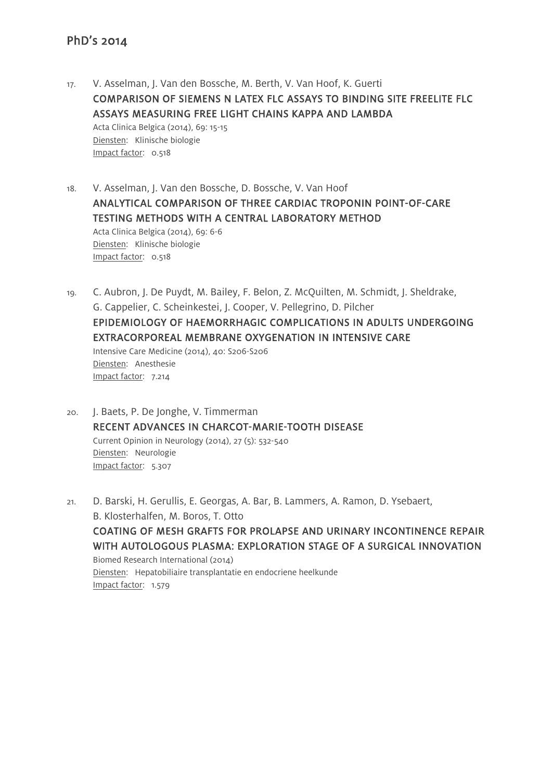- 17. V. Asselman, J. Van den Bossche, M. Berth, V. Van Hoof, K. Guerti COMPARISON OF SIEMENS N LATEX FLC ASSAYS TO BINDING SITE FREELITE FLC ASSAYS MEASURING FREE LIGHT CHAINS KAPPA AND LAMBDA Acta Clinica Belgica (2014), 69: 15-15 Diensten: Klinische biologie Impact factor: 0.518
- 18. V. Asselman, J. Van den Bossche, D. Bossche, V. Van Hoof ANALYTICAL COMPARISON OF THREE CARDIAC TROPONIN POINT-OF-CARE TESTING METHODS WITH A CENTRAL LABORATORY METHOD Acta Clinica Belgica (2014), 69: 6-6 Diensten: Klinische biologie Impact factor: 0.518
- 19. C. Aubron, J. De Puydt, M. Bailey, F. Belon, Z. McQuilten, M. Schmidt, J. Sheldrake, G. Cappelier, C. Scheinkestei, J. Cooper, V. Pellegrino, D. Pilcher EPIDEMIOLOGY OF HAEMORRHAGIC COMPLICATIONS IN ADULTS UNDERGOING EXTRACORPOREAL MEMBRANE OXYGENATION IN INTENSIVE CARE Intensive Care Medicine (2014), 40: S206-S206 Diensten: Anesthesie Impact factor: 7.214
- 20. J. Baets, P. De Jonghe, V. Timmerman RECENT ADVANCES IN CHARCOT-MARIE-TOOTH DISEASE Current Opinion in Neurology (2014), 27 (5): 532-540 Diensten: Neurologie Impact factor: 5.307
- 21. D. Barski, H. Gerullis, E. Georgas, A. Bar, B. Lammers, A. Ramon, D. Ysebaert, B. Klosterhalfen, M. Boros, T. Otto COATING OF MESH GRAFTS FOR PROLAPSE AND URINARY INCONTINENCE REPAIR WITH AUTOLOGOUS PLASMA: EXPLORATION STAGE OF A SURGICAL INNOVATION Biomed Research International (2014) Diensten: Hepatobiliaire transplantatie en endocriene heelkunde Impact factor: 1.579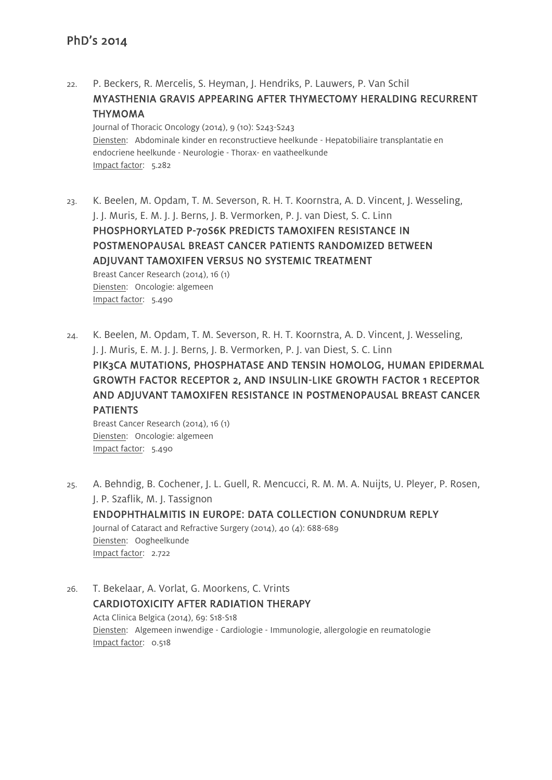22. P. Beckers, R. Mercelis, S. Heyman, J. Hendriks, P. Lauwers, P. Van Schil MYASTHENIA GRAVIS APPEARING AFTER THYMECTOMY HERALDING RECURRENT THYMOMA Journal of Thoracic Oncology (2014), 9 (10): S243-S243 Diensten: Abdominale kinder en reconstructieve heelkunde - Hepatobiliaire transplantatie en

endocriene heelkunde - Neurologie - Thorax- en vaatheelkunde Impact factor: 5.282

23. K. Beelen, M. Opdam, T. M. Severson, R. H. T. Koornstra, A. D. Vincent, J. Wesseling, J. J. Muris, E. M. J. J. Berns, J. B. Vermorken, P. J. van Diest, S. C. Linn

PHOSPHORYLATED P-70S6K PREDICTS TAMOXIFEN RESISTANCE IN POSTMENOPAUSAL BREAST CANCER PATIENTS RANDOMIZED BETWEEN ADJUVANT TAMOXIFEN VERSUS NO SYSTEMIC TREATMENT

Breast Cancer Research (2014), 16 (1) Diensten: Oncologie: algemeen Impact factor: 5.490

24. K. Beelen, M. Opdam, T. M. Severson, R. H. T. Koornstra, A. D. Vincent, J. Wesseling, J. J. Muris, E. M. J. J. Berns, J. B. Vermorken, P. J. van Diest, S. C. Linn PIK3CA MUTATIONS, PHOSPHATASE AND TENSIN HOMOLOG, HUMAN EPIDERMAL GROWTH FACTOR RECEPTOR 2, AND INSULIN-LIKE GROWTH FACTOR 1 RECEPTOR AND ADJUVANT TAMOXIFEN RESISTANCE IN POSTMENOPAUSAL BREAST CANCER PATIENTS

Breast Cancer Research (2014), 16 (1) Diensten: Oncologie: algemeen Impact factor: 5.490

- 25. A. Behndig, B. Cochener, J. L. Guell, R. Mencucci, R. M. M. A. Nuijts, U. Pleyer, P. Rosen, J. P. Szaflik, M. J. Tassignon ENDOPHTHALMITIS IN EUROPE: DATA COLLECTION CONUNDRUM REPLY Journal of Cataract and Refractive Surgery (2014), 40 (4): 688-689 Diensten: Oogheelkunde Impact factor: 2.722
- 26. T. Bekelaar, A. Vorlat, G. Moorkens, C. Vrints CARDIOTOXICITY AFTER RADIATION THERAPY Acta Clinica Belgica (2014), 69: S18-S18 Diensten: Algemeen inwendige - Cardiologie - Immunologie, allergologie en reumatologie Impact factor: 0.518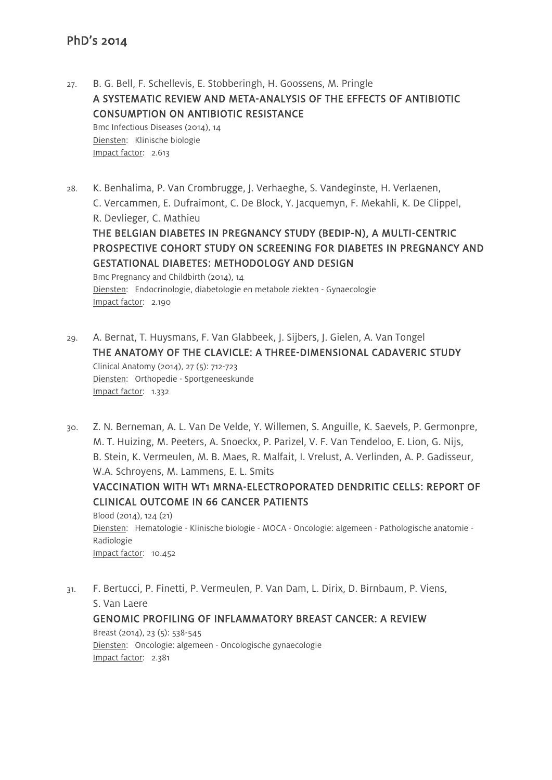27. B. G. Bell, F. Schellevis, E. Stobberingh, H. Goossens, M. Pringle A SYSTEMATIC REVIEW AND META-ANALYSIS OF THE EFFECTS OF ANTIBIOTIC CONSUMPTION ON ANTIBIOTIC RESISTANCE Bmc Infectious Diseases (2014), 14 Diensten: Klinische biologie Impact factor: 2.613

- 28. K. Benhalima, P. Van Crombrugge, J. Verhaeghe, S. Vandeginste, H. Verlaenen, C. Vercammen, E. Dufraimont, C. De Block, Y. Jacquemyn, F. Mekahli, K. De Clippel, R. Devlieger, C. Mathieu THE BELGIAN DIABETES IN PREGNANCY STUDY (BEDIP-N), A MULTI-CENTRIC PROSPECTIVE COHORT STUDY ON SCREENING FOR DIABETES IN PREGNANCY AND GESTATIONAL DIABETES: METHODOLOGY AND DESIGN Bmc Pregnancy and Childbirth (2014), 14 Diensten: Endocrinologie, diabetologie en metabole ziekten - Gynaecologie Impact factor: 2.190
- 29. A. Bernat, T. Huysmans, F. Van Glabbeek, J. Sijbers, J. Gielen, A. Van Tongel THE ANATOMY OF THE CLAVICLE: A THREE-DIMENSIONAL CADAVERIC STUDY Clinical Anatomy (2014), 27 (5): 712-723 Diensten: Orthopedie - Sportgeneeskunde Impact factor: 1.332
- 30. Z. N. Berneman, A. L. Van De Velde, Y. Willemen, S. Anguille, K. Saevels, P. Germonpre, M. T. Huizing, M. Peeters, A. Snoeckx, P. Parizel, V. F. Van Tendeloo, E. Lion, G. Nijs, B. Stein, K. Vermeulen, M. B. Maes, R. Malfait, I. Vrelust, A. Verlinden, A. P. Gadisseur, W.A. Schroyens, M. Lammens, E. L. Smits

VACCINATION WITH WT1 MRNA-ELECTROPORATED DENDRITIC CELLS: REPORT OF CLINICAL OUTCOME IN 66 CANCER PATIENTS

Blood (2014), 124 (21) Diensten: Hematologie - Klinische biologie - MOCA - Oncologie: algemeen - Pathologische anatomie - Radiologie Impact factor: 10.452

31. F. Bertucci, P. Finetti, P. Vermeulen, P. Van Dam, L. Dirix, D. Birnbaum, P. Viens, S. Van Laere GENOMIC PROFILING OF INFLAMMATORY BREAST CANCER: A REVIEW Breast (2014), 23 (5): 538-545 Diensten: Oncologie: algemeen - Oncologische gynaecologie Impact factor: 2.381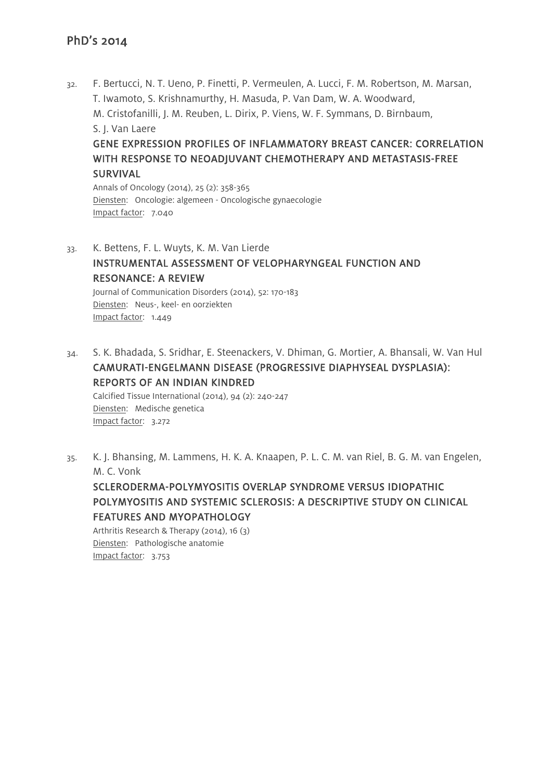32. F. Bertucci, N. T. Ueno, P. Finetti, P. Vermeulen, A. Lucci, F. M. Robertson, M. Marsan, T. Iwamoto, S. Krishnamurthy, H. Masuda, P. Van Dam, W. A. Woodward, M. Cristofanilli, J. M. Reuben, L. Dirix, P. Viens, W. F. Symmans, D. Birnbaum, S. J. Van Laere GENE EXPRESSION PROFILES OF INFLAMMATORY BREAST CANCER: CORRELATION

# WITH RESPONSE TO NEOADJUVANT CHEMOTHERAPY AND METASTASIS-FREE SURVIVAL

Annals of Oncology (2014), 25 (2): 358-365 Diensten: Oncologie: algemeen - Oncologische gynaecologie Impact factor: 7.040

33. K. Bettens, F. L. Wuyts, K. M. Van Lierde INSTRUMENTAL ASSESSMENT OF VELOPHARYNGEAL FUNCTION AND RESONANCE: A REVIEW Journal of Communication Disorders (2014), 52: 170-183

Diensten: Neus-, keel- en oorziekten Impact factor: 1.449

34. S. K. Bhadada, S. Sridhar, E. Steenackers, V. Dhiman, G. Mortier, A. Bhansali, W. Van Hul CAMURATI-ENGELMANN DISEASE (PROGRESSIVE DIAPHYSEAL DYSPLASIA): REPORTS OF AN INDIAN KINDRED

Calcified Tissue International (2014), 94 (2): 240-247 Diensten: Medische genetica Impact factor: 3.272

35. K. J. Bhansing, M. Lammens, H. K. A. Knaapen, P. L. C. M. van Riel, B. G. M. van Engelen, M. C. Vonk

SCLERODERMA-POLYMYOSITIS OVERLAP SYNDROME VERSUS IDIOPATHIC POLYMYOSITIS AND SYSTEMIC SCLEROSIS: A DESCRIPTIVE STUDY ON CLINICAL FEATURES AND MYOPATHOLOGY

Arthritis Research & Therapy (2014), 16 (3) Diensten: Pathologische anatomie Impact factor: 3.753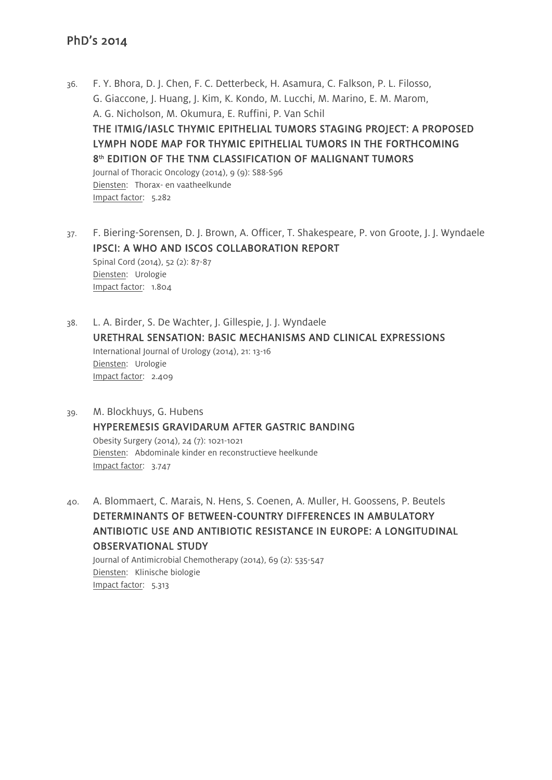- 36. F. Y. Bhora, D. J. Chen, F. C. Detterbeck, H. Asamura, C. Falkson, P. L. Filosso, G. Giaccone, J. Huang, J. Kim, K. Kondo, M. Lucchi, M. Marino, E. M. Marom, A. G. Nicholson, M. Okumura, E. Ruffini, P. Van Schil THE ITMIG/IASLC THYMIC EPITHELIAL TUMORS STAGING PROJECT: A PROPOSED LYMPH NODE MAP FOR THYMIC EPITHELIAL TUMORS IN THE FORTHCOMING 8<sup>th</sup> EDITION OF THE TNM CLASSIFICATION OF MALIGNANT TUMORS Journal of Thoracic Oncology (2014), 9 (9): S88-S96 Diensten: Thorax- en vaatheelkunde Impact factor: 5.282
- 37. F. Biering-Sorensen, D. J. Brown, A. Officer, T. Shakespeare, P. von Groote, J. J. Wyndaele IPSCI: A WHO AND ISCOS COLLABORATION REPORT Spinal Cord (2014), 52 (2): 87-87 Diensten: Urologie Impact factor: 1.804
- 38. L. A. Birder, S. De Wachter, J. Gillespie, J. J. Wyndaele URETHRAL SENSATION: BASIC MECHANISMS AND CLINICAL EXPRESSIONS International Journal of Urology (2014), 21: 13-16 Diensten: Urologie Impact factor: 2.409
- 39. M. Blockhuys, G. Hubens HYPEREMESIS GRAVIDARUM AFTER GASTRIC BANDING Obesity Surgery (2014), 24 (7): 1021-1021 Diensten: Abdominale kinder en reconstructieve heelkunde Impact factor: 3.747
- 40. A. Blommaert, C. Marais, N. Hens, S. Coenen, A. Muller, H. Goossens, P. Beutels DETERMINANTS OF BETWEEN-COUNTRY DIFFERENCES IN AMBULATORY ANTIBIOTIC USE AND ANTIBIOTIC RESISTANCE IN EUROPE: A LONGITUDINAL OBSERVATIONAL STUDY Journal of Antimicrobial Chemotherapy (2014), 69 (2): 535-547 Diensten: Klinische biologie

Impact factor: 5.313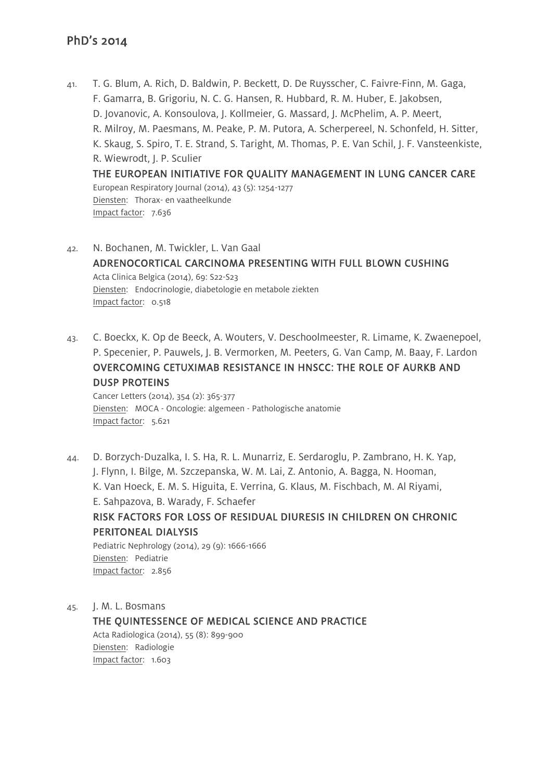- 41. T. G. Blum, A. Rich, D. Baldwin, P. Beckett, D. De Ruysscher, C. Faivre-Finn, M. Gaga, F. Gamarra, B. Grigoriu, N. C. G. Hansen, R. Hubbard, R. M. Huber, E. Jakobsen, D. Jovanovic, A. Konsoulova, J. Kollmeier, G. Massard, J. McPhelim, A. P. Meert, R. Milroy, M. Paesmans, M. Peake, P. M. Putora, A. Scherpereel, N. Schonfeld, H. Sitter, K. Skaug, S. Spiro, T. E. Strand, S. Taright, M. Thomas, P. E. Van Schil, J. F. Vansteenkiste, R. Wiewrodt, J. P. Sculier THE EUROPEAN INITIATIVE FOR QUALITY MANAGEMENT IN LUNG CANCER CARE European Respiratory Journal (2014), 43 (5): 1254-1277 Diensten: Thorax- en vaatheelkunde Impact factor: 7.636
- 42. N. Bochanen, M. Twickler, L. Van Gaal ADRENOCORTICAL CARCINOMA PRESENTING WITH FULL BLOWN CUSHING Acta Clinica Belgica (2014), 69: S22-S23 Diensten: Endocrinologie, diabetologie en metabole ziekten Impact factor: 0.518
- 43. C. Boeckx, K. Op de Beeck, A. Wouters, V. Deschoolmeester, R. Limame, K. Zwaenepoel, P. Specenier, P. Pauwels, J. B. Vermorken, M. Peeters, G. Van Camp, M. Baay, F. Lardon OVERCOMING CETUXIMAB RESISTANCE IN HNSCC: THE ROLE OF AURKB AND DUSP PROTEINS

Cancer Letters (2014), 354 (2): 365-377 Diensten: MOCA - Oncologie: algemeen - Pathologische anatomie Impact factor: 5.621

44. D. Borzych-Duzalka, I. S. Ha, R. L. Munarriz, E. Serdaroglu, P. Zambrano, H. K. Yap, J. Flynn, I. Bilge, M. Szczepanska, W. M. Lai, Z. Antonio, A. Bagga, N. Hooman, K. Van Hoeck, E. M. S. Higuita, E. Verrina, G. Klaus, M. Fischbach, M. Al Riyami, E. Sahpazova, B. Warady, F. Schaefer RISK FACTORS FOR LOSS OF RESIDUAL DIURESIS IN CHILDREN ON CHRONIC PERITONEAL DIALYSIS Pediatric Nephrology (2014), 29 (9): 1666-1666 Diensten: Pediatrie Impact factor: 2.856

45. J. M. L. Bosmans THE QUINTESSENCE OF MEDICAL SCIENCE AND PRACTICE Acta Radiologica (2014), 55 (8): 899-900 Diensten: Radiologie Impact factor: 1.603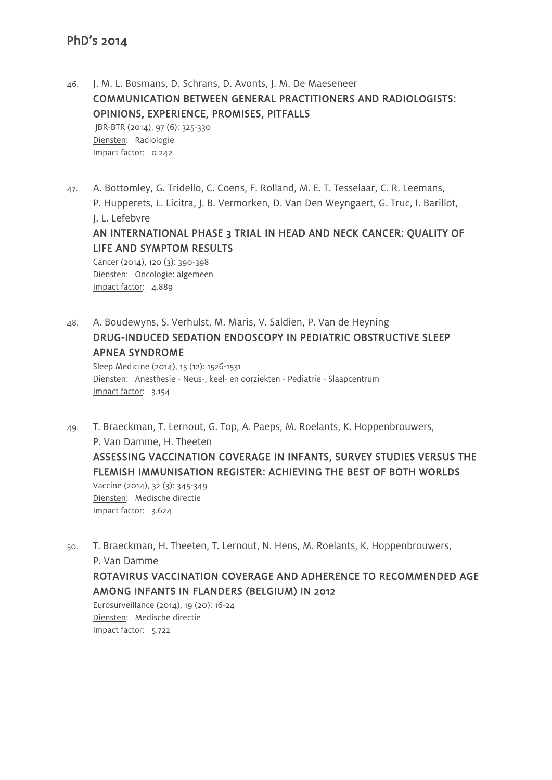46. J. M. L. Bosmans, D. Schrans, D. Avonts, J. M. De Maeseneer COMMUNICATION BETWEEN GENERAL PRACTITIONERS AND RADIOLOGISTS: OPINIONS, EXPERIENCE, PROMISES, PITFALLS JBR-BTR (2014), 97 (6): 325-330 Diensten: Radiologie Impact factor: 0.242

47. A. Bottomley, G. Tridello, C. Coens, F. Rolland, M. E. T. Tesselaar, C. R. Leemans, P. Hupperets, L. Licitra, J. B. Vermorken, D. Van Den Weyngaert, G. Truc, I. Barillot,

J. L. Lefebvre

# AN INTERNATIONAL PHASE 3 TRIAL IN HEAD AND NECK CANCER: QUALITY OF LIFE AND SYMPTOM RESULTS

Cancer (2014), 120 (3): 390-398 Diensten: Oncologie: algemeen Impact factor: 4.889

48. A. Boudewyns, S. Verhulst, M. Maris, V. Saldien, P. Van de Heyning DRUG-INDUCED SEDATION ENDOSCOPY IN PEDIATRIC OBSTRUCTIVE SLEEP APNEA SYNDROME

Sleep Medicine (2014), 15 (12): 1526-1531 Diensten: Anesthesie - Neus-, keel- en oorziekten - Pediatrie - Slaapcentrum Impact factor: 3.154

- 49. T. Braeckman, T. Lernout, G. Top, A. Paeps, M. Roelants, K. Hoppenbrouwers, P. Van Damme, H. Theeten ASSESSING VACCINATION COVERAGE IN INFANTS, SURVEY STUDIES VERSUS THE FLEMISH IMMUNISATION REGISTER: ACHIEVING THE BEST OF BOTH WORLDS Vaccine (2014), 32 (3): 345-349 Diensten: Medische directie Impact factor: 3.624
- 50. T. Braeckman, H. Theeten, T. Lernout, N. Hens, M. Roelants, K. Hoppenbrouwers, P. Van Damme ROTAVIRUS VACCINATION COVERAGE AND ADHERENCE TO RECOMMENDED AGE AMONG INFANTS IN FLANDERS (BELGIUM) IN 2012

Eurosurveillance (2014), 19 (20): 16-24 Diensten: Medische directie Impact factor: 5.722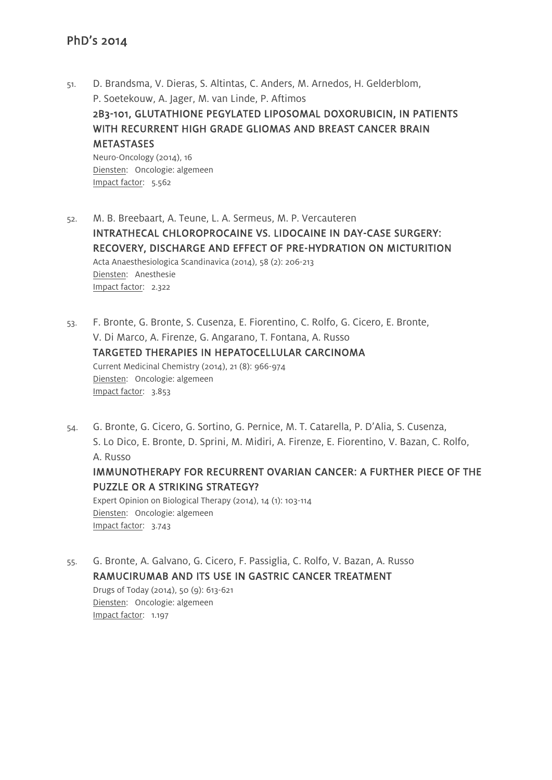- 51. D. Brandsma, V. Dieras, S. Altintas, C. Anders, M. Arnedos, H. Gelderblom, P. Soetekouw, A. Jager, M. van Linde, P. Aftimos 2B3-101, GLUTATHIONE PEGYLATED LIPOSOMAL DOXORUBICIN, IN PATIENTS WITH RECURRENT HIGH GRADE GLIOMAS AND BREAST CANCER BRAIN METASTASES Neuro-Oncology (2014), 16 Diensten: Oncologie: algemeen Impact factor: 5.562
- 52. M. B. Breebaart, A. Teune, L. A. Sermeus, M. P. Vercauteren INTRATHECAL CHLOROPROCAINE VS. LIDOCAINE IN DAY-CASE SURGERY: RECOVERY, DISCHARGE AND EFFECT OF PRE-HYDRATION ON MICTURITION Acta Anaesthesiologica Scandinavica (2014), 58 (2): 206-213 Diensten: Anesthesie Impact factor: 2.322
- 53. F. Bronte, G. Bronte, S. Cusenza, E. Fiorentino, C. Rolfo, G. Cicero, E. Bronte, V. Di Marco, A. Firenze, G. Angarano, T. Fontana, A. Russo TARGETED THERAPIES IN HEPATOCELLULAR CARCINOMA Current Medicinal Chemistry (2014), 21 (8): 966-974 Diensten: Oncologie: algemeen Impact factor: 3.853
- 54. G. Bronte, G. Cicero, G. Sortino, G. Pernice, M. T. Catarella, P. D'Alia, S. Cusenza, S. Lo Dico, E. Bronte, D. Sprini, M. Midiri, A. Firenze, E. Fiorentino, V. Bazan, C. Rolfo, A. Russo IMMUNOTHERAPY FOR RECURRENT OVARIAN CANCER: A FURTHER PIECE OF THE PUZZLE OR A STRIKING STRATEGY? Expert Opinion on Biological Therapy (2014), 14 (1): 103-114

Diensten: Oncologie: algemeen Impact factor: 3.743

55. G. Bronte, A. Galvano, G. Cicero, F. Passiglia, C. Rolfo, V. Bazan, A. Russo RAMUCIRUMAB AND ITS USE IN GASTRIC CANCER TREATMENT Drugs of Today (2014), 50 (9): 613-621 Diensten: Oncologie: algemeen Impact factor: 1.197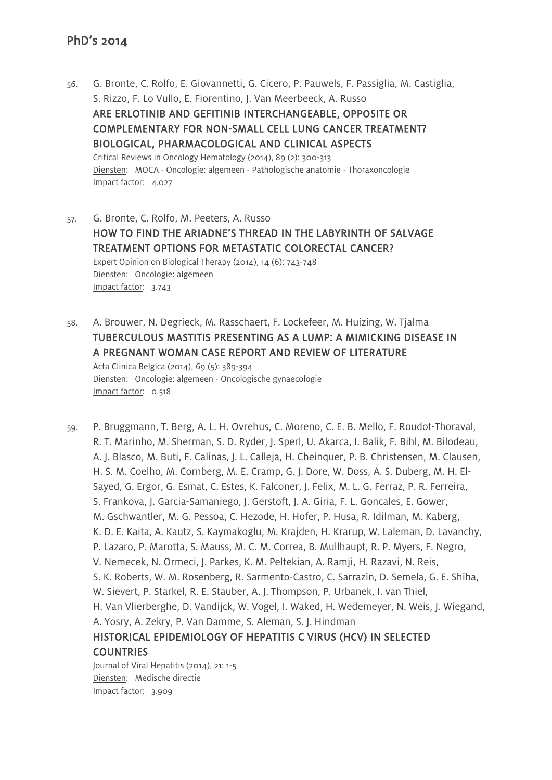- 56. G. Bronte, C. Rolfo, E. Giovannetti, G. Cicero, P. Pauwels, F. Passiglia, M. Castiglia, S. Rizzo, F. Lo Vullo, E. Fiorentino, J. Van Meerbeeck, A. Russo ARE ERLOTINIB AND GEFITINIB INTERCHANGEABLE, OPPOSITE OR COMPLEMENTARY FOR NON-SMALL CELL LUNG CANCER TREATMENT? BIOLOGICAL, PHARMACOLOGICAL AND CLINICAL ASPECTS Critical Reviews in Oncology Hematology (2014), 89 (2): 300-313 Diensten: MOCA - Oncologie: algemeen - Pathologische anatomie - Thoraxoncologie Impact factor: 4.027
- 57. G. Bronte, C. Rolfo, M. Peeters, A. Russo HOW TO FIND THE ARIADNE'S THREAD IN THE LABYRINTH OF SALVAGE TREATMENT OPTIONS FOR METASTATIC COLORECTAL CANCER? Expert Opinion on Biological Therapy (2014), 14 (6): 743-748 Diensten: Oncologie: algemeen Impact factor: 3.743
- 58. A. Brouwer, N. Degrieck, M. Rasschaert, F. Lockefeer, M. Huizing, W. Tjalma TUBERCULOUS MASTITIS PRESENTING AS A LUMP: A MIMICKING DISEASE IN A PREGNANT WOMAN CASE REPORT AND REVIEW OF LITERATURE

Acta Clinica Belgica (2014), 69 (5): 389-394 Diensten: Oncologie: algemeen - Oncologische gynaecologie Impact factor: 0.518

59. P. Bruggmann, T. Berg, A. L. H. Ovrehus, C. Moreno, C. E. B. Mello, F. Roudot-Thoraval, R. T. Marinho, M. Sherman, S. D. Ryder, J. Sperl, U. Akarca, I. Balik, F. Bihl, M. Bilodeau, A. J. Blasco, M. Buti, F. Calinas, J. L. Calleja, H. Cheinquer, P. B. Christensen, M. Clausen, H. S. M. Coelho, M. Cornberg, M. E. Cramp, G. J. Dore, W. Doss, A. S. Duberg, M. H. El-Sayed, G. Ergor, G. Esmat, C. Estes, K. Falconer, J. Felix, M. L. G. Ferraz, P. R. Ferreira, S. Frankova, J. Garcia-Samaniego, J. Gerstoft, J. A. Giria, F. L. Goncales, E. Gower, M. Gschwantler, M. G. Pessoa, C. Hezode, H. Hofer, P. Husa, R. Idilman, M. Kaberg, K. D. E. Kaita, A. Kautz, S. Kaymakoglu, M. Krajden, H. Krarup, W. Laleman, D. Lavanchy, P. Lazaro, P. Marotta, S. Mauss, M. C. M. Correa, B. Mullhaupt, R. P. Myers, F. Negro, V. Nemecek, N. Ormeci, J. Parkes, K. M. Peltekian, A. Ramji, H. Razavi, N. Reis, S. K. Roberts, W. M. Rosenberg, R. Sarmento-Castro, C. Sarrazin, D. Semela, G. E. Shiha, W. Sievert, P. Starkel, R. E. Stauber, A. J. Thompson, P. Urbanek, I. van Thiel, H. Van Vlierberghe, D. Vandijck, W. Vogel, I. Waked, H. Wedemeyer, N. Weis, J. Wiegand, A. Yosry, A. Zekry, P. Van Damme, S. Aleman, S. J. Hindman HISTORICAL EPIDEMIOLOGY OF HEPATITIS C VIRUS (HCV) IN SELECTED COUNTRIES Journal of Viral Hepatitis (2014), 21: 1-5 Diensten: Medische directie

Impact factor: 3.909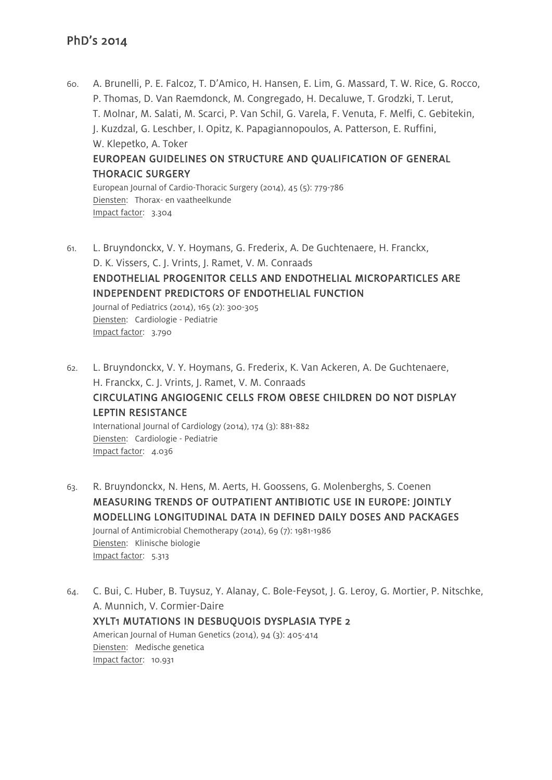Impact factor: 3.304

60. A. Brunelli, P. E. Falcoz, T. D'Amico, H. Hansen, E. Lim, G. Massard, T. W. Rice, G. Rocco, P. Thomas, D. Van Raemdonck, M. Congregado, H. Decaluwe, T. Grodzki, T. Lerut, T. Molnar, M. Salati, M. Scarci, P. Van Schil, G. Varela, F. Venuta, F. Melfi, C. Gebitekin, J. Kuzdzal, G. Leschber, I. Opitz, K. Papagiannopoulos, A. Patterson, E. Ruffini, W. Klepetko, A. Toker EUROPEAN GUIDELINES ON STRUCTURE AND QUALIFICATION OF GENERAL THORACIC SURGERY European Journal of Cardio-Thoracic Surgery (2014), 45 (5): 779-786 Diensten: Thorax- en vaatheelkunde

- 61. L. Bruyndonckx, V. Y. Hoymans, G. Frederix, A. De Guchtenaere, H. Franckx, D. K. Vissers, C. J. Vrints, J. Ramet, V. M. Conraads ENDOTHELIAL PROGENITOR CELLS AND ENDOTHELIAL MICROPARTICLES ARE INDEPENDENT PREDICTORS OF ENDOTHELIAL FUNCTION Journal of Pediatrics (2014), 165 (2): 300-305 Diensten: Cardiologie - Pediatrie Impact factor: 3.790
- 62. L. Bruyndonckx, V. Y. Hoymans, G. Frederix, K. Van Ackeren, A. De Guchtenaere, H. Franckx, C. J. Vrints, J. Ramet, V. M. Conraads CIRCULATING ANGIOGENIC CELLS FROM OBESE CHILDREN DO NOT DISPLAY LEPTIN RESISTANCE International Journal of Cardiology (2014), 174 (3): 881-882

Diensten: Cardiologie - Pediatrie Impact factor: 4.036

- 63. R. Bruyndonckx, N. Hens, M. Aerts, H. Goossens, G. Molenberghs, S. Coenen MEASURING TRENDS OF OUTPATIENT ANTIBIOTIC USE IN EUROPE: JOINTLY MODELLING LONGITUDINAL DATA IN DEFINED DAILY DOSES AND PACKAGES Journal of Antimicrobial Chemotherapy (2014), 69 (7): 1981-1986 Diensten: Klinische biologie Impact factor: 5.313
- 64. C. Bui, C. Huber, B. Tuysuz, Y. Alanay, C. Bole-Feysot, J. G. Leroy, G. Mortier, P. Nitschke, A. Munnich, V. Cormier-Daire XYLT1 MUTATIONS IN DESBUOUOIS DYSPLASIA TYPE 2 American Journal of Human Genetics (2014), 94 (3): 405-414 Diensten: Medische genetica Impact factor: 10.931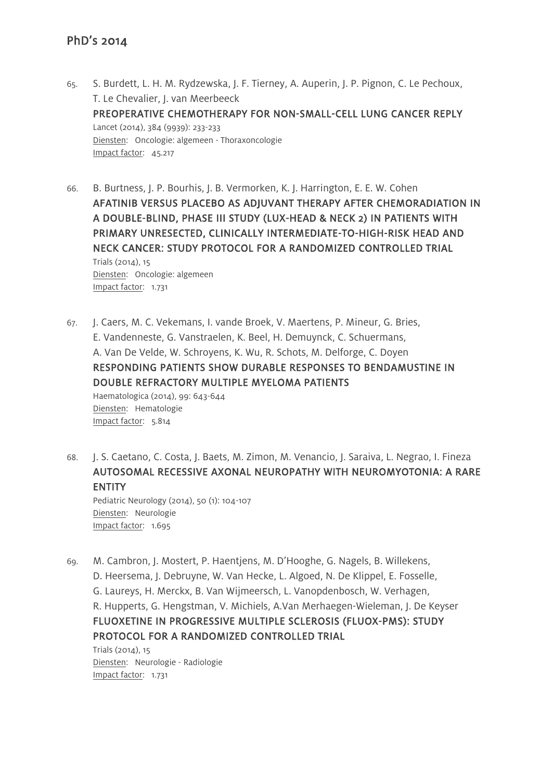- 65. S. Burdett, L. H. M. Rydzewska, J. F. Tierney, A. Auperin, J. P. Pignon, C. Le Pechoux, T. Le Chevalier, J. van Meerbeeck PREOPERATIVE CHEMOTHERAPY FOR NON-SMALL-CELL LUNG CANCER REPLY Lancet (2014), 384 (9939): 233-233 Diensten: Oncologie: algemeen - Thoraxoncologie Impact factor: 45.217
- 66. B. Burtness, J. P. Bourhis, J. B. Vermorken, K. J. Harrington, E. E. W. Cohen AFATINIB VERSUS PLACEBO AS ADJUVANT THERAPY AFTER CHEMORADIATION IN A DOUBLE-BLIND, PHASE III STUDY (LUX-HEAD & NECK 2) IN PATIENTS WITH PRIMARY UNRESECTED, CLINICALLY INTERMEDIATE-TO-HIGH-RISK HEAD AND NECK CANCER: STUDY PROTOCOL FOR A RANDOMIZED CONTROLLED TRIAL Trials (2014), 15 Diensten: Oncologie: algemeen Impact factor: 1.731
- 67. J. Caers, M. C. Vekemans, I. vande Broek, V. Maertens, P. Mineur, G. Bries, E. Vandenneste, G. Vanstraelen, K. Beel, H. Demuynck, C. Schuermans, A. Van De Velde, W. Schroyens, K. Wu, R. Schots, M. Delforge, C. Doyen RESPONDING PATIENTS SHOW DURABLE RESPONSES TO BENDAMUSTINE IN DOUBLE REFRACTORY MULTIPLE MYELOMA PATIENTS Haematologica (2014), 99: 643-644 Diensten: Hematologie Impact factor: 5.814
- 68. J. S. Caetano, C. Costa, J. Baets, M. Zimon, M. Venancio, J. Saraiva, L. Negrao, I. Fineza AUTOSOMAL RECESSIVE AXONAL NEUROPATHY WITH NEUROMYOTONIA: A RARE ENTITY Pediatric Neurology (2014), 50 (1): 104-107 Diensten: Neurologie Impact factor: 1.695
- 69. M. Cambron, J. Mostert, P. Haentjens, M. D'Hooghe, G. Nagels, B. Willekens, D. Heersema, J. Debruyne, W. Van Hecke, L. Algoed, N. De Klippel, E. Fosselle, G. Laureys, H. Merckx, B. Van Wijmeersch, L. Vanopdenbosch, W. Verhagen, R. Hupperts, G. Hengstman, V. Michiels, A.Van Merhaegen-Wieleman, J. De Keyser FLUOXETINE IN PROGRESSIVE MULTIPLE SCLEROSIS (FLUOX-PMS): STUDY PROTOCOL FOR A RANDOMIZED CONTROLLED TRIAL

Trials (2014), 15 Diensten: Neurologie - Radiologie Impact factor: 1.731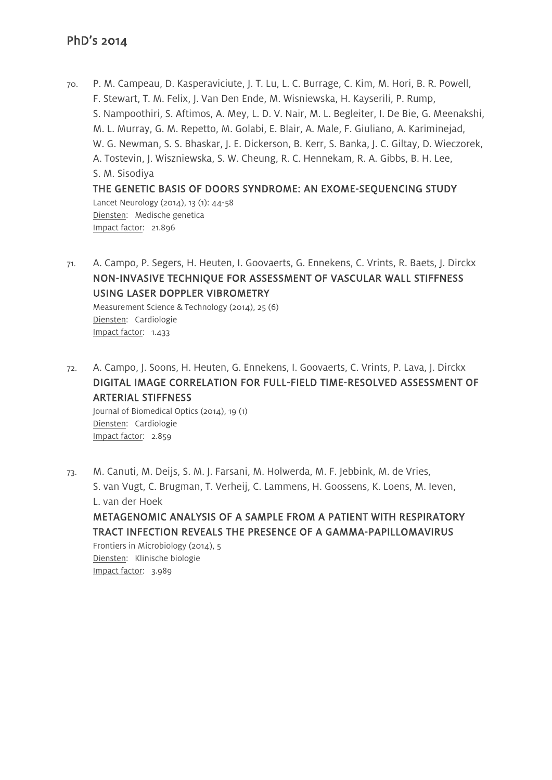70. P. M. Campeau, D. Kasperaviciute, J. T. Lu, L. C. Burrage, C. Kim, M. Hori, B. R. Powell, F. Stewart, T. M. Felix, J. Van Den Ende, M. Wisniewska, H. Kayserili, P. Rump, S. Nampoothiri, S. Aftimos, A. Mey, L. D. V. Nair, M. L. Begleiter, I. De Bie, G. Meenakshi, M. L. Murray, G. M. Repetto, M. Golabi, E. Blair, A. Male, F. Giuliano, A. Kariminejad, W. G. Newman, S. S. Bhaskar, J. E. Dickerson, B. Kerr, S. Banka, J. C. Giltay, D. Wieczorek, A. Tostevin, J. Wiszniewska, S. W. Cheung, R. C. Hennekam, R. A. Gibbs, B. H. Lee, S. M. Sisodiya THE GENETIC BASIS OF DOORS SYNDROME: AN EXOME-SEQUENCING STUDY

Lancet Neurology (2014), 13 (1): 44-58 Diensten: Medische genetica Impact factor: 21.896

71. A. Campo, P. Segers, H. Heuten, I. Goovaerts, G. Ennekens, C. Vrints, R. Baets, J. Dirckx NON-INVASIVE TECHNIQUE FOR ASSESSMENT OF VASCULAR WALL STIFFNESS USING LASER DOPPLER VIBROMETRY

Measurement Science & Technology (2014), 25 (6) Diensten: Cardiologie Impact factor: 1.433

72. A. Campo, J. Soons, H. Heuten, G. Ennekens, I. Goovaerts, C. Vrints, P. Lava, J. Dirckx DIGITAL IMAGE CORRELATION FOR FULL-FIELD TIME-RESOLVED ASSESSMENT OF ARTERIAL STIFFNESS

Journal of Biomedical Optics (2014), 19 (1) Diensten: Cardiologie Impact factor: 2.859

73. M. Canuti, M. Deijs, S. M. J. Farsani, M. Holwerda, M. F. Jebbink, M. de Vries, S. van Vugt, C. Brugman, T. Verheij, C. Lammens, H. Goossens, K. Loens, M. Ieven, L. van der Hoek METAGENOMIC ANALYSIS OF A SAMPLE FROM A PATIENT WITH RESPIRATORY

TRACT INFECTION REVEALS THE PRESENCE OF A GAMMA-PAPILLOMAVIRUS Frontiers in Microbiology (2014), 5 Diensten: Klinische biologie

Impact factor: 3.989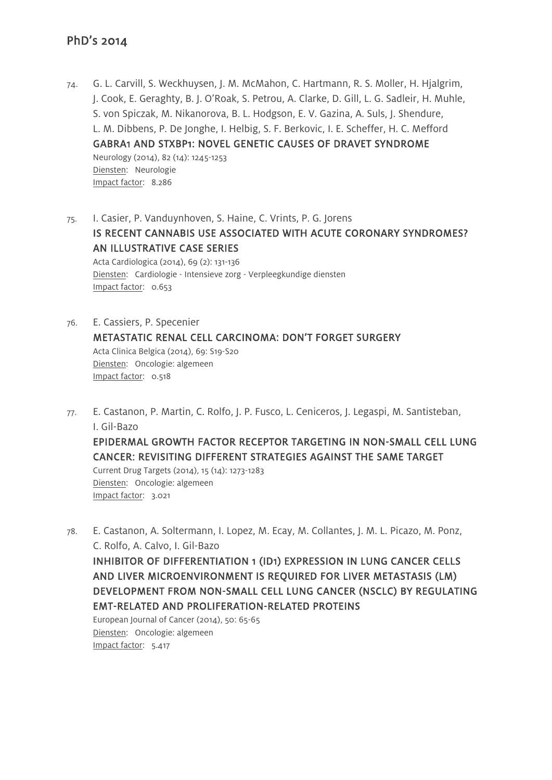- 74. G. L. Carvill, S. Weckhuysen, J. M. McMahon, C. Hartmann, R. S. Moller, H. Hjalgrim, J. Cook, E. Geraghty, B. J. O'Roak, S. Petrou, A. Clarke, D. Gill, L. G. Sadleir, H. Muhle, S. von Spiczak, M. Nikanorova, B. L. Hodgson, E. V. Gazina, A. Suls, J. Shendure, L. M. Dibbens, P. De Jonghe, I. Helbig, S. F. Berkovic, I. E. Scheffer, H. C. Mefford GABRA1 AND STXBP1: NOVEL GENETIC CAUSES OF DRAVET SYNDROME Neurology (2014), 82 (14): 1245-1253 Diensten: Neurologie Impact factor: 8.286
- 75. I. Casier, P. Vanduynhoven, S. Haine, C. Vrints, P. G. Jorens IS RECENT CANNABIS USE ASSOCIATED WITH ACUTE CORONARY SYNDROMES? AN ILLUSTRATIVE CASE SERIES Acta Cardiologica (2014), 69 (2): 131-136 Diensten: Cardiologie - Intensieve zorg - Verpleegkundige diensten Impact factor: 0.653
- 76. E. Cassiers, P. Specenier METASTATIC RENAL CELL CARCINOMA: DON'T FORGET SURGERY Acta Clinica Belgica (2014), 69: S19-S20 Diensten: Oncologie: algemeen Impact factor: 0.518
- 77. E. Castanon, P. Martin, C. Rolfo, J. P. Fusco, L. Ceniceros, J. Legaspi, M. Santisteban, I. Gil-Bazo

EPIDERMAL GROWTH FACTOR RECEPTOR TARGETING IN NON-SMALL CELL LUNG CANCER: REVISITING DIFFERENT STRATEGIES AGAINST THE SAME TARGET

Current Drug Targets (2014), 15 (14): 1273-1283 Diensten: Oncologie: algemeen Impact factor: 3.021

78. E. Castanon, A. Soltermann, I. Lopez, M. Ecay, M. Collantes, J. M. L. Picazo, M. Ponz, C. Rolfo, A. Calvo, I. Gil-Bazo INHIBITOR OF DIFFERENTIATION 1 (ID1) EXPRESSION IN LUNG CANCER CELLS AND LIVER MICROENVIRONMENT IS REQUIRED FOR LIVER METASTASIS (LM) DEVELOPMENT FROM NON-SMALL CELL LUNG CANCER (NSCLC) BY REGULATING EMT-RELATED AND PROLIFERATION-RELATED PROTEINS European Journal of Cancer (2014), 50: 65-65

Diensten: Oncologie: algemeen Impact factor: 5.417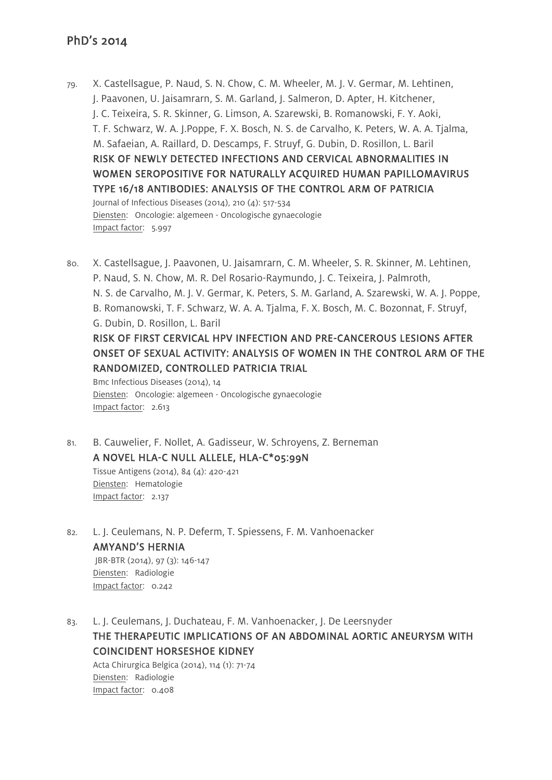- 79. X. Castellsague, P. Naud, S. N. Chow, C. M. Wheeler, M. J. V. Germar, M. Lehtinen, J. Paavonen, U. Jaisamrarn, S. M. Garland, J. Salmeron, D. Apter, H. Kitchener, J. C. Teixeira, S. R. Skinner, G. Limson, A. Szarewski, B. Romanowski, F. Y. Aoki, T. F. Schwarz, W. A. J.Poppe, F. X. Bosch, N. S. de Carvalho, K. Peters, W. A. A. Tjalma, M. Safaeian, A. Raillard, D. Descamps, F. Struyf, G. Dubin, D. Rosillon, L. Baril RISK OF NEWLY DETECTED INFECTIONS AND CERVICAL ABNORMALITIES IN WOMEN SEROPOSITIVE FOR NATURALLY ACQUIRED HUMAN PAPILLOMAVIRUS TYPE 16/18 ANTIBODIES: ANALYSIS OF THE CONTROL ARM OF PATRICIA Journal of Infectious Diseases (2014), 210 (4): 517-534 Diensten: Oncologie: algemeen - Oncologische gynaecologie Impact factor: 5.997
- 80. X. Castellsague, J. Paavonen, U. Jaisamrarn, C. M. Wheeler, S. R. Skinner, M. Lehtinen, P. Naud, S. N. Chow, M. R. Del Rosario-Raymundo, J. C. Teixeira, J. Palmroth, N. S. de Carvalho, M. J. V. Germar, K. Peters, S. M. Garland, A. Szarewski, W. A. J. Poppe, B. Romanowski, T. F. Schwarz, W. A. A. Tjalma, F. X. Bosch, M. C. Bozonnat, F. Struyf, G. Dubin, D. Rosillon, L. Baril RISK OF FIRST CERVICAL HPV INFECTION AND PRE-CANCEROUS LESIONS AFTER ONSET OF SEXUAL ACTIVITY: ANALYSIS OF WOMEN IN THE CONTROL ARM OF THE RANDOMIZED, CONTROLLED PATRICIA TRIAL Bmc Infectious Diseases (2014), 14 Diensten: Oncologie: algemeen - Oncologische gynaecologie
- 81. B. Cauwelier, F. Nollet, A. Gadisseur, W. Schroyens, Z. Berneman A NOVEL HLA-C NULL ALLELE, HLA-C\*05:99N Tissue Antigens (2014), 84 (4): 420-421

Diensten: Hematologie Impact factor: 2.137

Impact factor: 2.613

- 82. L. J. Ceulemans, N. P. Deferm, T. Spiessens, F. M. Vanhoenacker AMYAND'S HERNIA JBR-BTR (2014), 97 (3): 146-147 Diensten: Radiologie Impact factor: 0.242
- 83. L. J. Ceulemans, J. Duchateau, F. M. Vanhoenacker, J. De Leersnyder THE THERAPEUTIC IMPLICATIONS OF AN ABDOMINAL AORTIC ANEURYSM WITH COINCIDENT HORSESHOE KIDNEY Acta Chirurgica Belgica (2014), 114 (1): 71-74 Diensten: Radiologie Impact factor: 0.408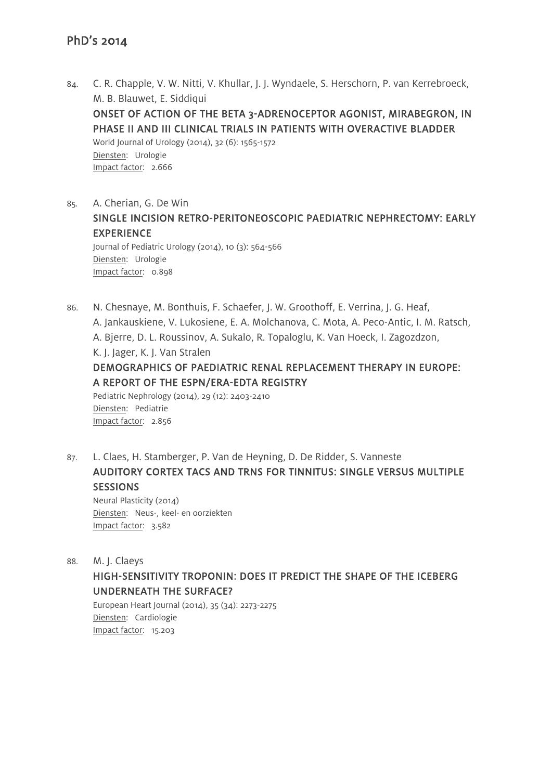- 84. C. R. Chapple, V. W. Nitti, V. Khullar, J. J. Wyndaele, S. Herschorn, P. van Kerrebroeck, M. B. Blauwet, E. Siddiqui ONSET OF ACTION OF THE BETA 3-ADRENOCEPTOR AGONIST, MIRABEGRON, IN PHASE II AND III CLINICAL TRIALS IN PATIENTS WITH OVERACTIVE BLADDER World Journal of Urology (2014), 32 (6): 1565-1572 Diensten: Urologie Impact factor: 2.666
- 85. A. Cherian, G. De Win SINGLE INCISION RETRO-PERITONEOSCOPIC PAEDIATRIC NEPHRECTOMY: EARLY EXPERIENCE Journal of Pediatric Urology (2014), 10 (3): 564-566 Diensten: Urologie Impact factor: 0.898
- 86. N. Chesnaye, M. Bonthuis, F. Schaefer, J. W. Groothoff, E. Verrina, J. G. Heaf, A. Jankauskiene, V. Lukosiene, E. A. Molchanova, C. Mota, A. Peco-Antic, I. M. Ratsch, A. Bjerre, D. L. Roussinov, A. Sukalo, R. Topaloglu, K. Van Hoeck, I. Zagozdzon, K. J. Jager, K. J. Van Stralen DEMOGRAPHICS OF PAEDIATRIC RENAL REPLACEMENT THERAPY IN EUROPE: A REPORT OF THE ESPN/ERA-EDTA REGISTRY

Pediatric Nephrology (2014), 29 (12): 2403-2410 Diensten: Pediatrie Impact factor: 2.856

87. L. Claes, H. Stamberger, P. Van de Heyning, D. De Ridder, S. Vanneste AUDITORY CORTEX TACS AND TRNS FOR TINNITUS: SINGLE VERSUS MULTIPLE **SESSIONS** Neural Plasticity (2014)

Diensten: Neus-, keel- en oorziekten Impact factor: 3.582

88. M. J. Claeys

#### HIGH-SENSITIVITY TROPONIN: DOES IT PREDICT THE SHAPE OF THE ICEBERG UNDERNEATH THE SURFACE?

European Heart Journal (2014), 35 (34): 2273-2275 Diensten: Cardiologie Impact factor: 15.203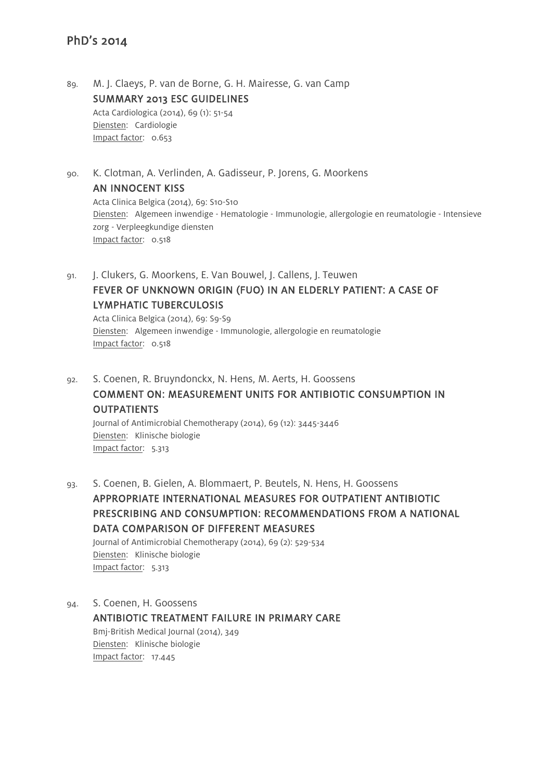89. M. J. Claeys, P. van de Borne, G. H. Mairesse, G. van Camp SUMMARY 2013 ESC GUIDELINES Acta Cardiologica (2014), 69 (1): 51-54 Diensten: Cardiologie Impact factor: 0.653

90. K. Clotman, A. Verlinden, A. Gadisseur, P. Jorens, G. Moorkens AN INNOCENT KISS Acta Clinica Belgica (2014), 69: S10-S10

Diensten: Algemeen inwendige - Hematologie - Immunologie, allergologie en reumatologie - Intensieve zorg - Verpleegkundige diensten Impact factor: 0.518

91. J. Clukers, G. Moorkens, E. Van Bouwel, J. Callens, J. Teuwen FEVER OF UNKNOWN ORIGIN (FUO) IN AN ELDERLY PATIENT: A CASE OF LYMPHATIC TUBERCULOSIS Acta Clinica Belgica (2014), 69: S9-S9

Diensten: Algemeen inwendige - Immunologie, allergologie en reumatologie Impact factor: 0.518

92. S. Coenen, R. Bruyndonckx, N. Hens, M. Aerts, H. Goossens COMMENT ON: MEASUREMENT UNITS FOR ANTIBIOTIC CONSUMPTION IN **OUTPATIENTS** 

Journal of Antimicrobial Chemotherapy (2014), 69 (12): 3445-3446 Diensten: Klinische biologie Impact factor: 5.313

93. S. Coenen, B. Gielen, A. Blommaert, P. Beutels, N. Hens, H. Goossens APPROPRIATE INTERNATIONAL MEASURES FOR OUTPATIENT ANTIBIOTIC PRESCRIBING AND CONSUMPTION: RECOMMENDATIONS FROM A NATIONAL DATA COMPARISON OF DIFFERENT MEASURES Journal of Antimicrobial Chemotherapy (2014), 69 (2): 529-534 Diensten: Klinische biologie

Impact factor: 5.313

94. S. Coenen, H. Goossens ANTIBIOTIC TREATMENT FAILURE IN PRIMARY CARE Bmj-British Medical Journal (2014), 349 Diensten: Klinische biologie Impact factor: 17.445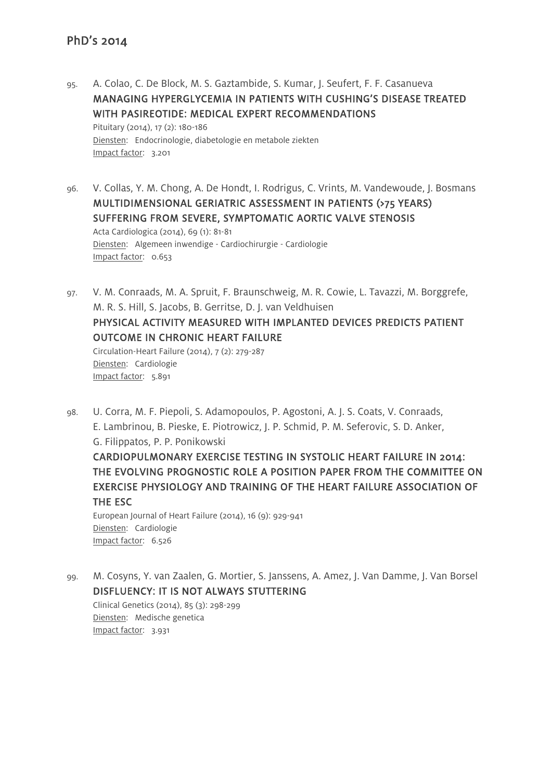- 95. A. Colao, C. De Block, M. S. Gaztambide, S. Kumar, J. Seufert, F. F. Casanueva MANAGING HYPERGLYCEMIA IN PATIENTS WITH CUSHING'S DISEASE TREATED WITH PASIREOTIDE: MEDICAL EXPERT RECOMMENDATIONS Pituitary (2014), 17 (2): 180-186 Diensten: Endocrinologie, diabetologie en metabole ziekten Impact factor: 3.201
- 96. V. Collas, Y. M. Chong, A. De Hondt, I. Rodrigus, C. Vrints, M. Vandewoude, J. Bosmans MULTIDIMENSIONAL GERIATRIC ASSESSMENT IN PATIENTS (>75 YEARS) SUFFERING FROM SEVERE, SYMPTOMATIC AORTIC VALVE STENOSIS Acta Cardiologica (2014), 69 (1): 81-81 Diensten: Algemeen inwendige - Cardiochirurgie - Cardiologie Impact factor: 0.653
- 97. V. M. Conraads, M. A. Spruit, F. Braunschweig, M. R. Cowie, L. Tavazzi, M. Borggrefe, M. R. S. Hill, S. Jacobs, B. Gerritse, D. J. van Veldhuisen PHYSICAL ACTIVITY MEASURED WITH IMPLANTED DEVICES PREDICTS PATIENT OUTCOME IN CHRONIC HEART FAILURE Circulation-Heart Failure (2014), 7 (2): 279-287 Diensten: Cardiologie Impact factor: 5.891
- 98. U. Corra, M. F. Piepoli, S. Adamopoulos, P. Agostoni, A. J. S. Coats, V. Conraads, E. Lambrinou, B. Pieske, E. Piotrowicz, J. P. Schmid, P. M. Seferovic, S. D. Anker, G. Filippatos, P. P. Ponikowski CARDIOPULMONARY EXERCISE TESTING IN SYSTOLIC HEART FAILURE IN 2014: THE EVOLVING PROGNOSTIC ROLE A POSITION PAPER FROM THE COMMITTEE ON EXERCISE PHYSIOLOGY AND TRAINING OF THE HEART FAILURE ASSOCIATION OF THE ESC European Journal of Heart Failure (2014), 16 (9): 929-941 Diensten: Cardiologie Impact factor: 6.526
- 99. M. Cosyns, Y. van Zaalen, G. Mortier, S. Janssens, A. Amez, J. Van Damme, J. Van Borsel DISFLUENCY: IT IS NOT ALWAYS STUTTERING Clinical Genetics (2014), 85 (3): 298-299 Diensten: Medische genetica Impact factor: 3.931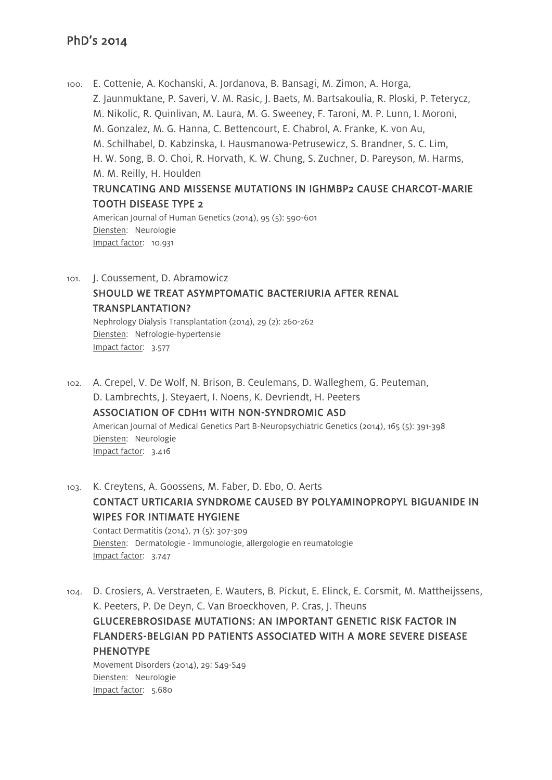100. E. Cottenie, A. Kochanski, A. Jordanova, B. Bansagi, M. Zimon, A. Horga, Z. Jaunmuktane, P. Saveri, V. M. Rasic, J. Baets, M. Bartsakoulia, R. Ploski, P. Teterycz, M. Nikolic, R. Quinlivan, M. Laura, M. G. Sweeney, F. Taroni, M. P. Lunn, I. Moroni, M. Gonzalez, M. G. Hanna, C. Bettencourt, E. Chabrol, A. Franke, K. von Au, M. Schilhabel, D. Kabzinska, I. Hausmanowa-Petrusewicz, S. Brandner, S. C. Lim, H. W. Song, B. O. Choi, R. Horvath, K. W. Chung, S. Zuchner, D. Pareyson, M. Harms, M. M. Reilly, H. Houlden TRUNCATING AND MISSENSE MUTATIONS IN IGHMBP2 CAUSE CHARCOT-MARIE TOOTH DISEASE TYPE 2

American Journal of Human Genetics (2014), 95 (5): 590-601 Diensten: Neurologie Impact factor: 10.931

101. J. Coussement, D. Abramowicz SHOULD WE TREAT ASYMPTOMATIC BACTERIURIA AFTER RENAL TRANSPLANTATION? Nephrology Dialysis Transplantation (2014), 29 (2): 260-262

Diensten: Nefrologie-hypertensie Impact factor: 3.577

- 102. A. Crepel, V. De Wolf, N. Brison, B. Ceulemans, D. Walleghem, G. Peuteman, D. Lambrechts, J. Steyaert, I. Noens, K. Devriendt, H. Peeters ASSOCIATION OF CDH11 WITH NON-SYNDROMIC ASD American Journal of Medical Genetics Part B-Neuropsychiatric Genetics (2014), 165 (5): 391-398 Diensten: Neurologie Impact factor: 3.416
- 103. K. Creytens, A. Goossens, M. Faber, D. Ebo, O. Aerts CONTACT URTICARIA SYNDROME CAUSED BY POLYAMINOPROPYL BIGUANIDE IN WIPES FOR INTIMATE HYGIENE Contact Dermatitis (2014), 71 (5): 307-309 Diensten: Dermatologie - Immunologie, allergologie en reumatologie Impact factor: 3.747
- 104. D. Crosiers, A. Verstraeten, E. Wauters, B. Pickut, E. Elinck, E. Corsmit, M. Mattheijssens, K. Peeters, P. De Deyn, C. Van Broeckhoven, P. Cras, J. Theuns GLUCEREBROSIDASE MUTATIONS: AN IMPORTANT GENETIC RISK FACTOR IN FLANDERS-BELGIAN PD PATIENTS ASSOCIATED WITH A MORE SEVERE DISEASE PHENOTYPE Movement Disorders (2014), 29: S49-S49 Diensten: Neurologie

Impact factor: 5.680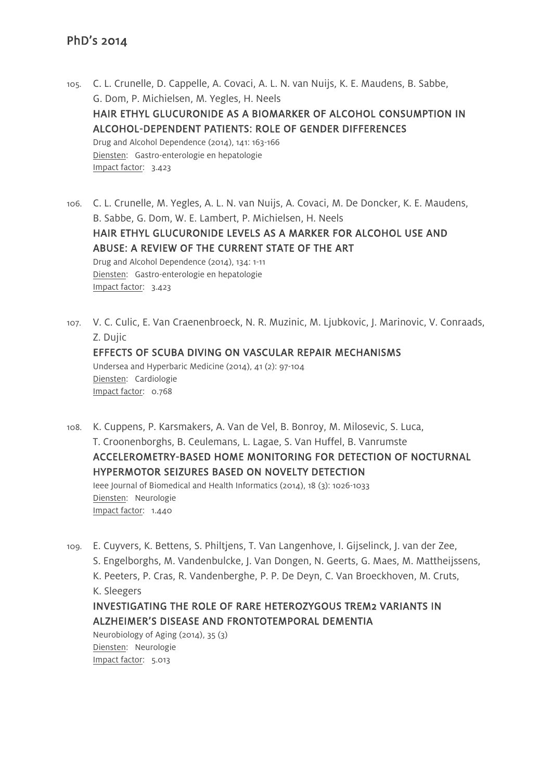- 105. C. L. Crunelle, D. Cappelle, A. Covaci, A. L. N. van Nuijs, K. E. Maudens, B. Sabbe, G. Dom, P. Michielsen, M. Yegles, H. Neels HAIR ETHYL GLUCURONIDE AS A BIOMARKER OF ALCOHOL CONSUMPTION IN ALCOHOL-DEPENDENT PATIENTS: ROLE OF GENDER DIFFERENCES Drug and Alcohol Dependence (2014), 141: 163-166 Diensten: Gastro-enterologie en hepatologie Impact factor: 3.423
- 106. C. L. Crunelle, M. Yegles, A. L. N. van Nuijs, A. Covaci, M. De Doncker, K. E. Maudens, B. Sabbe, G. Dom, W. E. Lambert, P. Michielsen, H. Neels HAIR ETHYL GLUCURONIDE LEVELS AS A MARKER FOR ALCOHOL USE AND ABUSE: A REVIEW OF THE CURRENT STATE OF THE ART Drug and Alcohol Dependence (2014), 134: 1-11 Diensten: Gastro-enterologie en hepatologie Impact factor: 3.423
- 107. V. C. Culic, E. Van Craenenbroeck, N. R. Muzinic, M. Ljubkovic, J. Marinovic, V. Conraads, Z. Dujic EFFECTS OF SCUBA DIVING ON VASCULAR REPAIR MECHANISMS Undersea and Hyperbaric Medicine (2014), 41 (2): 97-104 Diensten: Cardiologie Impact factor: 0.768
- 108. K. Cuppens, P. Karsmakers, A. Van de Vel, B. Bonroy, M. Milosevic, S. Luca, T. Croonenborghs, B. Ceulemans, L. Lagae, S. Van Huffel, B. Vanrumste ACCELEROMETRY-BASED HOME MONITORING FOR DETECTION OF NOCTURNAL HYPERMOTOR SEIZURES BASED ON NOVELTY DETECTION Ieee Journal of Biomedical and Health Informatics (2014), 18 (3): 1026-1033 Diensten: Neurologie Impact factor: 1.440
- 109. E. Cuyvers, K. Bettens, S. Philtjens, T. Van Langenhove, I. Gijselinck, J. van der Zee, S. Engelborghs, M. Vandenbulcke, J. Van Dongen, N. Geerts, G. Maes, M. Mattheijssens, K. Peeters, P. Cras, R. Vandenberghe, P. P. De Deyn, C. Van Broeckhoven, M. Cruts, K. Sleegers INVESTIGATING THE ROLE OF RARE HETEROZYGOUS TREM2 VARIANTS IN ALZHEIMER'S DISEASE AND FRONTOTEMPORAL DEMENTIA Neurobiology of Aging (2014), 35 (3)

Diensten: Neurologie Impact factor: 5.013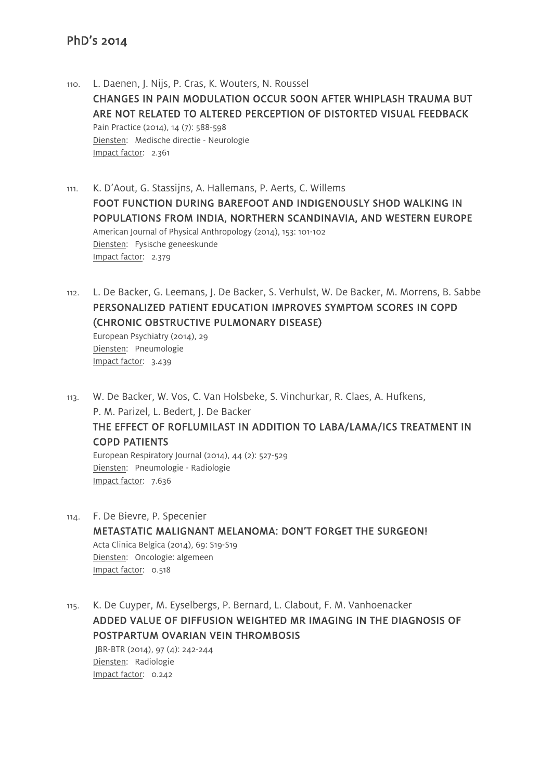Impact factor: 3.439

Impact factor: 7.636

- 110. L. Daenen, J. Nijs, P. Cras, K. Wouters, N. Roussel CHANGES IN PAIN MODULATION OCCUR SOON AFTER WHIPLASH TRAUMA BUT ARE NOT RELATED TO ALTERED PERCEPTION OF DISTORTED VISUAL FEEDBACK Pain Practice (2014), 14 (7): 588-598 Diensten: Medische directie - Neurologie Impact factor: 2.361
- 111. K. D'Aout, G. Stassijns, A. Hallemans, P. Aerts, C. Willems FOOT FUNCTION DURING BAREFOOT AND INDIGENOUSLY SHOD WALKING IN POPULATIONS FROM INDIA, NORTHERN SCANDINAVIA, AND WESTERN EUROPE American Journal of Physical Anthropology (2014), 153: 101-102 Diensten: Fysische geneeskunde Impact factor: 2.379
- 112. L. De Backer, G. Leemans, J. De Backer, S. Verhulst, W. De Backer, M. Morrens, B. Sabbe PERSONALIZED PATIENT EDUCATION IMPROVES SYMPTOM SCORES IN COPD (CHRONIC OBSTRUCTIVE PULMONARY DISEASE) European Psychiatry (2014), 29 Diensten: Pneumologie
- 113. W. De Backer, W. Vos, C. Van Holsbeke, S. Vinchurkar, R. Claes, A. Hufkens, P. M. Parizel, L. Bedert, J. De Backer THE EFFECT OF ROFLUMILAST IN ADDITION TO LABA/LAMA/ICS TREATMENT IN COPD PATIENTS European Respiratory Journal (2014), 44 (2): 527-529 Diensten: Pneumologie - Radiologie
- 114. F. De Bievre, P. Specenier METASTATIC MALIGNANT MELANOMA: DON'T FORGET THE SURGEON! Acta Clinica Belgica (2014), 69: S19-S19 Diensten: Oncologie: algemeen Impact factor: 0.518
- 115. K. De Cuyper, M. Eyselbergs, P. Bernard, L. Clabout, F. M. Vanhoenacker ADDED VALUE OF DIFFUSION WEIGHTED MR IMAGING IN THE DIAGNOSIS OF POSTPARTUM OVARIAN VEIN THROMBOSIS JBR-BTR (2014), 97 (4): 242-244 Diensten: Radiologie Impact factor: 0.242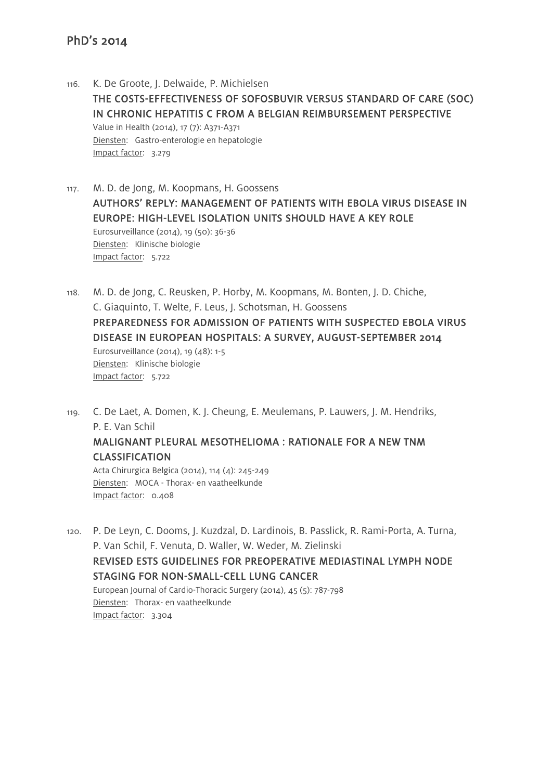- 116. K. De Groote, J. Delwaide, P. Michielsen THE COSTS-EFFECTIVENESS OF SOFOSBUVIR VERSUS STANDARD OF CARE (SOC) IN CHRONIC HEPATITIS C FROM A BELGIAN REIMBURSEMENT PERSPECTIVE Value in Health (2014), 17 (7): A371-A371 Diensten: Gastro-enterologie en hepatologie Impact factor: 3.279
- 117. M. D. de Jong, M. Koopmans, H. Goossens AUTHORS' REPLY: MANAGEMENT OF PATIENTS WITH EBOLA VIRUS DISEASE IN EUROPE: HIGH-LEVEL ISOLATION UNITS SHOULD HAVE A KEY ROLE Eurosurveillance (2014), 19 (50): 36-36 Diensten: Klinische biologie Impact factor: 5.722
- 118. M. D. de Jong, C. Reusken, P. Horby, M. Koopmans, M. Bonten, J. D. Chiche, C. Giaquinto, T. Welte, F. Leus, J. Schotsman, H. Goossens PREPAREDNESS FOR ADMISSION OF PATIENTS WITH SUSPECTED EBOLA VIRUS DISEASE IN EUROPEAN HOSPITALS: A SURVEY, AUGUST-SEPTEMBER 2014 Eurosurveillance (2014), 19 (48): 1-5 Diensten: Klinische biologie Impact factor: 5.722
- 119. C. De Laet, A. Domen, K. J. Cheung, E. Meulemans, P. Lauwers, J. M. Hendriks, P. E. Van Schil

#### MALIGNANT PLEURAL MESOTHELIOMA : RATIONALE FOR A NEW TNM CLASSIFICATION

Acta Chirurgica Belgica (2014), 114 (4): 245-249 Diensten: MOCA - Thorax- en vaatheelkunde Impact factor: 0.408

120. P. De Leyn, C. Dooms, J. Kuzdzal, D. Lardinois, B. Passlick, R. Rami-Porta, A. Turna, P. Van Schil, F. Venuta, D. Waller, W. Weder, M. Zielinski REVISED ESTS GUIDELINES FOR PREOPERATIVE MEDIASTINAL LYMPH NODE STAGING FOR NON-SMALL-CELL LUNG CANCER European Journal of Cardio-Thoracic Surgery (2014), 45 (5): 787-798 Diensten: Thorax- en vaatheelkunde Impact factor: 3.304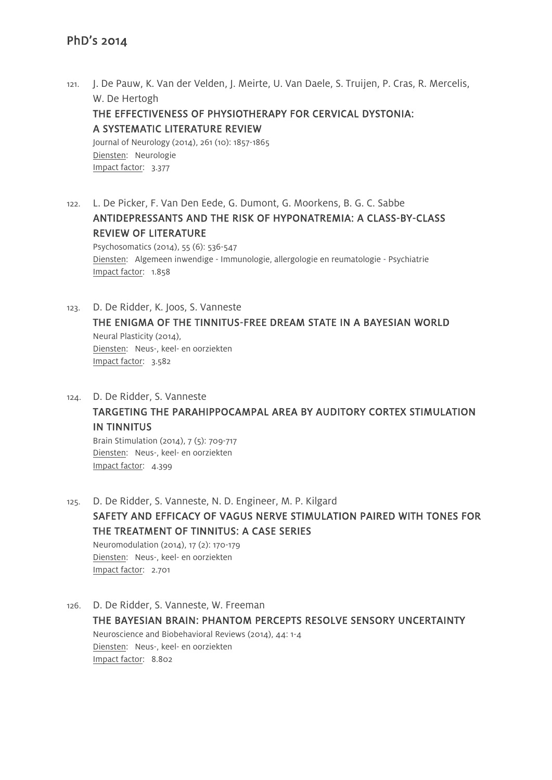- 121. J. De Pauw, K. Van der Velden, J. Meirte, U. Van Daele, S. Truijen, P. Cras, R. Mercelis, W. De Hertogh THE EFFECTIVENESS OF PHYSIOTHERAPY FOR CERVICAL DYSTONIA: A SYSTEMATIC LITERATURE REVIEW Journal of Neurology (2014), 261 (10): 1857-1865 Diensten: Neurologie Impact factor: 3.377
- 122. L. De Picker, F. Van Den Eede, G. Dumont, G. Moorkens, B. G. C. Sabbe ANTIDEPRESSANTS AND THE RISK OF HYPONATREMIA: A CLASS-BY-CLASS REVIEW OF LITERATURE

Psychosomatics (2014), 55 (6): 536-547 Diensten: Algemeen inwendige - Immunologie, allergologie en reumatologie - Psychiatrie Impact factor: 1.858

123. D. De Ridder, K. Joos, S. Vanneste THE ENIGMA OF THE TINNITUS-FREE DREAM STATE IN A BAYESIAN WORLD Neural Plasticity (2014), Diensten: Neus-, keel- en oorziekten Impact factor: 3.582

124. D. De Ridder, S. Vanneste TARGETING THE PARAHIPPOCAMPAL AREA BY AUDITORY CORTEX STIMULATION IN TINNITUS Brain Stimulation (2014), 7 (5): 709-717

Diensten: Neus-, keel- en oorziekten Impact factor: 4.399

- 125. D. De Ridder, S. Vanneste, N. D. Engineer, M. P. Kilgard SAFETY AND EFFICACY OF VAGUS NERVE STIMULATION PAIRED WITH TONES FOR THE TREATMENT OF TINNITUS: A CASE SERIES Neuromodulation (2014), 17 (2): 170-179 Diensten: Neus-, keel- en oorziekten Impact factor: 2.701
- 126. D. De Ridder, S. Vanneste, W. Freeman THE BAYESIAN BRAIN: PHANTOM PERCEPTS RESOLVE SENSORY UNCERTAINTY Neuroscience and Biobehavioral Reviews (2014), 44: 1-4 Diensten: Neus-, keel- en oorziekten Impact factor: 8.802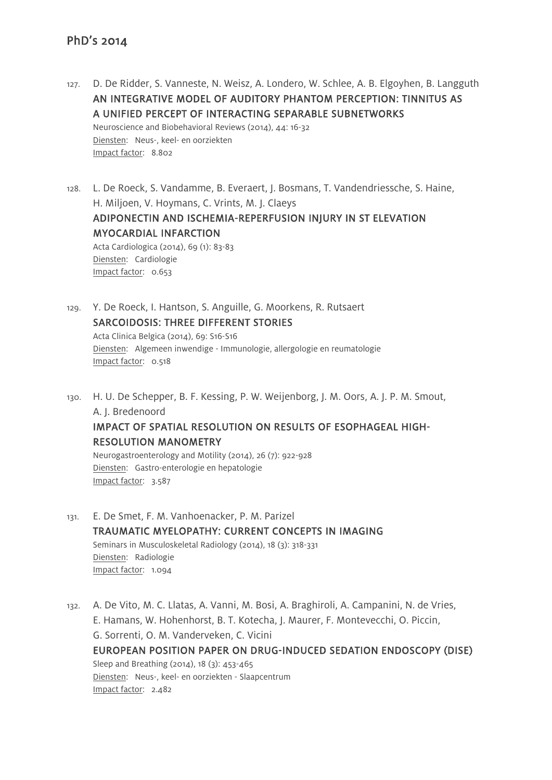- 127. D. De Ridder, S. Vanneste, N. Weisz, A. Londero, W. Schlee, A. B. Elgoyhen, B. Langguth AN INTEGRATIVE MODEL OF AUDITORY PHANTOM PERCEPTION: TINNITUS AS A UNIFIED PERCEPT OF INTERACTING SEPARABLE SUBNETWORKS Neuroscience and Biobehavioral Reviews (2014), 44: 16-32 Diensten: Neus-, keel- en oorziekten Impact factor: 8.802
- 128. L. De Roeck, S. Vandamme, B. Everaert, J. Bosmans, T. Vandendriessche, S. Haine, H. Miljoen, V. Hoymans, C. Vrints, M. J. Claeys ADIPONECTIN AND ISCHEMIA-REPERFUSION INJURY IN ST ELEVATION MYOCARDIAL INFARCTION Acta Cardiologica (2014), 69 (1): 83-83 Diensten: Cardiologie Impact factor: 0.653
- 129. Y. De Roeck, I. Hantson, S. Anguille, G. Moorkens, R. Rutsaert SARCOIDOSIS: THREE DIFFERENT STORIES Acta Clinica Belgica (2014), 69: S16-S16 Diensten: Algemeen inwendige - Immunologie, allergologie en reumatologie Impact factor: 0.518
- 130. H. U. De Schepper, B. F. Kessing, P. W. Weijenborg, J. M. Oors, A. J. P. M. Smout, A. J. Bredenoord IMPACT OF SPATIAL RESOLUTION ON RESULTS OF ESOPHAGEAL HIGH-RESOLUTION MANOMETRY

Neurogastroenterology and Motility (2014), 26 (7): 922-928 Diensten: Gastro-enterologie en hepatologie Impact factor: 3.587

- 131. E. De Smet, F. M. Vanhoenacker, P. M. Parizel TRAUMATIC MYELOPATHY: CURRENT CONCEPTS IN IMAGING Seminars in Musculoskeletal Radiology (2014), 18 (3): 318-331 Diensten: Radiologie Impact factor: 1.094
- 132. A. De Vito, M. C. Llatas, A. Vanni, M. Bosi, A. Braghiroli, A. Campanini, N. de Vries, E. Hamans, W. Hohenhorst, B. T. Kotecha, J. Maurer, F. Montevecchi, O. Piccin, G. Sorrenti, O. M. Vanderveken, C. Vicini EUROPEAN POSITION PAPER ON DRUG-INDUCED SEDATION ENDOSCOPY (DISE) Sleep and Breathing (2014), 18 (3): 453-465 Diensten: Neus-, keel- en oorziekten - Slaapcentrum Impact factor: 2.482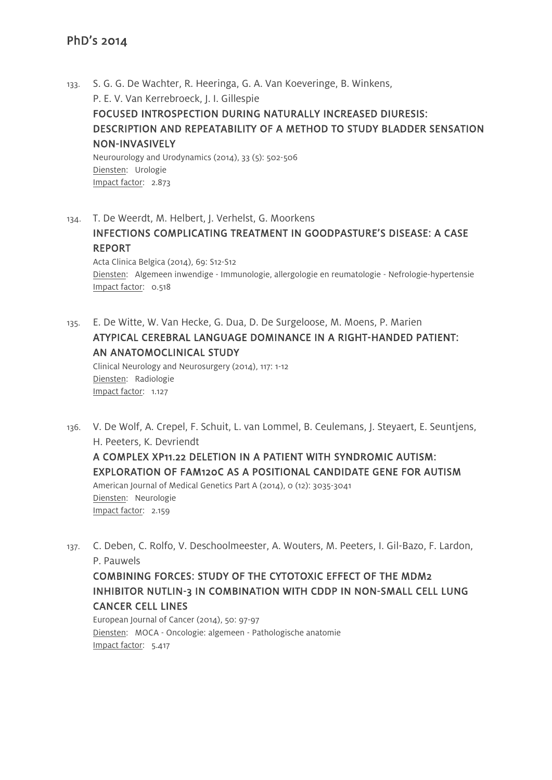- 133. S. G. G. De Wachter, R. Heeringa, G. A. Van Koeveringe, B. Winkens, P. E. V. Van Kerrebroeck, J. I. Gillespie FOCUSED INTROSPECTION DURING NATURALLY INCREASED DIURESIS: DESCRIPTION AND REPEATABILITY OF A METHOD TO STUDY BLADDER SENSATION NON-INVASIVELY Neurourology and Urodynamics (2014), 33 (5): 502-506 Diensten: Urologie Impact factor: 2.873
- 134. T. De Weerdt, M. Helbert, J. Verhelst, G. Moorkens INFECTIONS COMPLICATING TREATMENT IN GOODPASTURE'S DISEASE: A CASE REPORT Acta Clinica Belgica (2014), 69: S12-S12 Diensten: Algemeen inwendige - Immunologie, allergologie en reumatologie - Nefrologie-hypertensie Impact factor: 0.518
- 135. E. De Witte, W. Van Hecke, G. Dua, D. De Surgeloose, M. Moens, P. Marien ATYPICAL CEREBRAL LANGUAGE DOMINANCE IN A RIGHT-HANDED PATIENT: AN ANATOMOCLINICAL STUDY

Clinical Neurology and Neurosurgery (2014), 117: 1-12 Diensten: Radiologie Impact factor: 1.127

- 136. V. De Wolf, A. Crepel, F. Schuit, L. van Lommel, B. Ceulemans, J. Steyaert, E. Seuntjens, H. Peeters, K. Devriendt A COMPLEX XP11.22 DELETION IN A PATIENT WITH SYNDROMIC AUTISM: EXPLORATION OF FAM120C AS A POSITIONAL CANDIDATE GENE FOR AUTISM American Journal of Medical Genetics Part A (2014), 0 (12): 3035-3041 Diensten: Neurologie Impact factor: 2.159
- 137. C. Deben, C. Rolfo, V. Deschoolmeester, A. Wouters, M. Peeters, I. Gil-Bazo, F. Lardon, P. Pauwels

COMBINING FORCES: STUDY OF THE CYTOTOXIC EFFECT OF THE MDM2 INHIBITOR NUTLIN-3 IN COMBINATION WITH CDDP IN NON-SMALL CELL LUNG CANCER CELL LINES

European Journal of Cancer (2014), 50: 97-97 Diensten: MOCA - Oncologie: algemeen - Pathologische anatomie Impact factor: 5.417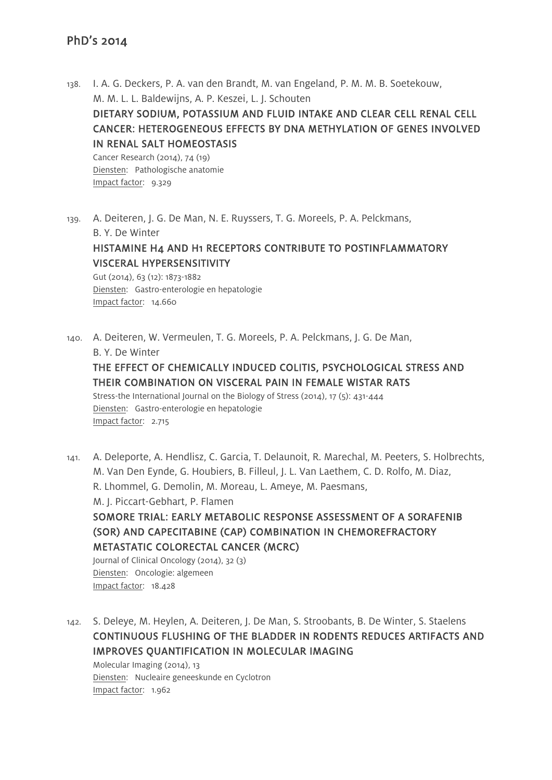Impact factor: 9.329

- 138. I. A. G. Deckers, P. A. van den Brandt, M. van Engeland, P. M. M. B. Soetekouw, M. M. L. L. Baldewijns, A. P. Keszei, L. J. Schouten DIETARY SODIUM, POTASSIUM AND FLUID INTAKE AND CLEAR CELL RENAL CELL CANCER: HETEROGENEOUS EFFECTS BY DNA METHYLATION OF GENES INVOLVED IN RENAL SALT HOMEOSTASIS Cancer Research (2014), 74 (19) Diensten: Pathologische anatomie
- 139. A. Deiteren, J. G. De Man, N. E. Ruyssers, T. G. Moreels, P. A. Pelckmans, B. Y. De Winter HISTAMINE H4 AND H1 RECEPTORS CONTRIBUTE TO POSTINFLAMMATORY VISCERAL HYPERSENSITIVITY Gut (2014), 63 (12): 1873-1882

Diensten: Gastro-enterologie en hepatologie Impact factor: 14.660

140. A. Deiteren, W. Vermeulen, T. G. Moreels, P. A. Pelckmans, J. G. De Man, B. Y. De Winter THE EFFECT OF CHEMICALLY INDUCED COLITIS, PSYCHOLOGICAL STRESS AND

# THEIR COMBINATION ON VISCERAL PAIN IN FEMALE WISTAR RATS

Stress-the International Journal on the Biology of Stress (2014), 17 (5): 431-444 Diensten: Gastro-enterologie en hepatologie Impact factor: 2.715

141. A. Deleporte, A. Hendlisz, C. Garcia, T. Delaunoit, R. Marechal, M. Peeters, S. Holbrechts, M. Van Den Eynde, G. Houbiers, B. Filleul, J. L. Van Laethem, C. D. Rolfo, M. Diaz, R. Lhommel, G. Demolin, M. Moreau, L. Ameye, M. Paesmans, M. J. Piccart-Gebhart, P. Flamen SOMORE TRIAL: EARLY METABOLIC RESPONSE ASSESSMENT OF A SORAFENIB (SOR) AND CAPECITABINE (CAP) COMBINATION IN CHEMOREFRACTORY METASTATIC COLORECTAL CANCER (MCRC) Journal of Clinical Oncology (2014), 32 (3) Diensten: Oncologie: algemeen

Impact factor: 18.428

142. S. Deleye, M. Heylen, A. Deiteren, J. De Man, S. Stroobants, B. De Winter, S. Staelens CONTINUOUS FLUSHING OF THE BLADDER IN RODENTS REDUCES ARTIFACTS AND IMPROVES QUANTIFICATION IN MOLECULAR IMAGING

Molecular Imaging (2014), 13 Diensten: Nucleaire geneeskunde en Cyclotron Impact factor: 1.962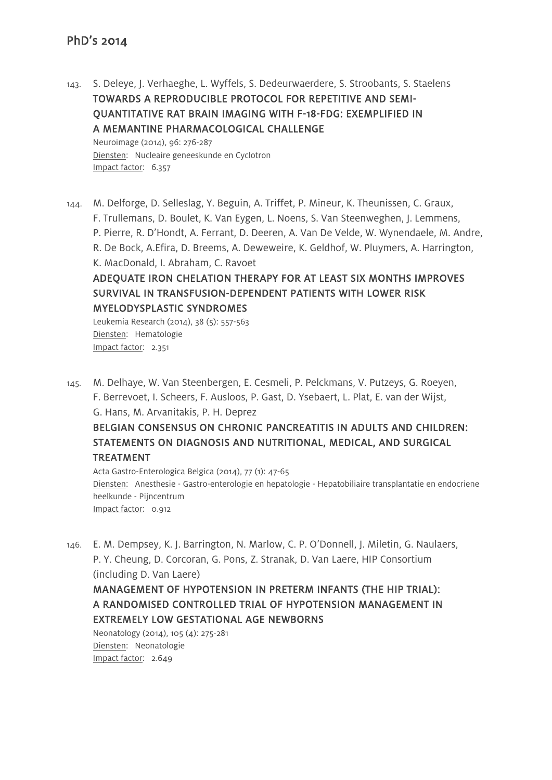143. S. Deleye, J. Verhaeghe, L. Wyffels, S. Dedeurwaerdere, S. Stroobants, S. Staelens TOWARDS A REPRODUCIBLE PROTOCOL FOR REPETITIVE AND SEMI-QUANTITATIVE RAT BRAIN IMAGING WITH F-18-FDG: EXEMPLIFIED IN A MEMANTINE PHARMACOLOGICAL CHALLENGE Neuroimage (2014), 96: 276-287

Diensten: Nucleaire geneeskunde en Cyclotron Impact factor: 6.357

144. M. Delforge, D. Selleslag, Y. Beguin, A. Triffet, P. Mineur, K. Theunissen, C. Graux, F. Trullemans, D. Boulet, K. Van Eygen, L. Noens, S. Van Steenweghen, J. Lemmens, P. Pierre, R. D'Hondt, A. Ferrant, D. Deeren, A. Van De Velde, W. Wynendaele, M. Andre, R. De Bock, A.Efira, D. Breems, A. Deweweire, K. Geldhof, W. Pluymers, A. Harrington, K. MacDonald, I. Abraham, C. Ravoet ADEQUATE IRON CHELATION THERAPY FOR AT LEAST SIX MONTHS IMPROVES

# SURVIVAL IN TRANSFUSION-DEPENDENT PATIENTS WITH LOWER RISK MYELODYSPLASTIC SYNDROMES

Leukemia Research (2014), 38 (5): 557-563 Diensten: Hematologie Impact factor: 2.351

145. M. Delhaye, W. Van Steenbergen, E. Cesmeli, P. Pelckmans, V. Putzeys, G. Roeyen, F. Berrevoet, I. Scheers, F. Ausloos, P. Gast, D. Ysebaert, L. Plat, E. van der Wijst, G. Hans, M. Arvanitakis, P. H. Deprez

# BELGIAN CONSENSUS ON CHRONIC PANCREATITIS IN ADULTS AND CHILDREN: STATEMENTS ON DIAGNOSIS AND NUTRITIONAL, MEDICAL, AND SURGICAL TREATMENT

Acta Gastro-Enterologica Belgica (2014), 77 (1): 47-65 Diensten: Anesthesie - Gastro-enterologie en hepatologie - Hepatobiliaire transplantatie en endocriene heelkunde - Pijncentrum Impact factor: 0.912

146. E. M. Dempsey, K. J. Barrington, N. Marlow, C. P. O'Donnell, J. Miletin, G. Naulaers, P. Y. Cheung, D. Corcoran, G. Pons, Z. Stranak, D. Van Laere, HIP Consortium (including D. Van Laere)

# MANAGEMENT OF HYPOTENSION IN PRETERM INFANTS (THE HIP TRIAL): A RANDOMISED CONTROLLED TRIAL OF HYPOTENSION MANAGEMENT IN EXTREMELY LOW GESTATIONAL AGE NEWBORNS

Neonatology (2014), 105 (4): 275-281 Diensten: Neonatologie Impact factor: 2.649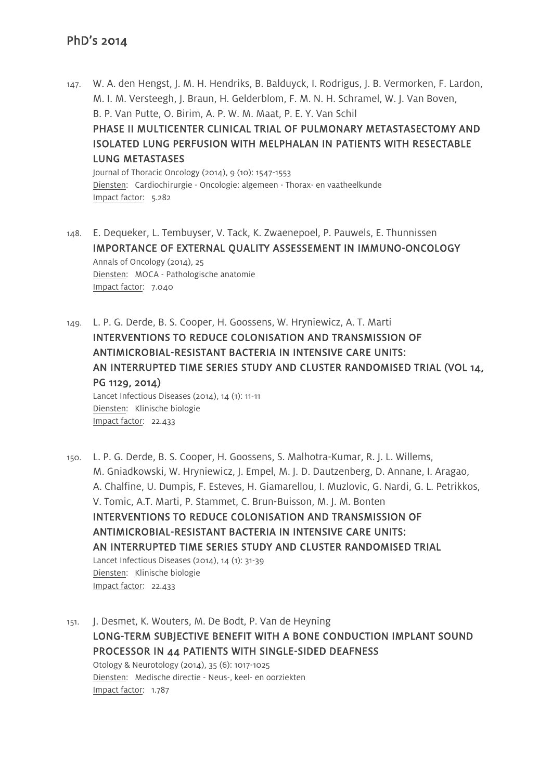147. W. A. den Hengst, J. M. H. Hendriks, B. Balduyck, I. Rodrigus, J. B. Vermorken, F. Lardon, M. I. M. Versteegh, J. Braun, H. Gelderblom, F. M. N. H. Schramel, W. J. Van Boven, B. P. Van Putte, O. Birim, A. P. W. M. Maat, P. E. Y. Van Schil PHASE II MULTICENTER CLINICAL TRIAL OF PULMONARY METASTASECTOMY AND ISOLATED LUNG PERFUSION WITH MELPHALAN IN PATIENTS WITH RESECTABLE LUNG METASTASES Journal of Thoracic Oncology (2014), 9 (10): 1547-1553 Diensten: Cardiochirurgie - Oncologie: algemeen - Thorax- en vaatheelkunde

Impact factor: 5.282

- 148. E. Dequeker, L. Tembuyser, V. Tack, K. Zwaenepoel, P. Pauwels, E. Thunnissen IMPORTANCE OF EXTERNAL QUALITY ASSESSEMENT IN IMMUNO-ONCOLOGY Annals of Oncology (2014), 25 Diensten: MOCA - Pathologische anatomie Impact factor: 7.040
- 149. L. P. G. Derde, B. S. Cooper, H. Goossens, W. Hryniewicz, A. T. Marti INTERVENTIONS TO REDUCE COLONISATION AND TRANSMISSION OF ANTIMICROBIAL-RESISTANT BACTERIA IN INTENSIVE CARE UNITS: AN INTERRUPTED TIME SERIES STUDY AND CLUSTER RANDOMISED TRIAL (VOL 14, PG 1129, 2014) Lancet Infectious Diseases (2014), 14 (1): 11-11 Diensten: Klinische biologie Impact factor: 22.433
- 150. L. P. G. Derde, B. S. Cooper, H. Goossens, S. Malhotra-Kumar, R. J. L. Willems, M. Gniadkowski, W. Hryniewicz, J. Empel, M. J. D. Dautzenberg, D. Annane, I. Aragao, A. Chalfine, U. Dumpis, F. Esteves, H. Giamarellou, I. Muzlovic, G. Nardi, G. L. Petrikkos, V. Tomic, A.T. Marti, P. Stammet, C. Brun-Buisson, M. J. M. Bonten INTERVENTIONS TO REDUCE COLONISATION AND TRANSMISSION OF ANTIMICROBIAL-RESISTANT BACTERIA IN INTENSIVE CARE UNITS: AN INTERRUPTED TIME SERIES STUDY AND CLUSTER RANDOMISED TRIAL Lancet Infectious Diseases (2014), 14 (1): 31-39 Diensten: Klinische biologie Impact factor: 22.433
- 151. J. Desmet, K. Wouters, M. De Bodt, P. Van de Heyning LONG-TERM SUBJECTIVE BENEFIT WITH A BONE CONDUCTION IMPLANT SOUND PROCESSOR IN 44 PATIENTS WITH SINGLE-SIDED DEAFNESS Otology & Neurotology (2014), 35 (6): 1017-1025 Diensten: Medische directie - Neus-, keel- en oorziekten Impact factor: 1.787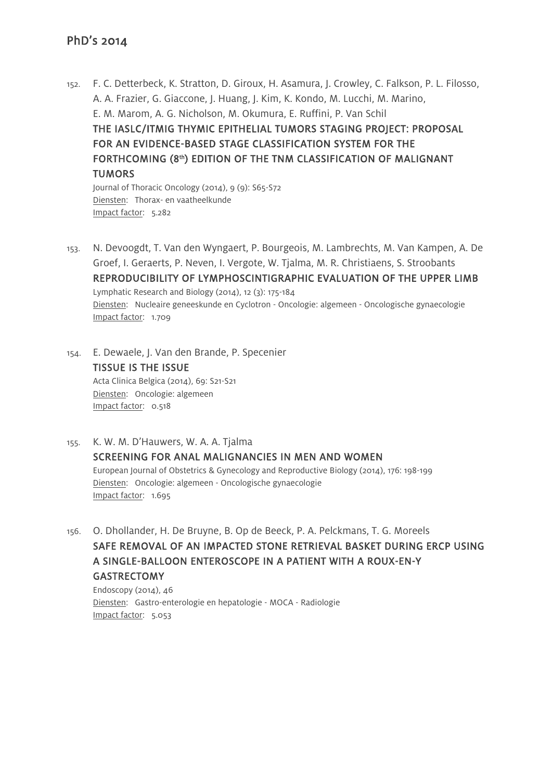152. F. C. Detterbeck, K. Stratton, D. Giroux, H. Asamura, J. Crowley, C. Falkson, P. L. Filosso, A. A. Frazier, G. Giaccone, J. Huang, J. Kim, K. Kondo, M. Lucchi, M. Marino, E. M. Marom, A. G. Nicholson, M. Okumura, E. Ruffini, P. Van Schil THE IASLC/ITMIG THYMIC EPITHELIAL TUMORS STAGING PROJECT: PROPOSAL FOR AN EVIDENCE-BASED STAGE CLASSIFICATION SYSTEM FOR THE FORTHCOMING (8th) EDITION OF THE TNM CLASSIFICATION OF MALIGNANT **TUMORS** Journal of Thoracic Oncology (2014), 9 (9): S65-S72

Diensten: Thorax- en vaatheelkunde Impact factor: 5.282

- 153. N. Devoogdt, T. Van den Wyngaert, P. Bourgeois, M. Lambrechts, M. Van Kampen, A. De Groef, I. Geraerts, P. Neven, I. Vergote, W. Tjalma, M. R. Christiaens, S. Stroobants REPRODUCIBILITY OF LYMPHOSCINTIGRAPHIC EVALUATION OF THE UPPER LIMB Lymphatic Research and Biology (2014), 12 (3): 175-184 Diensten: Nucleaire geneeskunde en Cyclotron - Oncologie: algemeen - Oncologische gynaecologie Impact factor: 1.709
- 154. E. Dewaele, J. Van den Brande, P. Specenier TISSUE IS THE ISSUE Acta Clinica Belgica (2014), 69: S21-S21 Diensten: Oncologie: algemeen Impact factor: 0.518
- 155. K. W. M. D'Hauwers, W. A. A. Tjalma SCREENING FOR ANAL MALIGNANCIES IN MEN AND WOMEN European Journal of Obstetrics & Gynecology and Reproductive Biology (2014), 176: 198-199 Diensten: Oncologie: algemeen - Oncologische gynaecologie Impact factor: 1.695
- 156. O. Dhollander, H. De Bruyne, B. Op de Beeck, P. A. Pelckmans, T. G. Moreels SAFE REMOVAL OF AN IMPACTED STONE RETRIEVAL BASKET DURING ERCP USING A SINGLE-BALLOON ENTEROSCOPE IN A PATIENT WITH A ROUX-EN-Y GASTRECTOMY

Endoscopy (2014), 46 Diensten: Gastro-enterologie en hepatologie - MOCA - Radiologie Impact factor: 5.053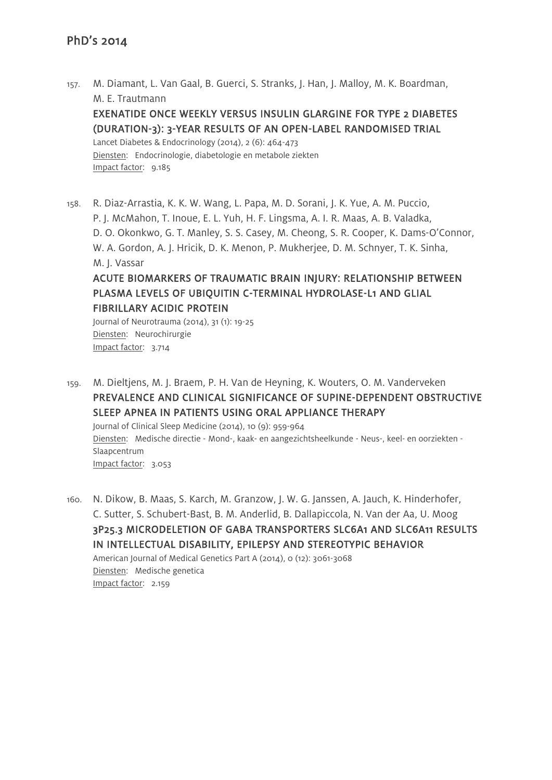157. M. Diamant, L. Van Gaal, B. Guerci, S. Stranks, J. Han, J. Malloy, M. K. Boardman, M. E. Trautmann

# EXENATIDE ONCE WEEKLY VERSUS INSULIN GLARGINE FOR TYPE 2 DIABETES (DURATION-3): 3-YEAR RESULTS OF AN OPEN-LABEL RANDOMISED TRIAL

Lancet Diabetes & Endocrinology (2014), 2 (6): 464-473 Diensten: Endocrinologie, diabetologie en metabole ziekten Impact factor: 9.185

158. R. Diaz-Arrastia, K. K. W. Wang, L. Papa, M. D. Sorani, J. K. Yue, A. M. Puccio, P. J. McMahon, T. Inoue, E. L. Yuh, H. F. Lingsma, A. I. R. Maas, A. B. Valadka, D. O. Okonkwo, G. T. Manley, S. S. Casey, M. Cheong, S. R. Cooper, K. Dams-O'Connor, W. A. Gordon, A. J. Hricik, D. K. Menon, P. Mukherjee, D. M. Schnyer, T. K. Sinha, M. J. Vassar ACUTE BIOMARKERS OF TRAUMATIC BRAIN INJURY: RELATIONSHIP BETWEEN

# PLASMA LEVELS OF UBIQUITIN C-TERMINAL HYDROLASE-L1 AND GLIAL FIBRILLARY ACIDIC PROTEIN

Journal of Neurotrauma (2014), 31 (1): 19-25 Diensten: Neurochirurgie Impact factor: 3.714

159. M. Dieltjens, M. J. Braem, P. H. Van de Heyning, K. Wouters, O. M. Vanderveken PREVALENCE AND CLINICAL SIGNIFICANCE OF SUPINE-DEPENDENT OBSTRUCTIVE SLEEP APNEA IN PATIENTS USING ORAL APPLIANCE THERAPY Journal of Clinical Sleep Medicine (2014), 10 (9): 959-964 Diensten: Medische directie - Mond-, kaak- en aangezichtsheelkunde - Neus-, keel- en oorziekten - Slaapcentrum Impact factor: 3.053

160. N. Dikow, B. Maas, S. Karch, M. Granzow, J. W. G. Janssen, A. Jauch, K. Hinderhofer, C. Sutter, S. Schubert-Bast, B. M. Anderlid, B. Dallapiccola, N. Van der Aa, U. Moog 3P25.3 MICRODELETION OF GABA TRANSPORTERS SLC6A1 AND SLC6A11 RESULTS IN INTELLECTUAL DISABILITY, EPILEPSY AND STEREOTYPIC BEHAVIOR American Journal of Medical Genetics Part A (2014), 0 (12): 3061-3068 Diensten: Medische genetica Impact factor: 2.159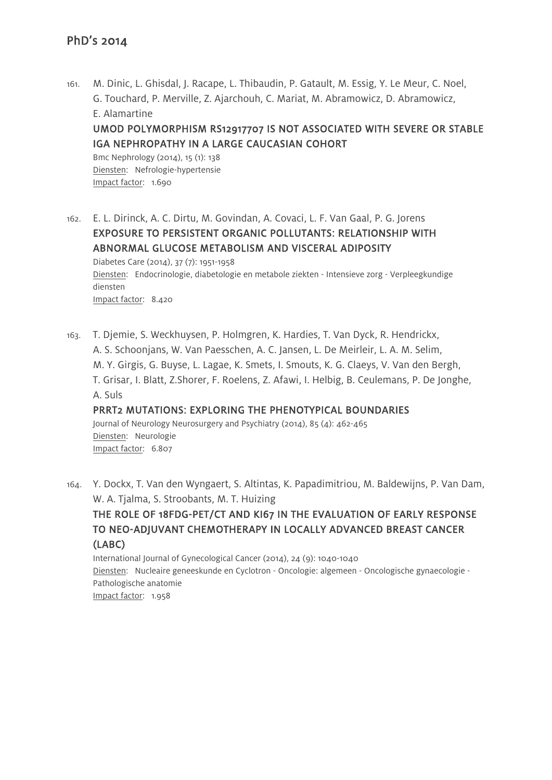161. M. Dinic, L. Ghisdal, J. Racape, L. Thibaudin, P. Gatault, M. Essig, Y. Le Meur, C. Noel, G. Touchard, P. Merville, Z. Ajarchouh, C. Mariat, M. Abramowicz, D. Abramowicz, E. Alamartine UMOD POLYMORPHISM RS12917707 IS NOT ASSOCIATED WITH SEVERE OR STABLE IGA NEPHROPATHY IN A LARGE CAUCASIAN COHORT Bmc Nephrology (2014), 15 (1): 138 Diensten: Nefrologie-hypertensie

Impact factor: 1.690

162. E. L. Dirinck, A. C. Dirtu, M. Govindan, A. Covaci, L. F. Van Gaal, P. G. Jorens EXPOSURE TO PERSISTENT ORGANIC POLLUTANTS: RELATIONSHIP WITH ABNORMAL GLUCOSE METABOLISM AND VISCERAL ADIPOSITY Diabetes Care (2014), 37 (7): 1951-1958 Diensten: Endocrinologie, diabetologie en metabole ziekten - Intensieve zorg - Verpleegkundige diensten Impact factor: 8.420

- 163. T. Djemie, S. Weckhuysen, P. Holmgren, K. Hardies, T. Van Dyck, R. Hendrickx, A. S. Schoonjans, W. Van Paesschen, A. C. Jansen, L. De Meirleir, L. A. M. Selim, M. Y. Girgis, G. Buyse, L. Lagae, K. Smets, I. Smouts, K. G. Claeys, V. Van den Bergh, T. Grisar, I. Blatt, Z.Shorer, F. Roelens, Z. Afawi, I. Helbig, B. Ceulemans, P. De Jonghe, A. Suls PRRT2 MUTATIONS: EXPLORING THE PHENOTYPICAL BOUNDARIES Journal of Neurology Neurosurgery and Psychiatry (2014), 85 (4): 462-465 Diensten: Neurologie Impact factor: 6.807
- 164. Y. Dockx, T. Van den Wyngaert, S. Altintas, K. Papadimitriou, M. Baldewijns, P. Van Dam, W. A. Tjalma, S. Stroobants, M. T. Huizing

# THE ROLE OF 18FDG-PET/CT AND KI67 IN THE EVALUATION OF EARLY RESPONSE TO NEO-ADJUVANT CHEMOTHERAPY IN LOCALLY ADVANCED BREAST CANCER (LABC)

International Journal of Gynecological Cancer (2014), 24 (9): 1040-1040 Diensten: Nucleaire geneeskunde en Cyclotron - Oncologie: algemeen - Oncologische gynaecologie - Pathologische anatomie Impact factor: 1.958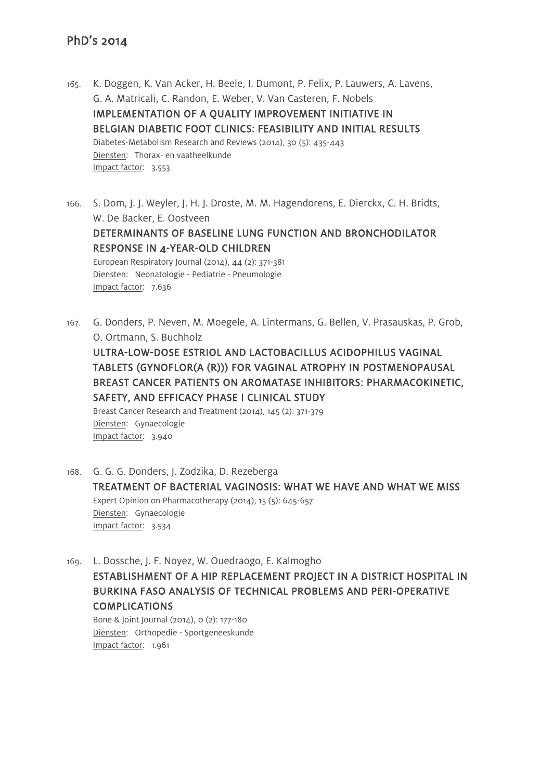- 165. K. Doggen, K. Van Acker, H. Beele, I. Dumont, P. Felix, P. Lauwers, A. Lavens, G. A. Matricali, C. Randon, E. Weber, V. Van Casteren, F. Nobels IMPLEMENTATION OF A QUALITY IMPROVEMENT INITIATIVE IN BELGIAN DIABETIC FOOT CLINICS: FEASIBILITY AND INITIAL RESULTS Diabetes-Metabolism Research and Reviews (2014), 30 (5): 435-443 Diensten: Thorax- en vaatheelkunde Impact factor: 3.553
- 166. S. Dom, J. J. Weyler, J. H. J. Droste, M. M. Hagendorens, E. Dierckx, C. H. Bridts, W. De Backer, E. Oostveen DETERMINANTS OF BASELINE LUNG FUNCTION AND BRONCHODILATOR RESPONSE IN 4-YEAR-OLD CHILDREN European Respiratory Journal (2014), 44 (2): 371-381 Diensten: Neonatologie - Pediatrie - Pneumologie Impact factor: 7.636
- 167. G. Donders, P. Neven, M. Moegele, A. Lintermans, G. Bellen, V. Prasauskas, P. Grob, O. Ortmann, S. Buchholz ULTRA-LOW-DOSE ESTRIOL AND LACTOBACILLUS ACIDOPHILUS VAGINAL TABLETS (GYNOFLOR(A (R))) FOR VAGINAL ATROPHY IN POSTMENOPAUSAL BREAST CANCER PATIENTS ON AROMATASE INHIBITORS: PHARMACOKINETIC, SAFETY, AND EFFICACY PHASE I CLINICAL STUDY Breast Cancer Research and Treatment (2014), 145 (2): 371-379 Diensten: Gynaecologie Impact factor: 3.940
- 168. G. G. G. Donders, J. Zodzika, D. Rezeberga TREATMENT OF BACTERIAL VAGINOSIS: WHAT WE HAVE AND WHAT WE MISS Expert Opinion on Pharmacotherapy (2014), 15 (5): 645-657 Diensten: Gynaecologie Impact factor: 3.534
- 169. L. Dossche, J. F. Noyez, W. Ouedraogo, E. Kalmogho ESTABLISHMENT OF A HIP REPLACEMENT PROJECT IN A DISTRICT HOSPITAL IN BURKINA FASO ANALYSIS OF TECHNICAL PROBLEMS AND PERI-OPERATIVE COMPLICATIONS

Bone & Joint Journal (2014), 0 (2): 177-180 Diensten: Orthopedie - Sportgeneeskunde Impact factor: 1.961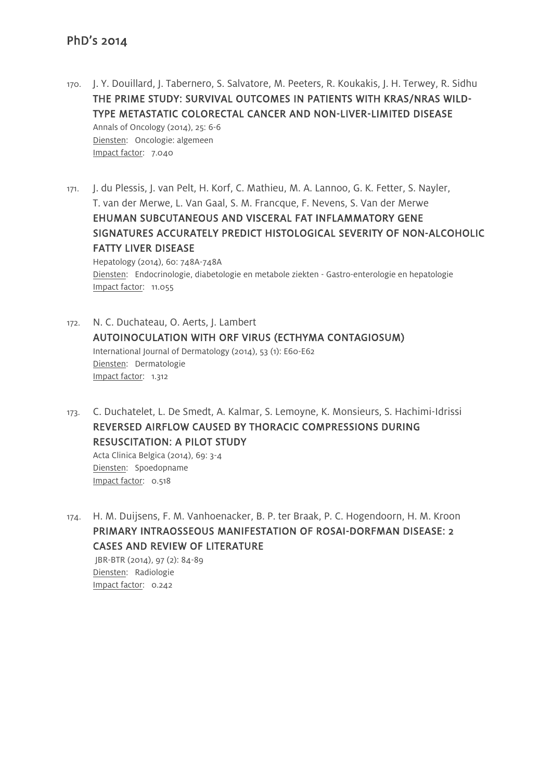- 170. J. Y. Douillard, J. Tabernero, S. Salvatore, M. Peeters, R. Koukakis, J. H. Terwey, R. Sidhu THE PRIME STUDY: SURVIVAL OUTCOMES IN PATIENTS WITH KRAS/NRAS WILD-TYPE METASTATIC COLORECTAL CANCER AND NON-LIVER-LIMITED DISEASE Annals of Oncology (2014), 25: 6-6 Diensten: Oncologie: algemeen Impact factor: 7.040
- 171. J. du Plessis, J. van Pelt, H. Korf, C. Mathieu, M. A. Lannoo, G. K. Fetter, S. Nayler, T. van der Merwe, L. Van Gaal, S. M. Francque, F. Nevens, S. Van der Merwe EHUMAN SUBCUTANEOUS AND VISCERAL FAT INFLAMMATORY GENE SIGNATURES ACCURATELY PREDICT HISTOLOGICAL SEVERITY OF NON-ALCOHOLIC FATTY LIVER DISEASE

Hepatology (2014), 60: 748A-748A Diensten: Endocrinologie, diabetologie en metabole ziekten - Gastro-enterologie en hepatologie Impact factor: 11.055

- 172. N. C. Duchateau, O. Aerts, J. Lambert AUTOINOCULATION WITH ORF VIRUS (ECTHYMA CONTAGIOSUM) International Journal of Dermatology (2014), 53 (1): E60-E62 Diensten: Dermatologie Impact factor: 1.312
- 173. C. Duchatelet, L. De Smedt, A. Kalmar, S. Lemoyne, K. Monsieurs, S. Hachimi-Idrissi REVERSED AIRFLOW CAUSED BY THORACIC COMPRESSIONS DURING RESUSCITATION: A PILOT STUDY

Acta Clinica Belgica (2014), 69: 3-4 Diensten: Spoedopname Impact factor: 0.518

174. H. M. Duijsens, F. M. Vanhoenacker, B. P. ter Braak, P. C. Hogendoorn, H. M. Kroon PRIMARY INTRAOSSEOUS MANIFESTATION OF ROSAI-DORFMAN DISEASE: 2 CASES AND REVIEW OF LITERATURE

JBR-BTR (2014), 97 (2): 84-89 Diensten: Radiologie Impact factor: 0.242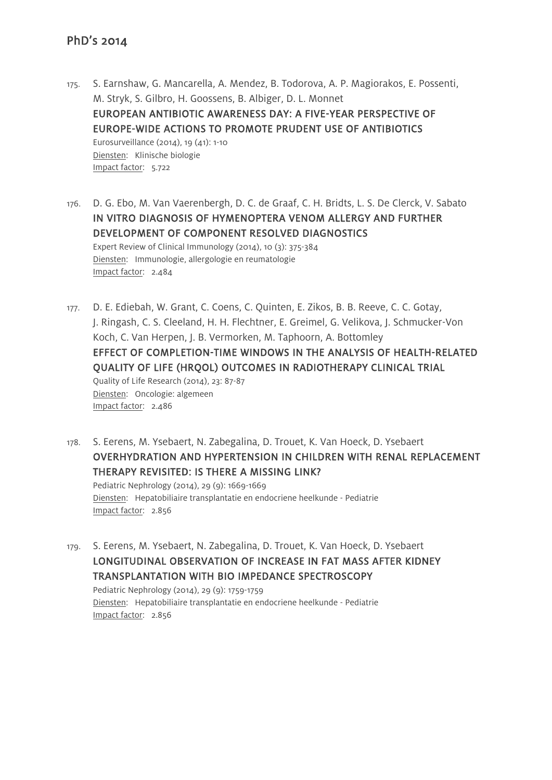- 175. S. Earnshaw, G. Mancarella, A. Mendez, B. Todorova, A. P. Magiorakos, E. Possenti, M. Stryk, S. Gilbro, H. Goossens, B. Albiger, D. L. Monnet EUROPEAN ANTIBIOTIC AWARENESS DAY: A FIVE-YEAR PERSPECTIVE OF EUROPE-WIDE ACTIONS TO PROMOTE PRUDENT USE OF ANTIBIOTICS Eurosurveillance (2014), 19 (41): 1-10 Diensten: Klinische biologie Impact factor: 5.722
- 176. D. G. Ebo, M. Van Vaerenbergh, D. C. de Graaf, C. H. Bridts, L. S. De Clerck, V. Sabato IN VITRO DIAGNOSIS OF HYMENOPTERA VENOM ALLERGY AND FURTHER DEVELOPMENT OF COMPONENT RESOLVED DIAGNOSTICS Expert Review of Clinical Immunology (2014), 10 (3): 375-384 Diensten: Immunologie, allergologie en reumatologie Impact factor: 2.484
- 177. D. E. Ediebah, W. Grant, C. Coens, C. Quinten, E. Zikos, B. B. Reeve, C. C. Gotay, J. Ringash, C. S. Cleeland, H. H. Flechtner, E. Greimel, G. Velikova, J. Schmucker-Von Koch, C. Van Herpen, J. B. Vermorken, M. Taphoorn, A. Bottomley EFFECT OF COMPLETION-TIME WINDOWS IN THE ANALYSIS OF HEALTH-RELATED QUALITY OF LIFE (HRQOL) OUTCOMES IN RADIOTHERAPY CLINICAL TRIAL Quality of Life Research (2014), 23: 87-87 Diensten: Oncologie: algemeen Impact factor: 2.486
- 178. S. Eerens, M. Ysebaert, N. Zabegalina, D. Trouet, K. Van Hoeck, D. Ysebaert OVERHYDRATION AND HYPERTENSION IN CHILDREN WITH RENAL REPLACEMENT THERAPY REVISITED: IS THERE A MISSING LINK? Pediatric Nephrology (2014), 29 (9): 1669-1669 Diensten: Hepatobiliaire transplantatie en endocriene heelkunde - Pediatrie Impact factor: 2.856
- 179. S. Eerens, M. Ysebaert, N. Zabegalina, D. Trouet, K. Van Hoeck, D. Ysebaert LONGITUDINAL OBSERVATION OF INCREASE IN FAT MASS AFTER KIDNEY TRANSPLANTATION WITH BIO IMPEDANCE SPECTROSCOPY Pediatric Nephrology (2014), 29 (9): 1759-1759 Diensten: Hepatobiliaire transplantatie en endocriene heelkunde - Pediatrie Impact factor: 2.856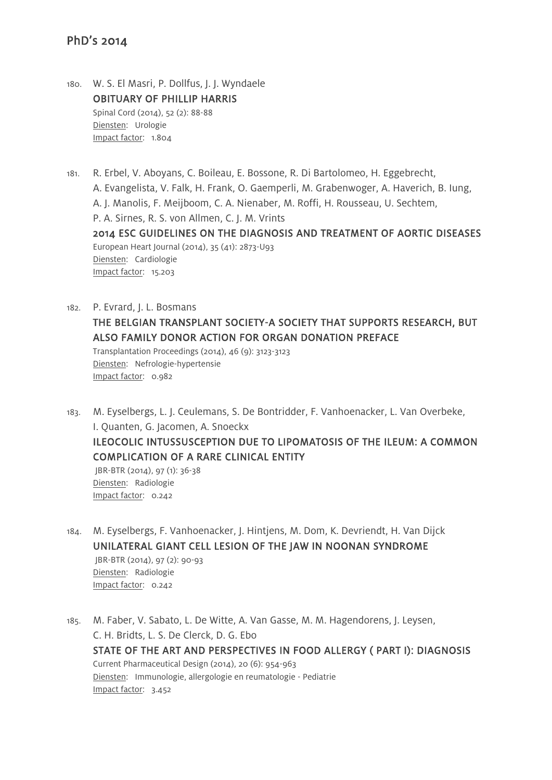180. W. S. El Masri, P. Dollfus, J. J. Wyndaele OBITUARY OF PHILLIP HARRIS Spinal Cord (2014), 52 (2): 88-88 Diensten: Urologie Impact factor: 1.804

Impact factor: 0.242

- 181. R. Erbel, V. Aboyans, C. Boileau, E. Bossone, R. Di Bartolomeo, H. Eggebrecht, A. Evangelista, V. Falk, H. Frank, O. Gaemperli, M. Grabenwoger, A. Haverich, B. Iung, A. J. Manolis, F. Meijboom, C. A. Nienaber, M. Roffi, H. Rousseau, U. Sechtem, P. A. Sirnes, R. S. von Allmen, C. J. M. Vrints 2014 ESC GUIDELINES ON THE DIAGNOSIS AND TREATMENT OF AORTIC DISEASES European Heart Journal (2014), 35 (41): 2873-U93 Diensten: Cardiologie Impact factor: 15.203
- 182. P. Evrard, J. L. Bosmans THE BELGIAN TRANSPLANT SOCIETY-A SOCIETY THAT SUPPORTS RESEARCH, BUT ALSO FAMILY DONOR ACTION FOR ORGAN DONATION PREFACE Transplantation Proceedings (2014), 46 (9): 3123-3123 Diensten: Nefrologie-hypertensie Impact factor: 0.982
- 183. M. Eyselbergs, L. J. Ceulemans, S. De Bontridder, F. Vanhoenacker, L. Van Overbeke, I. Quanten, G. Jacomen, A. Snoeckx ILEOCOLIC INTUSSUSCEPTION DUE TO LIPOMATOSIS OF THE ILEUM: A COMMON COMPLICATION OF A RARE CLINICAL ENTITY JBR-BTR (2014), 97 (1): 36-38 Diensten: Radiologie
- 184. M. Eyselbergs, F. Vanhoenacker, J. Hintjens, M. Dom, K. Devriendt, H. Van Dijck UNILATERAL GIANT CELL LESION OF THE JAW IN NOONAN SYNDROME JBR-BTR (2014), 97 (2): 90-93 Diensten: Radiologie Impact factor: 0.242
- 185. M. Faber, V. Sabato, L. De Witte, A. Van Gasse, M. M. Hagendorens, J. Leysen, C. H. Bridts, L. S. De Clerck, D. G. Ebo STATE OF THE ART AND PERSPECTIVES IN FOOD ALLERGY ( PART I): DIAGNOSIS Current Pharmaceutical Design (2014), 20 (6): 954-963 Diensten: Immunologie, allergologie en reumatologie - Pediatrie Impact factor: 3.452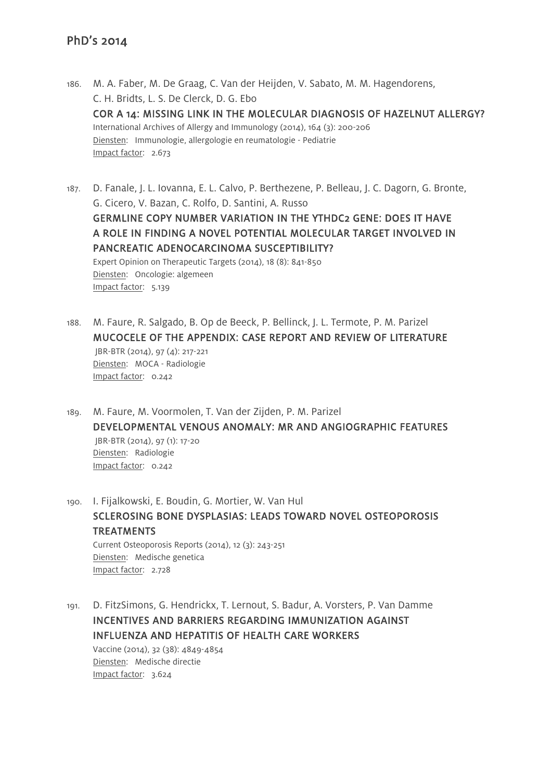- 186. M. A. Faber, M. De Graag, C. Van der Heijden, V. Sabato, M. M. Hagendorens, C. H. Bridts, L. S. De Clerck, D. G. Ebo COR A 14: MISSING LINK IN THE MOLECULAR DIAGNOSIS OF HAZELNUT ALLERGY? International Archives of Allergy and Immunology (2014), 164 (3): 200-206 Diensten: Immunologie, allergologie en reumatologie - Pediatrie Impact factor: 2.673
- 187. D. Fanale, J. L. Iovanna, E. L. Calvo, P. Berthezene, P. Belleau, J. C. Dagorn, G. Bronte, G. Cicero, V. Bazan, C. Rolfo, D. Santini, A. Russo GERMLINE COPY NUMBER VARIATION IN THE YTHDC2 GENE: DOES IT HAVE A ROLE IN FINDING A NOVEL POTENTIAL MOLECULAR TARGET INVOLVED IN PANCREATIC ADENOCARCINOMA SUSCEPTIBILITY? Expert Opinion on Therapeutic Targets (2014), 18 (8): 841-850 Diensten: Oncologie: algemeen Impact factor: 5.139
- 188. M. Faure, R. Salgado, B. Op de Beeck, P. Bellinck, J. L. Termote, P. M. Parizel MUCOCELE OF THE APPENDIX: CASE REPORT AND REVIEW OF LITERATURE JBR-BTR (2014), 97 (4): 217-221 Diensten: MOCA - Radiologie Impact factor: 0.242
- 189. M. Faure, M. Voormolen, T. Van der Zijden, P. M. Parizel DEVELOPMENTAL VENOUS ANOMALY: MR AND ANGIOGRAPHIC FEATURES JBR-BTR (2014), 97 (1): 17-20 Diensten: Radiologie Impact factor: 0.242
- 190. I. Fijalkowski, E. Boudin, G. Mortier, W. Van Hul SCLEROSING BONE DYSPLASIAS: LEADS TOWARD NOVEL OSTEOPOROSIS TREATMENTS Current Osteoporosis Reports (2014), 12 (3): 243-251 Diensten: Medische genetica Impact factor: 2.728
- 191. D. FitzSimons, G. Hendrickx, T. Lernout, S. Badur, A. Vorsters, P. Van Damme INCENTIVES AND BARRIERS REGARDING IMMUNIZATION AGAINST INFLUENZA AND HEPATITIS OF HEALTH CARE WORKERS Vaccine (2014), 32 (38): 4849-4854 Diensten: Medische directie Impact factor: 3.624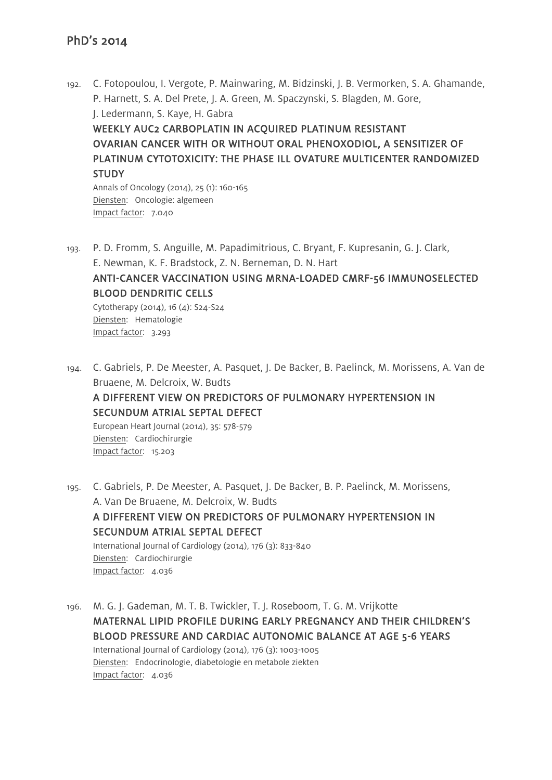192. C. Fotopoulou, I. Vergote, P. Mainwaring, M. Bidzinski, J. B. Vermorken, S. A. Ghamande, P. Harnett, S. A. Del Prete, J. A. Green, M. Spaczynski, S. Blagden, M. Gore, J. Ledermann, S. Kaye, H. Gabra WEEKLY AUC2 CARBOPLATIN IN ACOUIRED PLATINUM RESISTANT OVARIAN CANCER WITH OR WITHOUT ORAL PHENOXODIOL, A SENSITIZER OF PLATINUM CYTOTOXICITY: THE PHASE ILL OVATURE MULTICENTER RANDOMIZED **STUDY** Annals of Oncology (2014), 25 (1): 160-165

Diensten: Oncologie: algemeen Impact factor: 7.040

193. P. D. Fromm, S. Anguille, M. Papadimitrious, C. Bryant, F. Kupresanin, G. J. Clark, E. Newman, K. F. Bradstock, Z. N. Berneman, D. N. Hart

# ANTI-CANCER VACCINATION USING MRNA-LOADED CMRF-56 IMMUNOSELECTED BLOOD DENDRITIC CELLS

Cytotherapy (2014), 16 (4):  $S24-S24$ Diensten: Hematologie Impact factor: 3.293

194. C. Gabriels, P. De Meester, A. Pasquet, J. De Backer, B. Paelinck, M. Morissens, A. Van de Bruaene, M. Delcroix, W. Budts A DIFFERENT VIEW ON PREDICTORS OF PULMONARY HYPERTENSION IN SECUNDUM ATRIAL SEPTAL DEFECT European Heart Journal (2014), 35: 578-579 Diensten: Cardiochirurgie Impact factor: 15.203

195. C. Gabriels, P. De Meester, A. Pasquet, J. De Backer, B. P. Paelinck, M. Morissens, A. Van De Bruaene, M. Delcroix, W. Budts A DIFFERENT VIEW ON PREDICTORS OF PULMONARY HYPERTENSION IN SECUNDUM ATRIAL SEPTAL DEFECT International Journal of Cardiology (2014), 176 (3): 833-840 Diensten: Cardiochirurgie Impact factor: 4.036

196. M. G. J. Gademan, M. T. B. Twickler, T. J. Roseboom, T. G. M. Vrijkotte MATERNAL LIPID PROFILE DURING EARLY PREGNANCY AND THEIR CHILDREN'S BLOOD PRESSURE AND CARDIAC AUTONOMIC BALANCE AT AGE 5-6 YEARS International Journal of Cardiology (2014), 176 (3): 1003-1005 Diensten: Endocrinologie, diabetologie en metabole ziekten Impact factor: 4.036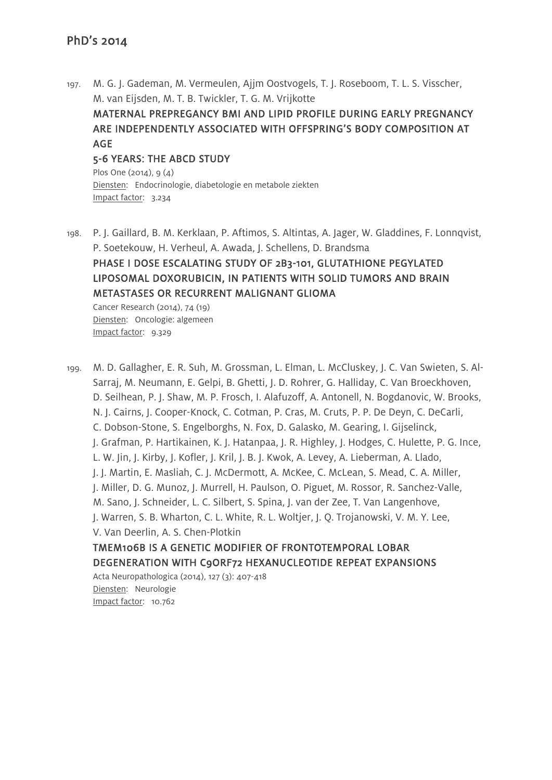197. M. G. J. Gademan, M. Vermeulen, Ajjm Oostvogels, T. J. Roseboom, T. L. S. Visscher, M. van Eijsden, M. T. B. Twickler, T. G. M. Vrijkotte

MATERNAL PREPREGANCY BMI AND LIPID PROFILE DURING EARLY PREGNANCY ARE INDEPENDENTLY ASSOCIATED WITH OFFSPRING'S BODY COMPOSITION AT AGE

#### 5-6 YEARS: THE ABCD STUDY

Plos One (2014), 9 (4) Diensten: Endocrinologie, diabetologie en metabole ziekten Impact factor: 3.234

198. P. J. Gaillard, B. M. Kerklaan, P. Aftimos, S. Altintas, A. Jager, W. Gladdines, F. Lonnqvist, P. Soetekouw, H. Verheul, A. Awada, J. Schellens, D. Brandsma PHASE I DOSE ESCALATING STUDY OF 2B3-101, GLUTATHIONE PEGYLATED LIPOSOMAL DOXORUBICIN, IN PATIENTS WITH SOLID TUMORS AND BRAIN METASTASES OR RECURRENT MALIGNANT GLIOMA Cancer Research (2014), 74 (19)

Diensten: Oncologie: algemeen Impact factor: 9.329

199. M. D. Gallagher, E. R. Suh, M. Grossman, L. Elman, L. McCluskey, J. C. Van Swieten, S. Al-Sarraj, M. Neumann, E. Gelpi, B. Ghetti, J. D. Rohrer, G. Halliday, C. Van Broeckhoven, D. Seilhean, P. J. Shaw, M. P. Frosch, I. Alafuzoff, A. Antonell, N. Bogdanovic, W. Brooks, N. J. Cairns, J. Cooper-Knock, C. Cotman, P. Cras, M. Cruts, P. P. De Deyn, C. DeCarli, C. Dobson-Stone, S. Engelborghs, N. Fox, D. Galasko, M. Gearing, I. Gijselinck, J. Grafman, P. Hartikainen, K. J. Hatanpaa, J. R. Highley, J. Hodges, C. Hulette, P. G. Ince, L. W. Jin, J. Kirby, J. Kofler, J. Kril, J. B. J. Kwok, A. Levey, A. Lieberman, A. Llado, J. J. Martin, E. Masliah, C. J. McDermott, A. McKee, C. McLean, S. Mead, C. A. Miller, J. Miller, D. G. Munoz, J. Murrell, H. Paulson, O. Piguet, M. Rossor, R. Sanchez-Valle, M. Sano, J. Schneider, L. C. Silbert, S. Spina, J. van der Zee, T. Van Langenhove, J. Warren, S. B. Wharton, C. L. White, R. L. Woltjer, J. Q. Trojanowski, V. M. Y. Lee, V. Van Deerlin, A. S. Chen-Plotkin TMEM106B IS A GENETIC MODIFIER OF FRONTOTEMPORAL LOBAR

DEGENERATION WITH C9ORF72 HEXANUCLEOTIDE REPEAT EXPANSIONS

Acta Neuropathologica (2014), 127 (3): 407-418 Diensten: Neurologie Impact factor: 10.762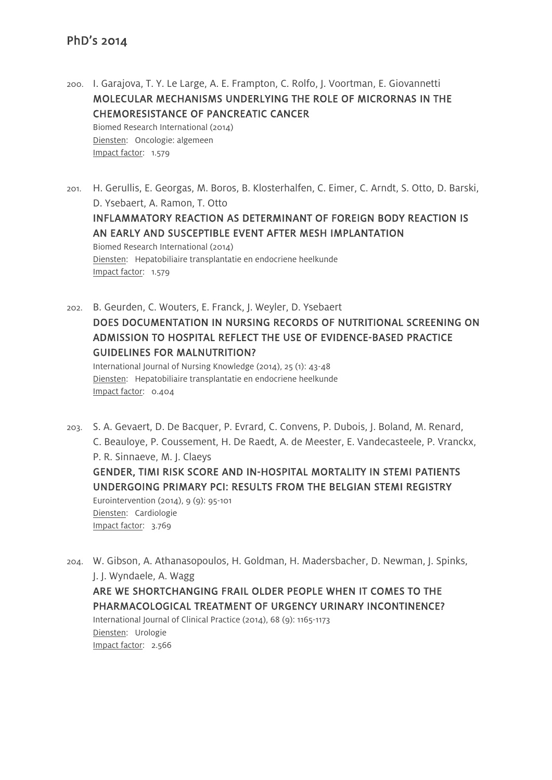Impact factor: 1.579

200. I. Garajova, T. Y. Le Large, A. E. Frampton, C. Rolfo, J. Voortman, E. Giovannetti MOLECULAR MECHANISMS UNDERLYING THE ROLE OF MICRORNAS IN THE CHEMORESISTANCE OF PANCREATIC CANCER Biomed Research International (2014) Diensten: Oncologie: algemeen

201. H. Gerullis, E. Georgas, M. Boros, B. Klosterhalfen, C. Eimer, C. Arndt, S. Otto, D. Barski, D. Ysebaert, A. Ramon, T. Otto INFLAMMATORY REACTION AS DETERMINANT OF FOREIGN BODY REACTION IS AN EARLY AND SUSCEPTIBLE EVENT AFTER MESH IMPLANTATION Biomed Research International (2014) Diensten: Hepatobiliaire transplantatie en endocriene heelkunde Impact factor: 1.579

202. B. Geurden, C. Wouters, E. Franck, J. Weyler, D. Ysebaert DOES DOCUMENTATION IN NURSING RECORDS OF NUTRITIONAL SCREENING ON ADMISSION TO HOSPITAL REFLECT THE USE OF EVIDENCE-BASED PRACTICE GUIDELINES FOR MALNUTRITION?

International Journal of Nursing Knowledge (2014), 25 (1): 43-48 Diensten: Hepatobiliaire transplantatie en endocriene heelkunde Impact factor: 0.404

203. S. A. Gevaert, D. De Bacquer, P. Evrard, C. Convens, P. Dubois, J. Boland, M. Renard, C. Beauloye, P. Coussement, H. De Raedt, A. de Meester, E. Vandecasteele, P. Vranckx, P. R. Sinnaeve, M. J. Claeys GENDER, TIMI RISK SCORE AND IN-HOSPITAL MORTALITY IN STEMI PATIENTS UNDERGOING PRIMARY PCI: RESULTS FROM THE BELGIAN STEMI REGISTRY Eurointervention (2014), 9 (9): 95-101 Diensten: Cardiologie Impact factor: 3.769

204. W. Gibson, A. Athanasopoulos, H. Goldman, H. Madersbacher, D. Newman, J. Spinks, J. J. Wyndaele, A. Wagg ARE WE SHORTCHANGING FRAIL OLDER PEOPLE WHEN IT COMES TO THE PHARMACOLOGICAL TREATMENT OF URGENCY URINARY INCONTINENCE? International Journal of Clinical Practice (2014), 68 (9): 1165-1173 Diensten: Urologie Impact factor: 2.566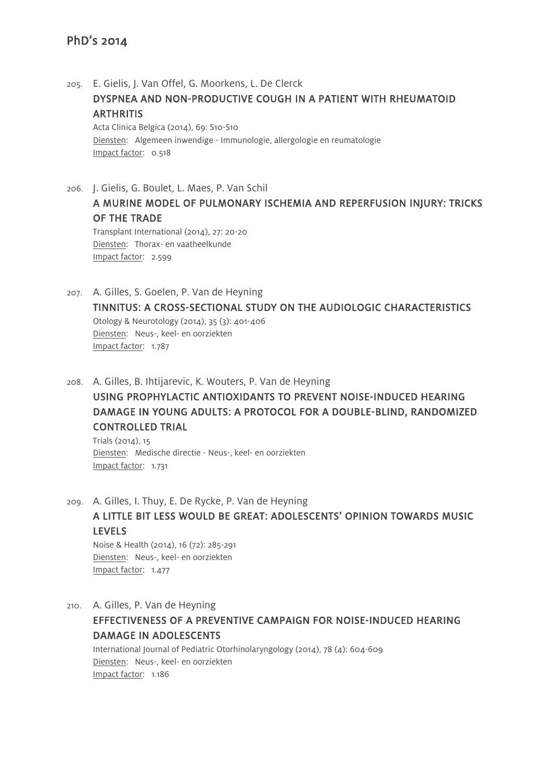- 205. E. Gielis, J. Van Offel, G. Moorkens, L. De Clerck DYSPNEA AND NON-PRODUCTIVE COUGH IN A PATIENT WITH RHEUMATOID **ARTHRITIS** Acta Clinica Belgica (2014), 69: S10-S10 Diensten: Algemeen inwendige - Immunologie, allergologie en reumatologie Impact factor: 0.518
- 206. J. Gielis, G. Boulet, L. Maes, P. Van Schil A MURINE MODEL OF PULMONARY ISCHEMIA AND REPERFUSION INJURY: TRICKS OF THE TRADE Transplant International (2014), 27: 20-20 Diensten: Thorax- en vaatheelkunde Impact factor: 2.599
- 207. A. Gilles, S. Goelen, P. Van de Heyning TINNITUS: A CROSS-SECTIONAL STUDY ON THE AUDIOLOGIC CHARACTERISTICS Otology & Neurotology (2014), 35 (3): 401-406 Diensten: Neus-, keel- en oorziekten Impact factor: 1.787
- 208. A. Gilles, B. Ihtijarevic, K. Wouters, P. Van de Heyning USING PROPHYLACTIC ANTIOXIDANTS TO PREVENT NOISE-INDUCED HEARING DAMAGE IN YOUNG ADULTS: A PROTOCOL FOR A DOUBLE-BLIND, RANDOMIZED CONTROLLED TRIAL

Trials (2014), 15 Diensten: Medische directie - Neus-, keel- en oorziekten Impact factor: 1.731

209. A. Gilles, I. Thuy, E. De Rycke, P. Van de Heyning A LITTLE BIT LESS WOULD BE GREAT: ADOLESCENTS' OPINION TOWARDS MUSIC LEVELS

Noise & Health (2014), 16 (72): 285-291 Diensten: Neus-, keel- en oorziekten Impact factor: 1.477

210. A. Gilles, P. Van de Heyning EFFECTIVENESS OF A PREVENTIVE CAMPAIGN FOR NOISE-INDUCED HEARING DAMAGE IN ADOLESCENTS International Journal of Pediatric Otorhinolaryngology (2014), 78 (4): 604-609 Diensten: Neus-, keel- en oorziekten Impact factor: 1.186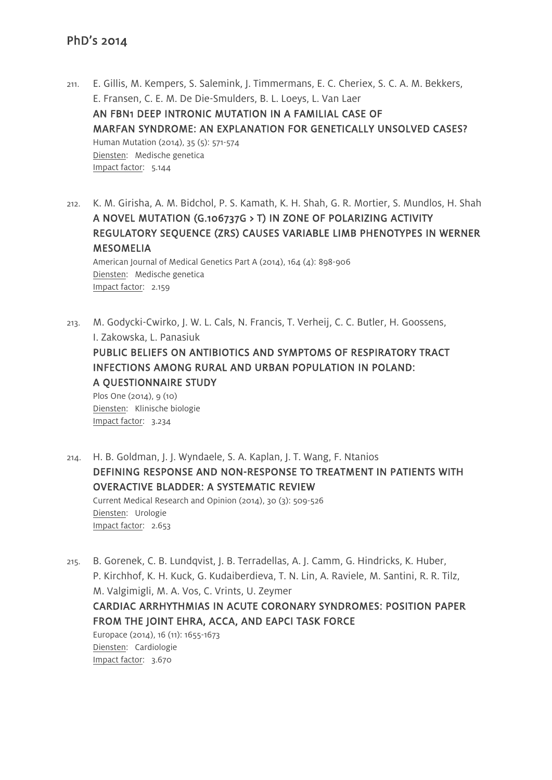- 211. E. Gillis, M. Kempers, S. Salemink, J. Timmermans, E. C. Cheriex, S. C. A. M. Bekkers, E. Fransen, C. E. M. De Die-Smulders, B. L. Loeys, L. Van Laer AN FBN1 DEEP INTRONIC MUTATION IN A FAMILIAL CASE OF MARFAN SYNDROME: AN EXPLANATION FOR GENETICALLY UNSOLVED CASES? Human Mutation (2014), 35 (5): 571-574 Diensten: Medische genetica Impact factor: 5.144
- 212. K. M. Girisha, A. M. Bidchol, P. S. Kamath, K. H. Shah, G. R. Mortier, S. Mundlos, H. Shah A NOVEL MUTATION (G.106737G > T) IN ZONE OF POLARIZING ACTIVITY REGULATORY SEQUENCE (ZRS) CAUSES VARIABLE LIMB PHENOTYPES IN WERNER MESOMELIA American Journal of Medical Genetics Part A (2014), 164 (4): 898-906 Diensten: Medische genetica Impact factor: 2.159
- 213. M. Godycki-Cwirko, J. W. L. Cals, N. Francis, T. Verheij, C. C. Butler, H. Goossens, I. Zakowska, L. Panasiuk PUBLIC BELIEFS ON ANTIBIOTICS AND SYMPTOMS OF RESPIRATORY TRACT INFECTIONS AMONG RURAL AND URBAN POPULATION IN POLAND: A QUESTIONNAIRE STUDY Plos One (2014), 9 (10) Diensten: Klinische biologie Impact factor: 3.234
- 214. H. B. Goldman, J. J. Wyndaele, S. A. Kaplan, J. T. Wang, F. Ntanios DEFINING RESPONSE AND NON-RESPONSE TO TREATMENT IN PATIENTS WITH OVERACTIVE BLADDER: A SYSTEMATIC REVIEW Current Medical Research and Opinion (2014), 30 (3): 509-526 Diensten: Urologie Impact factor: 2.653
- 215. B. Gorenek, C. B. Lundqvist, J. B. Terradellas, A. J. Camm, G. Hindricks, K. Huber, P. Kirchhof, K. H. Kuck, G. Kudaiberdieva, T. N. Lin, A. Raviele, M. Santini, R. R. Tilz, M. Valgimigli, M. A. Vos, C. Vrints, U. Zeymer CARDIAC ARRHYTHMIAS IN ACUTE CORONARY SYNDROMES: POSITION PAPER FROM THE JOINT EHRA, ACCA, AND EAPCI TASK FORCE Europace (2014), 16 (11): 1655-1673 Diensten: Cardiologie Impact factor: 3.670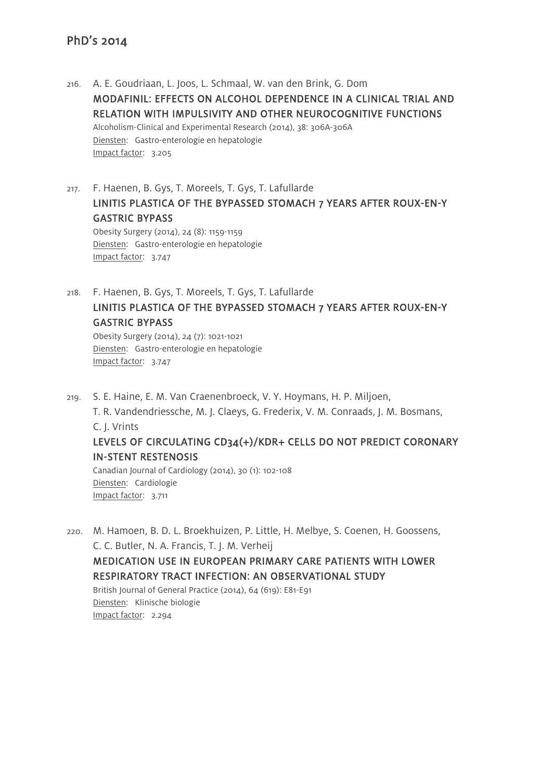- 216. A. E. Goudriaan, L. Joos, L. Schmaal, W. van den Brink, G. Dom MODAFINIL: EFFECTS ON ALCOHOL DEPENDENCE IN A CLINICAL TRIAL AND RELATION WITH IMPULSIVITY AND OTHER NEUROCOGNITIVE FUNCTIONS Alcoholism-Clinical and Experimental Research (2014), 38: 306A-306A Diensten: Gastro-enterologie en hepatologie Impact factor: 3.205
- 217. F. Haenen, B. Gys, T. Moreels, T. Gys, T. Lafullarde LINITIS PLASTICA OF THE BYPASSED STOMACH 7 YEARS AFTER ROUX-EN-Y GASTRIC BYPASS Obesity Surgery (2014), 24 (8): 1159-1159

Diensten: Gastro-enterologie en hepatologie Impact factor: 3.747

218. F. Haenen, B. Gys, T. Moreels, T. Gys, T. Lafullarde LINITIS PLASTICA OF THE BYPASSED STOMACH 7 YEARS AFTER ROUX-EN-Y GASTRIC BYPASS Obesity Surgery (2014), 24 (7): 1021-1021 Diensten: Gastro-enterologie en hepatologie

Impact factor: 3.747

Impact factor: 3.711

- 219. S. E. Haine, E. M. Van Craenenbroeck, V. Y. Hoymans, H. P. Miljoen, T. R. Vandendriessche, M. J. Claeys, G. Frederix, V. M. Conraads, J. M. Bosmans, C. J. Vrints LEVELS OF CIRCULATING CD34(+)/KDR+ CELLS DO NOT PREDICT CORONARY IN-STENT RESTENOSIS Canadian Journal of Cardiology (2014), 30 (1): 102-108 Diensten: Cardiologie
- 220. M. Hamoen, B. D. L. Broekhuizen, P. Little, H. Melbye, S. Coenen, H. Goossens, C. C. Butler, N. A. Francis, T. J. M. Verheij MEDICATION USE IN EUROPEAN PRIMARY CARE PATIENTS WITH LOWER RESPIRATORY TRACT INFECTION: AN OBSERVATIONAL STUDY British Journal of General Practice (2014), 64 (619): E81-E91 Diensten: Klinische biologie Impact factor: 2.294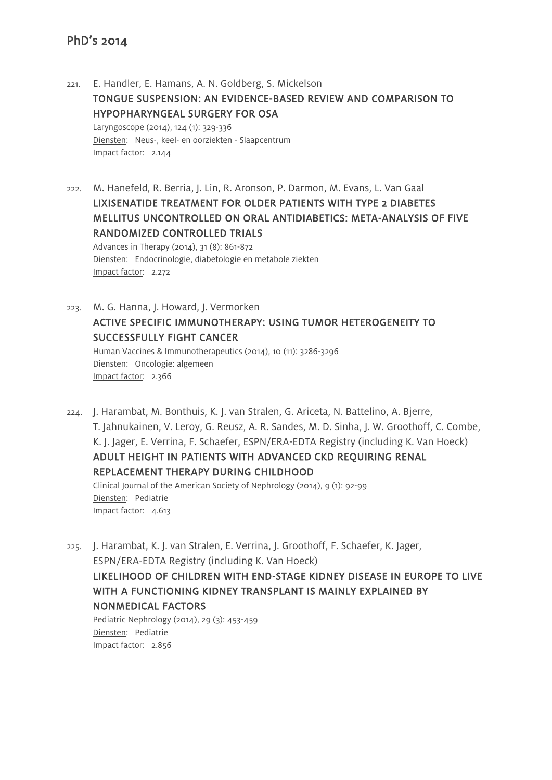- 221. E. Handler, E. Hamans, A. N. Goldberg, S. Mickelson TONGUE SUSPENSION: AN EVIDENCE-BASED REVIEW AND COMPARISON TO HYPOPHARYNGEAL SURGERY FOR OSA Laryngoscope (2014), 124 (1): 329-336 Diensten: Neus-, keel- en oorziekten - Slaapcentrum Impact factor: 2.144
- 222. M. Hanefeld, R. Berria, J. Lin, R. Aronson, P. Darmon, M. Evans, L. Van Gaal LIXISENATIDE TREATMENT FOR OLDER PATIENTS WITH TYPE 2 DIABETES MELLITUS UNCONTROLLED ON ORAL ANTIDIABETICS: META-ANALYSIS OF FIVE RANDOMIZED CONTROLLED TRIALS

Advances in Therapy (2014), 31 (8): 861-872 Diensten: Endocrinologie, diabetologie en metabole ziekten Impact factor: 2.272

- 223. M. G. Hanna, J. Howard, J. Vermorken ACTIVE SPECIFIC IMMUNOTHERAPY: USING TUMOR HETEROGENEITY TO SUCCESSFULLY FIGHT CANCER Human Vaccines & Immunotherapeutics (2014), 10 (11): 3286-3296 Diensten: Oncologie: algemeen Impact factor: 2.366
- 224. J. Harambat, M. Bonthuis, K. J. van Stralen, G. Ariceta, N. Battelino, A. Bjerre, T. Jahnukainen, V. Leroy, G. Reusz, A. R. Sandes, M. D. Sinha, J. W. Groothoff, C. Combe, K. J. Jager, E. Verrina, F. Schaefer, ESPN/ERA-EDTA Registry (including K. Van Hoeck) ADULT HEIGHT IN PATIENTS WITH ADVANCED CKD REQUIRING RENAL REPLACEMENT THERAPY DURING CHILDHOOD Clinical Journal of the American Society of Nephrology (2014), 9 (1): 92-99 Diensten: Pediatrie Impact factor: 4.613
- 225. J. Harambat, K. J. van Stralen, E. Verrina, J. Groothoff, F. Schaefer, K. Jager, ESPN/ERA-EDTA Registry (including K. Van Hoeck) LIKELIHOOD OF CHILDREN WITH END-STAGE KIDNEY DISEASE IN EUROPE TO LIVE WITH A FUNCTIONING KIDNEY TRANSPLANT IS MAINLY EXPLAINED BY NONMEDICAL FACTORS Pediatric Nephrology (2014), 29 (3): 453-459

Diensten: Pediatrie Impact factor: 2.856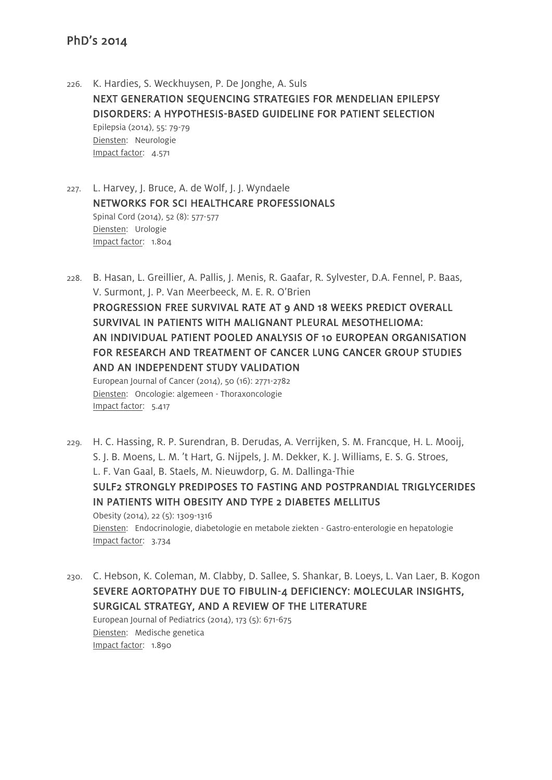Impact factor: 5.417

226. K. Hardies, S. Weckhuysen, P. De Jonghe, A. Suls NEXT GENERATION SEQUENCING STRATEGIES FOR MENDELIAN EPILEPSY DISORDERS: A HYPOTHESIS-BASED GUIDELINE FOR PATIENT SELECTION Epilepsia (2014), 55: 79-79 Diensten: Neurologie Impact factor: 4.571

227. L. Harvey, J. Bruce, A. de Wolf, J. J. Wyndaele NETWORKS FOR SCI HEALTHCARE PROFESSIONALS Spinal Cord (2014), 52 (8): 577-577 Diensten: Urologie Impact factor: 1.804

- 228. B. Hasan, L. Greillier, A. Pallis, J. Menis, R. Gaafar, R. Sylvester, D.A. Fennel, P. Baas, V. Surmont, J. P. Van Meerbeeck, M. E. R. O'Brien PROGRESSION FREE SURVIVAL RATE AT 9 AND 18 WEEKS PREDICT OVERALL SURVIVAL IN PATIENTS WITH MALIGNANT PLEURAL MESOTHELIOMA: AN INDIVIDUAL PATIENT POOLED ANALYSIS OF 10 EUROPEAN ORGANISATION FOR RESEARCH AND TREATMENT OF CANCER LUNG CANCER GROUP STUDIES AND AN INDEPENDENT STUDY VALIDATION European Journal of Cancer (2014), 50 (16): 2771-2782 Diensten: Oncologie: algemeen - Thoraxoncologie
- 229. H. C. Hassing, R. P. Surendran, B. Derudas, A. Verrijken, S. M. Francque, H. L. Mooij, S. J. B. Moens, L. M. 't Hart, G. Nijpels, J. M. Dekker, K. J. Williams, E. S. G. Stroes, L. F. Van Gaal, B. Staels, M. Nieuwdorp, G. M. Dallinga-Thie SULF2 STRONGLY PREDIPOSES TO FASTING AND POSTPRANDIAL TRIGLYCERIDES IN PATIENTS WITH OBESITY AND TYPE 2 DIABETES MELLITUS Obesity (2014), 22 (5): 1309-1316 Diensten: Endocrinologie, diabetologie en metabole ziekten - Gastro-enterologie en hepatologie Impact factor: 3.734
- 230. C. Hebson, K. Coleman, M. Clabby, D. Sallee, S. Shankar, B. Loeys, L. Van Laer, B. Kogon SEVERE AORTOPATHY DUE TO FIBULIN-4 DEFICIENCY: MOLECULAR INSIGHTS, SURGICAL STRATEGY, AND A REVIEW OF THE LITERATURE European Journal of Pediatrics (2014), 173 (5): 671-675

Diensten: Medische genetica Impact factor: 1.890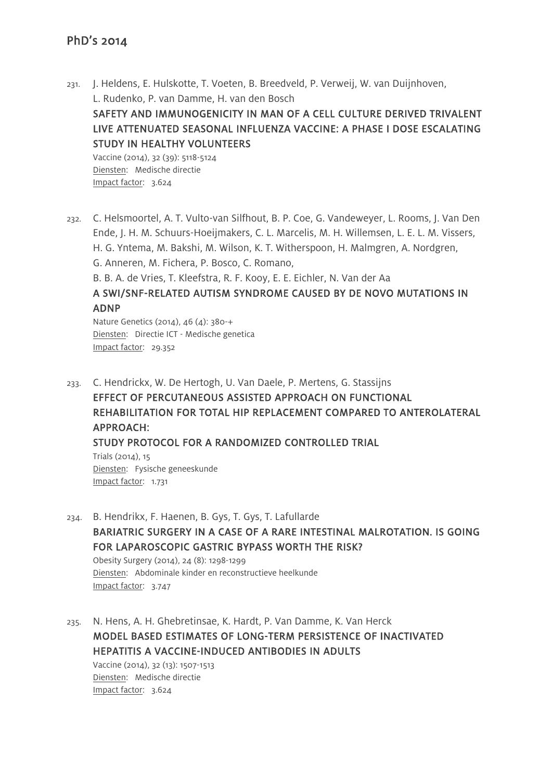- 231. J. Heldens, E. Hulskotte, T. Voeten, B. Breedveld, P. Verweij, W. van Duijnhoven, L. Rudenko, P. van Damme, H. van den Bosch SAFETY AND IMMUNOGENICITY IN MAN OF A CELL CULTURE DERIVED TRIVALENT LIVE ATTENUATED SEASONAL INFLUENZA VACCINE: A PHASE I DOSE ESCALATING STUDY IN HEALTHY VOLUNTEERS Vaccine (2014), 32 (39): 5118-5124 Diensten: Medische directie Impact factor: 3.624
- 232. C. Helsmoortel, A. T. Vulto-van Silfhout, B. P. Coe, G. Vandeweyer, L. Rooms, J. Van Den Ende, J. H. M. Schuurs-Hoeijmakers, C. L. Marcelis, M. H. Willemsen, L. E. L. M. Vissers, H. G. Yntema, M. Bakshi, M. Wilson, K. T. Witherspoon, H. Malmgren, A. Nordgren, G. Anneren, M. Fichera, P. Bosco, C. Romano,

B. B. A. de Vries, T. Kleefstra, R. F. Kooy, E. E. Eichler, N. Van der Aa

# A SWI/SNF-RELATED AUTISM SYNDROME CAUSED BY DE NOVO MUTATIONS IN ADNP

Nature Genetics (2014), 46 (4): 380-+ Diensten: Directie ICT - Medische genetica Impact factor: 29.352

- 233. C. Hendrickx, W. De Hertogh, U. Van Daele, P. Mertens, G. Stassijns EFFECT OF PERCUTANEOUS ASSISTED APPROACH ON FUNCTIONAL REHABILITATION FOR TOTAL HIP REPLACEMENT COMPARED TO ANTEROLATERAL APPROACH: STUDY PROTOCOL FOR A RANDOMIZED CONTROLLED TRIAL Trials (2014), 15 Diensten: Fysische geneeskunde Impact factor: 1.731
- 234. B. Hendrikx, F. Haenen, B. Gys, T. Gys, T. Lafullarde BARIATRIC SURGERY IN A CASE OF A RARE INTESTINAL MALROTATION. IS GOING FOR LAPAROSCOPIC GASTRIC BYPASS WORTH THE RISK?

Obesity Surgery (2014), 24 (8): 1298-1299 Diensten: Abdominale kinder en reconstructieve heelkunde Impact factor: 3.747

235. N. Hens, A. H. Ghebretinsae, K. Hardt, P. Van Damme, K. Van Herck MODEL BASED ESTIMATES OF LONG-TERM PERSISTENCE OF INACTIVATED HEPATITIS A VACCINE-INDUCED ANTIBODIES IN ADULTS

Vaccine (2014), 32 (13): 1507-1513 Diensten: Medische directie Impact factor: 3.624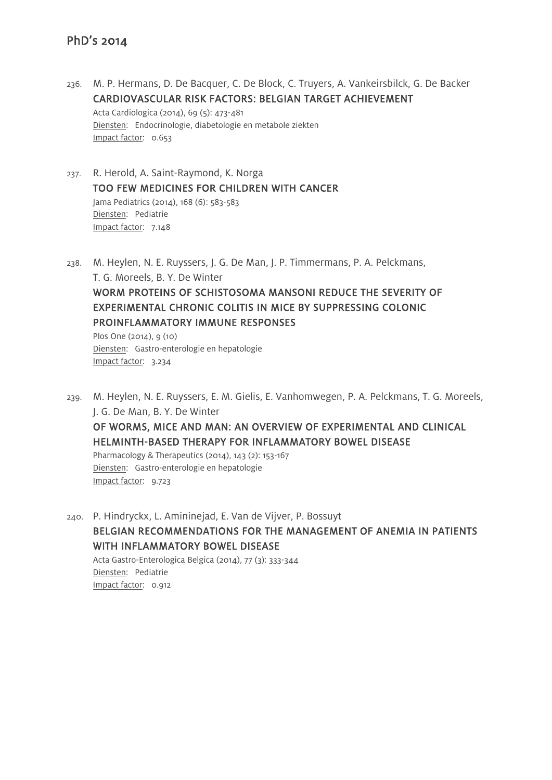- 236. M. P. Hermans, D. De Bacquer, C. De Block, C. Truyers, A. Vankeirsbilck, G. De Backer CARDIOVASCULAR RISK FACTORS: BELGIAN TARGET ACHIEVEMENT Acta Cardiologica (2014), 69 (5): 473-481 Diensten: Endocrinologie, diabetologie en metabole ziekten Impact factor: 0.653
- 237. R. Herold, A. Saint-Raymond, K. Norga TOO FEW MEDICINES FOR CHILDREN WITH CANCER Jama Pediatrics (2014), 168 (6): 583-583 Diensten: Pediatrie Impact factor: 7.148
- 238. M. Heylen, N. E. Ruyssers, J. G. De Man, J. P. Timmermans, P. A. Pelckmans, T. G. Moreels, B. Y. De Winter WORM PROTEINS OF SCHISTOSOMA MANSONI REDUCE THE SEVERITY OF EXPERIMENTAL CHRONIC COLITIS IN MICE BY SUPPRESSING COLONIC PROINFLAMMATORY IMMUNE RESPONSES Plos One (2014), 9 (10) Diensten: Gastro-enterologie en hepatologie Impact factor: 3.234
- 239. M. Heylen, N. E. Ruyssers, E. M. Gielis, E. Vanhomwegen, P. A. Pelckmans, T. G. Moreels, J. G. De Man, B. Y. De Winter OF WORMS, MICE AND MAN: AN OVERVIEW OF EXPERIMENTAL AND CLINICAL HELMINTH-BASED THERAPY FOR INFLAMMATORY BOWEL DISEASE Pharmacology & Therapeutics (2014), 143 (2): 153-167 Diensten: Gastro-enterologie en hepatologie Impact factor: 9.723

240. P. Hindryckx, L. Amininejad, E. Van de Vijver, P. Bossuyt BELGIAN RECOMMENDATIONS FOR THE MANAGEMENT OF ANEMIA IN PATIENTS WITH INFLAMMATORY BOWEL DISEASE Acta Gastro-Enterologica Belgica (2014), 77 (3): 333-344 Diensten: Pediatrie Impact factor: 0.912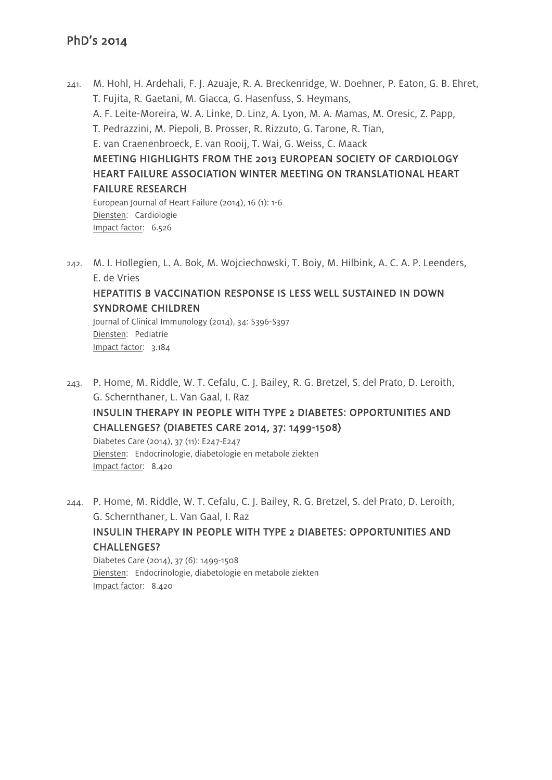- 241. M. Hohl, H. Ardehali, F. J. Azuaje, R. A. Breckenridge, W. Doehner, P. Eaton, G. B. Ehret, T. Fujita, R. Gaetani, M. Giacca, G. Hasenfuss, S. Heymans, A. F. Leite-Moreira, W. A. Linke, D. Linz, A. Lyon, M. A. Mamas, M. Oresic, Z. Papp, T. Pedrazzini, M. Piepoli, B. Prosser, R. Rizzuto, G. Tarone, R. Tian, E. van Craenenbroeck, E. van Rooij, T. Wai, G. Weiss, C. Maack MEETING HIGHLIGHTS FROM THE 2013 EUROPEAN SOCIETY OF CARDIOLOGY HEART FAILURE ASSOCIATION WINTER MEETING ON TRANSLATIONAL HEART FAILURE RESEARCH European Journal of Heart Failure (2014), 16 (1): 1-6 Diensten: Cardiologie Impact factor: 6.526
- 242. M. I. Hollegien, L. A. Bok, M. Wojciechowski, T. Boiy, M. Hilbink, A. C. A. P. Leenders, E. de Vries

#### HEPATITIS B VACCINATION RESPONSE IS LESS WELL SUSTAINED IN DOWN SYNDROME CHILDREN

Journal of Clinical Immunology (2014), 34: S396-S397 Diensten: Pediatrie Impact factor: 3.184

243. P. Home, M. Riddle, W. T. Cefalu, C. J. Bailey, R. G. Bretzel, S. del Prato, D. Leroith, G. Schernthaner, L. Van Gaal, I. Raz INSULIN THERAPY IN PEOPLE WITH TYPE 2 DIABETES: OPPORTUNITIES AND CHALLENGES? (DIABETES CARE 2014, 37: 1499-1508) Diabetes Care (2014), 37 (11): E247-E247

Diensten: Endocrinologie, diabetologie en metabole ziekten Impact factor: 8.420

244. P. Home, M. Riddle, W. T. Cefalu, C. J. Bailey, R. G. Bretzel, S. del Prato, D. Leroith, G. Schernthaner, L. Van Gaal, I. Raz

#### INSULIN THERAPY IN PEOPLE WITH TYPE 2 DIABETES: OPPORTUNITIES AND CHALLENGES?

Diabetes Care (2014), 37 (6): 1499-1508 Diensten: Endocrinologie, diabetologie en metabole ziekten Impact factor: 8.420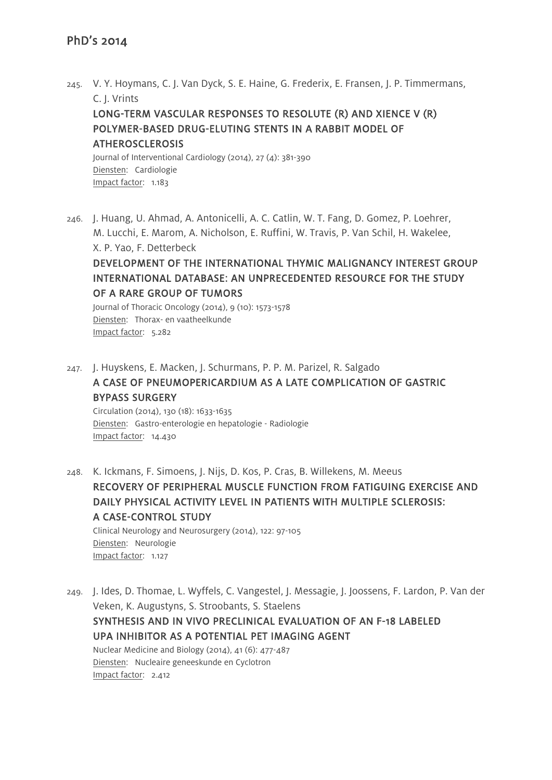245. V. Y. Hoymans, C. J. Van Dyck, S. E. Haine, G. Frederix, E. Fransen, J. P. Timmermans, C. J. Vrints

#### LONG-TERM VASCULAR RESPONSES TO RESOLUTE (R) AND XIENCE V (R) POLYMER-BASED DRUG-ELUTING STENTS IN A RABBIT MODEL OF **ATHEROSCLEROSIS**

Journal of Interventional Cardiology (2014), 27 (4): 381-390 Diensten: Cardiologie Impact factor: 1.183

246. J. Huang, U. Ahmad, A. Antonicelli, A. C. Catlin, W. T. Fang, D. Gomez, P. Loehrer, M. Lucchi, E. Marom, A. Nicholson, E. Ruffini, W. Travis, P. Van Schil, H. Wakelee, X. P. Yao, F. Detterbeck DEVELOPMENT OF THE INTERNATIONAL THYMIC MALIGNANCY INTEREST GROUP INTERNATIONAL DATABASE: AN UNPRECEDENTED RESOURCE FOR THE STUDY OF A RARE GROUP OF TUMORS Journal of Thoracic Oncology (2014), 9 (10): 1573-1578

Diensten: Thorax- en vaatheelkunde Impact factor: 5.282

247. J. Huyskens, E. Macken, J. Schurmans, P. P. M. Parizel, R. Salgado A CASE OF PNEUMOPERICARDIUM AS A LATE COMPLICATION OF GASTRIC BYPASS SURGERY Circulation (2014), 130 (18): 1633-1635

Diensten: Gastro-enterologie en hepatologie - Radiologie Impact factor: 14.430

- 248. K. Ickmans, F. Simoens, J. Nijs, D. Kos, P. Cras, B. Willekens, M. Meeus RECOVERY OF PERIPHERAL MUSCLE FUNCTION FROM FATIGUING EXERCISE AND DAILY PHYSICAL ACTIVITY LEVEL IN PATIENTS WITH MULTIPLE SCLEROSIS: A CASE-CONTROL STUDY Clinical Neurology and Neurosurgery (2014), 122: 97-105 Diensten: Neurologie Impact factor: 1.127
- 249. J. Ides, D. Thomae, L. Wyffels, C. Vangestel, J. Messagie, J. Joossens, F. Lardon, P. Van der Veken, K. Augustyns, S. Stroobants, S. Staelens SYNTHESIS AND IN VIVO PRECLINICAL EVALUATION OF AN F-18 LABELED UPA INHIBITOR AS A POTENTIAL PET IMAGING AGENT Nuclear Medicine and Biology (2014), 41 (6): 477-487 Diensten: Nucleaire geneeskunde en Cyclotron Impact factor: 2.412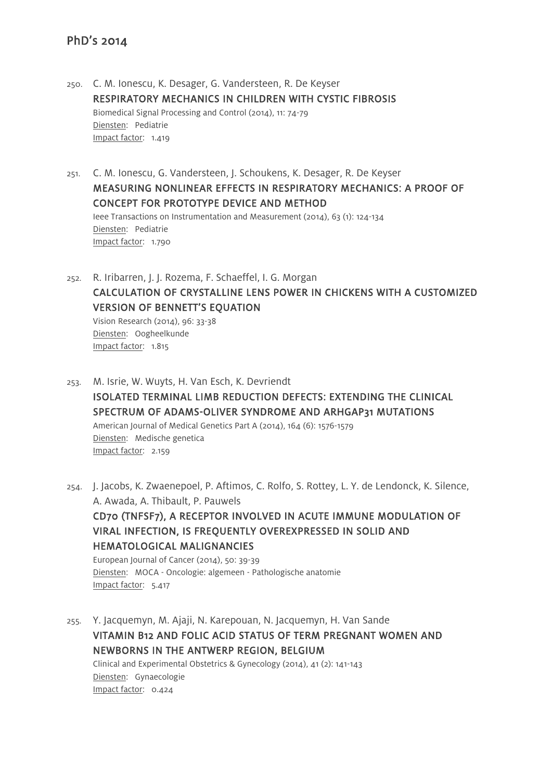- 250. C. M. Ionescu, K. Desager, G. Vandersteen, R. De Keyser RESPIRATORY MECHANICS IN CHILDREN WITH CYSTIC FIBROSIS Biomedical Signal Processing and Control (2014), 11: 74-79 Diensten: Pediatrie Impact factor: 1.419
- 251. C. M. Ionescu, G. Vandersteen, J. Schoukens, K. Desager, R. De Keyser MEASURING NONLINEAR EFFECTS IN RESPIRATORY MECHANICS: A PROOF OF CONCEPT FOR PROTOTYPE DEVICE AND METHOD Ieee Transactions on Instrumentation and Measurement (2014), 63 (1): 124-134 Diensten: Pediatrie Impact factor: 1.790
- 252. R. Iribarren, J. J. Rozema, F. Schaeffel, I. G. Morgan CALCULATION OF CRYSTALLINE LENS POWER IN CHICKENS WITH A CUSTOMIZED VERSION OF BENNETT'S EQUATION Vision Research (2014), 96: 33-38 Diensten: Oogheelkunde Impact factor: 1.815
- 253. M. Isrie, W. Wuyts, H. Van Esch, K. Devriendt ISOLATED TERMINAL LIMB REDUCTION DEFECTS: EXTENDING THE CLINICAL SPECTRUM OF ADAMS-OLIVER SYNDROME AND ARHGAP31 MUTATIONS American Journal of Medical Genetics Part A (2014), 164 (6): 1576-1579 Diensten: Medische genetica Impact factor: 2.159

254. J. Jacobs, K. Zwaenepoel, P. Aftimos, C. Rolfo, S. Rottey, L. Y. de Lendonck, K. Silence, A. Awada, A. Thibault, P. Pauwels CD70 (TNFSF7), A RECEPTOR INVOLVED IN ACUTE IMMUNE MODULATION OF VIRAL INFECTION, IS FREQUENTLY OVEREXPRESSED IN SOLID AND HEMATOLOGICAL MALIGNANCIES European Journal of Cancer (2014), 50: 39-39 Diensten: MOCA - Oncologie: algemeen - Pathologische anatomie Impact factor: 5.417

255. Y. Jacquemyn, M. Ajaji, N. Karepouan, N. Jacquemyn, H. Van Sande VITAMIN B12 AND FOLIC ACID STATUS OF TERM PREGNANT WOMEN AND NEWBORNS IN THE ANTWERP REGION, BELGIUM Clinical and Experimental Obstetrics & Gynecology (2014), 41 (2): 141-143 Diensten: Gynaecologie Impact factor: 0.424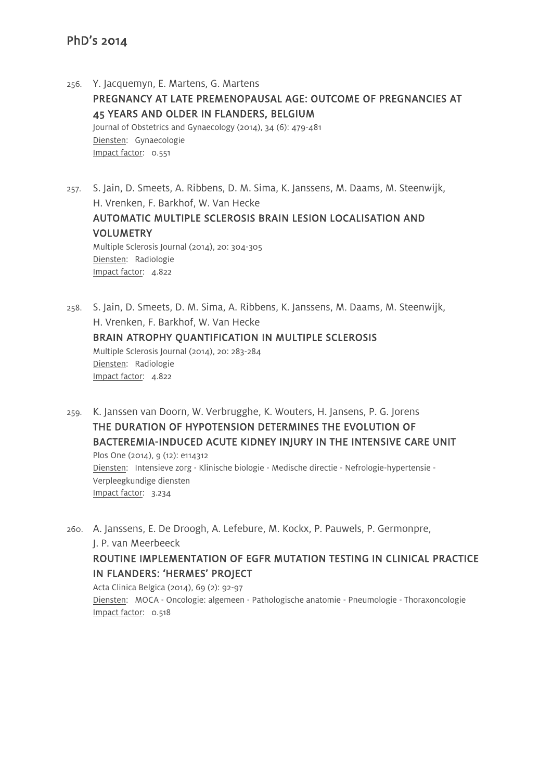256. Y. Jacquemyn, E. Martens, G. Martens PREGNANCY AT LATE PREMENOPAUSAL AGE: OUTCOME OF PREGNANCIES AT 45 YEARS AND OLDER IN FLANDERS, BELGIUM Journal of Obstetrics and Gynaecology (2014), 34 (6): 479-481 Diensten: Gynaecologie Impact factor: 0.551

257. S. Jain, D. Smeets, A. Ribbens, D. M. Sima, K. Janssens, M. Daams, M. Steenwijk, H. Vrenken, F. Barkhof, W. Van Hecke AUTOMATIC MULTIPLE SCLEROSIS BRAIN LESION LOCALISATION AND VOLUMETRY Multiple Sclerosis Journal (2014), 20: 304-305 Diensten: Radiologie Impact factor: 4.822

258. S. Jain, D. Smeets, D. M. Sima, A. Ribbens, K. Janssens, M. Daams, M. Steenwijk, H. Vrenken, F. Barkhof, W. Van Hecke BRAIN ATROPHY QUANTIFICATION IN MULTIPLE SCLEROSIS Multiple Sclerosis Journal (2014), 20: 283-284 Diensten: Radiologie Impact factor: 4.822

259. K. Janssen van Doorn, W. Verbrugghe, K. Wouters, H. Jansens, P. G. Jorens THE DURATION OF HYPOTENSION DETERMINES THE EVOLUTION OF BACTEREMIA-INDUCED ACUTE KIDNEY INJURY IN THE INTENSIVE CARE UNIT Plos One (2014), 9 (12): e114312 Diensten: Intensieve zorg - Klinische biologie - Medische directie - Nefrologie-hypertensie - Verpleegkundige diensten Impact factor: 3.234

260. A. Janssens, E. De Droogh, A. Lefebure, M. Kockx, P. Pauwels, P. Germonpre, J. P. van Meerbeeck ROUTINE IMPLEMENTATION OF EGFR MUTATION TESTING IN CLINICAL PRACTICE IN FLANDERS: 'HERMES' PROJECT Acta Clinica Belgica (2014), 69 (2): 92-97

Diensten: MOCA - Oncologie: algemeen - Pathologische anatomie - Pneumologie - Thoraxoncologie Impact factor: 0.518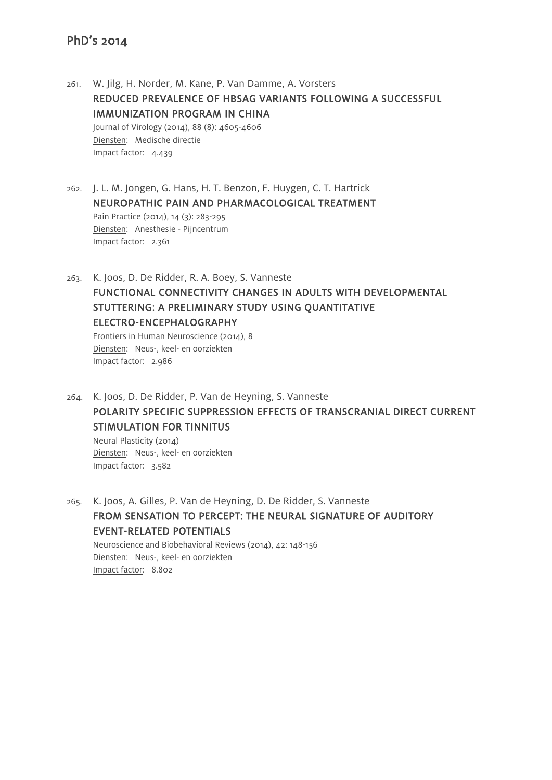Impact factor: 3.582

261. W. Jilg, H. Norder, M. Kane, P. Van Damme, A. Vorsters REDUCED PREVALENCE OF HBSAG VARIANTS FOLLOWING A SUCCESSFUL IMMUNIZATION PROGRAM IN CHINA Journal of Virology (2014), 88 (8): 4605-4606 Diensten: Medische directie Impact factor: 4.439

262. J. L. M. Jongen, G. Hans, H. T. Benzon, F. Huygen, C. T. Hartrick NEUROPATHIC PAIN AND PHARMACOLOGICAL TREATMENT Pain Practice (2014), 14 (3): 283-295 Diensten: Anesthesie - Pijncentrum Impact factor: 2.361

263. K. Joos, D. De Ridder, R. A. Boey, S. Vanneste FUNCTIONAL CONNECTIVITY CHANGES IN ADULTS WITH DEVELOPMENTAL STUTTERING: A PRELIMINARY STUDY USING QUANTITATIVE ELECTRO-ENCEPHALOGRAPHY Frontiers in Human Neuroscience (2014), 8 Diensten: Neus-, keel- en oorziekten Impact factor: 2.986

264. K. Joos, D. De Ridder, P. Van de Heyning, S. Vanneste POLARITY SPECIFIC SUPPRESSION EFFECTS OF TRANSCRANIAL DIRECT CURRENT STIMULATION FOR TINNITUS Neural Plasticity (2014) Diensten: Neus-, keel- en oorziekten

265. K. Joos, A. Gilles, P. Van de Heyning, D. De Ridder, S. Vanneste FROM SENSATION TO PERCEPT: THE NEURAL SIGNATURE OF AUDITORY EVENT-RELATED POTENTIALS Neuroscience and Biobehavioral Reviews (2014), 42: 148-156 Diensten: Neus-, keel- en oorziekten Impact factor: 8.802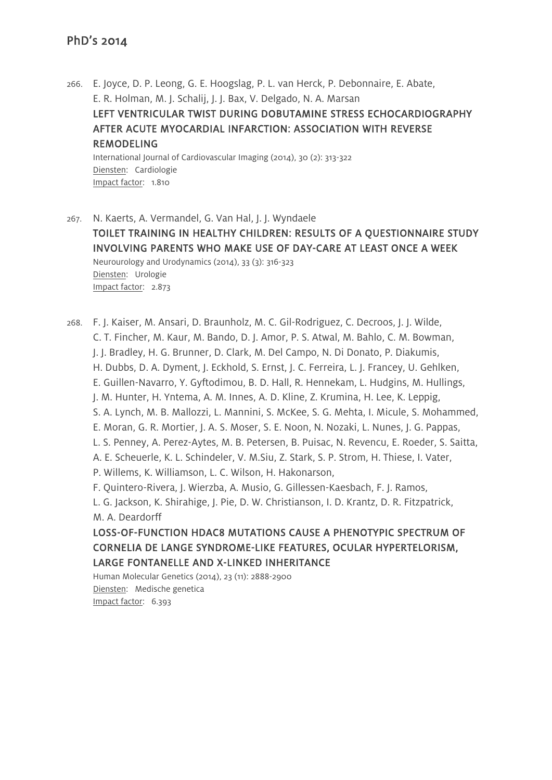266. E. Joyce, D. P. Leong, G. E. Hoogslag, P. L. van Herck, P. Debonnaire, E. Abate, E. R. Holman, M. J. Schalij, J. J. Bax, V. Delgado, N. A. Marsan LEFT VENTRICULAR TWIST DURING DOBUTAMINE STRESS ECHOCARDIOGRAPHY AFTER ACUTE MYOCARDIAL INFARCTION: ASSOCIATION WITH REVERSE REMODELING International Journal of Cardiovascular Imaging (2014), 30 (2): 313-322 Diensten: Cardiologie Impact factor: 1.810

267. N. Kaerts, A. Vermandel, G. Van Hal, J. J. Wyndaele TOILET TRAINING IN HEALTHY CHILDREN: RESULTS OF A QUESTIONNAIRE STUDY INVOLVING PARENTS WHO MAKE USE OF DAY-CARE AT LEAST ONCE A WEEK Neurourology and Urodynamics (2014), 33 (3): 316-323 Diensten: Urologie Impact factor: 2.873

268. F. J. Kaiser, M. Ansari, D. Braunholz, M. C. Gil-Rodriguez, C. Decroos, J. J. Wilde, C. T. Fincher, M. Kaur, M. Bando, D. J. Amor, P. S. Atwal, M. Bahlo, C. M. Bowman, J. J. Bradley, H. G. Brunner, D. Clark, M. Del Campo, N. Di Donato, P. Diakumis, H. Dubbs, D. A. Dyment, J. Eckhold, S. Ernst, J. C. Ferreira, L. J. Francey, U. Gehlken, E. Guillen-Navarro, Y. Gyftodimou, B. D. Hall, R. Hennekam, L. Hudgins, M. Hullings, J. M. Hunter, H. Yntema, A. M. Innes, A. D. Kline, Z. Krumina, H. Lee, K. Leppig, S. A. Lynch, M. B. Mallozzi, L. Mannini, S. McKee, S. G. Mehta, I. Micule, S. Mohammed, E. Moran, G. R. Mortier, J. A. S. Moser, S. E. Noon, N. Nozaki, L. Nunes, J. G. Pappas, L. S. Penney, A. Perez-Aytes, M. B. Petersen, B. Puisac, N. Revencu, E. Roeder, S. Saitta, A. E. Scheuerle, K. L. Schindeler, V. M.Siu, Z. Stark, S. P. Strom, H. Thiese, I. Vater, P. Willems, K. Williamson, L. C. Wilson, H. Hakonarson, F. Quintero-Rivera, J. Wierzba, A. Musio, G. Gillessen-Kaesbach, F. J. Ramos, L. G. Jackson, K. Shirahige, J. Pie, D. W. Christianson, I. D. Krantz, D. R. Fitzpatrick, M. A. Deardorff LOSS-OF-FUNCTION HDAC8 MUTATIONS CAUSE A PHENOTYPIC SPECTRUM OF CORNELIA DE LANGE SYNDROME-LIKE FEATURES, OCULAR HYPERTELORISM, LARGE FONTANELLE AND X-LINKED INHERITANCE Human Molecular Genetics (2014), 23 (11): 2888-2900

Diensten: Medische genetica Impact factor: 6.393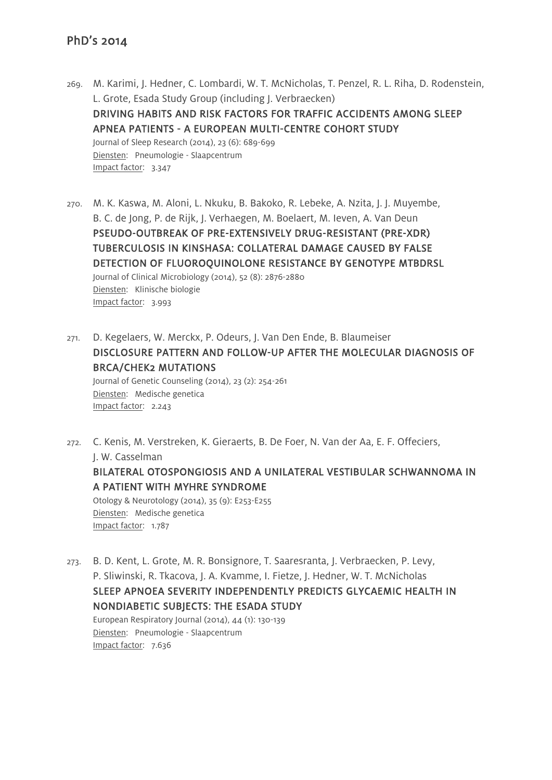- 269. M. Karimi, J. Hedner, C. Lombardi, W. T. McNicholas, T. Penzel, R. L. Riha, D. Rodenstein, L. Grote, Esada Study Group (including J. Verbraecken) DRIVING HABITS AND RISK FACTORS FOR TRAFFIC ACCIDENTS AMONG SLEEP APNEA PATIENTS - A EUROPEAN MULTI-CENTRE COHORT STUDY Journal of Sleep Research (2014), 23 (6): 689-699 Diensten: Pneumologie - Slaapcentrum Impact factor: 3.347
- 270. M. K. Kaswa, M. Aloni, L. Nkuku, B. Bakoko, R. Lebeke, A. Nzita, J. J. Muyembe, B. C. de Jong, P. de Rijk, J. Verhaegen, M. Boelaert, M. Ieven, A. Van Deun PSEUDO-OUTBREAK OF PRE-EXTENSIVELY DRUG-RESISTANT (PRE-XDR) TUBERCULOSIS IN KINSHASA: COLLATERAL DAMAGE CAUSED BY FALSE DETECTION OF FLUOROQUINOLONE RESISTANCE BY GENOTYPE MTBDRSL Journal of Clinical Microbiology (2014), 52 (8): 2876-2880 Diensten: Klinische biologie Impact factor: 3.993
- 271. D. Kegelaers, W. Merckx, P. Odeurs, J. Van Den Ende, B. Blaumeiser DISCLOSURE PATTERN AND FOLLOW-UP AFTER THE MOLECULAR DIAGNOSIS OF BRCA/CHEK2 MUTATIONS Journal of Genetic Counseling (2014), 23 (2): 254-261 Diensten: Medische genetica Impact factor: 2.243
- 272. C. Kenis, M. Verstreken, K. Gieraerts, B. De Foer, N. Van der Aa, E. F. Offeciers, J. W. Casselman BILATERAL OTOSPONGIOSIS AND A UNILATERAL VESTIBULAR SCHWANNOMA IN A PATIENT WITH MYHRE SYNDROME Otology & Neurotology (2014), 35 (9): E253-E255

Diensten: Medische genetica Impact factor: 1.787

273. B. D. Kent, L. Grote, M. R. Bonsignore, T. Saaresranta, J. Verbraecken, P. Levy, P. Sliwinski, R. Tkacova, J. A. Kvamme, I. Fietze, J. Hedner, W. T. McNicholas SLEEP APNOEA SEVERITY INDEPENDENTLY PREDICTS GLYCAEMIC HEALTH IN NONDIABETIC SUBJECTS: THE ESADA STUDY European Respiratory Journal (2014), 44 (1): 130-139

Diensten: Pneumologie - Slaapcentrum Impact factor: 7.636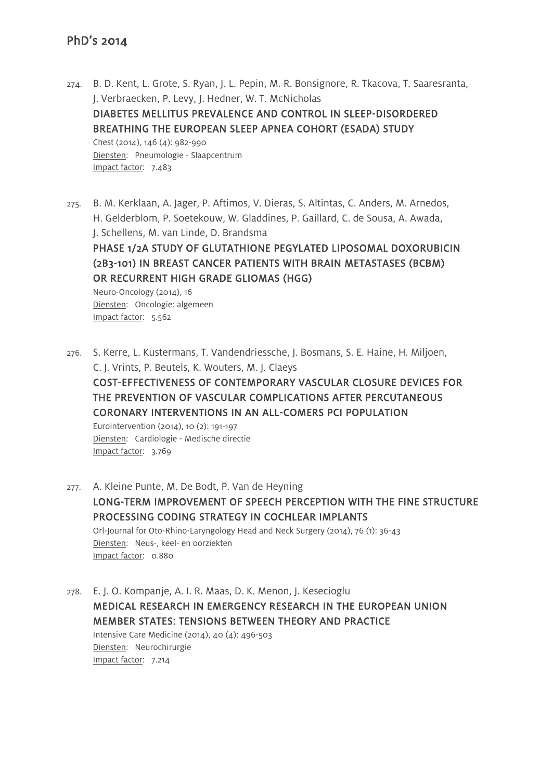- 274. B. D. Kent, L. Grote, S. Ryan, J. L. Pepin, M. R. Bonsignore, R. Tkacova, T. Saaresranta, J. Verbraecken, P. Levy, J. Hedner, W. T. McNicholas DIABETES MELLITUS PREVALENCE AND CONTROL IN SLEEP-DISORDERED BREATHING THE EUROPEAN SLEEP APNEA COHORT (ESADA) STUDY Chest (2014), 146 (4): 982-990 Diensten: Pneumologie - Slaapcentrum Impact factor: 7.483
- 275. B. M. Kerklaan, A. Jager, P. Aftimos, V. Dieras, S. Altintas, C. Anders, M. Arnedos, H. Gelderblom, P. Soetekouw, W. Gladdines, P. Gaillard, C. de Sousa, A. Awada, J. Schellens, M. van Linde, D. Brandsma

# PHASE 1/2A STUDY OF GLUTATHIONE PEGYLATED LIPOSOMAL DOXORUBICIN (2B3-101) IN BREAST CANCER PATIENTS WITH BRAIN METASTASES (BCBM) OR RECURRENT HIGH GRADE GLIOMAS (HGG)

Neuro-Oncology (2014), 16 Diensten: Oncologie: algemeen Impact factor: 5.562

276. S. Kerre, L. Kustermans, T. Vandendriessche, J. Bosmans, S. E. Haine, H. Miljoen, C. J. Vrints, P. Beutels, K. Wouters, M. J. Claeys COST-EFFECTIVENESS OF CONTEMPORARY VASCULAR CLOSURE DEVICES FOR THE PREVENTION OF VASCULAR COMPLICATIONS AFTER PERCUTANEOUS CORONARY INTERVENTIONS IN AN ALL-COMERS PCI POPULATION Eurointervention (2014), 10 (2): 191-197 Diensten: Cardiologie - Medische directie Impact factor: 3.769

277. A. Kleine Punte, M. De Bodt, P. Van de Heyning LONG-TERM IMPROVEMENT OF SPEECH PERCEPTION WITH THE FINE STRUCTURE PROCESSING CODING STRATEGY IN COCHLEAR IMPLANTS Orl-Journal for Oto-Rhino-Laryngology Head and Neck Surgery (2014), 76 (1): 36-43 Diensten: Neus-, keel- en oorziekten Impact factor: 0.880

278. E. J. O. Kompanje, A. I. R. Maas, D. K. Menon, J. Kesecioglu MEDICAL RESEARCH IN EMERGENCY RESEARCH IN THE EUROPEAN UNION MEMBER STATES: TENSIONS BETWEEN THEORY AND PRACTICE Intensive Care Medicine (2014), 40 (4): 496-503 Diensten: Neurochirurgie Impact factor: 7.214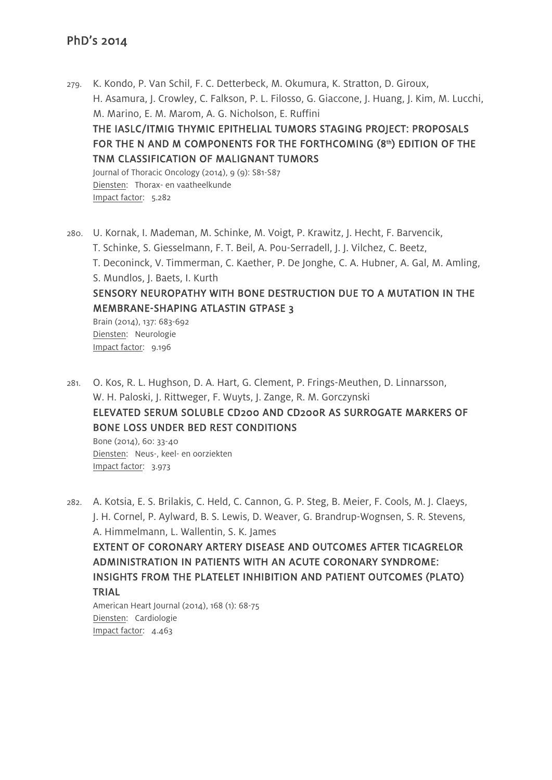- 279. K. Kondo, P. Van Schil, F. C. Detterbeck, M. Okumura, K. Stratton, D. Giroux, H. Asamura, J. Crowley, C. Falkson, P. L. Filosso, G. Giaccone, J. Huang, J. Kim, M. Lucchi, M. Marino, E. M. Marom, A. G. Nicholson, E. Ruffini THE IASLC/ITMIG THYMIC EPITHELIAL TUMORS STAGING PROJECT: PROPOSALS FOR THE N AND M COMPONENTS FOR THE FORTHCOMING  $(8<sup>th</sup>)$  EDITION OF THE TNM CLASSIFICATION OF MALIGNANT TUMORS Journal of Thoracic Oncology (2014), 9 (9): S81-S87 Diensten: Thorax- en vaatheelkunde Impact factor: 5.282
- 280. U. Kornak, I. Mademan, M. Schinke, M. Voigt, P. Krawitz, J. Hecht, F. Barvencik, T. Schinke, S. Giesselmann, F. T. Beil, A. Pou-Serradell, J. J. Vilchez, C. Beetz, T. Deconinck, V. Timmerman, C. Kaether, P. De Jonghe, C. A. Hubner, A. Gal, M. Amling, S. Mundlos, J. Baets, I. Kurth SENSORY NEUROPATHY WITH BONE DESTRUCTION DUE TO A MUTATION IN THE MEMBRANE-SHAPING ATLASTIN GTPASE 3 Brain (2014), 137: 683-692

Diensten: Neurologie Impact factor: 9.196

281. O. Kos, R. L. Hughson, D. A. Hart, G. Clement, P. Frings-Meuthen, D. Linnarsson, W. H. Paloski, J. Rittweger, F. Wuyts, J. Zange, R. M. Gorczynski ELEVATED SERUM SOLUBLE CD200 AND CD200R AS SURROGATE MARKERS OF BONE LOSS UNDER BED REST CONDITIONS Bone (2014), 60: 33-40

Diensten: Neus-, keel- en oorziekten Impact factor: 3.973

282. A. Kotsia, E. S. Brilakis, C. Held, C. Cannon, G. P. Steg, B. Meier, F. Cools, M. J. Claeys, J. H. Cornel, P. Aylward, B. S. Lewis, D. Weaver, G. Brandrup-Wognsen, S. R. Stevens, A. Himmelmann, L. Wallentin, S. K. James

EXTENT OF CORONARY ARTERY DISEASE AND OUTCOMES AFTER TICAGRELOR ADMINISTRATION IN PATIENTS WITH AN ACUTE CORONARY SYNDROME: INSIGHTS FROM THE PLATELET INHIBITION AND PATIENT OUTCOMES (PLATO) TRIAL

American Heart Journal (2014), 168 (1): 68-75 Diensten: Cardiologie Impact factor: 4.463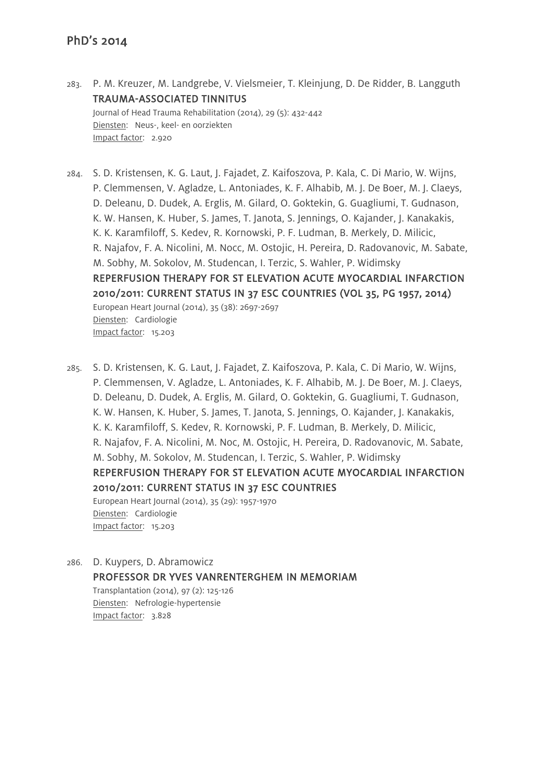283. P. M. Kreuzer, M. Landgrebe, V. Vielsmeier, T. Kleinjung, D. De Ridder, B. Langguth TRAUMA-ASSOCIATED TINNITUS Journal of Head Trauma Rehabilitation (2014), 29 (5): 432-442 Diensten: Neus-, keel- en oorziekten Impact factor: 2.920

284. S. D. Kristensen, K. G. Laut, J. Fajadet, Z. Kaifoszova, P. Kala, C. Di Mario, W. Wijns, P. Clemmensen, V. Agladze, L. Antoniades, K. F. Alhabib, M. J. De Boer, M. J. Claeys, D. Deleanu, D. Dudek, A. Erglis, M. Gilard, O. Goktekin, G. Guagliumi, T. Gudnason, K. W. Hansen, K. Huber, S. James, T. Janota, S. Jennings, O. Kajander, J. Kanakakis, K. K. Karamfiloff, S. Kedev, R. Kornowski, P. F. Ludman, B. Merkely, D. Milicic, R. Najafov, F. A. Nicolini, M. Nocc, M. Ostojic, H. Pereira, D. Radovanovic, M. Sabate, M. Sobhy, M. Sokolov, M. Studencan, I. Terzic, S. Wahler, P. Widimsky REPERFUSION THERAPY FOR ST ELEVATION ACUTE MYOCARDIAL INFARCTION 2010/2011: CURRENT STATUS IN 37 ESC COUNTRIES (VOL 35, PG 1957, 2014) European Heart Journal (2014), 35 (38): 2697-2697 Diensten: Cardiologie Impact factor: 15.203

285. S. D. Kristensen, K. G. Laut, J. Fajadet, Z. Kaifoszova, P. Kala, C. Di Mario, W. Wijns, P. Clemmensen, V. Agladze, L. Antoniades, K. F. Alhabib, M. J. De Boer, M. J. Claeys, D. Deleanu, D. Dudek, A. Erglis, M. Gilard, O. Goktekin, G. Guagliumi, T. Gudnason, K. W. Hansen, K. Huber, S. James, T. Janota, S. Jennings, O. Kajander, J. Kanakakis, K. K. Karamfiloff, S. Kedev, R. Kornowski, P. F. Ludman, B. Merkely, D. Milicic, R. Najafov, F. A. Nicolini, M. Noc, M. Ostojic, H. Pereira, D. Radovanovic, M. Sabate, M. Sobhy, M. Sokolov, M. Studencan, I. Terzic, S. Wahler, P. Widimsky REPERFUSION THERAPY FOR ST ELEVATION ACUTE MYOCARDIAL INFARCTION 2010/2011: CURRENT STATUS IN 37 ESC COUNTRIES European Heart Journal (2014), 35 (29): 1957-1970 Diensten: Cardiologie Impact factor: 15.203

286. D. Kuypers, D. Abramowicz PROFESSOR DR YVES VANRENTERGHEM IN MEMORIAM Transplantation (2014), 97 (2): 125-126 Diensten: Nefrologie-hypertensie Impact factor: 3.828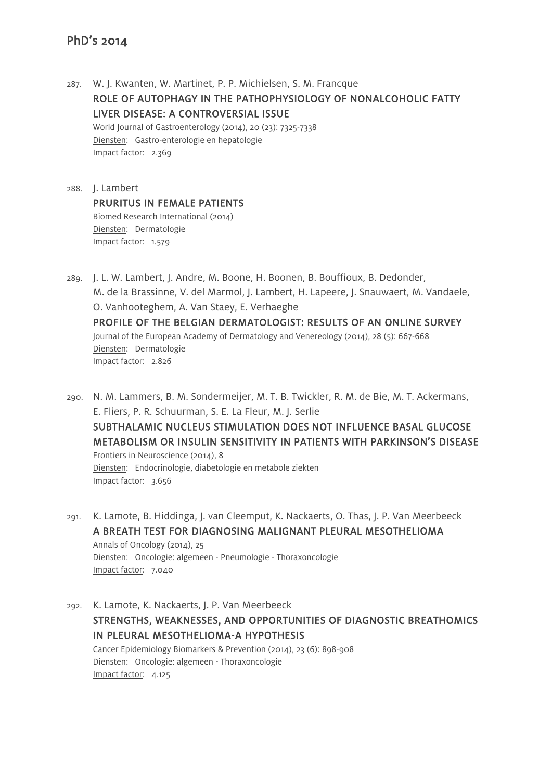287. W. J. Kwanten, W. Martinet, P. P. Michielsen, S. M. Francque ROLE OF AUTOPHAGY IN THE PATHOPHYSIOLOGY OF NONALCOHOLIC FATTY LIVER DISEASE: A CONTROVERSIAL ISSUE World Journal of Gastroenterology (2014), 20 (23): 7325-7338 Diensten: Gastro-enterologie en hepatologie Impact factor: 2.369

288. J. Lambert PRURITUS IN FEMALE PATIENTS Biomed Research International (2014) Diensten: Dermatologie Impact factor: 1.579

289. J. L. W. Lambert, J. Andre, M. Boone, H. Boonen, B. Bouffioux, B. Dedonder, M. de la Brassinne, V. del Marmol, J. Lambert, H. Lapeere, J. Snauwaert, M. Vandaele, O. Vanhooteghem, A. Van Staey, E. Verhaeghe PROFILE OF THE BELGIAN DERMATOLOGIST: RESULTS OF AN ONLINE SURVEY Journal of the European Academy of Dermatology and Venereology (2014), 28 (5): 667-668 Diensten: Dermatologie Impact factor: 2.826

- 290. N. M. Lammers, B. M. Sondermeijer, M. T. B. Twickler, R. M. de Bie, M. T. Ackermans, E. Fliers, P. R. Schuurman, S. E. La Fleur, M. J. Serlie SUBTHALAMIC NUCLEUS STIMULATION DOES NOT INFLUENCE BASAL GLUCOSE METABOLISM OR INSULIN SENSITIVITY IN PATIENTS WITH PARKINSON'S DISEASE Frontiers in Neuroscience (2014), 8 Diensten: Endocrinologie, diabetologie en metabole ziekten Impact factor: 3.656
- 291. K. Lamote, B. Hiddinga, J. van Cleemput, K. Nackaerts, O. Thas, J. P. Van Meerbeeck A BREATH TEST FOR DIAGNOSING MALIGNANT PLEURAL MESOTHELIOMA Annals of Oncology (2014), 25 Diensten: Oncologie: algemeen - Pneumologie - Thoraxoncologie Impact factor: 7.040

292. K. Lamote, K. Nackaerts, J. P. Van Meerbeeck STRENGTHS, WEAKNESSES, AND OPPORTUNITIES OF DIAGNOSTIC BREATHOMICS IN PLEURAL MESOTHELIOMA-A HYPOTHESIS Cancer Epidemiology Biomarkers & Prevention (2014), 23 (6): 898-908 Diensten: Oncologie: algemeen - Thoraxoncologie Impact factor: 4.125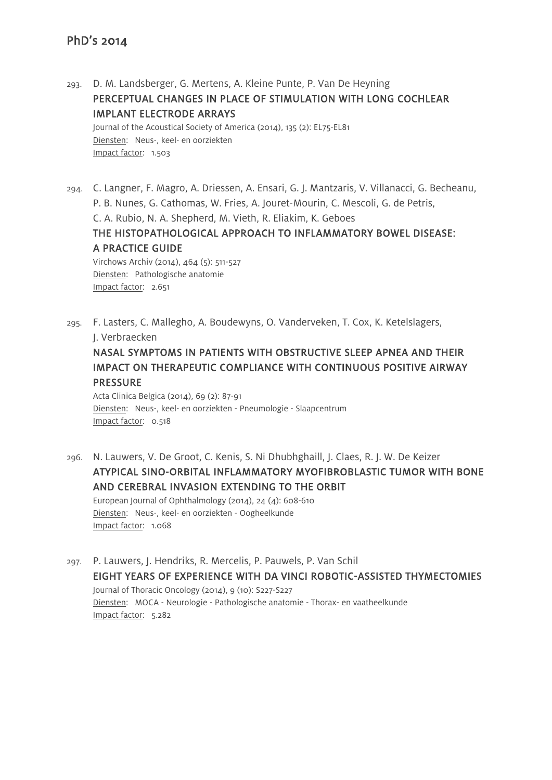293. D. M. Landsberger, G. Mertens, A. Kleine Punte, P. Van De Heyning PERCEPTUAL CHANGES IN PLACE OF STIMULATION WITH LONG COCHLEAR IMPLANT ELECTRODE ARRAYS

Journal of the Acoustical Society of America (2014), 135 (2): EL75-EL81 Diensten: Neus-, keel- en oorziekten Impact factor: 1.503

- 294. C. Langner, F. Magro, A. Driessen, A. Ensari, G. J. Mantzaris, V. Villanacci, G. Becheanu, P. B. Nunes, G. Cathomas, W. Fries, A. Jouret-Mourin, C. Mescoli, G. de Petris, C. A. Rubio, N. A. Shepherd, M. Vieth, R. Eliakim, K. Geboes THE HISTOPATHOLOGICAL APPROACH TO INFLAMMATORY BOWEL DISEASE: A PRACTICE GUIDE Virchows Archiv (2014), 464 (5): 511-527 Diensten: Pathologische anatomie Impact factor: 2.651
- 295. F. Lasters, C. Mallegho, A. Boudewyns, O. Vanderveken, T. Cox, K. Ketelslagers, J. Verbraecken

NASAL SYMPTOMS IN PATIENTS WITH OBSTRUCTIVE SLEEP APNEA AND THEIR IMPACT ON THERAPEUTIC COMPLIANCE WITH CONTINUOUS POSITIVE AIRWAY PRESSURE

Acta Clinica Belgica (2014), 69 (2): 87-91 Diensten: Neus-, keel- en oorziekten - Pneumologie - Slaapcentrum Impact factor: 0.518

- 296. N. Lauwers, V. De Groot, C. Kenis, S. Ni Dhubhghaill, J. Claes, R. J. W. De Keizer ATYPICAL SINO-ORBITAL INFLAMMATORY MYOFIBROBLASTIC TUMOR WITH BONE AND CEREBRAL INVASION EXTENDING TO THE ORBIT European Journal of Ophthalmology (2014), 24 (4): 608-610 Diensten: Neus-, keel- en oorziekten - Oogheelkunde Impact factor: 1.068
- 297. P. Lauwers, J. Hendriks, R. Mercelis, P. Pauwels, P. Van Schil EIGHT YEARS OF EXPERIENCE WITH DA VINCI ROBOTIC-ASSISTED THYMECTOMIES Journal of Thoracic Oncology (2014), 9 (10): S227-S227 Diensten: MOCA - Neurologie - Pathologische anatomie - Thorax- en vaatheelkunde Impact factor: 5.282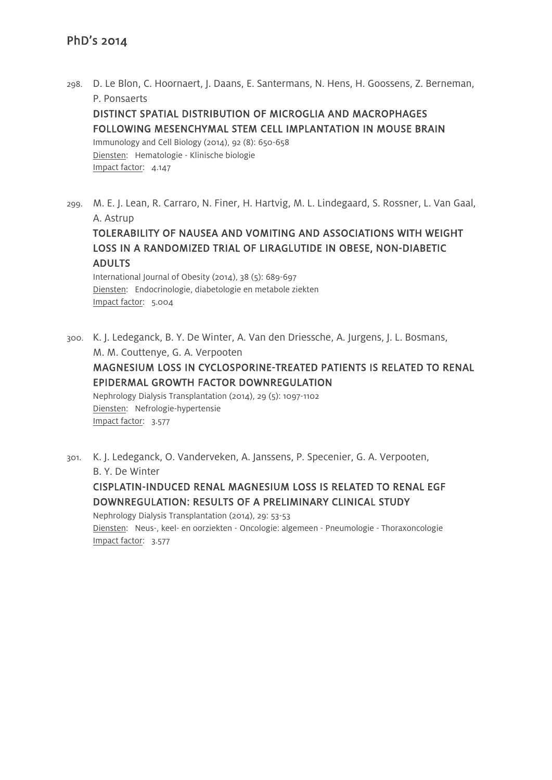298. D. Le Blon, C. Hoornaert, J. Daans, E. Santermans, N. Hens, H. Goossens, Z. Berneman, P. Ponsaerts

# DISTINCT SPATIAL DISTRIBUTION OF MICROGLIA AND MACROPHAGES FOLLOWING MESENCHYMAL STEM CELL IMPLANTATION IN MOUSE BRAIN

Immunology and Cell Biology (2014), 92 (8): 650-658 Diensten: Hematologie - Klinische biologie Impact factor: 4.147

299. M. E. J. Lean, R. Carraro, N. Finer, H. Hartvig, M. L. Lindegaard, S. Rossner, L. Van Gaal, A. Astrup

TOLERABILITY OF NAUSEA AND VOMITING AND ASSOCIATIONS WITH WEIGHT LOSS IN A RANDOMIZED TRIAL OF LIRAGLUTIDE IN OBESE, NON-DIABETIC ADULTS

International Journal of Obesity (2014), 38 (5): 689-697 Diensten: Endocrinologie, diabetologie en metabole ziekten Impact factor: 5.004

300. K. J. Ledeganck, B. Y. De Winter, A. Van den Driessche, A. Jurgens, J. L. Bosmans, M. M. Couttenye, G. A. Verpooten

# MAGNESIUM LOSS IN CYCLOSPORINE-TREATED PATIENTS IS RELATED TO RENAL EPIDERMAL GROWTH FACTOR DOWNREGULATION

Nephrology Dialysis Transplantation (2014), 29 (5): 1097-1102 Diensten: Nefrologie-hypertensie Impact factor: 3.577

301. K. J. Ledeganck, O. Vanderveken, A. Janssens, P. Specenier, G. A. Verpooten, B. Y. De Winter

CISPLATIN-INDUCED RENAL MAGNESIUM LOSS IS RELATED TO RENAL EGF DOWNREGULATION: RESULTS OF A PRELIMINARY CLINICAL STUDY

Nephrology Dialysis Transplantation (2014), 29: 53-53 Diensten: Neus-, keel- en oorziekten - Oncologie: algemeen - Pneumologie - Thoraxoncologie Impact factor: 3.577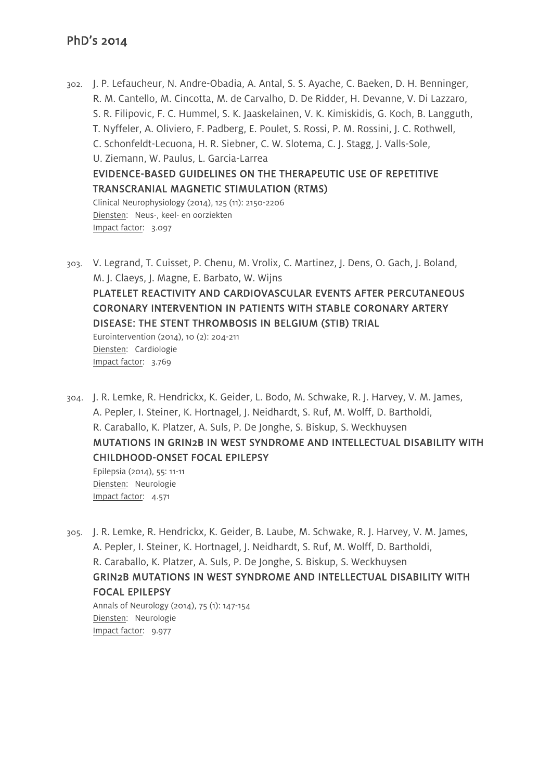- 302. J. P. Lefaucheur, N. Andre-Obadia, A. Antal, S. S. Ayache, C. Baeken, D. H. Benninger, R. M. Cantello, M. Cincotta, M. de Carvalho, D. De Ridder, H. Devanne, V. Di Lazzaro, S. R. Filipovic, F. C. Hummel, S. K. Jaaskelainen, V. K. Kimiskidis, G. Koch, B. Langguth, T. Nyffeler, A. Oliviero, F. Padberg, E. Poulet, S. Rossi, P. M. Rossini, J. C. Rothwell, C. Schonfeldt-Lecuona, H. R. Siebner, C. W. Slotema, C. J. Stagg, J. Valls-Sole, U. Ziemann, W. Paulus, L. Garcia-Larrea EVIDENCE-BASED GUIDELINES ON THE THERAPEUTIC USE OF REPETITIVE TRANSCRANIAL MAGNETIC STIMULATION (RTMS) Clinical Neurophysiology (2014), 125 (11): 2150-2206 Diensten: Neus-, keel- en oorziekten Impact factor: 3.097
- 303. V. Legrand, T. Cuisset, P. Chenu, M. Vrolix, C. Martinez, J. Dens, O. Gach, J. Boland, M. J. Claeys, J. Magne, E. Barbato, W. Wijns PLATELET REACTIVITY AND CARDIOVASCULAR EVENTS AFTER PERCUTANEOUS CORONARY INTERVENTION IN PATIENTS WITH STABLE CORONARY ARTERY DISEASE: THE STENT THROMBOSIS IN BELGIUM (STIB) TRIAL Eurointervention (2014), 10 (2): 204-211 Diensten: Cardiologie Impact factor: 3.769
- 304. J. R. Lemke, R. Hendrickx, K. Geider, L. Bodo, M. Schwake, R. J. Harvey, V. M. James, A. Pepler, I. Steiner, K. Hortnagel, J. Neidhardt, S. Ruf, M. Wolff, D. Bartholdi, R. Caraballo, K. Platzer, A. Suls, P. De Jonghe, S. Biskup, S. Weckhuysen MUTATIONS IN GRIN2B IN WEST SYNDROME AND INTELLECTUAL DISABILITY WITH CHILDHOOD-ONSET FOCAL EPILEPSY Epilepsia (2014), 55: 11-11

Diensten: Neurologie Impact factor: 4.571

Impact factor: 9.977

305. J. R. Lemke, R. Hendrickx, K. Geider, B. Laube, M. Schwake, R. J. Harvey, V. M. James, A. Pepler, I. Steiner, K. Hortnagel, J. Neidhardt, S. Ruf, M. Wolff, D. Bartholdi, R. Caraballo, K. Platzer, A. Suls, P. De Jonghe, S. Biskup, S. Weckhuysen GRIN2B MUTATIONS IN WEST SYNDROME AND INTELLECTUAL DISABILITY WITH FOCAL EPILEPSY Annals of Neurology (2014), 75 (1): 147-154 Diensten: Neurologie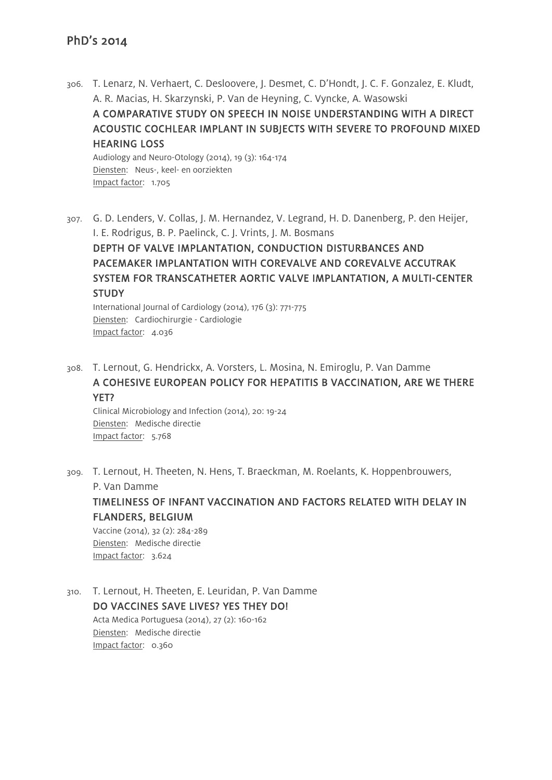306. T. Lenarz, N. Verhaert, C. Desloovere, J. Desmet, C. D'Hondt, J. C. F. Gonzalez, E. Kludt, A. R. Macias, H. Skarzynski, P. Van de Heyning, C. Vyncke, A. Wasowski A COMPARATIVE STUDY ON SPEECH IN NOISE UNDERSTANDING WITH A DIRECT ACOUSTIC COCHLEAR IMPLANT IN SUBJECTS WITH SEVERE TO PROFOUND MIXED HEARING LOSS Audiology and Neuro-Otology (2014), 19 (3): 164-174 Diensten: Neus-, keel- en oorziekten

Impact factor: 1.705

307. G. D. Lenders, V. Collas, J. M. Hernandez, V. Legrand, H. D. Danenberg, P. den Heijer, I. E. Rodrigus, B. P. Paelinck, C. J. Vrints, J. M. Bosmans DEPTH OF VALVE IMPLANTATION, CONDUCTION DISTURBANCES AND PACEMAKER IMPLANTATION WITH COREVALVE AND COREVALVE ACCUTRAK SYSTEM FOR TRANSCATHETER AORTIC VALVE IMPLANTATION, A MULTI-CENTER **STUDY** International Journal of Cardiology (2014), 176 (3): 771-775

Diensten: Cardiochirurgie - Cardiologie Impact factor: 4.036

308. T. Lernout, G. Hendrickx, A. Vorsters, L. Mosina, N. Emiroglu, P. Van Damme A COHESIVE EUROPEAN POLICY FOR HEPATITIS B VACCINATION, ARE WE THERE YET?

Clinical Microbiology and Infection (2014), 20: 19-24 Diensten: Medische directie Impact factor: 5.768

309. T. Lernout, H. Theeten, N. Hens, T. Braeckman, M. Roelants, K. Hoppenbrouwers, P. Van Damme

TIMELINESS OF INFANT VACCINATION AND FACTORS RELATED WITH DELAY IN FLANDERS, BELGIUM Vaccine (2014), 32 (2): 284-289 Diensten: Medische directie Impact factor: 3.624

310. T. Lernout, H. Theeten, E. Leuridan, P. Van Damme DO VACCINES SAVE LIVES? YES THEY DO! Acta Medica Portuguesa (2014), 27 (2): 160-162 Diensten: Medische directie Impact factor: 0.360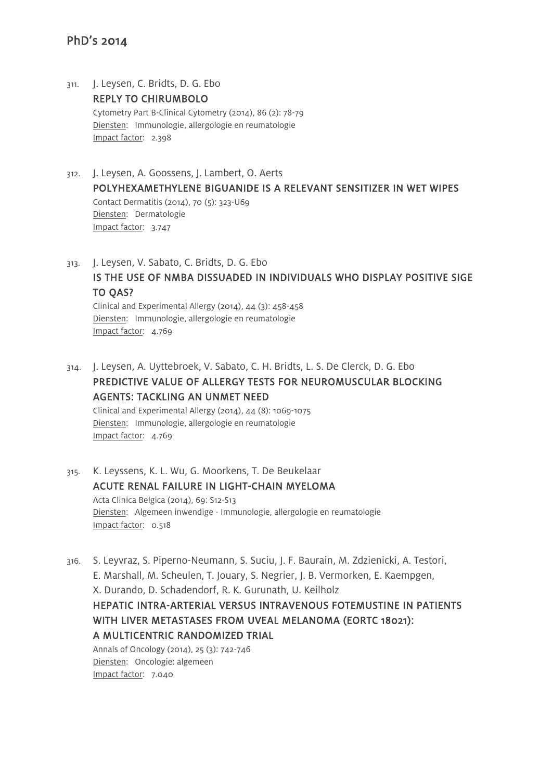- 311. J. Leysen, C. Bridts, D. G. Ebo REPLY TO CHIRUMBOLO Cytometry Part B-Clinical Cytometry (2014), 86 (2): 78-79 Diensten: Immunologie, allergologie en reumatologie Impact factor: 2.398
- 312. J. Leysen, A. Goossens, J. Lambert, O. Aerts POLYHEXAMETHYLENE BIGUANIDE IS A RELEVANT SENSITIZER IN WET WIPES Contact Dermatitis (2014), 70 (5): 323-U69 Diensten: Dermatologie Impact factor: 3.747
- 313. J. Leysen, V. Sabato, C. Bridts, D. G. Ebo IS THE USE OF NMBA DISSUADED IN INDIVIDUALS WHO DISPLAY POSITIVE SIGE TO QAS? Clinical and Experimental Allergy (2014), 44 (3): 458-458 Diensten: Immunologie, allergologie en reumatologie Impact factor: 4.769
- 314. J. Leysen, A. Uyttebroek, V. Sabato, C. H. Bridts, L. S. De Clerck, D. G. Ebo PREDICTIVE VALUE OF ALLERGY TESTS FOR NEUROMUSCULAR BLOCKING AGENTS: TACKLING AN UNMET NEED Clinical and Experimental Allergy (2014), 44 (8): 1069-1075

Diensten: Immunologie, allergologie en reumatologie Impact factor: 4.769

- 315. K. Leyssens, K. L. Wu, G. Moorkens, T. De Beukelaar ACUTE RENAL FAILURE IN LIGHT-CHAIN MYELOMA Acta Clinica Belgica (2014), 69: S12-S13 Diensten: Algemeen inwendige - Immunologie, allergologie en reumatologie Impact factor: 0.518
- 316. S. Leyvraz, S. Piperno-Neumann, S. Suciu, J. F. Baurain, M. Zdzienicki, A. Testori, E. Marshall, M. Scheulen, T. Jouary, S. Negrier, J. B. Vermorken, E. Kaempgen, X. Durando, D. Schadendorf, R. K. Gurunath, U. Keilholz HEPATIC INTRA-ARTERIAL VERSUS INTRAVENOUS FOTEMUSTINE IN PATIENTS WITH LIVER METASTASES FROM UVEAL MELANOMA (EORTC 18021): A MULTICENTRIC RANDOMIZED TRIAL Annals of Oncology (2014), 25 (3): 742-746 Diensten: Oncologie: algemeen

Impact factor: 7.040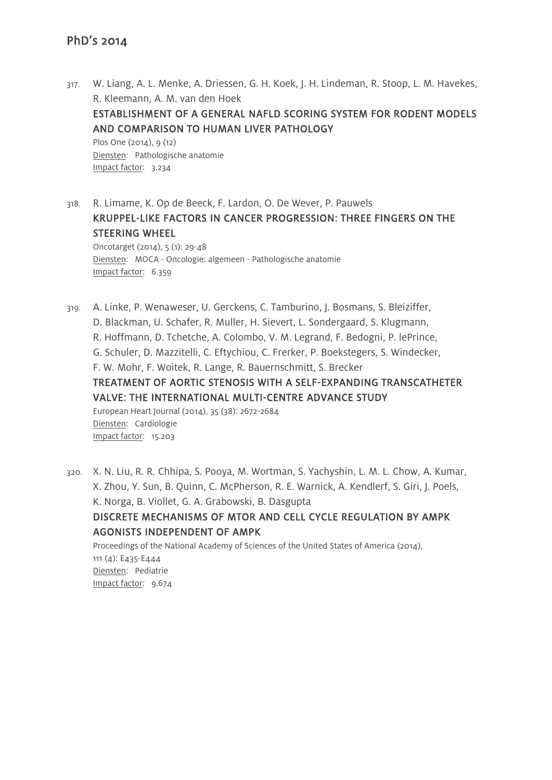- 317. W. Liang, A. L. Menke, A. Driessen, G. H. Koek, J. H. Lindeman, R. Stoop, L. M. Havekes, R. Kleemann, A. M. van den Hoek ESTABLISHMENT OF A GENERAL NAFLD SCORING SYSTEM FOR RODENT MODELS AND COMPARISON TO HUMAN LIVER PATHOLOGY Plos One (2014), 9 (12) Diensten: Pathologische anatomie Impact factor: 3.234
- 318. R. Limame, K. Op de Beeck, F. Lardon, O. De Wever, P. Pauwels KRUPPEL-LIKE FACTORS IN CANCER PROGRESSION: THREE FINGERS ON THE STEERING WHEEL

Oncotarget (2014), 5 (1): 29-48 Diensten: MOCA - Oncologie: algemeen - Pathologische anatomie Impact factor: 6.359

319. A. Linke, P. Wenaweser, U. Gerckens, C. Tamburino, J. Bosmans, S. Bleiziffer, D. Blackman, U. Schafer, R. Muller, H. Sievert, L. Sondergaard, S. Klugmann, R. Hoffmann, D. Tchetche, A. Colombo, V. M. Legrand, F. Bedogni, P. lePrince, G. Schuler, D. Mazzitelli, C. Eftychiou, C. Frerker, P. Boekstegers, S. Windecker, F. W. Mohr, F. Woitek, R. Lange, R. Bauernschmitt, S. Brecker TREATMENT OF AORTIC STENOSIS WITH A SELF-EXPANDING TRANSCATHETER VALVE: THE INTERNATIONAL MULTI-CENTRE ADVANCE STUDY European Heart Journal (2014), 35 (38): 2672-2684 Diensten: Cardiologie Impact factor: 15.203

320. X. N. Liu, R. R. Chhipa, S. Pooya, M. Wortman, S. Yachyshin, L. M. L. Chow, A. Kumar, X. Zhou, Y. Sun, B. Quinn, C. McPherson, R. E. Warnick, A. Kendlerf, S. Giri, J. Poels, K. Norga, B. Viollet, G. A. Grabowski, B. Dasgupta DISCRETE MECHANISMS OF MTOR AND CELL CYCLE REGULATION BY AMPK AGONISTS INDEPENDENT OF AMPK Proceedings of the National Academy of Sciences of the United States of America (2014), 111 (4): E435-E444

Diensten: Pediatrie Impact factor: 9.674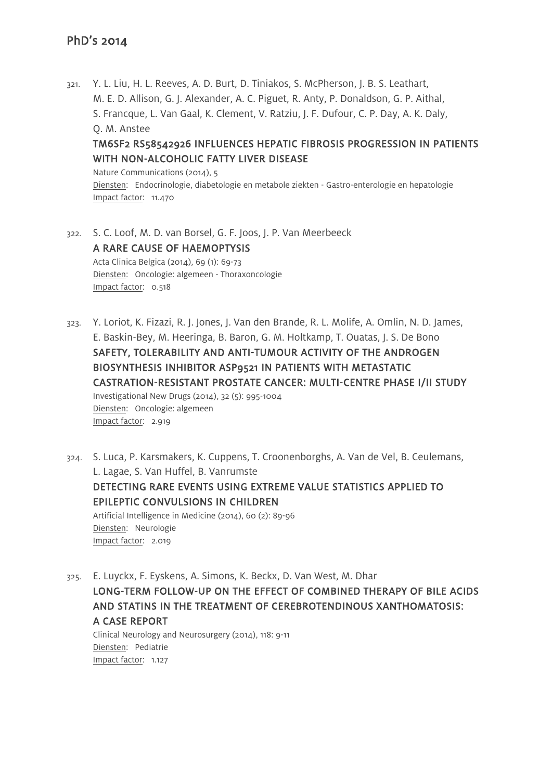321. Y. L. Liu, H. L. Reeves, A. D. Burt, D. Tiniakos, S. McPherson, J. B. S. Leathart, M. E. D. Allison, G. J. Alexander, A. C. Piguet, R. Anty, P. Donaldson, G. P. Aithal, S. Francque, L. Van Gaal, K. Clement, V. Ratziu, J. F. Dufour, C. P. Day, A. K. Daly, Q. M. Anstee TM6SF2 RS58542926 INFLUENCES HEPATIC FIBROSIS PROGRESSION IN PATIENTS

WITH NON-ALCOHOLIC FATTY LIVER DISEASE Nature Communications (2014), 5 Diensten: Endocrinologie, diabetologie en metabole ziekten - Gastro-enterologie en hepatologie Impact factor: 11.470

- 322. S. C. Loof, M. D. van Borsel, G. F. Joos, J. P. Van Meerbeeck A RARE CAUSE OF HAEMOPTYSIS Acta Clinica Belgica (2014), 69 (1): 69-73 Diensten: Oncologie: algemeen - Thoraxoncologie Impact factor: 0.518
- 323. Y. Loriot, K. Fizazi, R. J. Jones, J. Van den Brande, R. L. Molife, A. Omlin, N. D. James, E. Baskin-Bey, M. Heeringa, B. Baron, G. M. Holtkamp, T. Ouatas, J. S. De Bono SAFETY, TOLERABILITY AND ANTI-TUMOUR ACTIVITY OF THE ANDROGEN BIOSYNTHESIS INHIBITOR ASP9521 IN PATIENTS WITH METASTATIC CASTRATION-RESISTANT PROSTATE CANCER: MULTI-CENTRE PHASE I/II STUDY Investigational New Drugs (2014), 32 (5): 995-1004 Diensten: Oncologie: algemeen Impact factor: 2.919
- 324. S. Luca, P. Karsmakers, K. Cuppens, T. Croonenborghs, A. Van de Vel, B. Ceulemans, L. Lagae, S. Van Huffel, B. Vanrumste DETECTING RARE EVENTS USING EXTREME VALUE STATISTICS APPLIED TO EPILEPTIC CONVULSIONS IN CHILDREN Artificial Intelligence in Medicine (2014), 60 (2): 89-96 Diensten: Neurologie Impact factor: 2.019
- 325. E. Luyckx, F. Eyskens, A. Simons, K. Beckx, D. Van West, M. Dhar LONG-TERM FOLLOW-UP ON THE EFFECT OF COMBINED THERAPY OF BILE ACIDS AND STATINS IN THE TREATMENT OF CEREBROTENDINOUS XANTHOMATOSIS: A CASE REPORT Clinical Neurology and Neurosurgery (2014), 118: 9-11

Diensten: Pediatrie Impact factor: 1.127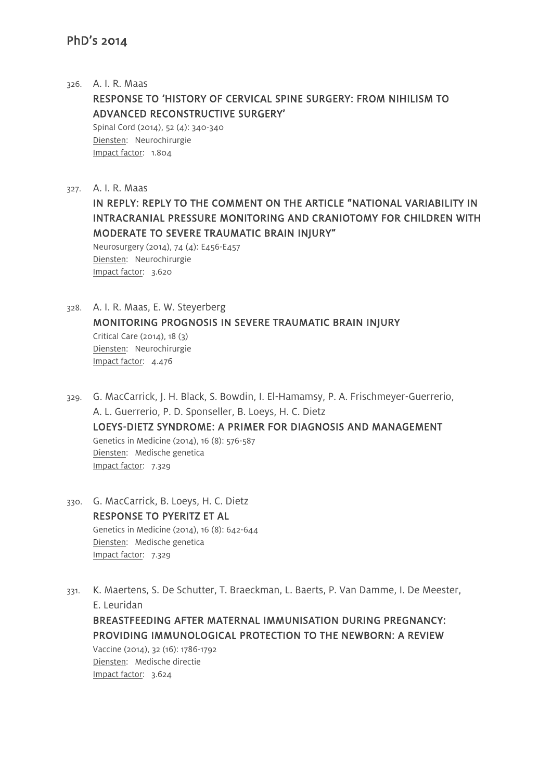#### 326. A. I. R. Maas

RESPONSE TO 'HISTORY OF CERVICAL SPINE SURGERY: FROM NIHILISM TO ADVANCED RECONSTRUCTIVE SURGERY'

Spinal Cord (2014), 52 (4): 340-340 Diensten: Neurochirurgie Impact factor: 1.804

327. A. I. R. Maas

IN REPLY: REPLY TO THE COMMENT ON THE ARTICLE "NATIONAL VARIABILITY IN INTRACRANIAL PRESSURE MONITORING AND CRANIOTOMY FOR CHILDREN WITH MODERATE TO SEVERE TRAUMATIC BRAIN INJURY"

Neurosurgery (2014), 74 (4): E456-E457 Diensten: Neurochirurgie Impact factor: 3.620

- 328. A. I. R. Maas, E. W. Steyerberg MONITORING PROGNOSIS IN SEVERE TRAUMATIC BRAIN INJURY Critical Care (2014), 18 (3) Diensten: Neurochirurgie Impact factor: 4.476
- 329. G. MacCarrick, J. H. Black, S. Bowdin, I. El-Hamamsy, P. A. Frischmeyer-Guerrerio, A. L. Guerrerio, P. D. Sponseller, B. Loeys, H. C. Dietz LOEYS-DIETZ SYNDROME: A PRIMER FOR DIAGNOSIS AND MANAGEMENT Genetics in Medicine (2014), 16 (8): 576-587 Diensten: Medische genetica Impact factor: 7.329
- 330. G. MacCarrick, B. Loeys, H. C. Dietz RESPONSE TO PYERITZ ET AL Genetics in Medicine (2014), 16 (8): 642-644 Diensten: Medische genetica Impact factor: 7.329
- 331. K. Maertens, S. De Schutter, T. Braeckman, L. Baerts, P. Van Damme, I. De Meester, E. Leuridan BREASTFEEDING AFTER MATERNAL IMMUNISATION DURING PREGNANCY: PROVIDING IMMUNOLOGICAL PROTECTION TO THE NEWBORN: A REVIEW

Vaccine (2014), 32 (16): 1786-1792 Diensten: Medische directie Impact factor: 3.624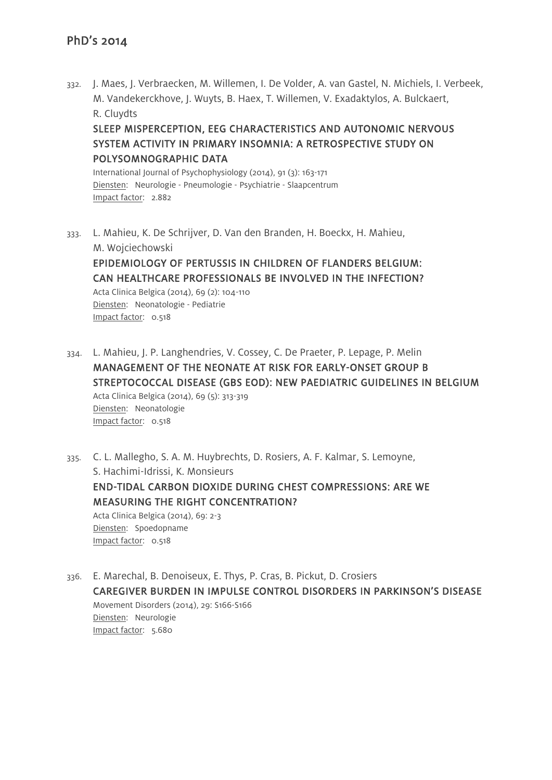332. J. Maes, J. Verbraecken, M. Willemen, I. De Volder, A. van Gastel, N. Michiels, I. Verbeek, M. Vandekerckhove, J. Wuyts, B. Haex, T. Willemen, V. Exadaktylos, A. Bulckaert, R. Cluydts

SLEEP MISPERCEPTION, EEG CHARACTERISTICS AND AUTONOMIC NERVOUS SYSTEM ACTIVITY IN PRIMARY INSOMNIA: A RETROSPECTIVE STUDY ON POLYSOMNOGRAPHIC DATA

International Journal of Psychophysiology (2014), 91 (3): 163-171 Diensten: Neurologie - Pneumologie - Psychiatrie - Slaapcentrum Impact factor: 2.882

333. L. Mahieu, K. De Schrijver, D. Van den Branden, H. Boeckx, H. Mahieu, M. Wojciechowski EPIDEMIOLOGY OF PERTUSSIS IN CHILDREN OF FLANDERS BELGIUM: CAN HEALTHCARE PROFESSIONALS BE INVOLVED IN THE INFECTION?

Acta Clinica Belgica (2014), 69 (2): 104-110 Diensten: Neonatologie - Pediatrie Impact factor: 0.518

- 334. L. Mahieu, J. P. Langhendries, V. Cossey, C. De Praeter, P. Lepage, P. Melin MANAGEMENT OF THE NEONATE AT RISK FOR EARLY-ONSET GROUP B STREPTOCOCCAL DISEASE (GBS EOD): NEW PAEDIATRIC GUIDELINES IN BELGIUM Acta Clinica Belgica (2014), 69 (5): 313-319 Diensten: Neonatologie Impact factor: 0.518
- 335. C. L. Mallegho, S. A. M. Huybrechts, D. Rosiers, A. F. Kalmar, S. Lemoyne, S. Hachimi-Idrissi, K. Monsieurs END-TIDAL CARBON DIOXIDE DURING CHEST COMPRESSIONS: ARE WE MEASURING THE RIGHT CONCENTRATION? Acta Clinica Belgica (2014), 69: 2-3 Diensten: Spoedopname Impact factor: 0.518
- 336. E. Marechal, B. Denoiseux, E. Thys, P. Cras, B. Pickut, D. Crosiers CAREGIVER BURDEN IN IMPULSE CONTROL DISORDERS IN PARKINSON'S DISEASE Movement Disorders (2014), 29: S166-S166 Diensten: Neurologie Impact factor: 5.680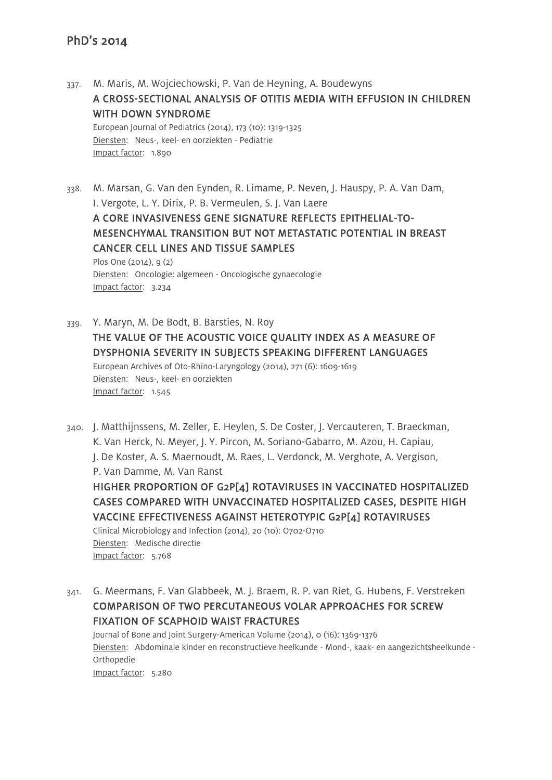Impact factor: 1.890

- 337. M. Maris, M. Wojciechowski, P. Van de Heyning, A. Boudewyns A CROSS-SECTIONAL ANALYSIS OF OTITIS MEDIA WITH EFFUSION IN CHILDREN WITH DOWN SYNDROME European Journal of Pediatrics (2014), 173 (10): 1319-1325 Diensten: Neus-, keel- en oorziekten - Pediatrie
- 338. M. Marsan, G. Van den Eynden, R. Limame, P. Neven, J. Hauspy, P. A. Van Dam, I. Vergote, L. Y. Dirix, P. B. Vermeulen, S. J. Van Laere

A CORE INVASIVENESS GENE SIGNATURE REFLECTS EPITHELIAL-TO-MESENCHYMAL TRANSITION BUT NOT METASTATIC POTENTIAL IN BREAST CANCER CELL LINES AND TISSUE SAMPLES

Plos One (2014), 9 (2) Diensten: Oncologie: algemeen - Oncologische gynaecologie Impact factor: 3.234

- 339. Y. Maryn, M. De Bodt, B. Barsties, N. Roy THE VALUE OF THE ACOUSTIC VOICE QUALITY INDEX AS A MEASURE OF DYSPHONIA SEVERITY IN SUBJECTS SPEAKING DIFFERENT LANGUAGES European Archives of Oto-Rhino-Laryngology (2014), 271 (6): 1609-1619 Diensten: Neus-, keel- en oorziekten Impact factor: 1.545
- 340. J. Matthijnssens, M. Zeller, E. Heylen, S. De Coster, J. Vercauteren, T. Braeckman, K. Van Herck, N. Meyer, J. Y. Pircon, M. Soriano-Gabarro, M. Azou, H. Capiau, J. De Koster, A. S. Maernoudt, M. Raes, L. Verdonck, M. Verghote, A. Vergison, P. Van Damme, M. Van Ranst HIGHER PROPORTION OF G2P[4] ROTAVIRUSES IN VACCINATED HOSPITALIZED CASES COMPARED WITH UNVACCINATED HOSPITALIZED CASES, DESPITE HIGH VACCINE EFFECTIVENESS AGAINST HETEROTYPIC G2P[4] ROTAVIRUSES Clinical Microbiology and Infection (2014), 20 (10): O702-O710 Diensten: Medische directie

341. G. Meermans, F. Van Glabbeek, M. J. Braem, R. P. van Riet, G. Hubens, F. Verstreken COMPARISON OF TWO PERCUTANEOUS VOLAR APPROACHES FOR SCREW FIXATION OF SCAPHOID WAIST FRACTURES Journal of Bone and Joint Surgery-American Volume (2014), 0 (16): 1369-1376 Diensten: Abdominale kinder en reconstructieve heelkunde - Mond-, kaak- en aangezichtsheelkunde - Orthopedie

Impact factor: 5.280

Impact factor: 5.768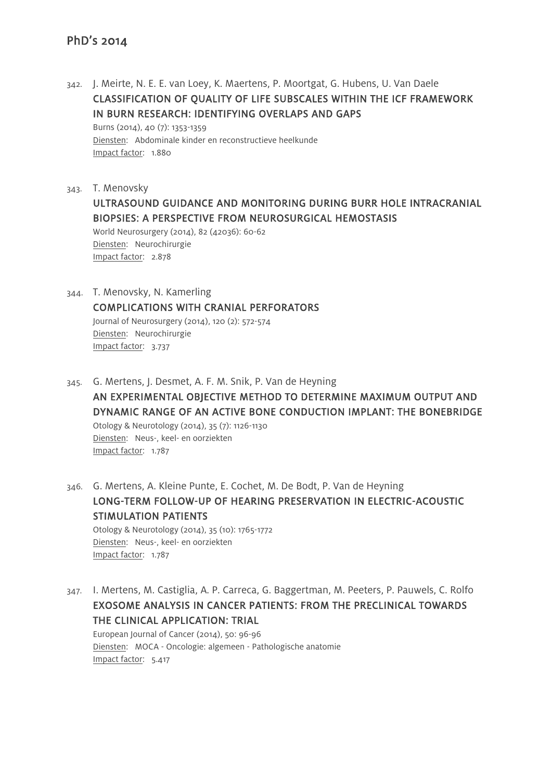342. J. Meirte, N. E. E. van Loey, K. Maertens, P. Moortgat, G. Hubens, U. Van Daele CLASSIFICATION OF QUALITY OF LIFE SUBSCALES WITHIN THE ICF FRAMEWORK IN BURN RESEARCH: IDENTIFYING OVERLAPS AND GAPS Burns (2014), 40 (7): 1353-1359

Diensten: Abdominale kinder en reconstructieve heelkunde Impact factor: 1.880

- 343. T. Menovsky ULTRASOUND GUIDANCE AND MONITORING DURING BURR HOLE INTRACRANIAL BIOPSIES: A PERSPECTIVE FROM NEUROSURGICAL HEMOSTASIS World Neurosurgery (2014), 82 (42036): 60-62 Diensten: Neurochirurgie Impact factor: 2.878
- 344. T. Menovsky, N. Kamerling COMPLICATIONS WITH CRANIAL PERFORATORS Journal of Neurosurgery (2014), 120 (2): 572-574 Diensten: Neurochirurgie Impact factor: 3.737
- 345. G. Mertens, J. Desmet, A. F. M. Snik, P. Van de Heyning AN EXPERIMENTAL OBJECTIVE METHOD TO DETERMINE MAXIMUM OUTPUT AND DYNAMIC RANGE OF AN ACTIVE BONE CONDUCTION IMPLANT: THE BONEBRIDGE Otology & Neurotology (2014), 35 (7): 1126-1130 Diensten: Neus-, keel- en oorziekten Impact factor: 1.787
- 346. G. Mertens, A. Kleine Punte, E. Cochet, M. De Bodt, P. Van de Heyning LONG-TERM FOLLOW-UP OF HEARING PRESERVATION IN ELECTRIC-ACOUSTIC STIMULATION PATIENTS Otology & Neurotology (2014), 35 (10): 1765-1772 Diensten: Neus-, keel- en oorziekten Impact factor: 1.787
- 347. I. Mertens, M. Castiglia, A. P. Carreca, G. Baggertman, M. Peeters, P. Pauwels, C. Rolfo EXOSOME ANALYSIS IN CANCER PATIENTS: FROM THE PRECLINICAL TOWARDS THE CLINICAL APPLICATION: TRIAL

European Journal of Cancer (2014), 50: 96-96 Diensten: MOCA - Oncologie: algemeen - Pathologische anatomie Impact factor: 5.417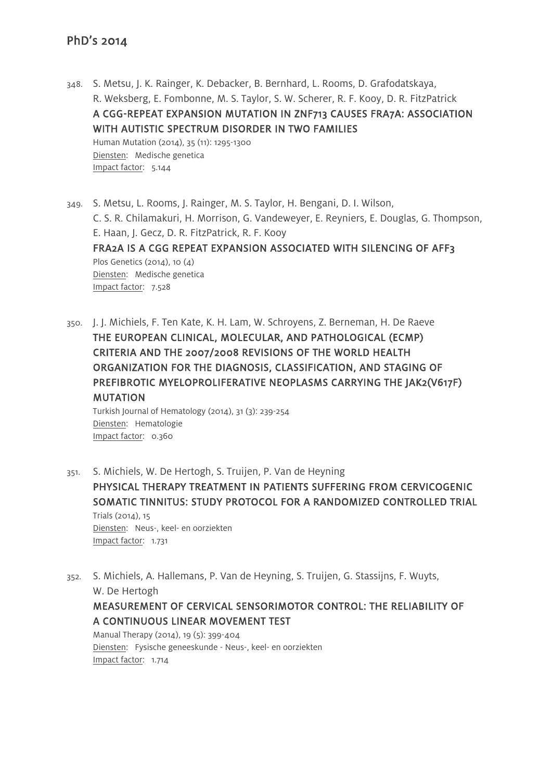348. S. Metsu, J. K. Rainger, K. Debacker, B. Bernhard, L. Rooms, D. Grafodatskaya, R. Weksberg, E. Fombonne, M. S. Taylor, S. W. Scherer, R. F. Kooy, D. R. FitzPatrick A CGG-REPEAT EXPANSION MUTATION IN ZNF713 CAUSES FRA7A: ASSOCIATION WITH AUTISTIC SPECTRUM DISORDER IN TWO FAMILIES Human Mutation (2014), 35 (11): 1295-1300 Diensten: Medische genetica Impact factor: 5.144

349. S. Metsu, L. Rooms, J. Rainger, M. S. Taylor, H. Bengani, D. I. Wilson, C. S. R. Chilamakuri, H. Morrison, G. Vandeweyer, E. Reyniers, E. Douglas, G. Thompson, E. Haan, J. Gecz, D. R. FitzPatrick, R. F. Kooy FRA2A IS A CGG REPEAT EXPANSION ASSOCIATED WITH SILENCING OF AFF3 Plos Genetics (2014), 10  $(A)$ Diensten: Medische genetica Impact factor: 7.528

350. J. J. Michiels, F. Ten Kate, K. H. Lam, W. Schroyens, Z. Berneman, H. De Raeve THE EUROPEAN CLINICAL, MOLECULAR, AND PATHOLOGICAL (ECMP) CRITERIA AND THE 2007/2008 REVISIONS OF THE WORLD HEALTH ORGANIZATION FOR THE DIAGNOSIS, CLASSIFICATION, AND STAGING OF PREFIBROTIC MYELOPROLIFERATIVE NEOPLASMS CARRYING THE JAK2(V617F) MUTATION

Turkish Journal of Hematology (2014), 31 (3): 239-254 Diensten: Hematologie Impact factor: 0.360

351. S. Michiels, W. De Hertogh, S. Truijen, P. Van de Heyning PHYSICAL THERAPY TREATMENT IN PATIENTS SUFFERING FROM CERVICOGENIC SOMATIC TINNITUS: STUDY PROTOCOL FOR A RANDOMIZED CONTROLLED TRIAL Trials (2014), 15 Diensten: Neus-, keel- en oorziekten Impact factor: 1.731

352. S. Michiels, A. Hallemans, P. Van de Heyning, S. Truijen, G. Stassijns, F. Wuyts, W. De Hertogh

MEASUREMENT OF CERVICAL SENSORIMOTOR CONTROL: THE RELIABILITY OF A CONTINUOUS LINEAR MOVEMENT TEST

Manual Therapy (2014), 19 (5): 399-404 Diensten: Fysische geneeskunde - Neus-, keel- en oorziekten Impact factor: 1.714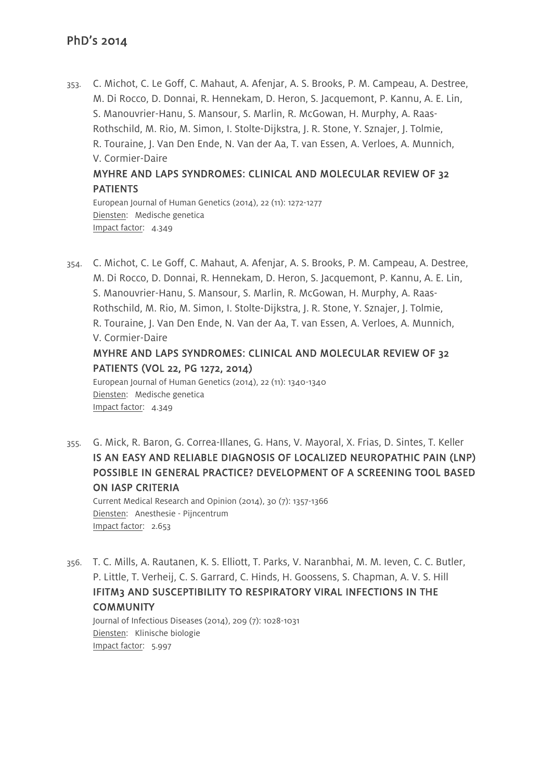353. C. Michot, C. Le Goff, C. Mahaut, A. Afenjar, A. S. Brooks, P. M. Campeau, A. Destree, M. Di Rocco, D. Donnai, R. Hennekam, D. Heron, S. Jacquemont, P. Kannu, A. E. Lin, S. Manouvrier-Hanu, S. Mansour, S. Marlin, R. McGowan, H. Murphy, A. Raas-Rothschild, M. Rio, M. Simon, I. Stolte-Dijkstra, J. R. Stone, Y. Sznajer, J. Tolmie, R. Touraine, J. Van Den Ende, N. Van der Aa, T. van Essen, A. Verloes, A. Munnich, V. Cormier-Daire

## MYHRE AND LAPS SYNDROMES: CLINICAL AND MOLECULAR REVIEW OF 32 PATIENTS

European Journal of Human Genetics (2014), 22 (11): 1272-1277 Diensten: Medische genetica Impact factor: 4.349

354. C. Michot, C. Le Goff, C. Mahaut, A. Afenjar, A. S. Brooks, P. M. Campeau, A. Destree, M. Di Rocco, D. Donnai, R. Hennekam, D. Heron, S. Jacquemont, P. Kannu, A. E. Lin, S. Manouvrier-Hanu, S. Mansour, S. Marlin, R. McGowan, H. Murphy, A. Raas-Rothschild, M. Rio, M. Simon, I. Stolte-Dijkstra, J. R. Stone, Y. Sznajer, J. Tolmie, R. Touraine, J. Van Den Ende, N. Van der Aa, T. van Essen, A. Verloes, A. Munnich, V. Cormier-Daire MYHRE AND LAPS SYNDROMES: CLINICAL AND MOLECULAR REVIEW OF 32

# PATIENTS (VOL 22, PG 1272, 2014)

European Journal of Human Genetics (2014), 22 (11): 1340-1340 Diensten: Medische genetica Impact factor: 4.349

355. G. Mick, R. Baron, G. Correa-Illanes, G. Hans, V. Mayoral, X. Frias, D. Sintes, T. Keller IS AN EASY AND RELIABLE DIAGNOSIS OF LOCALIZED NEUROPATHIC PAIN (LNP) POSSIBLE IN GENERAL PRACTICE? DEVELOPMENT OF A SCREENING TOOL BASED ON IASP CRITERIA

Current Medical Research and Opinion (2014), 30 (7): 1357-1366 Diensten: Anesthesie - Pijncentrum Impact factor: 2.653

356. T. C. Mills, A. Rautanen, K. S. Elliott, T. Parks, V. Naranbhai, M. M. Ieven, C. C. Butler, P. Little, T. Verheij, C. S. Garrard, C. Hinds, H. Goossens, S. Chapman, A. V. S. Hill IFITM3 AND SUSCEPTIBILITY TO RESPIRATORY VIRAL INFECTIONS IN THE **COMMUNITY** 

Journal of Infectious Diseases (2014), 209 (7): 1028-1031 Diensten: Klinische biologie Impact factor: 5.997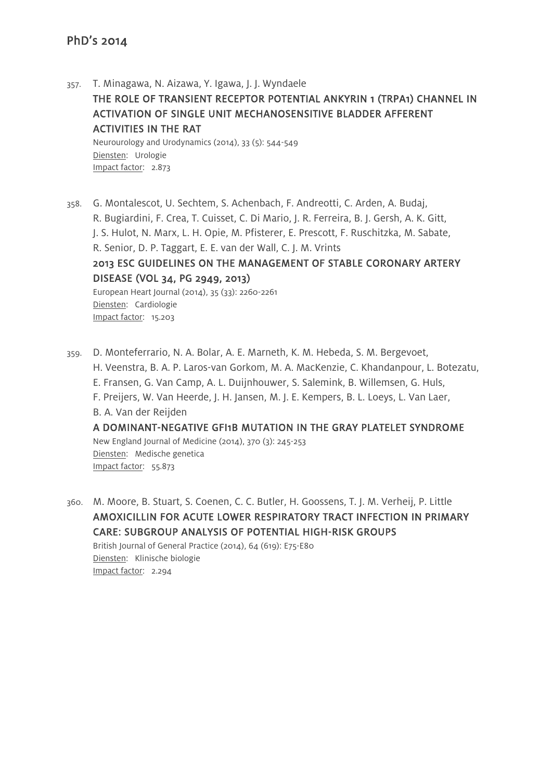357. T. Minagawa, N. Aizawa, Y. Igawa, J. J. Wyndaele THE ROLE OF TRANSIENT RECEPTOR POTENTIAL ANKYRIN 1 (TRPA1) CHANNEL IN ACTIVATION OF SINGLE UNIT MECHANOSENSITIVE BLADDER AFFERENT ACTIVITIES IN THE RAT Neurourology and Urodynamics (2014), 33 (5): 544-549 Diensten: Urologie Impact factor: 2.873

358. G. Montalescot, U. Sechtem, S. Achenbach, F. Andreotti, C. Arden, A. Budaj, R. Bugiardini, F. Crea, T. Cuisset, C. Di Mario, J. R. Ferreira, B. J. Gersh, A. K. Gitt, J. S. Hulot, N. Marx, L. H. Opie, M. Pfisterer, E. Prescott, F. Ruschitzka, M. Sabate, R. Senior, D. P. Taggart, E. E. van der Wall, C. J. M. Vrints 2013 ESC GUIDELINES ON THE MANAGEMENT OF STABLE CORONARY ARTERY DISEASE (VOL 34, PG 2949, 2013) European Heart Journal (2014), 35 (33): 2260-2261 Diensten: Cardiologie Impact factor: 15.203

359. D. Monteferrario, N. A. Bolar, A. E. Marneth, K. M. Hebeda, S. M. Bergevoet, H. Veenstra, B. A. P. Laros-van Gorkom, M. A. MacKenzie, C. Khandanpour, L. Botezatu, E. Fransen, G. Van Camp, A. L. Duijnhouwer, S. Salemink, B. Willemsen, G. Huls, F. Preijers, W. Van Heerde, J. H. Jansen, M. J. E. Kempers, B. L. Loeys, L. Van Laer, B. A. Van der Reijden A DOMINANT-NEGATIVE GFI1B MUTATION IN THE GRAY PLATELET SYNDROME New England Journal of Medicine (2014), 370 (3): 245-253 Diensten: Medische genetica Impact factor: 55.873

360. M. Moore, B. Stuart, S. Coenen, C. C. Butler, H. Goossens, T. J. M. Verheij, P. Little AMOXICILLIN FOR ACUTE LOWER RESPIRATORY TRACT INFECTION IN PRIMARY CARE: SUBGROUP ANALYSIS OF POTENTIAL HIGH-RISK GROUPS British Journal of General Practice (2014), 64 (619): E75-E80 Diensten: Klinische biologie Impact factor: 2.294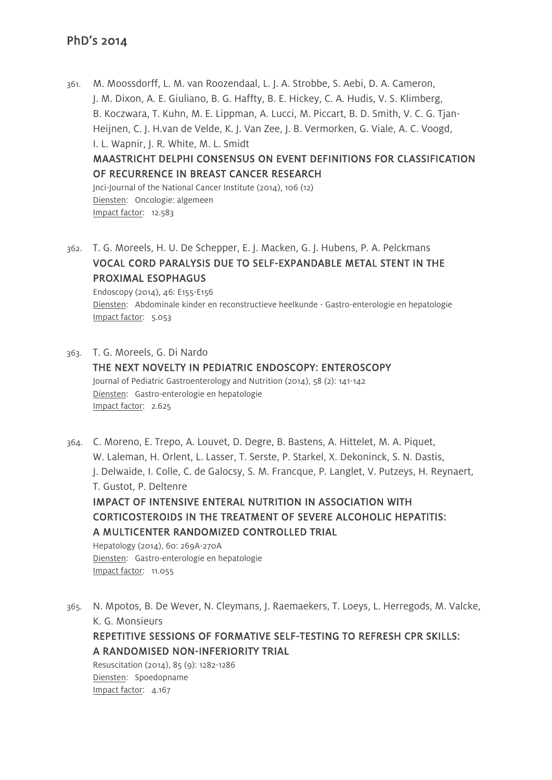361. M. Moossdorff, L. M. van Roozendaal, L. J. A. Strobbe, S. Aebi, D. A. Cameron, J. M. Dixon, A. E. Giuliano, B. G. Haffty, B. E. Hickey, C. A. Hudis, V. S. Klimberg, B. Koczwara, T. Kuhn, M. E. Lippman, A. Lucci, M. Piccart, B. D. Smith, V. C. G. Tjan-Heijnen, C. J. H.van de Velde, K. J. Van Zee, J. B. Vermorken, G. Viale, A. C. Voogd, I. L. Wapnir, J. R. White, M. L. Smidt

# MAASTRICHT DELPHI CONSENSUS ON EVENT DEFINITIONS FOR CLASSIFICATION OF RECURRENCE IN BREAST CANCER RESEARCH

Jnci-Journal of the National Cancer Institute (2014), 106 (12) Diensten: Oncologie: algemeen Impact factor: 12.583

362. T. G. Moreels, H. U. De Schepper, E. J. Macken, G. J. Hubens, P. A. Pelckmans VOCAL CORD PARALYSIS DUE TO SELF-EXPANDABLE METAL STENT IN THE PROXIMAL ESOPHAGUS

Endoscopy (2014), 46: E155-E156 Diensten: Abdominale kinder en reconstructieve heelkunde - Gastro-enterologie en hepatologie Impact factor: 5.053

363. T. G. Moreels, G. Di Nardo THE NEXT NOVELTY IN PEDIATRIC ENDOSCOPY: ENTEROSCOPY Journal of Pediatric Gastroenterology and Nutrition (2014), 58 (2): 141-142 Diensten: Gastro-enterologie en hepatologie Impact factor: 2.625

364. C. Moreno, E. Trepo, A. Louvet, D. Degre, B. Bastens, A. Hittelet, M. A. Piquet, W. Laleman, H. Orlent, L. Lasser, T. Serste, P. Starkel, X. Dekoninck, S. N. Dastis, J. Delwaide, I. Colle, C. de Galocsy, S. M. Francque, P. Langlet, V. Putzeys, H. Reynaert, T. Gustot, P. Deltenre IMPACT OF INTENSIVE ENTERAL NUTRITION IN ASSOCIATION WITH

CORTICOSTEROIDS IN THE TREATMENT OF SEVERE ALCOHOLIC HEPATITIS: A MULTICENTER RANDOMIZED CONTROLLED TRIAL

Hepatology (2014), 60: 269A-270A Diensten: Gastro-enterologie en hepatologie Impact factor: 11.055

365. N. Mpotos, B. De Wever, N. Cleymans, J. Raemaekers, T. Loeys, L. Herregods, M. Valcke, K. G. Monsieurs

REPETITIVE SESSIONS OF FORMATIVE SELF-TESTING TO REFRESH CPR SKILLS: A RANDOMISED NON-INFERIORITY TRIAL

Resuscitation (2014), 85 (9): 1282-1286 Diensten: Spoedopname Impact factor: 4.167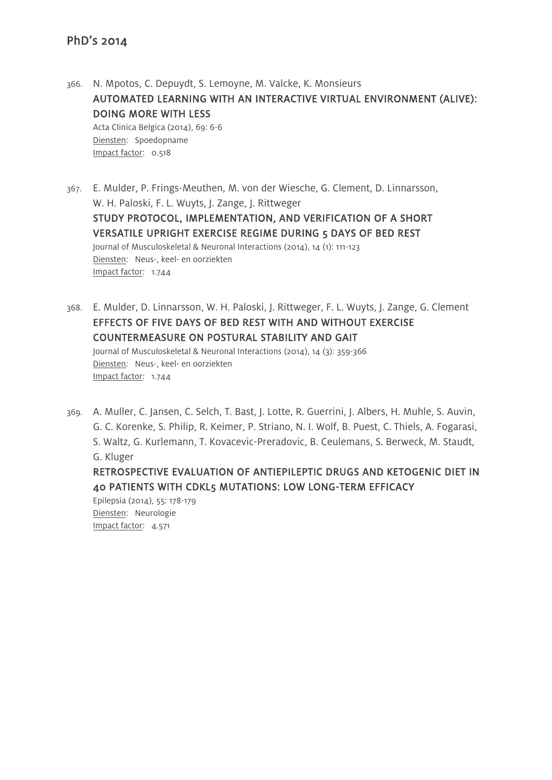- 366. N. Mpotos, C. Depuydt, S. Lemoyne, M. Valcke, K. Monsieurs AUTOMATED LEARNING WITH AN INTERACTIVE VIRTUAL ENVIRONMENT (ALIVE): DOING MORE WITH LESS Acta Clinica Belgica (2014), 69: 6-6 Diensten: Spoedopname Impact factor: 0.518
- 367. E. Mulder, P. Frings-Meuthen, M. von der Wiesche, G. Clement, D. Linnarsson, W. H. Paloski, F. L. Wuyts, J. Zange, J. Rittweger STUDY PROTOCOL, IMPLEMENTATION, AND VERIFICATION OF A SHORT VERSATILE UPRIGHT EXERCISE REGIME DURING 5 DAYS OF BED REST Journal of Musculoskeletal & Neuronal Interactions (2014), 14 (1): 111-123 Diensten: Neus-, keel- en oorziekten Impact factor: 1.744
- 368. E. Mulder, D. Linnarsson, W. H. Paloski, J. Rittweger, F. L. Wuyts, J. Zange, G. Clement EFFECTS OF FIVE DAYS OF BED REST WITH AND WITHOUT EXERCISE COUNTERMEASURE ON POSTURAL STABILITY AND GAIT Journal of Musculoskeletal & Neuronal Interactions (2014), 14 (3): 359-366 Diensten: Neus-, keel- en oorziekten Impact factor: 1.744
- 369. A. Muller, C. Jansen, C. Selch, T. Bast, J. Lotte, R. Guerrini, J. Albers, H. Muhle, S. Auvin, G. C. Korenke, S. Philip, R. Keimer, P. Striano, N. I. Wolf, B. Puest, C. Thiels, A. Fogarasi, S. Waltz, G. Kurlemann, T. Kovacevic-Preradovic, B. Ceulemans, S. Berweck, M. Staudt, G. Kluger

RETROSPECTIVE EVALUATION OF ANTIEPILEPTIC DRUGS AND KETOGENIC DIET IN 40 PATIENTS WITH CDKL5 MUTATIONS: LOW LONG-TERM EFFICACY

Epilepsia (2014), 55: 178-179 Diensten: Neurologie Impact factor: 4.571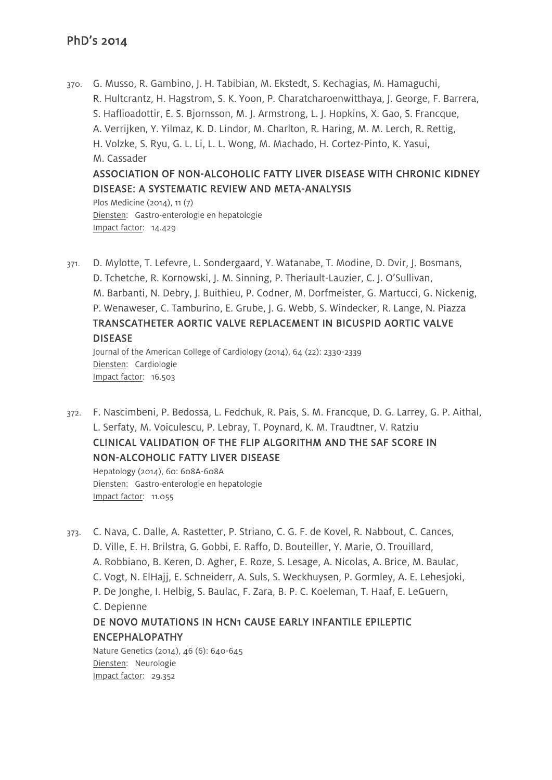370. G. Musso, R. Gambino, J. H. Tabibian, M. Ekstedt, S. Kechagias, M. Hamaguchi, R. Hultcrantz, H. Hagstrom, S. K. Yoon, P. Charatcharoenwitthaya, J. George, F. Barrera, S. Haflioadottir, E. S. Bjornsson, M. J. Armstrong, L. J. Hopkins, X. Gao, S. Francque, A. Verrijken, Y. Yilmaz, K. D. Lindor, M. Charlton, R. Haring, M. M. Lerch, R. Rettig, H. Volzke, S. Ryu, G. L. Li, L. L. Wong, M. Machado, H. Cortez-Pinto, K. Yasui, M. Cassader ASSOCIATION OF NON-ALCOHOLIC FATTY LIVER DISEASE WITH CHRONIC KIDNEY DISEASE: A SYSTEMATIC REVIEW AND META-ANALYSIS Plos Medicine (2014), 11 (7)

Diensten: Gastro-enterologie en hepatologie Impact factor: 14.429

371. D. Mylotte, T. Lefevre, L. Sondergaard, Y. Watanabe, T. Modine, D. Dvir, J. Bosmans, D. Tchetche, R. Kornowski, J. M. Sinning, P. Theriault-Lauzier, C. J. O'Sullivan, M. Barbanti, N. Debry, J. Buithieu, P. Codner, M. Dorfmeister, G. Martucci, G. Nickenig, P. Wenaweser, C. Tamburino, E. Grube, J. G. Webb, S. Windecker, R. Lange, N. Piazza TRANSCATHETER AORTIC VALVE REPLACEMENT IN BICUSPID AORTIC VALVE DISEASE Journal of the American College of Cardiology (2014), 64 (22): 2330-2339

Diensten: Cardiologie Impact factor: 16.503

372. F. Nascimbeni, P. Bedossa, L. Fedchuk, R. Pais, S. M. Francque, D. G. Larrey, G. P. Aithal, L. Serfaty, M. Voiculescu, P. Lebray, T. Poynard, K. M. Traudtner, V. Ratziu CLINICAL VALIDATION OF THE FLIP ALGORITHM AND THE SAF SCORE IN NON-ALCOHOLIC FATTY LIVER DISEASE

Hepatology (2014), 60: 608A-608A Diensten: Gastro-enterologie en hepatologie Impact factor: 11.055

373. C. Nava, C. Dalle, A. Rastetter, P. Striano, C. G. F. de Kovel, R. Nabbout, C. Cances, D. Ville, E. H. Brilstra, G. Gobbi, E. Raffo, D. Bouteiller, Y. Marie, O. Trouillard, A. Robbiano, B. Keren, D. Agher, E. Roze, S. Lesage, A. Nicolas, A. Brice, M. Baulac, C. Vogt, N. ElHajj, E. Schneiderr, A. Suls, S. Weckhuysen, P. Gormley, A. E. Lehesjoki, P. De Jonghe, I. Helbig, S. Baulac, F. Zara, B. P. C. Koeleman, T. Haaf, E. LeGuern, C. Depienne DE NOVO MUTATIONS IN HCN1 CAUSE EARLY INFANTILE EPILEPTIC ENCEPHALOPATHY

Nature Genetics (2014), 46 (6): 640-645 Diensten: Neurologie Impact factor: 29.352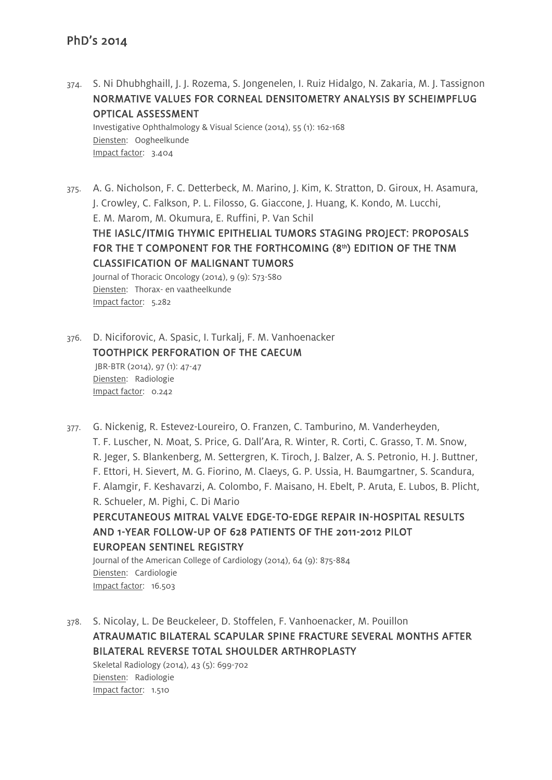374. S. Ni Dhubhghaill, J. J. Rozema, S. Jongenelen, I. Ruiz Hidalgo, N. Zakaria, M. J. Tassignon NORMATIVE VALUES FOR CORNEAL DENSITOMETRY ANALYSIS BY SCHEIMPFLUG OPTICAL ASSESSMENT

Investigative Ophthalmology & Visual Science (2014), 55 (1): 162-168 Diensten: Oogheelkunde Impact factor: 3.404

375. A. G. Nicholson, F. C. Detterbeck, M. Marino, J. Kim, K. Stratton, D. Giroux, H. Asamura, J. Crowley, C. Falkson, P. L. Filosso, G. Giaccone, J. Huang, K. Kondo, M. Lucchi, E. M. Marom, M. Okumura, E. Ruffini, P. Van Schil THE IASLC/ITMIG THYMIC EPITHELIAL TUMORS STAGING PROJECT: PROPOSALS FOR THE T COMPONENT FOR THE FORTHCOMING (8th) EDITION OF THE TNM CLASSIFICATION OF MALIGNANT TUMORS

Journal of Thoracic Oncology (2014), 9 (9): S73-S80 Diensten: Thorax- en vaatheelkunde Impact factor: 5.282

376. D. Niciforovic, A. Spasic, I. Turkalj, F. M. Vanhoenacker TOOTHPICK PERFORATION OF THE CAECUM JBR-BTR (2014), 97 (1): 47-47 Diensten: Radiologie Impact factor: 0.242

377. G. Nickenig, R. Estevez-Loureiro, O. Franzen, C. Tamburino, M. Vanderheyden, T. F. Luscher, N. Moat, S. Price, G. Dall'Ara, R. Winter, R. Corti, C. Grasso, T. M. Snow, R. Jeger, S. Blankenberg, M. Settergren, K. Tiroch, J. Balzer, A. S. Petronio, H. J. Buttner, F. Ettori, H. Sievert, M. G. Fiorino, M. Claeys, G. P. Ussia, H. Baumgartner, S. Scandura, F. Alamgir, F. Keshavarzi, A. Colombo, F. Maisano, H. Ebelt, P. Aruta, E. Lubos, B. Plicht, R. Schueler, M. Pighi, C. Di Mario PERCUTANEOUS MITRAL VALVE EDGE-TO-EDGE REPAIR IN-HOSPITAL RESULTS AND 1-YEAR FOLLOW-UP OF 628 PATIENTS OF THE 2011-2012 PILOT EUROPEAN SENTINEL REGISTRY Journal of the American College of Cardiology (2014), 64 (9): 875-884

Diensten: Cardiologie Impact factor: 16.503

378. S. Nicolay, L. De Beuckeleer, D. Stoffelen, F. Vanhoenacker, M. Pouillon ATRAUMATIC BILATERAL SCAPULAR SPINE FRACTURE SEVERAL MONTHS AFTER BILATERAL REVERSE TOTAL SHOULDER ARTHROPLASTY

Skeletal Radiology (2014), 43 (5): 699-702 Diensten: Radiologie Impact factor: 1.510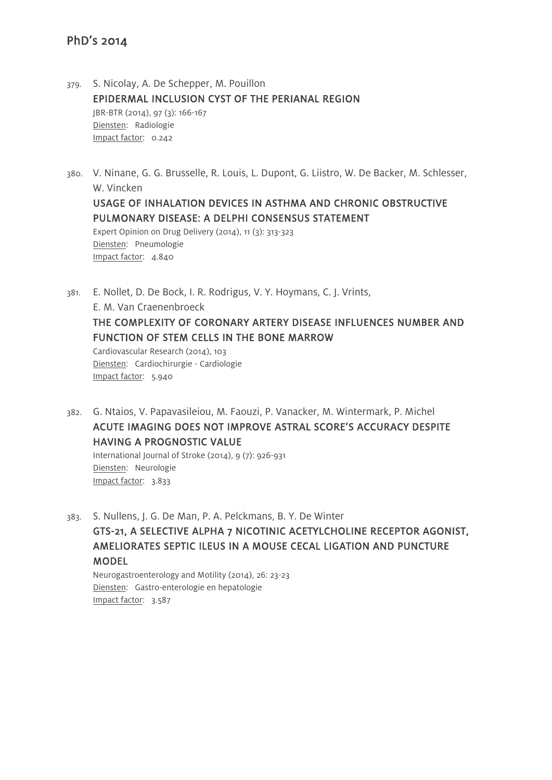379. S. Nicolay, A. De Schepper, M. Pouillon EPIDERMAL INCLUSION CYST OF THE PERIANAL REGION JBR-BTR (2014), 97 (3): 166-167 Diensten: Radiologie Impact factor: 0.242

380. V. Ninane, G. G. Brusselle, R. Louis, L. Dupont, G. Liistro, W. De Backer, M. Schlesser, W. Vincken USAGE OF INHALATION DEVICES IN ASTHMA AND CHRONIC OBSTRUCTIVE PULMONARY DISEASE: A DELPHI CONSENSUS STATEMENT Expert Opinion on Drug Delivery (2014), 11 (3): 313-323 Diensten: Pneumologie Impact factor: 4.840

381. E. Nollet, D. De Bock, I. R. Rodrigus, V. Y. Hoymans, C. J. Vrints, E. M. Van Craenenbroeck THE COMPLEXITY OF CORONARY ARTERY DISEASE INFLUENCES NUMBER AND FUNCTION OF STEM CELLS IN THE BONE MARROW Cardiovascular Research (2014), 103 Diensten: Cardiochirurgie - Cardiologie Impact factor: 5.940

382. G. Ntaios, V. Papavasileiou, M. Faouzi, P. Vanacker, M. Wintermark, P. Michel ACUTE IMAGING DOES NOT IMPROVE ASTRAL SCORE'S ACCURACY DESPITE HAVING A PROGNOSTIC VALUE

International Journal of Stroke (2014), 9 (7): 926-931 Diensten: Neurologie Impact factor: 3.833

383. S. Nullens, J. G. De Man, P. A. Pelckmans, B. Y. De Winter GTS-21, A SELECTIVE ALPHA 7 NICOTINIC ACETYLCHOLINE RECEPTOR AGONIST, AMELIORATES SEPTIC ILEUS IN A MOUSE CECAL LIGATION AND PUNCTURE MODEL

Neurogastroenterology and Motility (2014), 26: 23-23 Diensten: Gastro-enterologie en hepatologie Impact factor: 3.587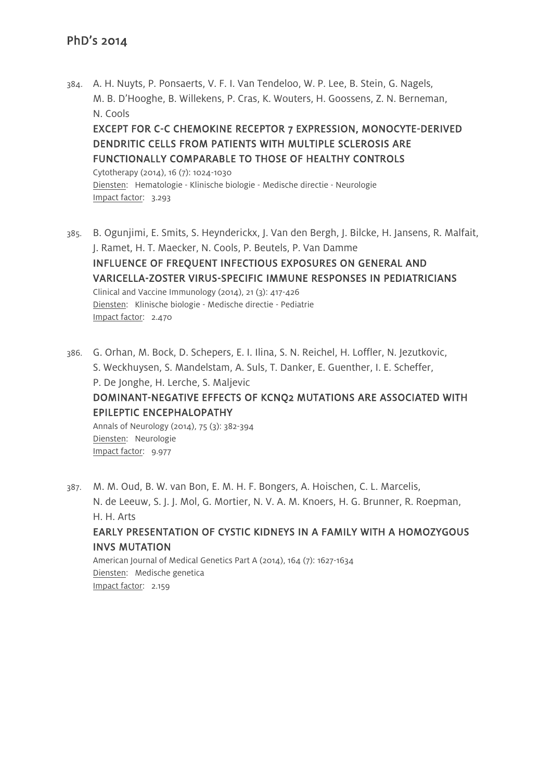384. A. H. Nuyts, P. Ponsaerts, V. F. I. Van Tendeloo, W. P. Lee, B. Stein, G. Nagels, M. B. D'Hooghe, B. Willekens, P. Cras, K. Wouters, H. Goossens, Z. N. Berneman, N. Cools EXCEPT FOR C-C CHEMOKINE RECEPTOR 7 EXPRESSION, MONOCYTE-DERIVED

# DENDRITIC CELLS FROM PATIENTS WITH MULTIPLE SCLEROSIS ARE FUNCTIONALLY COMPARABLE TO THOSE OF HEALTHY CONTROLS

Cytotherapy (2014), 16 (7): 1024-1030 Diensten: Hematologie - Klinische biologie - Medische directie - Neurologie Impact factor: 3.293

- 385. B. Ogunjimi, E. Smits, S. Heynderickx, J. Van den Bergh, J. Bilcke, H. Jansens, R. Malfait, J. Ramet, H. T. Maecker, N. Cools, P. Beutels, P. Van Damme INFLUENCE OF FREQUENT INFECTIOUS EXPOSURES ON GENERAL AND VARICELLA-ZOSTER VIRUS-SPECIFIC IMMUNE RESPONSES IN PEDIATRICIANS Clinical and Vaccine Immunology (2014), 21 (3): 417-426 Diensten: Klinische biologie - Medische directie - Pediatrie Impact factor: 2.470
- 386. G. Orhan, M. Bock, D. Schepers, E. I. Ilina, S. N. Reichel, H. Loffler, N. Jezutkovic, S. Weckhuysen, S. Mandelstam, A. Suls, T. Danker, E. Guenther, I. E. Scheffer, P. De Jonghe, H. Lerche, S. Maljevic DOMINANT-NEGATIVE EFFECTS OF KCNQ2 MUTATIONS ARE ASSOCIATED WITH EPILEPTIC ENCEPHALOPATHY Annals of Neurology (2014), 75 (3): 382-394

Diensten: Neurologie Impact factor: 9.977

387. M. M. Oud, B. W. van Bon, E. M. H. F. Bongers, A. Hoischen, C. L. Marcelis, N. de Leeuw, S. J. J. Mol, G. Mortier, N. V. A. M. Knoers, H. G. Brunner, R. Roepman, H. H. Arts EARLY PRESENTATION OF CYSTIC KIDNEYS IN A FAMILY WITH A HOMOZYGOUS INVS MUTATION

American Journal of Medical Genetics Part A (2014), 164 (7): 1627-1634 Diensten: Medische genetica Impact factor: 2.159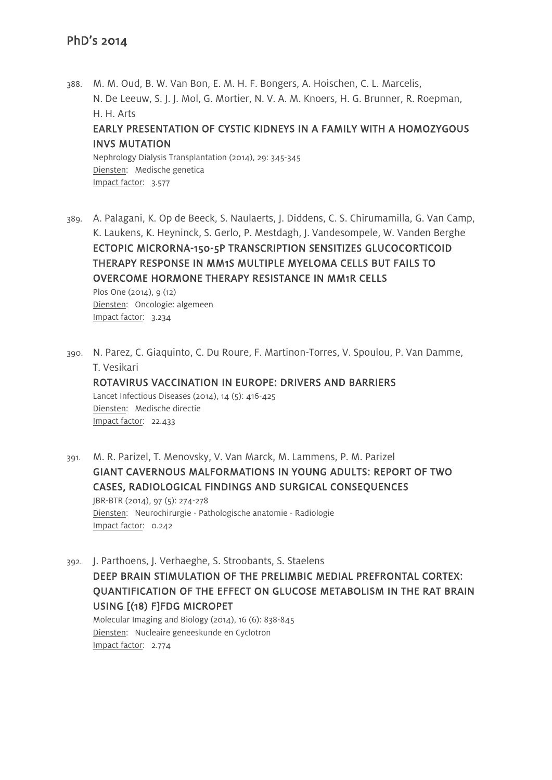388. M. M. Oud, B. W. Van Bon, E. M. H. F. Bongers, A. Hoischen, C. L. Marcelis, N. De Leeuw, S. J. J. Mol, G. Mortier, N. V. A. M. Knoers, H. G. Brunner, R. Roepman, H. H. Arts EARLY PRESENTATION OF CYSTIC KIDNEYS IN A FAMILY WITH A HOMOZYGOUS INVS MUTATION Nephrology Dialysis Transplantation (2014), 29: 345-345 Diensten: Medische genetica

389. A. Palagani, K. Op de Beeck, S. Naulaerts, J. Diddens, C. S. Chirumamilla, G. Van Camp, K. Laukens, K. Heyninck, S. Gerlo, P. Mestdagh, J. Vandesompele, W. Vanden Berghe ECTOPIC MICRORNA-150-5P TRANSCRIPTION SENSITIZES GLUCOCORTICOID THERAPY RESPONSE IN MM1S MULTIPLE MYELOMA CELLS BUT FAILS TO OVERCOME HORMONE THERAPY RESISTANCE IN MM1R CELLS

Plos One (2014), 9 (12) Diensten: Oncologie: algemeen Impact factor: 3.234

Impact factor: 3.577

390. N. Parez, C. Giaquinto, C. Du Roure, F. Martinon-Torres, V. Spoulou, P. Van Damme, T. Vesikari

#### ROTAVIRUS VACCINATION IN EUROPE: DRIVERS AND BARRIERS

Lancet Infectious Diseases (2014), 14 (5): 416-425 Diensten: Medische directie Impact factor: 22.433

- 391. M. R. Parizel, T. Menovsky, V. Van Marck, M. Lammens, P. M. Parizel GIANT CAVERNOUS MALFORMATIONS IN YOUNG ADULTS: REPORT OF TWO CASES, RADIOLOGICAL FINDINGS AND SURGICAL CONSEQUENCES JBR-BTR (2014), 97 (5): 274-278 Diensten: Neurochirurgie - Pathologische anatomie - Radiologie Impact factor: 0.242
- 392. J. Parthoens, J. Verhaeghe, S. Stroobants, S. Staelens DEEP BRAIN STIMULATION OF THE PRELIMBIC MEDIAL PREFRONTAL CORTEX: QUANTIFICATION OF THE EFFECT ON GLUCOSE METABOLISM IN THE RAT BRAIN USING [(18) F]FDG MICROPET Molecular Imaging and Biology (2014), 16 (6): 838-845

Diensten: Nucleaire geneeskunde en Cyclotron Impact factor: 2.774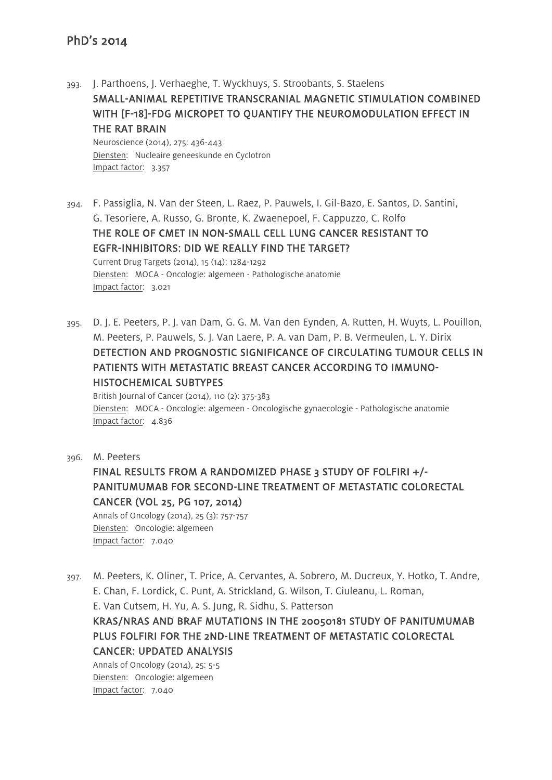- 393. J. Parthoens, J. Verhaeghe, T. Wyckhuys, S. Stroobants, S. Staelens SMALL-ANIMAL REPETITIVE TRANSCRANIAL MAGNETIC STIMULATION COMBINED WITH [F-18]-FDG MICROPET TO QUANTIFY THE NEUROMODULATION EFFECT IN THE RAT BRAIN Neuroscience (2014), 275: 436-443 Diensten: Nucleaire geneeskunde en Cyclotron Impact factor: 3.357
- 394. F. Passiglia, N. Van der Steen, L. Raez, P. Pauwels, I. Gil-Bazo, E. Santos, D. Santini, G. Tesoriere, A. Russo, G. Bronte, K. Zwaenepoel, F. Cappuzzo, C. Rolfo THE ROLE OF CMET IN NON-SMALL CELL LUNG CANCER RESISTANT TO EGFR-INHIBITORS: DID WE REALLY FIND THE TARGET? Current Drug Targets (2014), 15 (14): 1284-1292 Diensten: MOCA - Oncologie: algemeen - Pathologische anatomie Impact factor: 3.021
- 395. D. J. E. Peeters, P. J. van Dam, G. G. M. Van den Eynden, A. Rutten, H. Wuyts, L. Pouillon, M. Peeters, P. Pauwels, S. J. Van Laere, P. A. van Dam, P. B. Vermeulen, L. Y. Dirix DETECTION AND PROGNOSTIC SIGNIFICANCE OF CIRCULATING TUMOUR CELLS IN PATIENTS WITH METASTATIC BREAST CANCER ACCORDING TO IMMUNO-HISTOCHEMICAL SUBTYPES

British Journal of Cancer (2014), 110 (2): 375-383 Diensten: MOCA - Oncologie: algemeen - Oncologische gynaecologie - Pathologische anatomie Impact factor: 4.836

396. M. Peeters

# FINAL RESULTS FROM A RANDOMIZED PHASE 3 STUDY OF FOLFIRI +/- PANITUMUMAB FOR SECOND-LINE TREATMENT OF METASTATIC COLORECTAL CANCER (VOL 25, PG 107, 2014)

Annals of Oncology (2014), 25 (3): 757-757 Diensten: Oncologie: algemeen Impact factor: 7.040

397. M. Peeters, K. Oliner, T. Price, A. Cervantes, A. Sobrero, M. Ducreux, Y. Hotko, T. Andre, E. Chan, F. Lordick, C. Punt, A. Strickland, G. Wilson, T. Ciuleanu, L. Roman, E. Van Cutsem, H. Yu, A. S. Jung, R. Sidhu, S. Patterson KRAS/NRAS AND BRAF MUTATIONS IN THE 20050181 STUDY OF PANITUMUMAB PLUS FOLFIRI FOR THE 2ND-LINE TREATMENT OF METASTATIC COLORECTAL CANCER: UPDATED ANALYSIS

Annals of Oncology (2014), 25: 5-5 Diensten: Oncologie: algemeen Impact factor: 7.040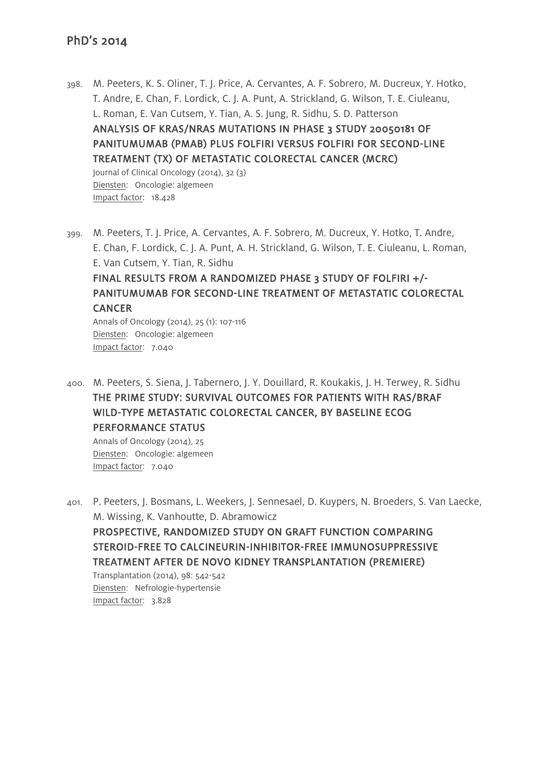398. M. Peeters, K. S. Oliner, T. J. Price, A. Cervantes, A. F. Sobrero, M. Ducreux, Y. Hotko, T. Andre, E. Chan, F. Lordick, C. J. A. Punt, A. Strickland, G. Wilson, T. E. Ciuleanu, L. Roman, E. Van Cutsem, Y. Tian, A. S. Jung, R. Sidhu, S. D. Patterson ANALYSIS OF KRAS/NRAS MUTATIONS IN PHASE 3 STUDY 20050181 OF PANITUMUMAB (PMAB) PLUS FOLFIRI VERSUS FOLFIRI FOR SECOND-LINE TREATMENT (TX) OF METASTATIC COLORECTAL CANCER (MCRC) Journal of Clinical Oncology (2014), 32 (3)

Diensten: Oncologie: algemeen Impact factor: 18.428

399. M. Peeters, T. J. Price, A. Cervantes, A. F. Sobrero, M. Ducreux, Y. Hotko, T. Andre, E. Chan, F. Lordick, C. J. A. Punt, A. H. Strickland, G. Wilson, T. E. Ciuleanu, L. Roman, E. Van Cutsem, Y. Tian, R. Sidhu FINAL RESULTS FROM A RANDOMIZED PHASE 3 STUDY OF FOLFIRI +/- PANITUMUMAB FOR SECOND-LINE TREATMENT OF METASTATIC COLORECTAL **CANCER** Annals of Oncology (2014), 25 (1): 107-116

Diensten: Oncologie: algemeen Impact factor: 7.040

400. M. Peeters, S. Siena, J. Tabernero, J. Y. Douillard, R. Koukakis, J. H. Terwey, R. Sidhu THE PRIME STUDY: SURVIVAL OUTCOMES FOR PATIENTS WITH RAS/BRAF WILD-TYPE METASTATIC COLORECTAL CANCER, BY BASELINE ECOG PERFORMANCE STATUS

Annals of Oncology (2014), 25 Diensten: Oncologie: algemeen Impact factor: 7.040

401. P. Peeters, J. Bosmans, L. Weekers, J. Sennesael, D. Kuypers, N. Broeders, S. Van Laecke, M. Wissing, K. Vanhoutte, D. Abramowicz

PROSPECTIVE, RANDOMIZED STUDY ON GRAFT FUNCTION COMPARING STEROID-FREE TO CALCINEURIN-INHIBITOR-FREE IMMUNOSUPPRESSIVE TREATMENT AFTER DE NOVO KIDNEY TRANSPLANTATION (PREMIERE)

Transplantation (2014), 98: 542-542 Diensten: Nefrologie-hypertensie Impact factor: 3.828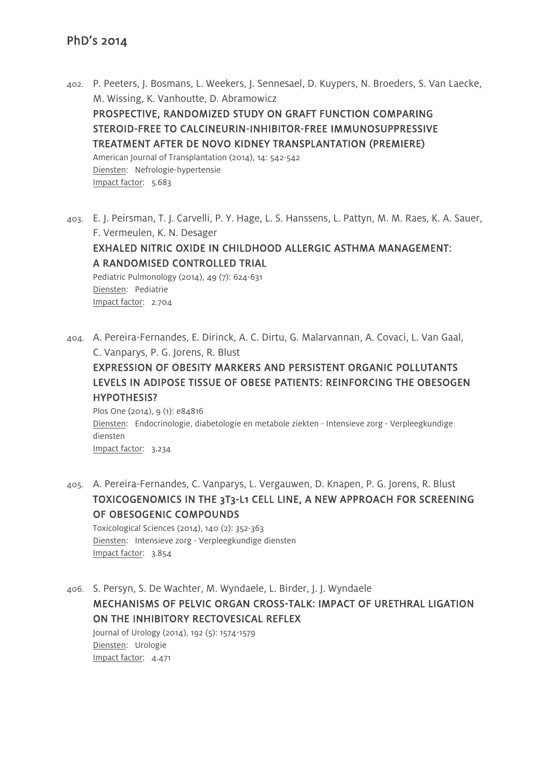- 402. P. Peeters, J. Bosmans, L. Weekers, J. Sennesael, D. Kuypers, N. Broeders, S. Van Laecke, M. Wissing, K. Vanhoutte, D. Abramowicz PROSPECTIVE, RANDOMIZED STUDY ON GRAFT FUNCTION COMPARING STEROID-FREE TO CALCINEURIN-INHIBITOR-FREE IMMUNOSUPPRESSIVE TREATMENT AFTER DE NOVO KIDNEY TRANSPLANTATION (PREMIERE) American Journal of Transplantation (2014), 14: 542-542 Diensten: Nefrologie-hypertensie Impact factor: 5.683
- 403. E. J. Peirsman, T. J. Carvelli, P. Y. Hage, L. S. Hanssens, L. Pattyn, M. M. Raes, K. A. Sauer, F. Vermeulen, K. N. Desager EXHALED NITRIC OXIDE IN CHILDHOOD ALLERGIC ASTHMA MANAGEMENT: A RANDOMISED CONTROLLED TRIAL Pediatric Pulmonology (2014), 49 (7): 624-631 Diensten: Pediatrie Impact factor: 2.704
- 404. A. Pereira-Fernandes, E. Dirinck, A. C. Dirtu, G. Malarvannan, A. Covaci, L. Van Gaal, C. Vanparys, P. G. Jorens, R. Blust

EXPRESSION OF OBESITY MARKERS AND PERSISTENT ORGANIC POLLUTANTS LEVELS IN ADIPOSE TISSUE OF OBESE PATIENTS: REINFORCING THE OBESOGEN HYPOTHESIS?

Plos One (2014), 9 (1): e84816 Diensten: Endocrinologie, diabetologie en metabole ziekten - Intensieve zorg - Verpleegkundige diensten Impact factor: 3.234

405. A. Pereira-Fernandes, C. Vanparys, L. Vergauwen, D. Knapen, P. G. Jorens, R. Blust TOXICOGENOMICS IN THE 3T3-L1 CELL LINE, A NEW APPROACH FOR SCREENING OF OBESOGENIC COMPOUNDS

Toxicological Sciences (2014), 140 (2): 352-363 Diensten: Intensieve zorg - Verpleegkundige diensten Impact factor: 3.854

406. S. Persyn, S. De Wachter, M. Wyndaele, L. Birder, J. J. Wyndaele MECHANISMS OF PELVIC ORGAN CROSS-TALK: IMPACT OF URETHRAL LIGATION ON THE INHIBITORY RECTOVESICAL REFLEX Journal of Urology (2014), 192 (5): 1574-1579

Diensten: Urologie Impact factor: 4.471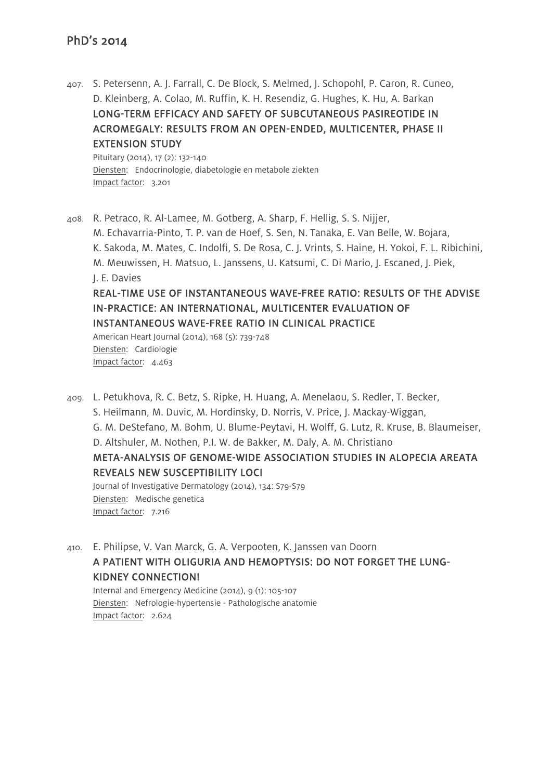407. S. Petersenn, A. J. Farrall, C. De Block, S. Melmed, J. Schopohl, P. Caron, R. Cuneo, D. Kleinberg, A. Colao, M. Ruffin, K. H. Resendiz, G. Hughes, K. Hu, A. Barkan LONG-TERM EFFICACY AND SAFETY OF SUBCUTANEOUS PASIREOTIDE IN ACROMEGALY: RESULTS FROM AN OPEN-ENDED, MULTICENTER, PHASE II EXTENSION STUDY

Pituitary (2014), 17 (2): 132-140 Diensten: Endocrinologie, diabetologie en metabole ziekten Impact factor: 3.201

408. R. Petraco, R. Al-Lamee, M. Gotberg, A. Sharp, F. Hellig, S. S. Nijjer, M. Echavarria-Pinto, T. P. van de Hoef, S. Sen, N. Tanaka, E. Van Belle, W. Bojara, K. Sakoda, M. Mates, C. Indolfi, S. De Rosa, C. J. Vrints, S. Haine, H. Yokoi, F. L. Ribichini, M. Meuwissen, H. Matsuo, L. Janssens, U. Katsumi, C. Di Mario, J. Escaned, J. Piek, J. E. Davies REAL-TIME USE OF INSTANTANEOUS WAVE-FREE RATIO: RESULTS OF THE ADVISE IN-PRACTICE: AN INTERNATIONAL, MULTICENTER EVALUATION OF INSTANTANEOUS WAVE-FREE RATIO IN CLINICAL PRACTICE American Heart Journal (2014), 168 (5): 739-748 Diensten: Cardiologie Impact factor: 4.463

409. L. Petukhova, R. C. Betz, S. Ripke, H. Huang, A. Menelaou, S. Redler, T. Becker, S. Heilmann, M. Duvic, M. Hordinsky, D. Norris, V. Price, J. Mackay-Wiggan, G. M. DeStefano, M. Bohm, U. Blume-Peytavi, H. Wolff, G. Lutz, R. Kruse, B. Blaumeiser, D. Altshuler, M. Nothen, P.I. W. de Bakker, M. Daly, A. M. Christiano META-ANALYSIS OF GENOME-WIDE ASSOCIATION STUDIES IN ALOPECIA AREATA REVEALS NEW SUSCEPTIBILITY LOCI Journal of Investigative Dermatology (2014), 134: S79-S79

Diensten: Medische genetica Impact factor: 7.216

410. E. Philipse, V. Van Marck, G. A. Verpooten, K. Janssen van Doorn A PATIENT WITH OLIGURIA AND HEMOPTYSIS: DO NOT FORGET THE LUNG-KIDNEY CONNECTION!

Internal and Emergency Medicine (2014), 9 (1): 105-107 Diensten: Nefrologie-hypertensie - Pathologische anatomie Impact factor: 2.624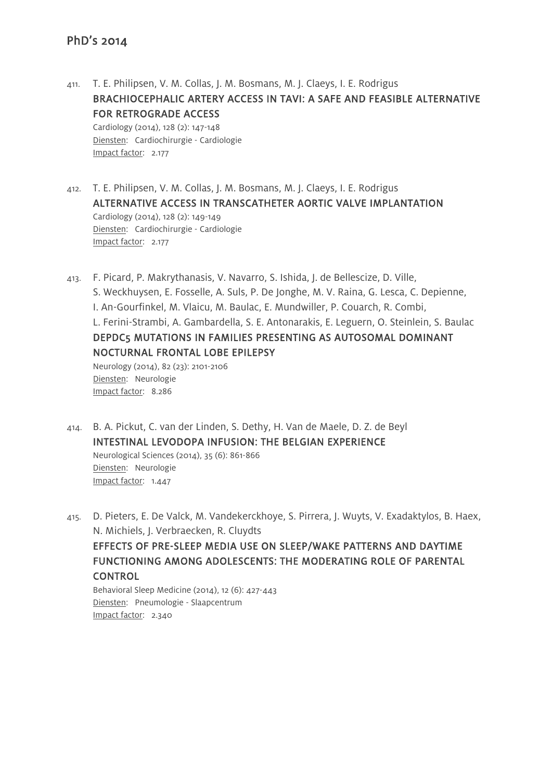411. T. E. Philipsen, V. M. Collas, J. M. Bosmans, M. J. Claeys, I. E. Rodrigus BRACHIOCEPHALIC ARTERY ACCESS IN TAVI: A SAFE AND FEASIBLE ALTERNATIVE FOR RETROGRADE ACCESS Cardiology (2014), 128 (2): 147-148

Diensten: Cardiochirurgie - Cardiologie Impact factor: 2.177

- 412. T. E. Philipsen, V. M. Collas, J. M. Bosmans, M. J. Claeys, I. E. Rodrigus ALTERNATIVE ACCESS IN TRANSCATHETER AORTIC VALVE IMPLANTATION Cardiology (2014), 128 (2): 149-149 Diensten: Cardiochirurgie - Cardiologie Impact factor: 2.177
- 413. F. Picard, P. Makrythanasis, V. Navarro, S. Ishida, J. de Bellescize, D. Ville, S. Weckhuysen, E. Fosselle, A. Suls, P. De Jonghe, M. V. Raina, G. Lesca, C. Depienne, I. An-Gourfinkel, M. Vlaicu, M. Baulac, E. Mundwiller, P. Couarch, R. Combi, L. Ferini-Strambi, A. Gambardella, S. E. Antonarakis, E. Leguern, O. Steinlein, S. Baulac DEPDC5 MUTATIONS IN FAMILIES PRESENTING AS AUTOSOMAL DOMINANT NOCTURNAL FRONTAL LOBE EPILEPSY Neurology (2014), 82 (23): 2101-2106

Diensten: Neurologie Impact factor: 8.286

414. B. A. Pickut, C. van der Linden, S. Dethy, H. Van de Maele, D. Z. de Beyl INTESTINAL LEVODOPA INFUSION: THE BELGIAN EXPERIENCE Neurological Sciences (2014), 35 (6): 861-866 Diensten: Neurologie Impact factor: 1.447

415. D. Pieters, E. De Valck, M. Vandekerckhoye, S. Pirrera, J. Wuyts, V. Exadaktylos, B. Haex, N. Michiels, J. Verbraecken, R. Cluydts EFFECTS OF PRE-SLEEP MEDIA USE ON SLEEP/WAKE PATTERNS AND DAYTIME FUNCTIONING AMONG ADOLESCENTS: THE MODERATING ROLE OF PARENTAL

CONTROL

Behavioral Sleep Medicine (2014), 12 (6): 427-443 Diensten: Pneumologie - Slaapcentrum Impact factor: 2.340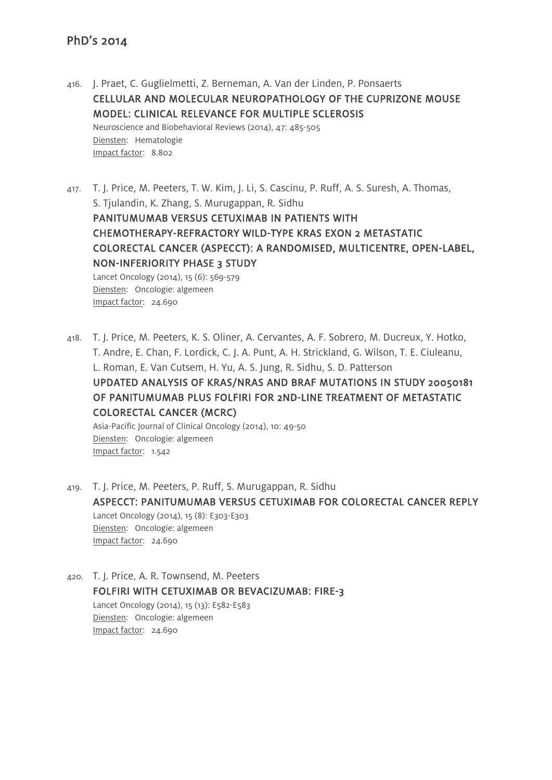416. J. Praet, C. Guglielmetti, Z. Berneman, A. Van der Linden, P. Ponsaerts CELLULAR AND MOLECULAR NEUROPATHOLOGY OF THE CUPRIZONE MOUSE MODEL: CLINICAL RELEVANCE FOR MULTIPLE SCLEROSIS Neuroscience and Biobehavioral Reviews (2014), 47: 485-505 Diensten: Hematologie Impact factor: 8.802

417. T. J. Price, M. Peeters, T. W. Kim, J. Li, S. Cascinu, P. Ruff, A. S. Suresh, A. Thomas, S. Tjulandin, K. Zhang, S. Murugappan, R. Sidhu PANITUMUMAB VERSUS CETUXIMAB IN PATIENTS WITH CHEMOTHERAPY-REFRACTORY WILD-TYPE KRAS EXON 2 METASTATIC COLORECTAL CANCER (ASPECCT): A RANDOMISED, MULTICENTRE, OPEN-LABEL, NON-INFERIORITY PHASE 3 STUDY Lancet Oncology (2014), 15 (6): 569-579

Diensten: Oncologie: algemeen Impact factor: 24.690

Impact factor: 24.690

418. T. J. Price, M. Peeters, K. S. Oliner, A. Cervantes, A. F. Sobrero, M. Ducreux, Y. Hotko, T. Andre, E. Chan, F. Lordick, C. J. A. Punt, A. H. Strickland, G. Wilson, T. E. Ciuleanu, L. Roman, E. Van Cutsem, H. Yu, A. S. Jung, R. Sidhu, S. D. Patterson UPDATED ANALYSIS OF KRAS/NRAS AND BRAF MUTATIONS IN STUDY 20050181 OF PANITUMUMAB PLUS FOLFIRI FOR 2ND-LINE TREATMENT OF METASTATIC COLORECTAL CANCER (MCRC) Asia-Pacific Journal of Clinical Oncology (2014), 10: 49-50 Diensten: Oncologie: algemeen Impact factor: 1.542

419. T. J. Price, M. Peeters, P. Ruff, S. Murugappan, R. Sidhu ASPECCT: PANITUMUMAB VERSUS CETUXIMAB FOR COLORECTAL CANCER REPLY Lancet Oncology (2014), 15 (8): E303-E303 Diensten: Oncologie: algemeen

420. T. J. Price, A. R. Townsend, M. Peeters FOLFIRI WITH CETUXIMAB OR BEVACIZUMAB: FIRE-3 Lancet Oncology (2014), 15 (13): E582-E583 Diensten: Oncologie: algemeen Impact factor: 24.690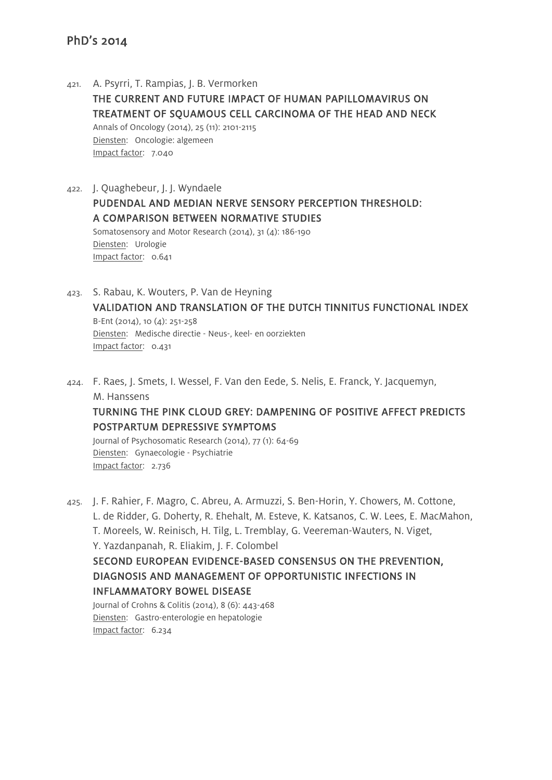- 421. A. Psyrri, T. Rampias, J. B. Vermorken THE CURRENT AND FUTURE IMPACT OF HUMAN PAPILLOMAVIRUS ON TREATMENT OF SQUAMOUS CELL CARCINOMA OF THE HEAD AND NECK Annals of Oncology (2014), 25 (11): 2101-2115 Diensten: Oncologie: algemeen Impact factor: 7.040
- 422. J. Quaghebeur, J. J. Wyndaele PUDENDAL AND MEDIAN NERVE SENSORY PERCEPTION THRESHOLD: A COMPARISON BETWEEN NORMATIVE STUDIES Somatosensory and Motor Research (2014), 31 (4): 186-190 Diensten: Urologie Impact factor: 0.641
- 423. S. Rabau, K. Wouters, P. Van de Heyning VALIDATION AND TRANSLATION OF THE DUTCH TINNITUS FUNCTIONAL INDEX B-Ent (2014), 10 (4): 251-258 Diensten: Medische directie - Neus-, keel- en oorziekten Impact factor: 0.431
- 424. F. Raes, J. Smets, I. Wessel, F. Van den Eede, S. Nelis, E. Franck, Y. Jacquemyn, M. Hanssens

# TURNING THE PINK CLOUD GREY: DAMPENING OF POSITIVE AFFECT PREDICTS POSTPARTUM DEPRESSIVE SYMPTOMS

Journal of Psychosomatic Research (2014), 77 (1): 64-69 Diensten: Gynaecologie - Psychiatrie Impact factor: 2.736

425. J. F. Rahier, F. Magro, C. Abreu, A. Armuzzi, S. Ben-Horin, Y. Chowers, M. Cottone, L. de Ridder, G. Doherty, R. Ehehalt, M. Esteve, K. Katsanos, C. W. Lees, E. MacMahon, T. Moreels, W. Reinisch, H. Tilg, L. Tremblay, G. Veereman-Wauters, N. Viget, Y. Yazdanpanah, R. Eliakim, J. F. Colombel SECOND EUROPEAN EVIDENCE-BASED CONSENSUS ON THE PREVENTION, DIAGNOSIS AND MANAGEMENT OF OPPORTUNISTIC INFECTIONS IN INFLAMMATORY BOWEL DISEASE Journal of Crohns & Colitis (2014), 8 (6): 443-468 Diensten: Gastro-enterologie en hepatologie Impact factor: 6.234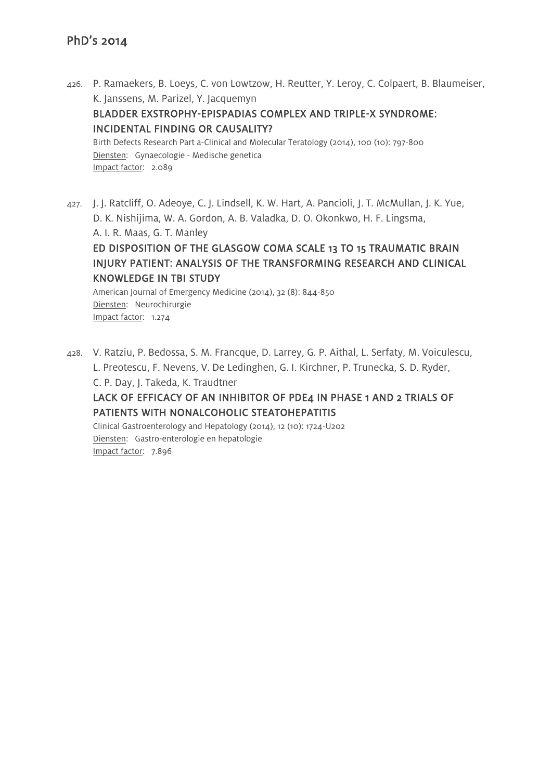- 426. P. Ramaekers, B. Loeys, C. von Lowtzow, H. Reutter, Y. Leroy, C. Colpaert, B. Blaumeiser, K. Janssens, M. Parizel, Y. Jacquemyn BLADDER EXSTROPHY-EPISPADIAS COMPLEX AND TRIPLE-X SYNDROME: INCIDENTAL FINDING OR CAUSALITY? Birth Defects Research Part a-Clinical and Molecular Teratology (2014), 100 (10): 797-800 Diensten: Gynaecologie - Medische genetica Impact factor: 2.089
- 427. J. J. Ratcliff, O. Adeoye, C. J. Lindsell, K. W. Hart, A. Pancioli, J. T. McMullan, J. K. Yue, D. K. Nishijima, W. A. Gordon, A. B. Valadka, D. O. Okonkwo, H. F. Lingsma, A. I. R. Maas, G. T. Manley

# ED DISPOSITION OF THE GLASGOW COMA SCALE 13 TO 15 TRAUMATIC BRAIN INJURY PATIENT: ANALYSIS OF THE TRANSFORMING RESEARCH AND CLINICAL KNOWLEDGE IN TBI STUDY

American Journal of Emergency Medicine (2014), 32 (8): 844-850 Diensten: Neurochirurgie Impact factor: 1.274

428. V. Ratziu, P. Bedossa, S. M. Francque, D. Larrey, G. P. Aithal, L. Serfaty, M. Voiculescu, L. Preotescu, F. Nevens, V. De Ledinghen, G. I. Kirchner, P. Trunecka, S. D. Ryder, C. P. Day, J. Takeda, K. Traudtner LACK OF EFFICACY OF AN INHIBITOR OF PDE4 IN PHASE 1 AND 2 TRIALS OF PATIENTS WITH NONALCOHOLIC STEATOHEPATITIS Clinical Gastroenterology and Hepatology (2014), 12 (10): 1724-U202 Diensten: Gastro-enterologie en hepatologie Impact factor: 7.896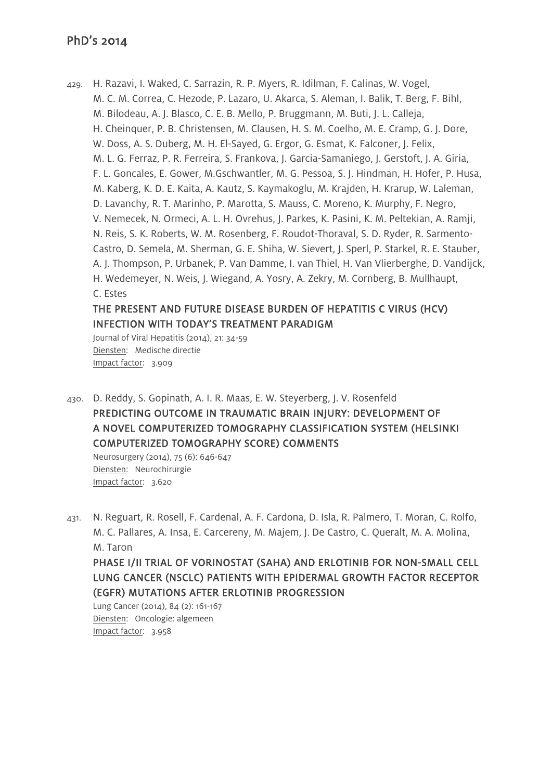429. H. Razavi, I. Waked, C. Sarrazin, R. P. Myers, R. Idilman, F. Calinas, W. Vogel, M. C. M. Correa, C. Hezode, P. Lazaro, U. Akarca, S. Aleman, I. Balik, T. Berg, F. Bihl, M. Bilodeau, A. J. Blasco, C. E. B. Mello, P. Bruggmann, M. Buti, J. L. Calleja, H. Cheinquer, P. B. Christensen, M. Clausen, H. S. M. Coelho, M. E. Cramp, G. J. Dore, W. Doss, A. S. Duberg, M. H. El-Sayed, G. Ergor, G. Esmat, K. Falconer, J. Felix, M. L. G. Ferraz, P. R. Ferreira, S. Frankova, J. Garcia-Samaniego, J. Gerstoft, J. A. Giria, F. L. Goncales, E. Gower, M.Gschwantler, M. G. Pessoa, S. J. Hindman, H. Hofer, P. Husa, M. Kaberg, K. D. E. Kaita, A. Kautz, S. Kaymakoglu, M. Krajden, H. Krarup, W. Laleman, D. Lavanchy, R. T. Marinho, P. Marotta, S. Mauss, C. Moreno, K. Murphy, F. Negro, V. Nemecek, N. Ormeci, A. L. H. Ovrehus, J. Parkes, K. Pasini, K. M. Peltekian, A. Ramji, N. Reis, S. K. Roberts, W. M. Rosenberg, F. Roudot-Thoraval, S. D. Ryder, R. Sarmento-Castro, D. Semela, M. Sherman, G. E. Shiha, W. Sievert, J. Sperl, P. Starkel, R. E. Stauber, A. J. Thompson, P. Urbanek, P. Van Damme, I. van Thiel, H. Van Vlierberghe, D. Vandijck, H. Wedemeyer, N. Weis, J. Wiegand, A. Yosry, A. Zekry, M. Cornberg, B. Mullhaupt, C. Estes

# THE PRESENT AND FUTURE DISEASE BURDEN OF HEPATITIS C VIRUS (HCV) INFECTION WITH TODAY'S TREATMENT PARADIGM

Journal of Viral Hepatitis (2014), 21: 34-59 Diensten: Medische directie Impact factor: 3.909

430. D. Reddy, S. Gopinath, A. I. R. Maas, E. W. Steyerberg, J. V. Rosenfeld PREDICTING OUTCOME IN TRAUMATIC BRAIN INJURY: DEVELOPMENT OF A NOVEL COMPUTERIZED TOMOGRAPHY CLASSIFICATION SYSTEM (HELSINKI COMPUTERIZED TOMOGRAPHY SCORE) COMMENTS

Neurosurgery (2014), 75 (6): 646-647 Diensten: Neurochirurgie Impact factor: 3.620

431. N. Reguart, R. Rosell, F. Cardenal, A. F. Cardona, D. Isla, R. Palmero, T. Moran, C. Rolfo, M. C. Pallares, A. Insa, E. Carcereny, M. Majem, J. De Castro, C. Queralt, M. A. Molina, M. Taron PHASE I/II TRIAL OF VORINOSTAT (SAHA) AND ERLOTINIB FOR NON-SMALL CELL LUNG CANCER (NSCLC) PATIENTS WITH EPIDERMAL GROWTH FACTOR RECEPTOR (EGFR) MUTATIONS AFTER ERLOTINIB PROGRESSION

Lung Cancer (2014), 84 (2): 161-167 Diensten: Oncologie: algemeen Impact factor: 3.958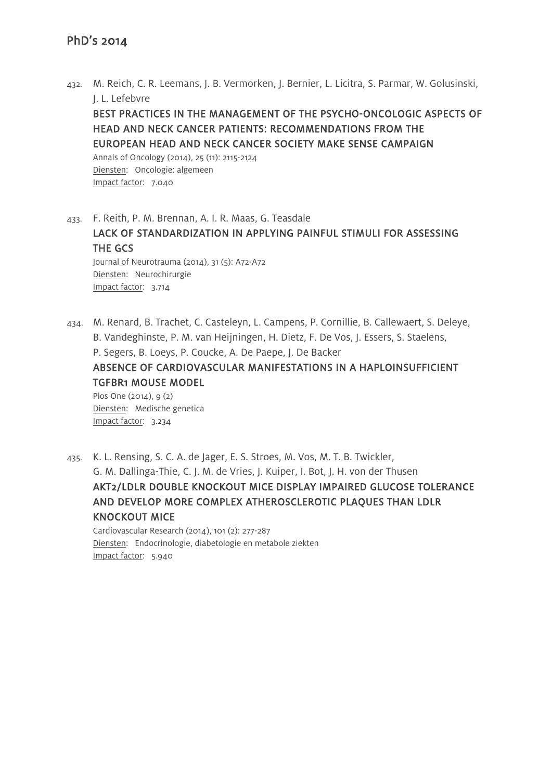432. M. Reich, C. R. Leemans, J. B. Vermorken, J. Bernier, L. Licitra, S. Parmar, W. Golusinski, J. L. Lefebvre

BEST PRACTICES IN THE MANAGEMENT OF THE PSYCHO-ONCOLOGIC ASPECTS OF HEAD AND NECK CANCER PATIENTS: RECOMMENDATIONS FROM THE EUROPEAN HEAD AND NECK CANCER SOCIETY MAKE SENSE CAMPAIGN

Annals of Oncology (2014), 25 (11): 2115-2124 Diensten: Oncologie: algemeen Impact factor: 7.040

433. F. Reith, P. M. Brennan, A. I. R. Maas, G. Teasdale LACK OF STANDARDIZATION IN APPLYING PAINFUL STIMULI FOR ASSESSING THE GCS Journal of Neurotrauma (2014), 31 (5): A72-A72 Diensten: Neurochirurgie Impact factor: 3.714

434. M. Renard, B. Trachet, C. Casteleyn, L. Campens, P. Cornillie, B. Callewaert, S. Deleye, B. Vandeghinste, P. M. van Heijningen, H. Dietz, F. De Vos, J. Essers, S. Staelens, P. Segers, B. Loeys, P. Coucke, A. De Paepe, J. De Backer

ABSENCE OF CARDIOVASCULAR MANIFESTATIONS IN A HAPLOINSUFFICIENT TGFBR1 MOUSE MODEL

Plos One (2014), 9 (2) Diensten: Medische genetica Impact factor: 3.234

435. K. L. Rensing, S. C. A. de Jager, E. S. Stroes, M. Vos, M. T. B. Twickler, G. M. Dallinga-Thie, C. J. M. de Vries, J. Kuiper, I. Bot, J. H. von der Thusen AKT2/LDLR DOUBLE KNOCKOUT MICE DISPLAY IMPAIRED GLUCOSE TOLERANCE AND DEVELOP MORE COMPLEX ATHEROSCLEROTIC PLAQUES THAN LDLR KNOCKOUT MICE Cardiovascular Research (2014), 101 (2): 277-287 Diensten: Endocrinologie, diabetologie en metabole ziekten

Impact factor: 5.940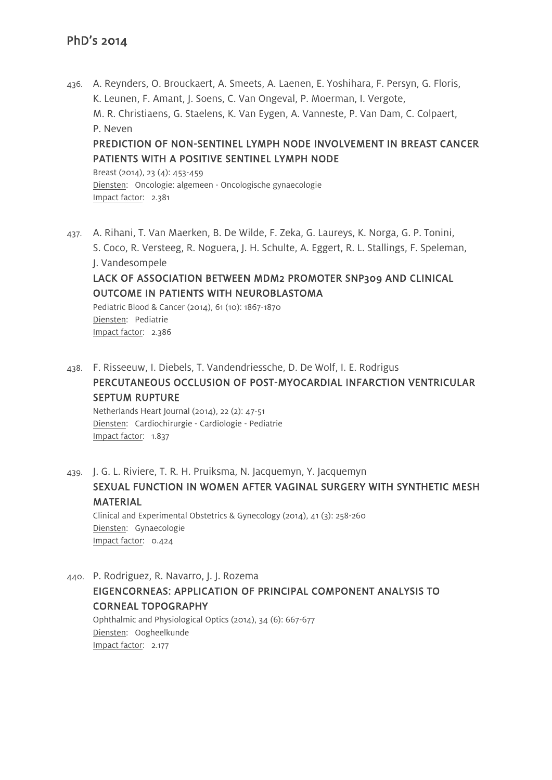436. A. Reynders, O. Brouckaert, A. Smeets, A. Laenen, E. Yoshihara, F. Persyn, G. Floris, K. Leunen, F. Amant, J. Soens, C. Van Ongeval, P. Moerman, I. Vergote, M. R. Christiaens, G. Staelens, K. Van Eygen, A. Vanneste, P. Van Dam, C. Colpaert, P. Neven PREDICTION OF NON-SENTINEL LYMPH NODE INVOLVEMENT IN BREAST CANCER PATIENTS WITH A POSITIVE SENTINEL LYMPH NODE

Breast (2014), 23 (4): 453-459 Diensten: Oncologie: algemeen - Oncologische gynaecologie Impact factor: 2.381

437. A. Rihani, T. Van Maerken, B. De Wilde, F. Zeka, G. Laureys, K. Norga, G. P. Tonini, S. Coco, R. Versteeg, R. Noguera, J. H. Schulte, A. Eggert, R. L. Stallings, F. Speleman, J. Vandesompele LACK OF ASSOCIATION BETWEEN MDM2 PROMOTER SNP309 AND CLINICAL OUTCOME IN PATIENTS WITH NEUROBLASTOMA

Pediatric Blood & Cancer (2014), 61 (10): 1867-1870 Diensten: Pediatrie Impact factor: 2.386

438. F. Risseeuw, I. Diebels, T. Vandendriessche, D. De Wolf, I. E. Rodrigus PERCUTANEOUS OCCLUSION OF POST-MYOCARDIAL INFARCTION VENTRICULAR SEPTUM RUPTURE

Netherlands Heart Journal (2014), 22 (2): 47-51 Diensten: Cardiochirurgie - Cardiologie - Pediatrie Impact factor: 1.837

439. J. G. L. Riviere, T. R. H. Pruiksma, N. Jacquemyn, Y. Jacquemyn SEXUAL FUNCTION IN WOMEN AFTER VAGINAL SURGERY WITH SYNTHETIC MESH MATERIAL Clinical and Experimental Obstetrics & Gynecology (2014), 41 (3): 258-260 Diensten: Gynaecologie Impact factor: 0.424

440. P. Rodriguez, R. Navarro, J. J. Rozema EIGENCORNEAS: APPLICATION OF PRINCIPAL COMPONENT ANALYSIS TO CORNEAL TOPOGRAPHY Ophthalmic and Physiological Optics (2014), 34 (6): 667-677

Diensten: Oogheelkunde Impact factor: 2.177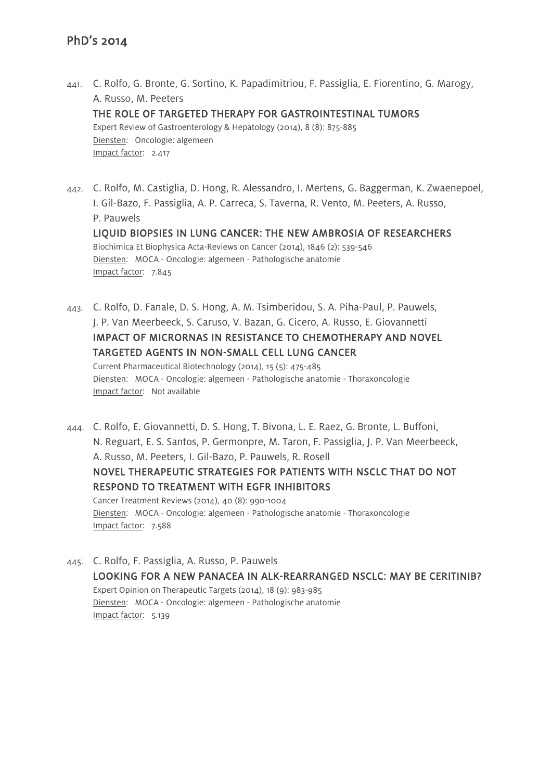- 441. C. Rolfo, G. Bronte, G. Sortino, K. Papadimitriou, F. Passiglia, E. Fiorentino, G. Marogy, A. Russo, M. Peeters THE ROLE OF TARGETED THERAPY FOR GASTROINTESTINAL TUMORS Expert Review of Gastroenterology & Hepatology (2014), 8 (8): 875-885 Diensten: Oncologie: algemeen Impact factor: 2.417
- 442. C. Rolfo, M. Castiglia, D. Hong, R. Alessandro, I. Mertens, G. Baggerman, K. Zwaenepoel, I. Gil-Bazo, F. Passiglia, A. P. Carreca, S. Taverna, R. Vento, M. Peeters, A. Russo, P. Pauwels LIQUID BIOPSIES IN LUNG CANCER: THE NEW AMBROSIA OF RESEARCHERS Biochimica Et Biophysica Acta-Reviews on Cancer (2014), 1846 (2): 539-546 Diensten: MOCA - Oncologie: algemeen - Pathologische anatomie Impact factor: 7.845
- 443. C. Rolfo, D. Fanale, D. S. Hong, A. M. Tsimberidou, S. A. Piha-Paul, P. Pauwels, J. P. Van Meerbeeck, S. Caruso, V. Bazan, G. Cicero, A. Russo, E. Giovannetti IMPACT OF MICRORNAS IN RESISTANCE TO CHEMOTHERAPY AND NOVEL TARGETED AGENTS IN NON-SMALL CELL LUNG CANCER Current Pharmaceutical Biotechnology (2014), 15 (5): 475-485 Diensten: MOCA - Oncologie: algemeen - Pathologische anatomie - Thoraxoncologie

Impact factor: Not available

- 444. C. Rolfo, E. Giovannetti, D. S. Hong, T. Bivona, L. E. Raez, G. Bronte, L. Buffoni, N. Reguart, E. S. Santos, P. Germonpre, M. Taron, F. Passiglia, J. P. Van Meerbeeck, A. Russo, M. Peeters, I. Gil-Bazo, P. Pauwels, R. Rosell NOVEL THERAPEUTIC STRATEGIES FOR PATIENTS WITH NSCLC THAT DO NOT RESPOND TO TREATMENT WITH EGFR INHIBITORS Cancer Treatment Reviews (2014), 40 (8): 990-1004 Diensten: MOCA - Oncologie: algemeen - Pathologische anatomie - Thoraxoncologie Impact factor: 7.588
- 445. C. Rolfo, F. Passiglia, A. Russo, P. Pauwels LOOKING FOR A NEW PANACEA IN ALK-REARRANGED NSCLC: MAY BE CERITINIB? Expert Opinion on Therapeutic Targets (2014), 18 (9): 983-985 Diensten: MOCA - Oncologie: algemeen - Pathologische anatomie Impact factor: 5.139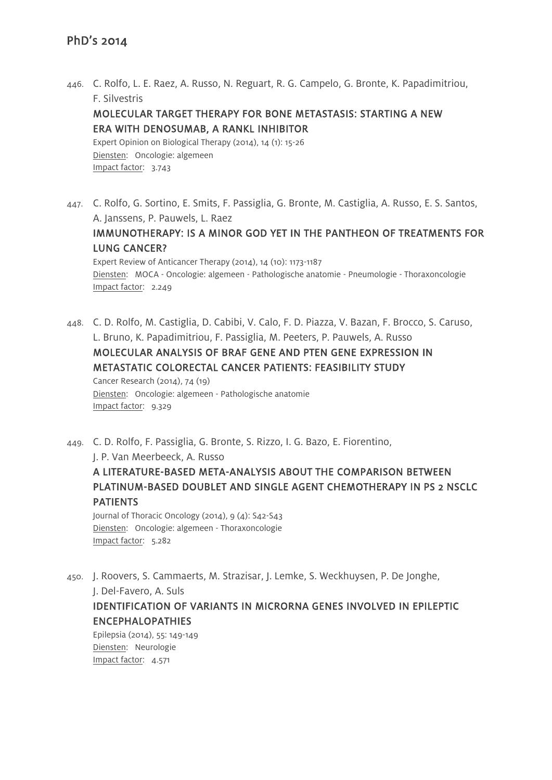- 446. C. Rolfo, L. E. Raez, A. Russo, N. Reguart, R. G. Campelo, G. Bronte, K. Papadimitriou, F. Silvestris MOLECULAR TARGET THERAPY FOR BONE METASTASIS: STARTING A NEW ERA WITH DENOSUMAB, A RANKL INHIBITOR Expert Opinion on Biological Therapy (2014), 14 (1): 15-26 Diensten: Oncologie: algemeen Impact factor: 3.743
- 447. C. Rolfo, G. Sortino, E. Smits, F. Passiglia, G. Bronte, M. Castiglia, A. Russo, E. S. Santos, A. Janssens, P. Pauwels, L. Raez IMMUNOTHERAPY: IS A MINOR GOD YET IN THE PANTHEON OF TREATMENTS FOR LUNG CANCER? Expert Review of Anticancer Therapy (2014), 14 (10): 1173-1187 Diensten: MOCA - Oncologie: algemeen - Pathologische anatomie - Pneumologie - Thoraxoncologie Impact factor: 2.249
- 448. C. D. Rolfo, M. Castiglia, D. Cabibi, V. Calo, F. D. Piazza, V. Bazan, F. Brocco, S. Caruso, L. Bruno, K. Papadimitriou, F. Passiglia, M. Peeters, P. Pauwels, A. Russo MOLECULAR ANALYSIS OF BRAF GENE AND PTEN GENE EXPRESSION IN METASTATIC COLORECTAL CANCER PATIENTS: FEASIBILITY STUDY Cancer Research (2014), 74 (19) Diensten: Oncologie: algemeen - Pathologische anatomie Impact factor: 9.329

449. C. D. Rolfo, F. Passiglia, G. Bronte, S. Rizzo, I. G. Bazo, E. Fiorentino, J. P. Van Meerbeeck, A. Russo

A LITERATURE-BASED META-ANALYSIS ABOUT THE COMPARISON BETWEEN PLATINUM-BASED DOUBLET AND SINGLE AGENT CHEMOTHERAPY IN PS 2 NSCLC **PATIENTS** 

Journal of Thoracic Oncology (2014), 9 (4): S42-S43 Diensten: Oncologie: algemeen - Thoraxoncologie Impact factor: 5.282

450. J. Roovers, S. Cammaerts, M. Strazisar, J. Lemke, S. Weckhuysen, P. De Jonghe,

J. Del-Favero, A. Suls

IDENTIFICATION OF VARIANTS IN MICRORNA GENES INVOLVED IN EPILEPTIC ENCEPHALOPATHIES

Epilepsia (2014), 55: 149-149 Diensten: Neurologie Impact factor: 4.571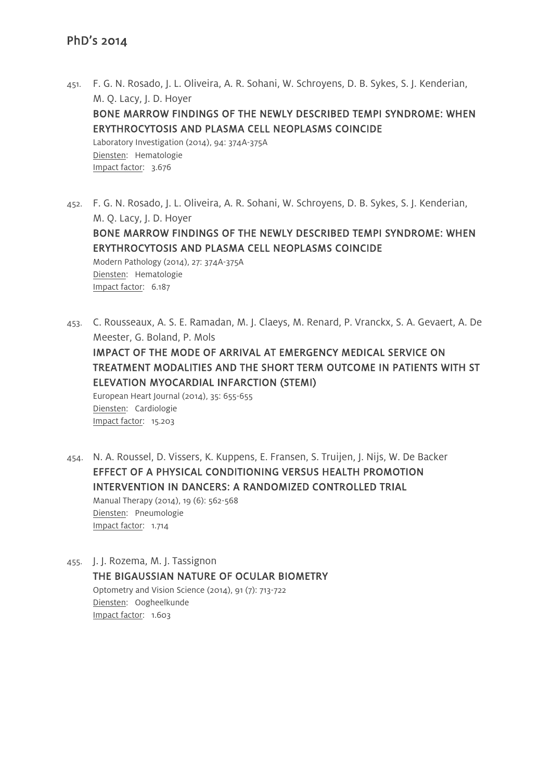451. F. G. N. Rosado, J. L. Oliveira, A. R. Sohani, W. Schroyens, D. B. Sykes, S. J. Kenderian, M. Q. Lacy, J. D. Hoyer BONE MARROW FINDINGS OF THE NEWLY DESCRIBED TEMPI SYNDROME: WHEN ERYTHROCYTOSIS AND PLASMA CELL NEOPLASMS COINCIDE Laboratory Investigation (2014), 94: 374A-375A Diensten: Hematologie Impact factor: 3.676

452. F. G. N. Rosado, J. L. Oliveira, A. R. Sohani, W. Schroyens, D. B. Sykes, S. J. Kenderian, M. Q. Lacy, J. D. Hoyer BONE MARROW FINDINGS OF THE NEWLY DESCRIBED TEMPI SYNDROME: WHEN ERYTHROCYTOSIS AND PLASMA CELL NEOPLASMS COINCIDE Modern Pathology (2014), 27: 374A-375A Diensten: Hematologie Impact factor: 6.187

453. C. Rousseaux, A. S. E. Ramadan, M. J. Claeys, M. Renard, P. Vranckx, S. A. Gevaert, A. De Meester, G. Boland, P. Mols IMPACT OF THE MODE OF ARRIVAL AT EMERGENCY MEDICAL SERVICE ON TREATMENT MODALITIES AND THE SHORT TERM OUTCOME IN PATIENTS WITH ST ELEVATION MYOCARDIAL INFARCTION (STEMI) European Heart Journal (2014), 35: 655-655 Diensten: Cardiologie Impact factor: 15.203

454. N. A. Roussel, D. Vissers, K. Kuppens, E. Fransen, S. Truijen, J. Nijs, W. De Backer EFFECT OF A PHYSICAL CONDITIONING VERSUS HEALTH PROMOTION INTERVENTION IN DANCERS: A RANDOMIZED CONTROLLED TRIAL Manual Therapy (2014), 19 (6): 562-568 Diensten: Pneumologie Impact factor: 1.714

455. J. J. Rozema, M. J. Tassignon THE BIGAUSSIAN NATURE OF OCULAR BIOMETRY Optometry and Vision Science (2014), 91 (7): 713-722 Diensten: Oogheelkunde Impact factor: 1.603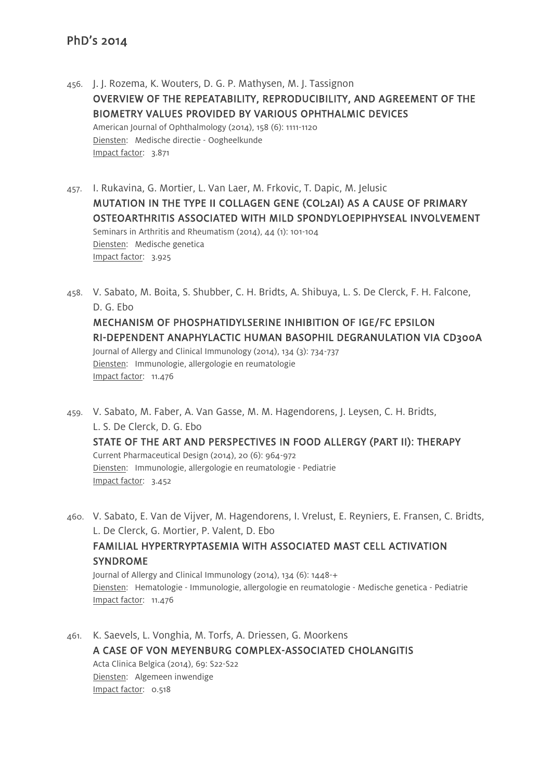- 456. J. J. Rozema, K. Wouters, D. G. P. Mathysen, M. J. Tassignon OVERVIEW OF THE REPEATABILITY, REPRODUCIBILITY, AND AGREEMENT OF THE BIOMETRY VALUES PROVIDED BY VARIOUS OPHTHALMIC DEVICES American Journal of Ophthalmology (2014), 158 (6): 1111-1120 Diensten: Medische directie - Oogheelkunde Impact factor: 3.871
- 457. I. Rukavina, G. Mortier, L. Van Laer, M. Frkovic, T. Dapic, M. Jelusic MUTATION IN THE TYPE II COLLAGEN GENE (COL2AI) AS A CAUSE OF PRIMARY OSTEOARTHRITIS ASSOCIATED WITH MILD SPONDYLOEPIPHYSEAL INVOLVEMENT Seminars in Arthritis and Rheumatism (2014), 44 (1): 101-104 Diensten: Medische genetica Impact factor: 3.925
- 458. V. Sabato, M. Boita, S. Shubber, C. H. Bridts, A. Shibuya, L. S. De Clerck, F. H. Falcone, D. G. Ebo MECHANISM OF PHOSPHATIDYLSERINE INHIBITION OF IGE/FC EPSILON RI-DEPENDENT ANAPHYLACTIC HUMAN BASOPHIL DEGRANULATION VIA CD300A Journal of Allergy and Clinical Immunology (2014), 134 (3): 734-737 Diensten: Immunologie, allergologie en reumatologie Impact factor: 11.476
- 459. V. Sabato, M. Faber, A. Van Gasse, M. M. Hagendorens, J. Leysen, C. H. Bridts, L. S. De Clerck, D. G. Ebo STATE OF THE ART AND PERSPECTIVES IN FOOD ALLERGY (PART II): THERAPY Current Pharmaceutical Design (2014), 20 (6): 964-972 Diensten: Immunologie, allergologie en reumatologie - Pediatrie Impact factor: 3.452

460. V. Sabato, E. Van de Vijver, M. Hagendorens, I. Vrelust, E. Reyniers, E. Fransen, C. Bridts, L. De Clerck, G. Mortier, P. Valent, D. Ebo FAMILIAL HYPERTRYPTASEMIA WITH ASSOCIATED MAST CELL ACTIVATION SYNDROME Journal of Allergy and Clinical Immunology (2014), 134 (6): 1448-+ Diensten: Hematologie - Immunologie, allergologie en reumatologie - Medische genetica - Pediatrie Impact factor: 11.476

461. K. Saevels, L. Vonghia, M. Torfs, A. Driessen, G. Moorkens A CASE OF VON MEYENBURG COMPLEX-ASSOCIATED CHOLANGITIS Acta Clinica Belgica (2014), 69: S22-S22 Diensten: Algemeen inwendige Impact factor: 0.518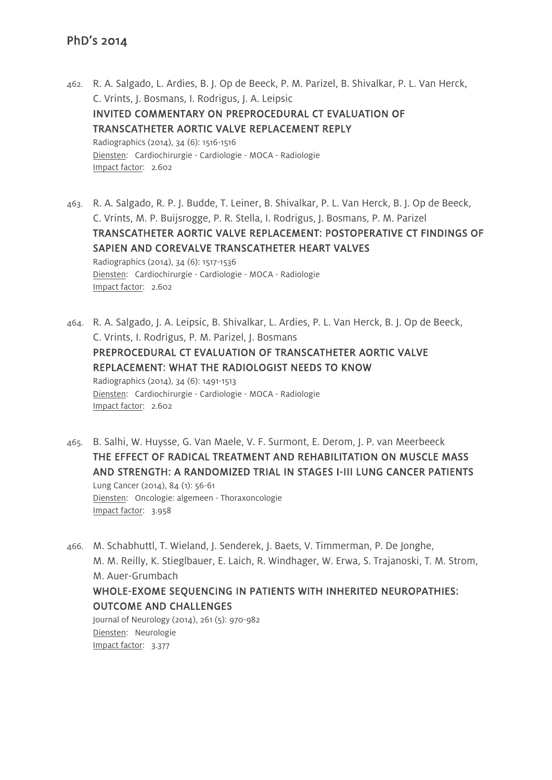- 462. R. A. Salgado, L. Ardies, B. J. Op de Beeck, P. M. Parizel, B. Shivalkar, P. L. Van Herck, C. Vrints, J. Bosmans, I. Rodrigus, J. A. Leipsic INVITED COMMENTARY ON PREPROCEDURAL CT EVALUATION OF TRANSCATHETER AORTIC VALVE REPLACEMENT REPLY Radiographics (2014), 34 (6): 1516-1516 Diensten: Cardiochirurgie - Cardiologie - MOCA - Radiologie Impact factor: 2.602
- 463. R. A. Salgado, R. P. J. Budde, T. Leiner, B. Shivalkar, P. L. Van Herck, B. J. Op de Beeck, C. Vrints, M. P. Buijsrogge, P. R. Stella, I. Rodrigus, J. Bosmans, P. M. Parizel TRANSCATHETER AORTIC VALVE REPLACEMENT: POSTOPERATIVE CT FINDINGS OF SAPIEN AND COREVALVE TRANSCATHETER HEART VALVES Radiographics (2014), 34 (6): 1517-1536 Diensten: Cardiochirurgie - Cardiologie - MOCA - Radiologie Impact factor: 2.602
- 464. R. A. Salgado, J. A. Leipsic, B. Shivalkar, L. Ardies, P. L. Van Herck, B. J. Op de Beeck, C. Vrints, I. Rodrigus, P. M. Parizel, J. Bosmans PREPROCEDURAL CT EVALUATION OF TRANSCATHETER AORTIC VALVE REPLACEMENT: WHAT THE RADIOLOGIST NEEDS TO KNOW Radiographics (2014), 34 (6): 1491-1513 Diensten: Cardiochirurgie - Cardiologie - MOCA - Radiologie Impact factor: 2.602
- 465. B. Salhi, W. Huysse, G. Van Maele, V. F. Surmont, E. Derom, J. P. van Meerbeeck THE EFFECT OF RADICAL TREATMENT AND REHABILITATION ON MUSCLE MASS AND STRENGTH: A RANDOMIZED TRIAL IN STAGES I-III LUNG CANCER PATIENTS Lung Cancer (2014), 84 (1): 56-61 Diensten: Oncologie: algemeen - Thoraxoncologie Impact factor: 3.958
- 466. M. Schabhuttl, T. Wieland, J. Senderek, J. Baets, V. Timmerman, P. De Jonghe, M. M. Reilly, K. Stieglbauer, E. Laich, R. Windhager, W. Erwa, S. Trajanoski, T. M. Strom, M. Auer-Grumbach WHOLE-EXOME SEQUENCING IN PATIENTS WITH INHERITED NEUROPATHIES: OUTCOME AND CHALLENGES Journal of Neurology (2014), 261 (5): 970-982 Diensten: Neurologie

Impact factor: 3.377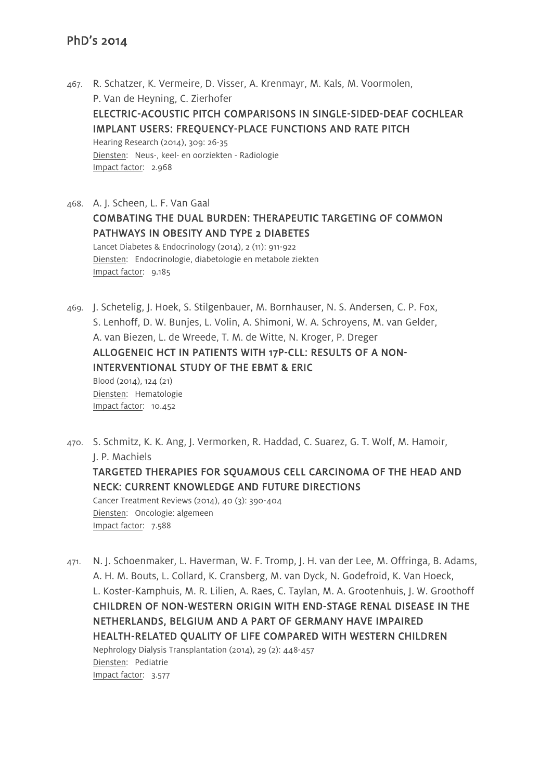467. R. Schatzer, K. Vermeire, D. Visser, A. Krenmayr, M. Kals, M. Voormolen, P. Van de Heyning, C. Zierhofer ELECTRIC-ACOUSTIC PITCH COMPARISONS IN SINGLE-SIDED-DEAF COCHLEAR IMPLANT USERS: FREQUENCY-PLACE FUNCTIONS AND RATE PITCH Hearing Research (2014), 309: 26-35 Diensten: Neus-, keel- en oorziekten - Radiologie Impact factor: 2.968

468. A. J. Scheen, L. F. Van Gaal COMBATING THE DUAL BURDEN: THERAPEUTIC TARGETING OF COMMON PATHWAYS IN OBESITY AND TYPE 2 DIABETES Lancet Diabetes & Endocrinology (2014), 2 (11): 911-922 Diensten: Endocrinologie, diabetologie en metabole ziekten Impact factor: 9.185

469. J. Schetelig, J. Hoek, S. Stilgenbauer, M. Bornhauser, N. S. Andersen, C. P. Fox, S. Lenhoff, D. W. Bunjes, L. Volin, A. Shimoni, W. A. Schroyens, M. van Gelder, A. van Biezen, L. de Wreede, T. M. de Witte, N. Kroger, P. Dreger ALLOGENEIC HCT IN PATIENTS WITH 17P-CLL: RESULTS OF A NON-INTERVENTIONAL STUDY OF THE EBMT & ERIC Blood (2014), 124 (21) Diensten: Hematologie Impact factor: 10.452

- 470. S. Schmitz, K. K. Ang, J. Vermorken, R. Haddad, C. Suarez, G. T. Wolf, M. Hamoir, J. P. Machiels TARGETED THERAPIES FOR SQUAMOUS CELL CARCINOMA OF THE HEAD AND NECK: CURRENT KNOWLEDGE AND FUTURE DIRECTIONS Cancer Treatment Reviews (2014), 40 (3): 390-404 Diensten: Oncologie: algemeen Impact factor: 7.588
- 471. N. J. Schoenmaker, L. Haverman, W. F. Tromp, J. H. van der Lee, M. Offringa, B. Adams, A. H. M. Bouts, L. Collard, K. Cransberg, M. van Dyck, N. Godefroid, K. Van Hoeck, L. Koster-Kamphuis, M. R. Lilien, A. Raes, C. Taylan, M. A. Grootenhuis, J. W. Groothoff CHILDREN OF NON-WESTERN ORIGIN WITH END-STAGE RENAL DISEASE IN THE NETHERLANDS, BELGIUM AND A PART OF GERMANY HAVE IMPAIRED HEALTH-RELATED QUALITY OF LIFE COMPARED WITH WESTERN CHILDREN Nephrology Dialysis Transplantation (2014), 29 (2): 448-457 Diensten: Pediatrie Impact factor: 3.577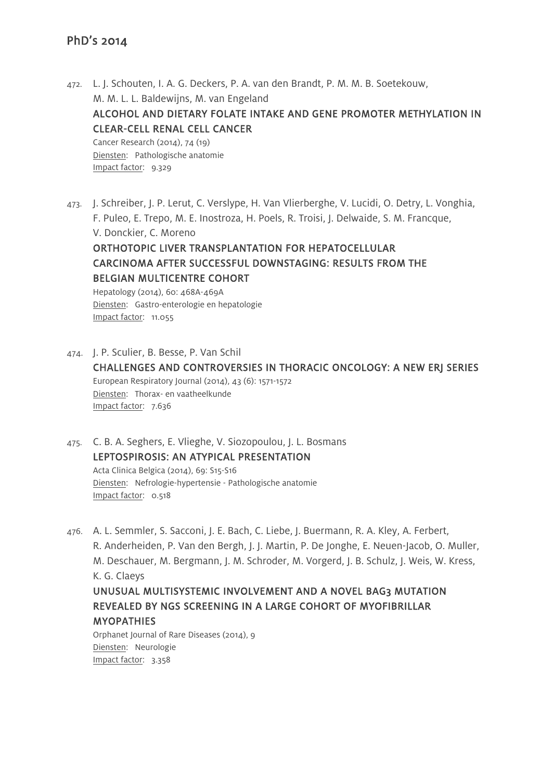- 472. L. J. Schouten, I. A. G. Deckers, P. A. van den Brandt, P. M. M. B. Soetekouw, M. M. L. L. Baldewijns, M. van Engeland ALCOHOL AND DIETARY FOLATE INTAKE AND GENE PROMOTER METHYLATION IN CLEAR-CELL RENAL CELL CANCER Cancer Research (2014), 74 (19) Diensten: Pathologische anatomie Impact factor: 9.329
- 473. J. Schreiber, J. P. Lerut, C. Verslype, H. Van Vlierberghe, V. Lucidi, O. Detry, L. Vonghia, F. Puleo, E. Trepo, M. E. Inostroza, H. Poels, R. Troisi, J. Delwaide, S. M. Francque, V. Donckier, C. Moreno ORTHOTOPIC LIVER TRANSPLANTATION FOR HEPATOCELLULAR CARCINOMA AFTER SUCCESSFUL DOWNSTAGING: RESULTS FROM THE BELGIAN MULTICENTRE COHORT Hepatology (2014), 60: 468A-469A

Diensten: Gastro-enterologie en hepatologie Impact factor: 11.055

- 474. J. P. Sculier, B. Besse, P. Van Schil CHALLENGES AND CONTROVERSIES IN THORACIC ONCOLOGY: A NEW ERJ SERIES European Respiratory Journal (2014), 43 (6): 1571-1572 Diensten: Thorax- en vaatheelkunde Impact factor: 7.636
- 475. C. B. A. Seghers, E. Vlieghe, V. Siozopoulou, J. L. Bosmans LEPTOSPIROSIS: AN ATYPICAL PRESENTATION Acta Clinica Belgica (2014), 69: S15-S16 Diensten: Nefrologie-hypertensie - Pathologische anatomie Impact factor: 0.518
- 476. A. L. Semmler, S. Sacconi, J. E. Bach, C. Liebe, J. Buermann, R. A. Kley, A. Ferbert, R. Anderheiden, P. Van den Bergh, J. J. Martin, P. De Jonghe, E. Neuen-Jacob, O. Muller, M. Deschauer, M. Bergmann, J. M. Schroder, M. Vorgerd, J. B. Schulz, J. Weis, W. Kress, K. G. Claeys

# UNUSUAL MULTISYSTEMIC INVOLVEMENT AND A NOVEL BAG3 MUTATION REVEALED BY NGS SCREENING IN A LARGE COHORT OF MYOFIBRILLAR **MYOPATHIES**

Orphanet Journal of Rare Diseases (2014), 9 Diensten: Neurologie Impact factor: 3.358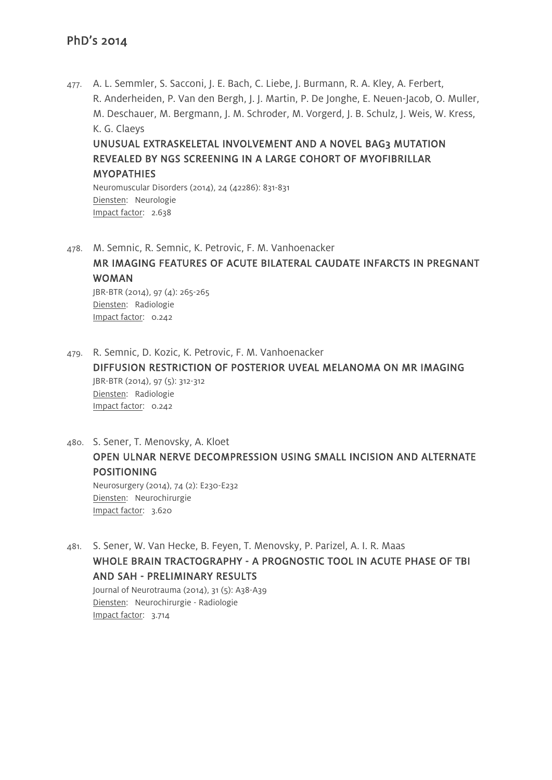477. A. L. Semmler, S. Sacconi, J. E. Bach, C. Liebe, J. Burmann, R. A. Kley, A. Ferbert, R. Anderheiden, P. Van den Bergh, J. J. Martin, P. De Jonghe, E. Neuen-Jacob, O. Muller, M. Deschauer, M. Bergmann, J. M. Schroder, M. Vorgerd, J. B. Schulz, J. Weis, W. Kress, K. G. Claeys

UNUSUAL EXTRASKELETAL INVOLVEMENT AND A NOVEL BAG3 MUTATION REVEALED BY NGS SCREENING IN A LARGE COHORT OF MYOFIBRILLAR **MYOPATHIES** 

Neuromuscular Disorders (2014), 24 (42286): 831-831 Diensten: Neurologie Impact factor: 2.638

478. M. Semnic, R. Semnic, K. Petrovic, F. M. Vanhoenacker

MR IMAGING FEATURES OF ACUTE BILATERAL CAUDATE INFARCTS IN PREGNANT WOMAN

JBR-BTR (2014), 97 (4): 265-265 Diensten: Radiologie Impact factor: 0.242

479. R. Semnic, D. Kozic, K. Petrovic, F. M. Vanhoenacker DIFFUSION RESTRICTION OF POSTERIOR UVEAL MELANOMA ON MR IMAGING JBR-BTR (2014), 97 (5): 312-312 Diensten: Radiologie Impact factor: 0.242

480. S. Sener, T. Menovsky, A. Kloet OPEN ULNAR NERVE DECOMPRESSION USING SMALL INCISION AND ALTERNATE POSITIONING Neurosurgery (2014), 74 (2): E230-E232

Diensten: Neurochirurgie Impact factor: 3.620

481. S. Sener, W. Van Hecke, B. Feyen, T. Menovsky, P. Parizel, A. I. R. Maas WHOLE BRAIN TRACTOGRAPHY - A PROGNOSTIC TOOL IN ACUTE PHASE OF TBI AND SAH - PRELIMINARY RESULTS Journal of Neurotrauma (2014), 31 (5): A38-A39 Diensten: Neurochirurgie - Radiologie Impact factor: 3.714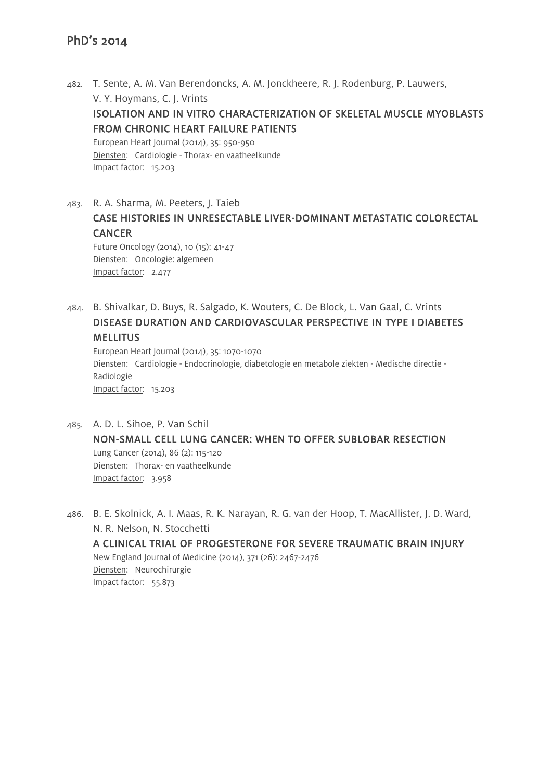- 482. T. Sente, A. M. Van Berendoncks, A. M. Jonckheere, R. J. Rodenburg, P. Lauwers, V. Y. Hoymans, C. J. Vrints ISOLATION AND IN VITRO CHARACTERIZATION OF SKELETAL MUSCLE MYOBLASTS FROM CHRONIC HEART FAILURE PATIENTS European Heart Journal (2014), 35: 950-950 Diensten: Cardiologie - Thorax- en vaatheelkunde Impact factor: 15.203
- 483. R. A. Sharma, M. Peeters, J. Taieb CASE HISTORIES IN UNRESECTABLE LIVER-DOMINANT METASTATIC COLORECTAL **CANCER**

Future Oncology (2014), 10 (15): 41-47 Diensten: Oncologie: algemeen Impact factor: 2.477

484. B. Shivalkar, D. Buys, R. Salgado, K. Wouters, C. De Block, L. Van Gaal, C. Vrints DISEASE DURATION AND CARDIOVASCULAR PERSPECTIVE IN TYPE I DIABETES **MELLITUS** 

European Heart Journal (2014), 35: 1070-1070 Diensten: Cardiologie - Endocrinologie, diabetologie en metabole ziekten - Medische directie - Radiologie Impact factor: 15.203

- 485. A. D. L. Sihoe, P. Van Schil NON-SMALL CELL LUNG CANCER: WHEN TO OFFER SUBLOBAR RESECTION Lung Cancer (2014), 86 (2): 115-120 Diensten: Thorax- en vaatheelkunde Impact factor: 3.958
- 486. B. E. Skolnick, A. I. Maas, R. K. Narayan, R. G. van der Hoop, T. MacAllister, J. D. Ward, N. R. Nelson, N. Stocchetti A CLINICAL TRIAL OF PROGESTERONE FOR SEVERE TRAUMATIC BRAIN INJURY New England Journal of Medicine (2014), 371 (26): 2467-2476 Diensten: Neurochirurgie Impact factor: 55.873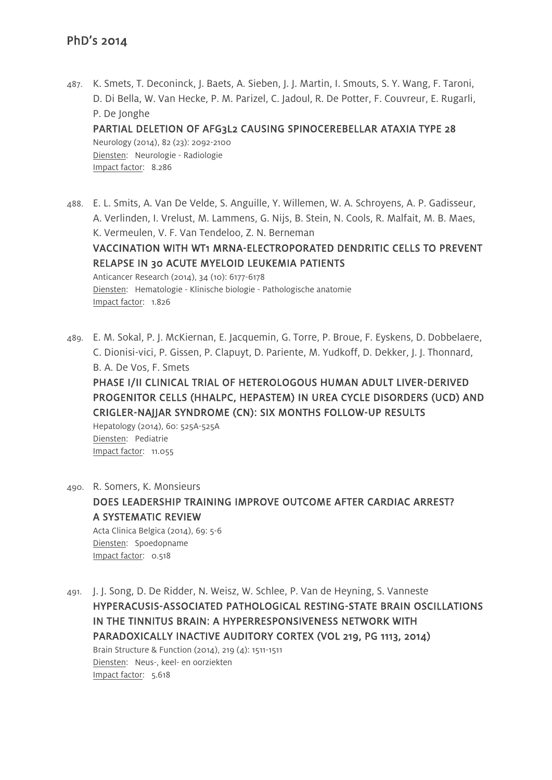487. K. Smets, T. Deconinck, J. Baets, A. Sieben, J. J. Martin, I. Smouts, S. Y. Wang, F. Taroni, D. Di Bella, W. Van Hecke, P. M. Parizel, C. Jadoul, R. De Potter, F. Couvreur, E. Rugarli, P. De Jonghe PARTIAL DELETION OF AFG3L2 CAUSING SPINOCEREBELLAR ATAXIA TYPE 28 Neurology (2014), 82 (23): 2092-2100

Diensten: Neurologie - Radiologie Impact factor: 8.286

488. E. L. Smits, A. Van De Velde, S. Anguille, Y. Willemen, W. A. Schroyens, A. P. Gadisseur, A. Verlinden, I. Vrelust, M. Lammens, G. Nijs, B. Stein, N. Cools, R. Malfait, M. B. Maes, K. Vermeulen, V. F. Van Tendeloo, Z. N. Berneman

VACCINATION WITH WT1 MRNA-ELECTROPORATED DENDRITIC CELLS TO PREVENT RELAPSE IN 30 ACUTE MYELOID LEUKEMIA PATIENTS

Anticancer Research (2014), 34 (10): 6177-6178 Diensten: Hematologie - Klinische biologie - Pathologische anatomie Impact factor: 1.826

489. E. M. Sokal, P. J. McKiernan, E. Jacquemin, G. Torre, P. Broue, F. Eyskens, D. Dobbelaere, C. Dionisi-vici, P. Gissen, P. Clapuyt, D. Pariente, M. Yudkoff, D. Dekker, J. J. Thonnard, B. A. De Vos, F. Smets

PHASE I/II CLINICAL TRIAL OF HETEROLOGOUS HUMAN ADULT LIVER-DERIVED PROGENITOR CELLS (HHALPC, HEPASTEM) IN UREA CYCLE DISORDERS (UCD) AND CRIGLER-NAJJAR SYNDROME (CN): SIX MONTHS FOLLOW-UP RESULTS

Hepatology (2014), 60: 525A-525A Diensten: Pediatrie Impact factor: 11.055

490. R. Somers, K. Monsieurs DOES LEADERSHIP TRAINING IMPROVE OUTCOME AFTER CARDIAC ARREST? A SYSTEMATIC REVIEW Acta Clinica Belgica (2014), 69: 5-6 Diensten: Spoedopname Impact factor: 0.518

491. J. J. Song, D. De Ridder, N. Weisz, W. Schlee, P. Van de Heyning, S. Vanneste HYPERACUSIS-ASSOCIATED PATHOLOGICAL RESTING-STATE BRAIN OSCILLATIONS IN THE TINNITUS BRAIN: A HYPERRESPONSIVENESS NETWORK WITH PARADOXICALLY INACTIVE AUDITORY CORTEX (VOL 219, PG 1113, 2014) Brain Structure & Function (2014), 219 (4): 1511-1511 Diensten: Neus-, keel- en oorziekten Impact factor: 5.618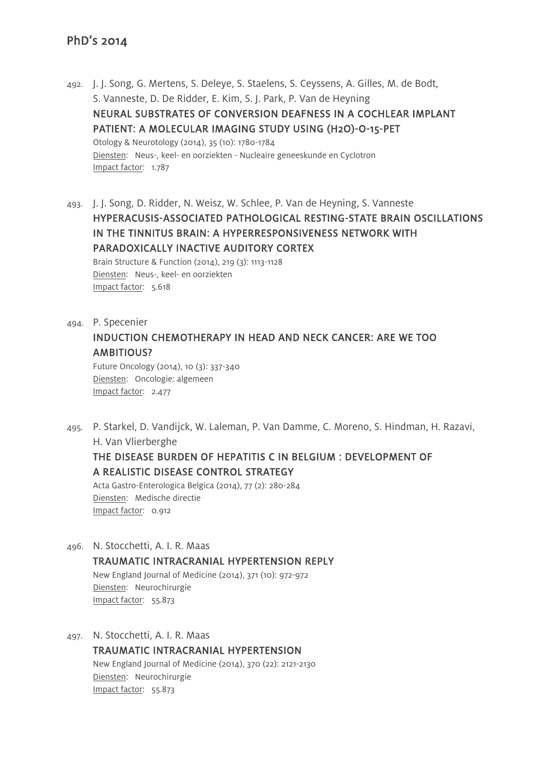492. J. J. Song, G. Mertens, S. Deleye, S. Staelens, S. Ceyssens, A. Gilles, M. de Bodt, S. Vanneste, D. De Ridder, E. Kim, S. J. Park, P. Van de Heyning NEURAL SUBSTRATES OF CONVERSION DEAFNESS IN A COCHLEAR IMPLANT PATIENT: A MOLECULAR IMAGING STUDY USING (H2O)-O-15-PET Otology & Neurotology (2014), 35 (10): 1780-1784 Diensten: Neus-, keel- en oorziekten - Nucleaire geneeskunde en Cyclotron Impact factor: 1.787

493. J. J. Song, D. Ridder, N. Weisz, W. Schlee, P. Van de Heyning, S. Vanneste HYPERACUSIS-ASSOCIATED PATHOLOGICAL RESTING-STATE BRAIN OSCILLATIONS IN THE TINNITUS BRAIN: A HYPERRESPONSIVENESS NETWORK WITH PARADOXICALLY INACTIVE AUDITORY CORTEX Brain Structure & Function (2014), 219 (3): 1113-1128 Diensten: Neus-, keel- en oorziekten Impact factor: 5.618

494. P. Specenier INDUCTION CHEMOTHERAPY IN HEAD AND NECK CANCER: ARE WE TOO AMBITIOUS?

Future Oncology (2014), 10 (3): 337-340 Diensten: Oncologie: algemeen Impact factor: 2.477

495. P. Starkel, D. Vandijck, W. Laleman, P. Van Damme, C. Moreno, S. Hindman, H. Razavi, H. Van Vlierberghe

## THE DISEASE BURDEN OF HEPATITIS C IN BELGIUM : DEVELOPMENT OF A REALISTIC DISEASE CONTROL STRATEGY

Acta Gastro-Enterologica Belgica (2014), 77 (2): 280-284 Diensten: Medische directie Impact factor: 0.912

- 496. N. Stocchetti, A. I. R. Maas TRAUMATIC INTRACRANIAL HYPERTENSION REPLY New England Journal of Medicine (2014), 371 (10): 972-972 Diensten: Neurochirurgie Impact factor: 55.873
- 497. N. Stocchetti, A. I. R. Maas TRAUMATIC INTRACRANIAL HYPERTENSION New England Journal of Medicine (2014), 370 (22): 2121-2130 Diensten: Neurochirurgie Impact factor: 55.873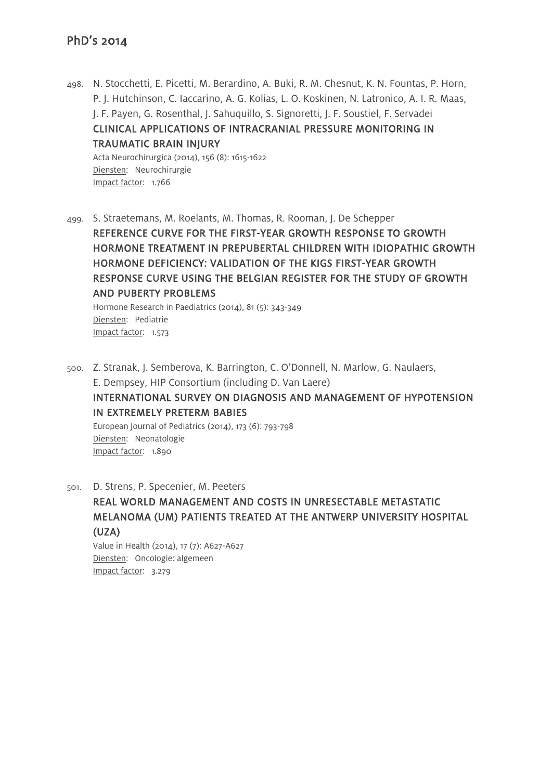498. N. Stocchetti, E. Picetti, M. Berardino, A. Buki, R. M. Chesnut, K. N. Fountas, P. Horn, P. J. Hutchinson, C. Iaccarino, A. G. Kolias, L. O. Koskinen, N. Latronico, A. I. R. Maas, J. F. Payen, G. Rosenthal, J. Sahuquillo, S. Signoretti, J. F. Soustiel, F. Servadei CLINICAL APPLICATIONS OF INTRACRANIAL PRESSURE MONITORING IN TRAUMATIC BRAIN INJURY

Acta Neurochirurgica (2014), 156 (8): 1615-1622 Diensten: Neurochirurgie Impact factor: 1.766

499. S. Straetemans, M. Roelants, M. Thomas, R. Rooman, J. De Schepper REFERENCE CURVE FOR THE FIRST-YEAR GROWTH RESPONSE TO GROWTH HORMONE TREATMENT IN PREPUBERTAL CHILDREN WITH IDIOPATHIC GROWTH HORMONE DEFICIENCY: VALIDATION OF THE KIGS FIRST-YEAR GROWTH RESPONSE CURVE USING THE BELGIAN REGISTER FOR THE STUDY OF GROWTH AND PUBERTY PROBLEMS

Hormone Research in Paediatrics (2014), 81 (5): 343-349 Diensten: Pediatrie Impact factor: 1.573

500. Z. Stranak, J. Semberova, K. Barrington, C. O'Donnell, N. Marlow, G. Naulaers, E. Dempsey, HIP Consortium (including D. Van Laere) INTERNATIONAL SURVEY ON DIAGNOSIS AND MANAGEMENT OF HYPOTENSION IN EXTREMELY PRETERM BABIES European Journal of Pediatrics (2014), 173 (6): 793-798 Diensten: Neonatologie Impact factor: 1.890

501. D. Strens, P. Specenier, M. Peeters

REAL WORLD MANAGEMENT AND COSTS IN UNRESECTABLE METASTATIC MELANOMA (UM) PATIENTS TREATED AT THE ANTWERP UNIVERSITY HOSPITAL (UZA)

Value in Health (2014), 17 (7): A627-A627 Diensten: Oncologie: algemeen Impact factor: 3.279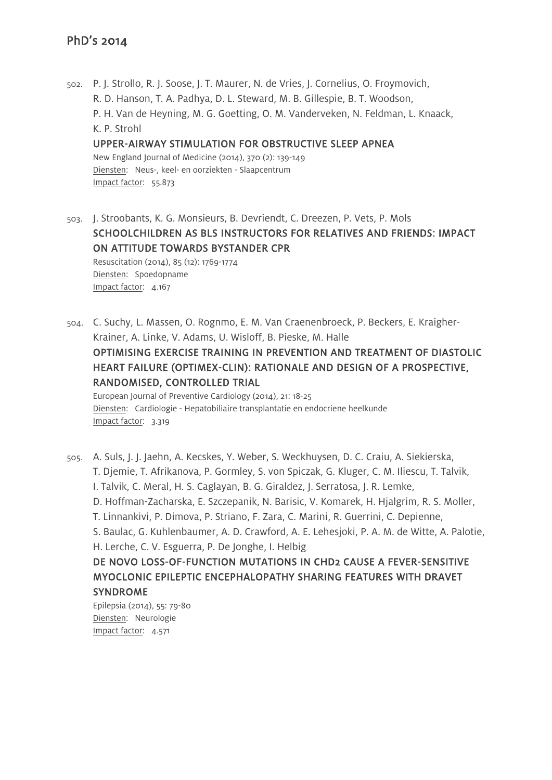502. P. J. Strollo, R. J. Soose, J. T. Maurer, N. de Vries, J. Cornelius, O. Froymovich, R. D. Hanson, T. A. Padhya, D. L. Steward, M. B. Gillespie, B. T. Woodson, P. H. Van de Heyning, M. G. Goetting, O. M. Vanderveken, N. Feldman, L. Knaack, K. P. Strohl UPPER-AIRWAY STIMULATION FOR OBSTRUCTIVE SLEEP APNEA New England Journal of Medicine (2014), 370 (2): 139-149 Diensten: Neus-, keel- en oorziekten - Slaapcentrum

Impact factor: 55.873

503. J. Stroobants, K. G. Monsieurs, B. Devriendt, C. Dreezen, P. Vets, P. Mols SCHOOLCHILDREN AS BLS INSTRUCTORS FOR RELATIVES AND FRIENDS: IMPACT ON ATTITUDE TOWARDS BYSTANDER CPR Resuscitation (2014), 85 (12): 1769-1774 Diensten: Spoedopname Impact factor: 4.167

504. C. Suchy, L. Massen, O. Rognmo, E. M. Van Craenenbroeck, P. Beckers, E. Kraigher-Krainer, A. Linke, V. Adams, U. Wisloff, B. Pieske, M. Halle OPTIMISING EXERCISE TRAINING IN PREVENTION AND TREATMENT OF DIASTOLIC HEART FAILURE (OPTIMEX-CLIN): RATIONALE AND DESIGN OF A PROSPECTIVE, RANDOMISED, CONTROLLED TRIAL European Journal of Preventive Cardiology (2014), 21: 18-25

Diensten: Cardiologie - Hepatobiliaire transplantatie en endocriene heelkunde Impact factor: 3.319

505. A. Suls, J. J. Jaehn, A. Kecskes, Y. Weber, S. Weckhuysen, D. C. Craiu, A. Siekierska, T. Djemie, T. Afrikanova, P. Gormley, S. von Spiczak, G. Kluger, C. M. Iliescu, T. Talvik, I. Talvik, C. Meral, H. S. Caglayan, B. G. Giraldez, J. Serratosa, J. R. Lemke, D. Hoffman-Zacharska, E. Szczepanik, N. Barisic, V. Komarek, H. Hjalgrim, R. S. Moller, T. Linnankivi, P. Dimova, P. Striano, F. Zara, C. Marini, R. Guerrini, C. Depienne, S. Baulac, G. Kuhlenbaumer, A. D. Crawford, A. E. Lehesjoki, P. A. M. de Witte, A. Palotie, H. Lerche, C. V. Esguerra, P. De Jonghe, I. Helbig DE NOVO LOSS-OF-FUNCTION MUTATIONS IN CHD2 CAUSE A FEVER-SENSITIVE MYOCLONIC EPILEPTIC ENCEPHALOPATHY SHARING FEATURES WITH DRAVET SYNDROME

Epilepsia (2014), 55: 79-80 Diensten: Neurologie Impact factor: 4.571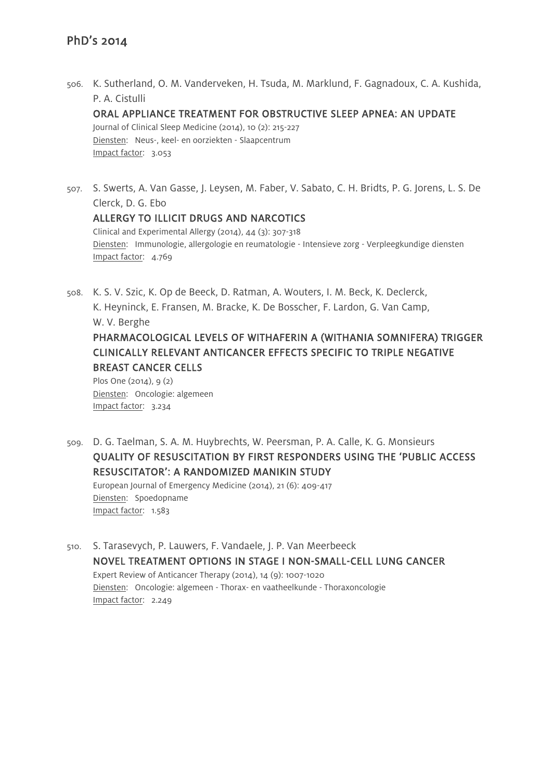506. K. Sutherland, O. M. Vanderveken, H. Tsuda, M. Marklund, F. Gagnadoux, C. A. Kushida, P. A. Cistulli

ORAL APPLIANCE TREATMENT FOR OBSTRUCTIVE SLEEP APNEA: AN UPDATE

Journal of Clinical Sleep Medicine (2014), 10 (2): 215-227 Diensten: Neus-, keel- en oorziekten - Slaapcentrum Impact factor: 3.053

507. S. Swerts, A. Van Gasse, J. Leysen, M. Faber, V. Sabato, C. H. Bridts, P. G. Jorens, L. S. De Clerck, D. G. Ebo ALLERGY TO ILLICIT DRUGS AND NARCOTICS

Clinical and Experimental Allergy (2014), 44 (3): 307-318 Diensten: Immunologie, allergologie en reumatologie - Intensieve zorg - Verpleegkundige diensten Impact factor: 4.769

508. K. S. V. Szic, K. Op de Beeck, D. Ratman, A. Wouters, I. M. Beck, K. Declerck, K. Heyninck, E. Fransen, M. Bracke, K. De Bosscher, F. Lardon, G. Van Camp, W. V. Berghe PHARMACOLOGICAL LEVELS OF WITHAFERIN A (WITHANIA SOMNIFERA) TRIGGER CLINICALLY RELEVANT ANTICANCER EFFECTS SPECIFIC TO TRIPLE NEGATIVE BREAST CANCER CELLS Plos One (2014), 9 (2)

Diensten: Oncologie: algemeen Impact factor: 3.234

509. D. G. Taelman, S. A. M. Huybrechts, W. Peersman, P. A. Calle, K. G. Monsieurs QUALITY OF RESUSCITATION BY FIRST RESPONDERS USING THE 'PUBLIC ACCESS RESUSCITATOR': A RANDOMIZED MANIKIN STUDY European Journal of Emergency Medicine (2014), 21 (6): 409-417 Diensten: Spoedopname

Impact factor: 1.583

510. S. Tarasevych, P. Lauwers, F. Vandaele, J. P. Van Meerbeeck NOVEL TREATMENT OPTIONS IN STAGE I NON-SMALL-CELL LUNG CANCER Expert Review of Anticancer Therapy (2014), 14 (9): 1007-1020 Diensten: Oncologie: algemeen - Thorax- en vaatheelkunde - Thoraxoncologie Impact factor: 2.249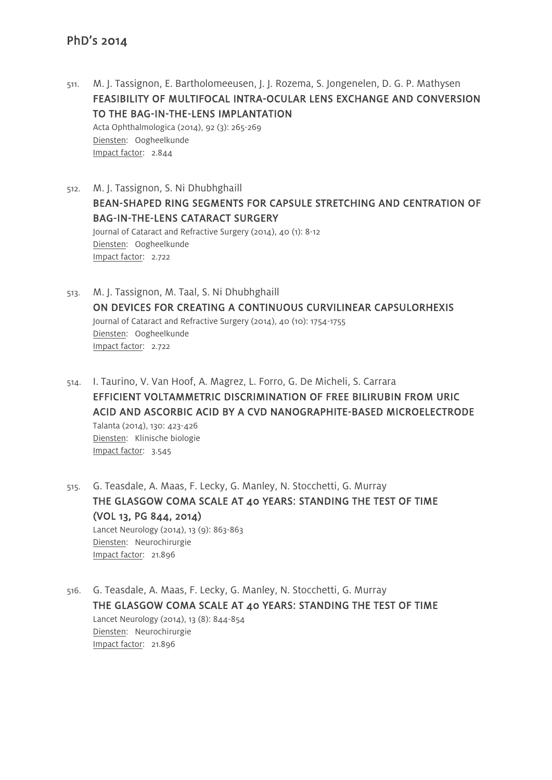- 511. M. J. Tassignon, E. Bartholomeeusen, J. J. Rozema, S. Jongenelen, D. G. P. Mathysen FEASIBILITY OF MULTIFOCAL INTRA-OCULAR LENS EXCHANGE AND CONVERSION TO THE BAG-IN-THE-LENS IMPLANTATION Acta Ophthalmologica (2014), 92 (3): 265-269 Diensten: Oogheelkunde Impact factor: 2.844
- 512. M. J. Tassignon, S. Ni Dhubhghaill BEAN-SHAPED RING SEGMENTS FOR CAPSULE STRETCHING AND CENTRATION OF BAG-IN-THE-LENS CATARACT SURGERY Journal of Cataract and Refractive Surgery (2014), 40 (1): 8-12 Diensten: Oogheelkunde Impact factor: 2.722
- 513. M. J. Tassignon, M. Taal, S. Ni Dhubhghaill ON DEVICES FOR CREATING A CONTINUOUS CURVILINEAR CAPSULORHEXIS Journal of Cataract and Refractive Surgery (2014), 40 (10): 1754-1755 Diensten: Oogheelkunde Impact factor: 2.722
- 514. I. Taurino, V. Van Hoof, A. Magrez, L. Forro, G. De Micheli, S. Carrara EFFICIENT VOLTAMMETRIC DISCRIMINATION OF FREE BILIRUBIN FROM URIC ACID AND ASCORBIC ACID BY A CVD NANOGRAPHITE-BASED MICROELECTRODE Talanta (2014), 130: 423-426 Diensten: Klinische biologie Impact factor: 3.545
- 515. G. Teasdale, A. Maas, F. Lecky, G. Manley, N. Stocchetti, G. Murray THE GLASGOW COMA SCALE AT 40 YEARS: STANDING THE TEST OF TIME (VOL 13, PG 844, 2014) Lancet Neurology (2014), 13 (9): 863-863 Diensten: Neurochirurgie Impact factor: 21.896
- 516. G. Teasdale, A. Maas, F. Lecky, G. Manley, N. Stocchetti, G. Murray THE GLASGOW COMA SCALE AT 40 YEARS: STANDING THE TEST OF TIME Lancet Neurology (2014), 13 (8): 844-854 Diensten: Neurochirurgie Impact factor: 21.896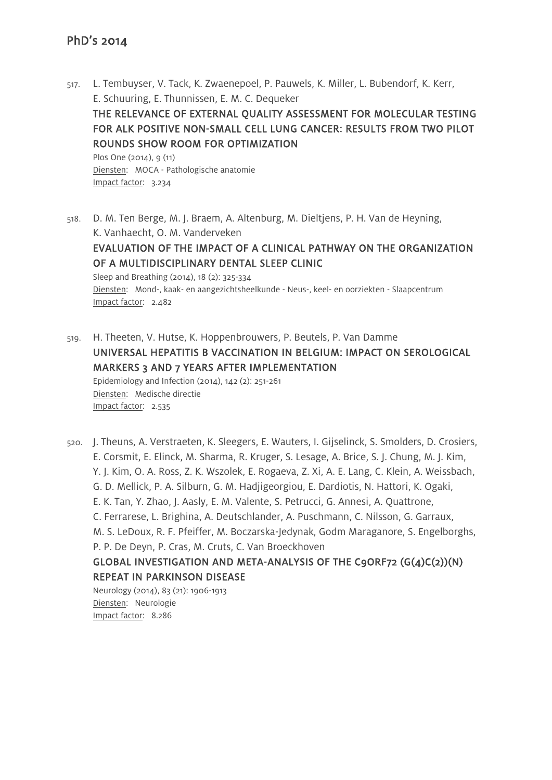- 517. L. Tembuyser, V. Tack, K. Zwaenepoel, P. Pauwels, K. Miller, L. Bubendorf, K. Kerr, E. Schuuring, E. Thunnissen, E. M. C. Dequeker THE RELEVANCE OF EXTERNAL QUALITY ASSESSMENT FOR MOLECULAR TESTING FOR ALK POSITIVE NON-SMALL CELL LUNG CANCER: RESULTS FROM TWO PILOT ROUNDS SHOW ROOM FOR OPTIMIZATION Plos One (2014), 9 (11) Diensten: MOCA - Pathologische anatomie Impact factor: 3.234
- 518. D. M. Ten Berge, M. J. Braem, A. Altenburg, M. Dieltjens, P. H. Van de Heyning, K. Vanhaecht, O. M. Vanderveken EVALUATION OF THE IMPACT OF A CLINICAL PATHWAY ON THE ORGANIZATION OF A MULTIDISCIPLINARY DENTAL SLEEP CLINIC Sleep and Breathing (2014), 18 (2): 325-334 Diensten: Mond-, kaak- en aangezichtsheelkunde - Neus-, keel- en oorziekten - Slaapcentrum Impact factor: 2.482
- 519. H. Theeten, V. Hutse, K. Hoppenbrouwers, P. Beutels, P. Van Damme UNIVERSAL HEPATITIS B VACCINATION IN BELGIUM: IMPACT ON SEROLOGICAL MARKERS 3 AND 7 YEARS AFTER IMPLEMENTATION Epidemiology and Infection (2014), 142 (2): 251-261 Diensten: Medische directie Impact factor: 2.535
- 520. J. Theuns, A. Verstraeten, K. Sleegers, E. Wauters, I. Gijselinck, S. Smolders, D. Crosiers, E. Corsmit, E. Elinck, M. Sharma, R. Kruger, S. Lesage, A. Brice, S. J. Chung, M. J. Kim, Y. J. Kim, O. A. Ross, Z. K. Wszolek, E. Rogaeva, Z. Xi, A. E. Lang, C. Klein, A. Weissbach, G. D. Mellick, P. A. Silburn, G. M. Hadjigeorgiou, E. Dardiotis, N. Hattori, K. Ogaki, E. K. Tan, Y. Zhao, J. Aasly, E. M. Valente, S. Petrucci, G. Annesi, A. Quattrone, C. Ferrarese, L. Brighina, A. Deutschlander, A. Puschmann, C. Nilsson, G. Garraux, M. S. LeDoux, R. F. Pfeiffer, M. Boczarska-Jedynak, Godm Maraganore, S. Engelborghs, P. P. De Deyn, P. Cras, M. Cruts, C. Van Broeckhoven GLOBAL INVESTIGATION AND META-ANALYSIS OF THE C9ORF72 (G(4)C(2))(N) REPEAT IN PARKINSON DISEASE

Neurology (2014), 83 (21): 1906-1913 Diensten: Neurologie Impact factor: 8.286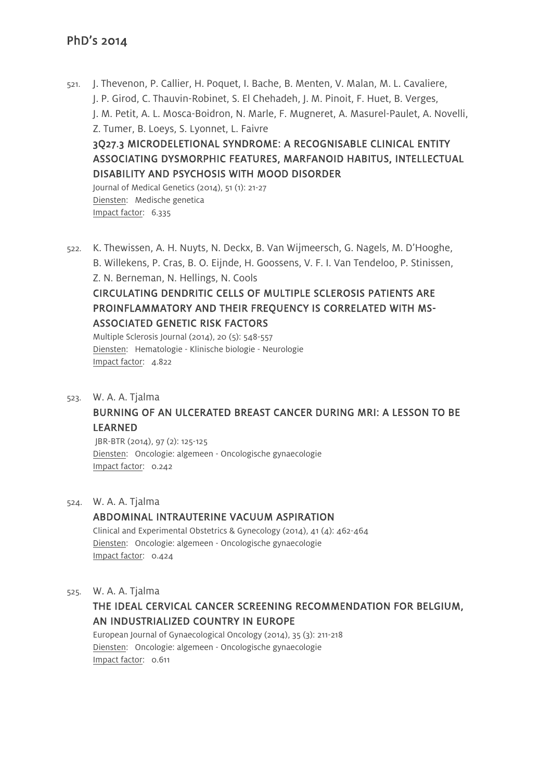521. J. Thevenon, P. Callier, H. Poquet, I. Bache, B. Menten, V. Malan, M. L. Cavaliere, J. P. Girod, C. Thauvin-Robinet, S. El Chehadeh, J. M. Pinoit, F. Huet, B. Verges, J. M. Petit, A. L. Mosca-Boidron, N. Marle, F. Mugneret, A. Masurel-Paulet, A. Novelli, Z. Tumer, B. Loeys, S. Lyonnet, L. Faivre 3Q27.3 MICRODELETIONAL SYNDROME: A RECOGNISABLE CLINICAL ENTITY ASSOCIATING DYSMORPHIC FEATURES, MARFANOID HABITUS, INTELLECTUAL DISABILITY AND PSYCHOSIS WITH MOOD DISORDER Journal of Medical Genetics (2014), 51 (1): 21-27 Diensten: Medische genetica

Impact factor: 6.335

522. K. Thewissen, A. H. Nuyts, N. Deckx, B. Van Wijmeersch, G. Nagels, M. D'Hooghe, B. Willekens, P. Cras, B. O. Eijnde, H. Goossens, V. F. I. Van Tendeloo, P. Stinissen, Z. N. Berneman, N. Hellings, N. Cools CIRCULATING DENDRITIC CELLS OF MULTIPLE SCLEROSIS PATIENTS ARE PROINFLAMMATORY AND THEIR FREQUENCY IS CORRELATED WITH MS-ASSOCIATED GENETIC RISK FACTORS Multiple Sclerosis Journal (2014), 20 (5): 548-557

Diensten: Hematologie - Klinische biologie - Neurologie Impact factor: 4.822

523. W. A. A. Tjalma

# BURNING OF AN ULCERATED BREAST CANCER DURING MRI: A LESSON TO BE LEARNED

JBR-BTR (2014), 97 (2): 125-125 Diensten: Oncologie: algemeen - Oncologische gynaecologie Impact factor: 0.242

524. W. A. A. Tjalma

#### ABDOMINAL INTRAUTERINE VACUUM ASPIRATION

Clinical and Experimental Obstetrics & Gynecology (2014), 41 (4): 462-464 Diensten: Oncologie: algemeen - Oncologische gynaecologie Impact factor: 0.424

#### 525. W. A. A. Tjalma

# THE IDEAL CERVICAL CANCER SCREENING RECOMMENDATION FOR BELGIUM, AN INDUSTRIALIZED COUNTRY IN EUROPE

European Journal of Gynaecological Oncology (2014), 35 (3): 211-218 Diensten: Oncologie: algemeen - Oncologische gynaecologie Impact factor: 0.611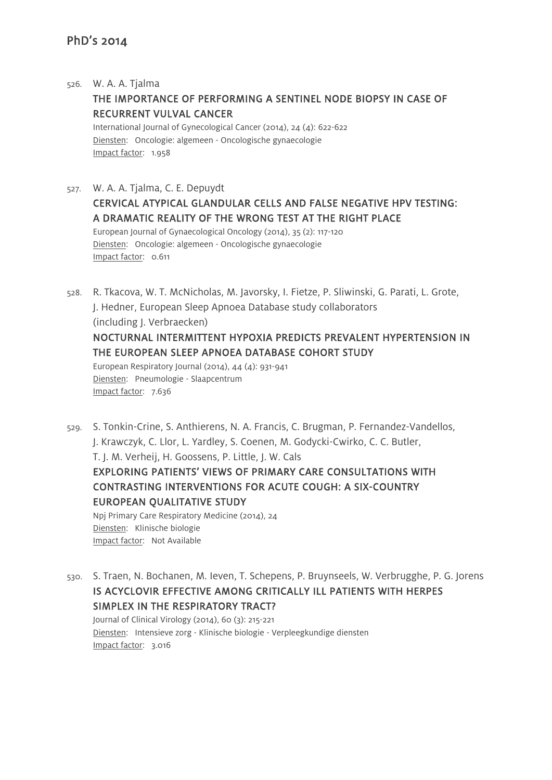#### 526. W. A. A. Tjalma

## THE IMPORTANCE OF PERFORMING A SENTINEL NODE BIOPSY IN CASE OF RECURRENT VULVAL CANCER

International Journal of Gynecological Cancer (2014), 24 (4): 622-622 Diensten: Oncologie: algemeen - Oncologische gynaecologie Impact factor: 1.958

### 527. W. A. A. Tjalma, C. E. Depuydt CERVICAL ATYPICAL GLANDULAR CELLS AND FALSE NEGATIVE HPV TESTING: A DRAMATIC REALITY OF THE WRONG TEST AT THE RIGHT PLACE European Journal of Gynaecological Oncology (2014), 35 (2): 117-120 Diensten: Oncologie: algemeen - Oncologische gynaecologie Impact factor: 0.611

528. R. Tkacova, W. T. McNicholas, M. Javorsky, I. Fietze, P. Sliwinski, G. Parati, L. Grote, J. Hedner, European Sleep Apnoea Database study collaborators (including J. Verbraecken) NOCTURNAL INTERMITTENT HYPOXIA PREDICTS PREVALENT HYPERTENSION IN THE EUROPEAN SLEEP APNOEA DATABASE COHORT STUDY European Respiratory Journal (2014), 44 (4): 931-941 Diensten: Pneumologie - Slaapcentrum Impact factor: 7.636

- 529. S. Tonkin-Crine, S. Anthierens, N. A. Francis, C. Brugman, P. Fernandez-Vandellos, J. Krawczyk, C. Llor, L. Yardley, S. Coenen, M. Godycki-Cwirko, C. C. Butler, T. J. M. Verheij, H. Goossens, P. Little, J. W. Cals EXPLORING PATIENTS' VIEWS OF PRIMARY CARE CONSULTATIONS WITH CONTRASTING INTERVENTIONS FOR ACUTE COUGH: A SIX-COUNTRY EUROPEAN QUALITATIVE STUDY Npj Primary Care Respiratory Medicine (2014), 24 Diensten: Klinische biologie Impact factor: Not Available
- 530. S. Traen, N. Bochanen, M. Ieven, T. Schepens, P. Bruynseels, W. Verbrugghe, P. G. Jorens IS ACYCLOVIR EFFECTIVE AMONG CRITICALLY ILL PATIENTS WITH HERPES SIMPLEX IN THE RESPIRATORY TRACT?

Journal of Clinical Virology (2014), 60 (3): 215-221 Diensten: Intensieve zorg - Klinische biologie - Verpleegkundige diensten Impact factor: 3.016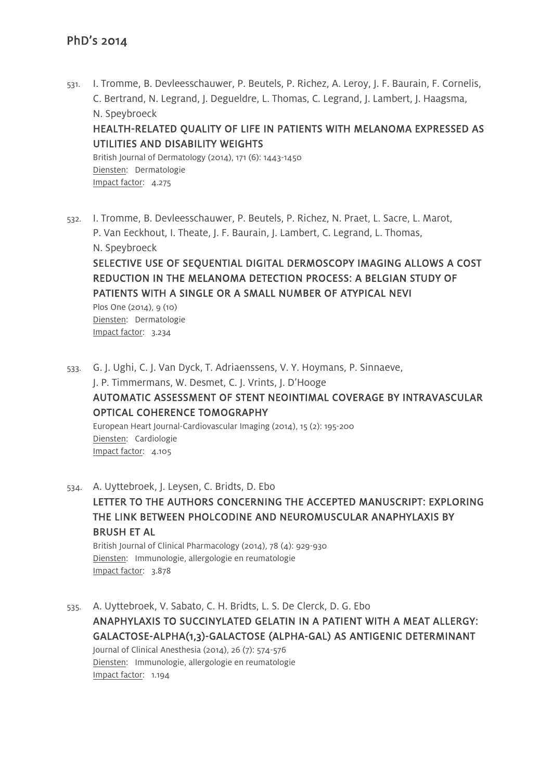531. I. Tromme, B. Devleesschauwer, P. Beutels, P. Richez, A. Leroy, J. F. Baurain, F. Cornelis, C. Bertrand, N. Legrand, J. Degueldre, L. Thomas, C. Legrand, J. Lambert, J. Haagsma, N. Speybroeck HEALTH-RELATED QUALITY OF LIFE IN PATIENTS WITH MELANOMA EXPRESSED AS UTILITIES AND DISABILITY WEIGHTS British Journal of Dermatology (2014), 171 (6): 1443-1450

Diensten: Dermatologie Impact factor: 4.275

532. I. Tromme, B. Devleesschauwer, P. Beutels, P. Richez, N. Praet, L. Sacre, L. Marot, P. Van Eeckhout, I. Theate, J. F. Baurain, J. Lambert, C. Legrand, L. Thomas, N. Speybroeck SELECTIVE USE OF SEQUENTIAL DIGITAL DERMOSCOPY IMAGING ALLOWS A COST REDUCTION IN THE MELANOMA DETECTION PROCESS: A BELGIAN STUDY OF PATIENTS WITH A SINGLE OR A SMALL NUMBER OF ATYPICAL NEVI Plos One (2014), 9 (10) Diensten: Dermatologie Impact factor: 3.234

533. G. J. Ughi, C. J. Van Dyck, T. Adriaenssens, V. Y. Hoymans, P. Sinnaeve, J. P. Timmermans, W. Desmet, C. J. Vrints, J. D'Hooge AUTOMATIC ASSESSMENT OF STENT NEOINTIMAL COVERAGE BY INTRAVASCULAR OPTICAL COHERENCE TOMOGRAPHY European Heart Journal-Cardiovascular Imaging (2014), 15 (2): 195-200 Diensten: Cardiologie Impact factor: 4.105

534. A. Uyttebroek, J. Leysen, C. Bridts, D. Ebo LETTER TO THE AUTHORS CONCERNING THE ACCEPTED MANUSCRIPT: EXPLORING THE LINK BETWEEN PHOLCODINE AND NEUROMUSCULAR ANAPHYLAXIS BY BRUSH ET AL British Journal of Clinical Pharmacology (2014), 78 (4): 929-930 Diensten: Immunologie, allergologie en reumatologie Impact factor: 3.878

535. A. Uyttebroek, V. Sabato, C. H. Bridts, L. S. De Clerck, D. G. Ebo ANAPHYLAXIS TO SUCCINYLATED GELATIN IN A PATIENT WITH A MEAT ALLERGY: GALACTOSE-ALPHA(1,3)-GALACTOSE (ALPHA-GAL) AS ANTIGENIC DETERMINANT Journal of Clinical Anesthesia (2014), 26 (7): 574-576 Diensten: Immunologie, allergologie en reumatologie Impact factor: 1.194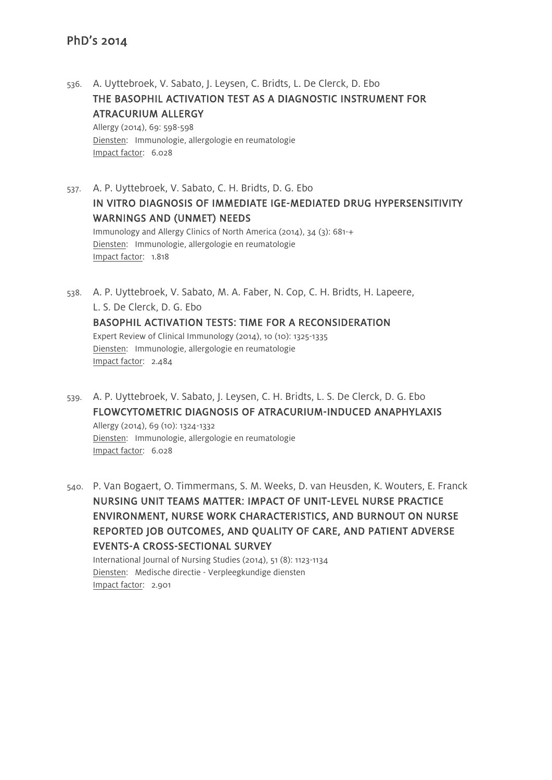Impact factor: 6.028

536. A. Uyttebroek, V. Sabato, J. Leysen, C. Bridts, L. De Clerck, D. Ebo THE BASOPHIL ACTIVATION TEST AS A DIAGNOSTIC INSTRUMENT FOR ATRACURIUM ALLERGY Allergy (2014), 69: 598-598 Diensten: Immunologie, allergologie en reumatologie

537. A. P. Uyttebroek, V. Sabato, C. H. Bridts, D. G. Ebo IN VITRO DIAGNOSIS OF IMMEDIATE IGE-MEDIATED DRUG HYPERSENSITIVITY WARNINGS AND (UNMET) NEEDS Immunology and Allergy Clinics of North America (2014), 34 (3): 681-+ Diensten: Immunologie, allergologie en reumatologie Impact factor: 1.818

- 538. A. P. Uyttebroek, V. Sabato, M. A. Faber, N. Cop, C. H. Bridts, H. Lapeere, L. S. De Clerck, D. G. Ebo BASOPHIL ACTIVATION TESTS: TIME FOR A RECONSIDERATION Expert Review of Clinical Immunology (2014), 10 (10): 1325-1335 Diensten: Immunologie, allergologie en reumatologie Impact factor: 2.484
- 539. A. P. Uyttebroek, V. Sabato, J. Leysen, C. H. Bridts, L. S. De Clerck, D. G. Ebo FLOWCYTOMETRIC DIAGNOSIS OF ATRACURIUM-INDUCED ANAPHYLAXIS Allergy (2014), 69 (10): 1324-1332 Diensten: Immunologie, allergologie en reumatologie Impact factor: 6.028

540. P. Van Bogaert, O. Timmermans, S. M. Weeks, D. van Heusden, K. Wouters, E. Franck NURSING UNIT TEAMS MATTER: IMPACT OF UNIT-LEVEL NURSE PRACTICE ENVIRONMENT, NURSE WORK CHARACTERISTICS, AND BURNOUT ON NURSE REPORTED JOB OUTCOMES, AND QUALITY OF CARE, AND PATIENT ADVERSE EVENTS-A CROSS-SECTIONAL SURVEY International Journal of Nursing Studies (2014), 51 (8): 1123-1134

Diensten: Medische directie - Verpleegkundige diensten Impact factor: 2.901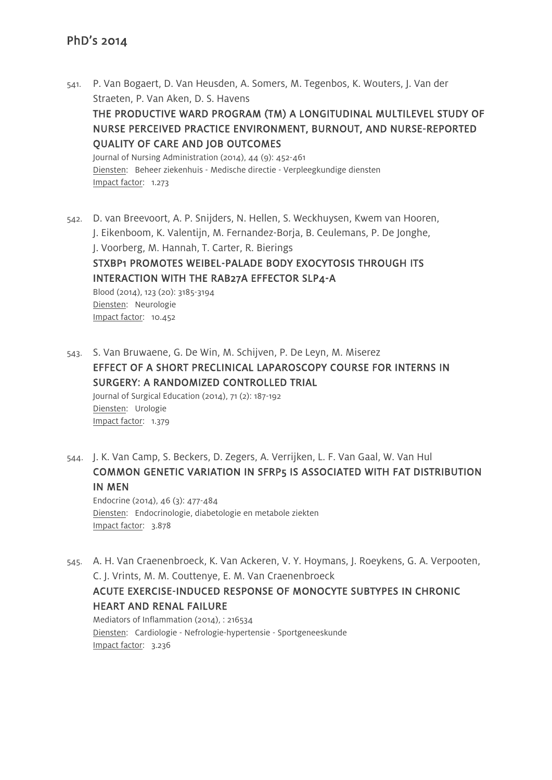Impact factor: 1.273

Impact factor: 10.452

541. P. Van Bogaert, D. Van Heusden, A. Somers, M. Tegenbos, K. Wouters, J. Van der Straeten, P. Van Aken, D. S. Havens THE PRODUCTIVE WARD PROGRAM (TM) A LONGITUDINAL MULTILEVEL STUDY OF NURSE PERCEIVED PRACTICE ENVIRONMENT, BURNOUT, AND NURSE-REPORTED QUALITY OF CARE AND JOB OUTCOMES Journal of Nursing Administration (2014), 44 (9): 452-461 Diensten: Beheer ziekenhuis - Medische directie - Verpleegkundige diensten

542. D. van Breevoort, A. P. Snijders, N. Hellen, S. Weckhuysen, Kwem van Hooren, J. Eikenboom, K. Valentijn, M. Fernandez-Borja, B. Ceulemans, P. De Jonghe, J. Voorberg, M. Hannah, T. Carter, R. Bierings STXBP1 PROMOTES WEIBEL-PALADE BODY EXOCYTOSIS THROUGH ITS INTERACTION WITH THE RAB27A EFFECTOR SLP4-A Blood (2014), 123 (20): 3185-3194 Diensten: Neurologie

543. S. Van Bruwaene, G. De Win, M. Schijven, P. De Leyn, M. Miserez EFFECT OF A SHORT PRECLINICAL LAPAROSCOPY COURSE FOR INTERNS IN SURGERY: A RANDOMIZED CONTROLLED TRIAL Journal of Surgical Education (2014), 71 (2): 187-192 Diensten: Urologie Impact factor: 1.379

544. J. K. Van Camp, S. Beckers, D. Zegers, A. Verrijken, L. F. Van Gaal, W. Van Hul COMMON GENETIC VARIATION IN SFRP5 IS ASSOCIATED WITH FAT DISTRIBUTION IN MEN

Endocrine (2014), 46 (3): 477-484 Diensten: Endocrinologie, diabetologie en metabole ziekten Impact factor: 3.878

545. A. H. Van Craenenbroeck, K. Van Ackeren, V. Y. Hoymans, J. Roeykens, G. A. Verpooten, C. J. Vrints, M. M. Couttenye, E. M. Van Craenenbroeck

## ACUTE EXERCISE-INDUCED RESPONSE OF MONOCYTE SUBTYPES IN CHRONIC HEART AND RENAL FAILURE

Mediators of Inflammation (2014), : 216534 Diensten: Cardiologie - Nefrologie-hypertensie - Sportgeneeskunde Impact factor: 3.236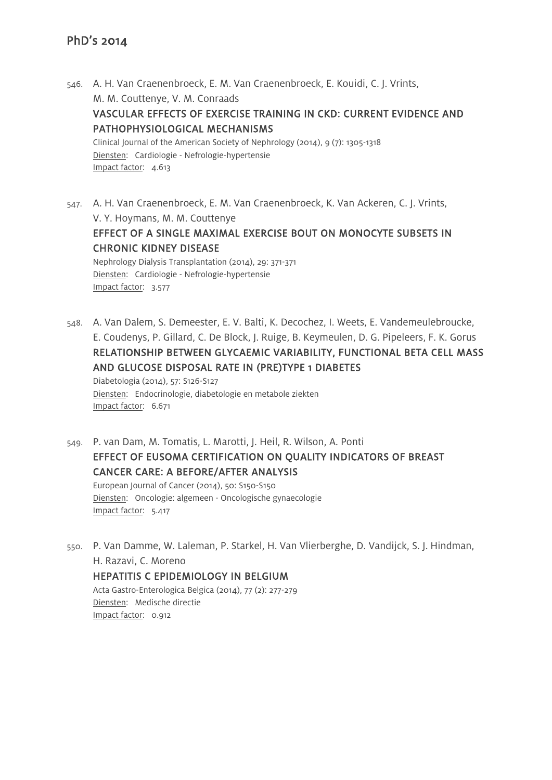- 546. A. H. Van Craenenbroeck, E. M. Van Craenenbroeck, E. Kouidi, C. J. Vrints, M. M. Couttenye, V. M. Conraads VASCULAR EFFECTS OF EXERCISE TRAINING IN CKD: CURRENT EVIDENCE AND PATHOPHYSIOLOGICAL MECHANISMS Clinical Journal of the American Society of Nephrology (2014), 9 (7): 1305-1318 Diensten: Cardiologie - Nefrologie-hypertensie Impact factor: 4.613
- 547. A. H. Van Craenenbroeck, E. M. Van Craenenbroeck, K. Van Ackeren, C. J. Vrints, V. Y. Hoymans, M. M. Couttenye EFFECT OF A SINGLE MAXIMAL EXERCISE BOUT ON MONOCYTE SUBSETS IN CHRONIC KIDNEY DISEASE Nephrology Dialysis Transplantation (2014), 29: 371-371 Diensten: Cardiologie - Nefrologie-hypertensie Impact factor: 3.577
- 548. A. Van Dalem, S. Demeester, E. V. Balti, K. Decochez, I. Weets, E. Vandemeulebroucke, E. Coudenys, P. Gillard, C. De Block, J. Ruige, B. Keymeulen, D. G. Pipeleers, F. K. Gorus RELATIONSHIP BETWEEN GLYCAEMIC VARIABILITY, FUNCTIONAL BETA CELL MASS AND GLUCOSE DISPOSAL RATE IN (PRE)TYPE 1 DIABETES

Diabetologia (2014), 57: S126-S127 Diensten: Endocrinologie, diabetologie en metabole ziekten Impact factor: 6.671

- 549. P. van Dam, M. Tomatis, L. Marotti, J. Heil, R. Wilson, A. Ponti EFFECT OF EUSOMA CERTIFICATION ON QUALITY INDICATORS OF BREAST CANCER CARE: A BEFORE/AFTER ANALYSIS European Journal of Cancer (2014), 50: S150-S150 Diensten: Oncologie: algemeen - Oncologische gynaecologie Impact factor: 5.417
- 550. P. Van Damme, W. Laleman, P. Starkel, H. Van Vlierberghe, D. Vandijck, S. J. Hindman, H. Razavi, C. Moreno HEPATITIS C EPIDEMIOLOGY IN BELGIUM Acta Gastro-Enterologica Belgica (2014), 77 (2): 277-279 Diensten: Medische directie Impact factor: 0.912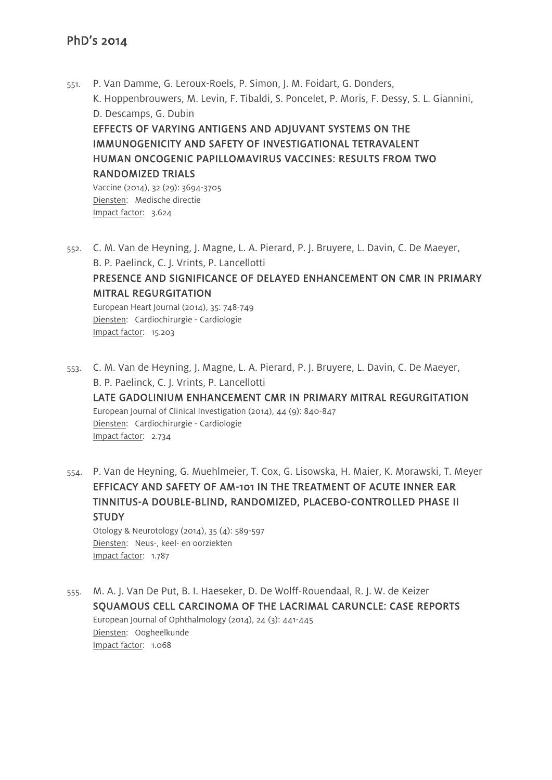551. P. Van Damme, G. Leroux-Roels, P. Simon, J. M. Foidart, G. Donders, K. Hoppenbrouwers, M. Levin, F. Tibaldi, S. Poncelet, P. Moris, F. Dessy, S. L. Giannini, D. Descamps, G. Dubin EFFECTS OF VARYING ANTIGENS AND ADJUVANT SYSTEMS ON THE IMMUNOGENICITY AND SAFETY OF INVESTIGATIONAL TETRAVALENT HUMAN ONCOGENIC PAPILLOMAVIRUS VACCINES: RESULTS FROM TWO RANDOMIZED TRIALS Vaccine (2014), 32 (29): 3694-3705 Diensten: Medische directie Impact factor: 3.624

552. C. M. Van de Heyning, J. Magne, L. A. Pierard, P. J. Bruyere, L. Davin, C. De Maeyer, B. P. Paelinck, C. J. Vrints, P. Lancellotti

# PRESENCE AND SIGNIFICANCE OF DELAYED ENHANCEMENT ON CMR IN PRIMARY MITRAL REGURGITATION

European Heart Journal (2014), 35: 748-749 Diensten: Cardiochirurgie - Cardiologie Impact factor: 15.203

553. C. M. Van de Heyning, J. Magne, L. A. Pierard, P. J. Bruyere, L. Davin, C. De Maeyer, B. P. Paelinck, C. J. Vrints, P. Lancellotti LATE GADOLINIUM ENHANCEMENT CMR IN PRIMARY MITRAL REGURGITATION European Journal of Clinical Investigation (2014), 44 (9): 840-847 Diensten: Cardiochirurgie - Cardiologie Impact factor: 2.734

554. P. Van de Heyning, G. Muehlmeier, T. Cox, G. Lisowska, H. Maier, K. Morawski, T. Meyer EFFICACY AND SAFETY OF AM-101 IN THE TREATMENT OF ACUTE INNER EAR TINNITUS-A DOUBLE-BLIND, RANDOMIZED, PLACEBO-CONTROLLED PHASE II **STUDY** Otology & Neurotology (2014), 35 (4): 589-597

Diensten: Neus-, keel- en oorziekten Impact factor: 1.787

555. M. A. J. Van De Put, B. I. Haeseker, D. De Wolff-Rouendaal, R. J. W. de Keizer SQUAMOUS CELL CARCINOMA OF THE LACRIMAL CARUNCLE: CASE REPORTS European Journal of Ophthalmology (2014), 24 (3): 441-445 Diensten: Oogheelkunde Impact factor: 1.068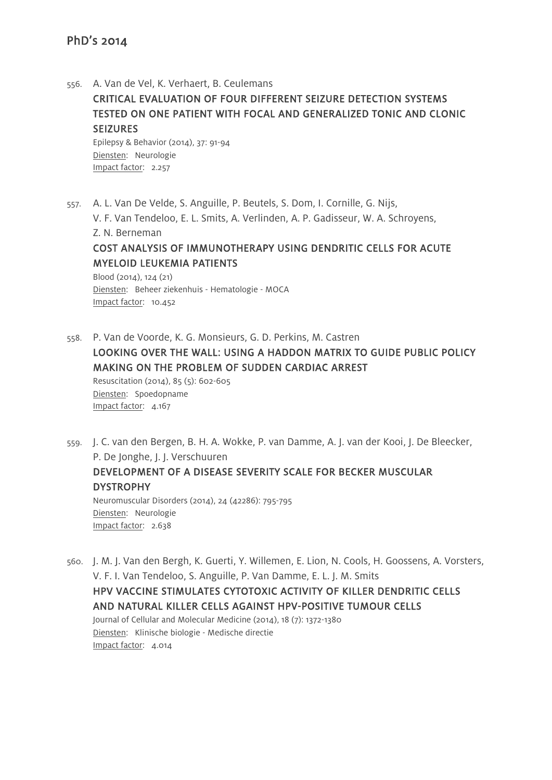556. A. Van de Vel, K. Verhaert, B. Ceulemans

# CRITICAL EVALUATION OF FOUR DIFFERENT SEIZURE DETECTION SYSTEMS TESTED ON ONE PATIENT WITH FOCAL AND GENERALIZED TONIC AND CLONIC **SEIZURES**

Epilepsy & Behavior (2014), 37: 91-94 Diensten: Neurologie Impact factor: 2.257

557. A. L. Van De Velde, S. Anguille, P. Beutels, S. Dom, I. Cornille, G. Nijs, V. F. Van Tendeloo, E. L. Smits, A. Verlinden, A. P. Gadisseur, W. A. Schroyens, Z. N. Berneman COST ANALYSIS OF IMMUNOTHERAPY USING DENDRITIC CELLS FOR ACUTE MYELOID LEUKEMIA PATIENTS Blood (2014), 124 (21) Diensten: Beheer ziekenhuis - Hematologie - MOCA

Impact factor: 10.452

- 558. P. Van de Voorde, K. G. Monsieurs, G. D. Perkins, M. Castren LOOKING OVER THE WALL: USING A HADDON MATRIX TO GUIDE PUBLIC POLICY MAKING ON THE PROBLEM OF SUDDEN CARDIAC ARREST Resuscitation (2014), 85 (5): 602-605 Diensten: Spoedopname Impact factor: 4.167
- 559. J. C. van den Bergen, B. H. A. Wokke, P. van Damme, A. J. van der Kooi, J. De Bleecker, P. De Jonghe, J. J. Verschuuren DEVELOPMENT OF A DISEASE SEVERITY SCALE FOR BECKER MUSCULAR DYSTROPHY Neuromuscular Disorders (2014), 24 (42286): 795-795 Diensten: Neurologie Impact factor: 2.638
- 560. J. M. J. Van den Bergh, K. Guerti, Y. Willemen, E. Lion, N. Cools, H. Goossens, A. Vorsters, V. F. I. Van Tendeloo, S. Anguille, P. Van Damme, E. L. J. M. Smits HPV VACCINE STIMULATES CYTOTOXIC ACTIVITY OF KILLER DENDRITIC CELLS AND NATURAL KILLER CELLS AGAINST HPV-POSITIVE TUMOUR CELLS Journal of Cellular and Molecular Medicine (2014), 18 (7): 1372-1380 Diensten: Klinische biologie - Medische directie Impact factor: 4.014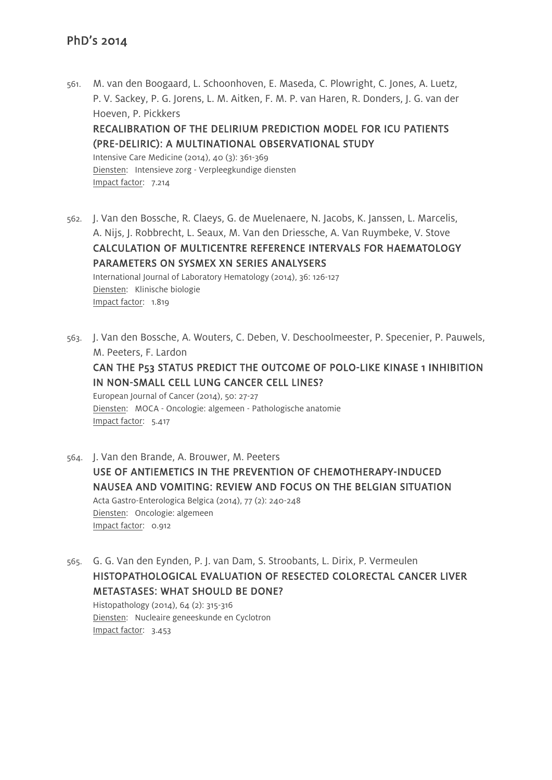561. M. van den Boogaard, L. Schoonhoven, E. Maseda, C. Plowright, C. Jones, A. Luetz, P. V. Sackey, P. G. Jorens, L. M. Aitken, F. M. P. van Haren, R. Donders, J. G. van der Hoeven, P. Pickkers RECALIBRATION OF THE DELIRIUM PREDICTION MODEL FOR ICU PATIENTS (PRE-DELIRIC): A MULTINATIONAL OBSERVATIONAL STUDY

Intensive Care Medicine (2014), 40 (3): 361-369 Diensten: Intensieve zorg - Verpleegkundige diensten Impact factor: 7.214

562. J. Van den Bossche, R. Claeys, G. de Muelenaere, N. Jacobs, K. Janssen, L. Marcelis, A. Nijs, J. Robbrecht, L. Seaux, M. Van den Driessche, A. Van Ruymbeke, V. Stove CALCULATION OF MULTICENTRE REFERENCE INTERVALS FOR HAEMATOLOGY PARAMETERS ON SYSMEX XN SERIES ANALYSERS International Journal of Laboratory Hematology (2014), 36: 126-127 Diensten: Klinische biologie Impact factor: 1.819

563. J. Van den Bossche, A. Wouters, C. Deben, V. Deschoolmeester, P. Specenier, P. Pauwels, M. Peeters, F. Lardon

CAN THE P53 STATUS PREDICT THE OUTCOME OF POLO-LIKE KINASE 1 INHIBITION IN NON-SMALL CELL LUNG CANCER CELL LINES?

European Journal of Cancer (2014), 50: 27-27 Diensten: MOCA - Oncologie: algemeen - Pathologische anatomie Impact factor: 5.417

- 564. J. Van den Brande, A. Brouwer, M. Peeters USE OF ANTIEMETICS IN THE PREVENTION OF CHEMOTHERAPY-INDUCED NAUSEA AND VOMITING: REVIEW AND FOCUS ON THE BELGIAN SITUATION Acta Gastro-Enterologica Belgica (2014), 77 (2): 240-248 Diensten: Oncologie: algemeen Impact factor: 0.912
- 565. G. G. Van den Eynden, P. J. van Dam, S. Stroobants, L. Dirix, P. Vermeulen HISTOPATHOLOGICAL EVALUATION OF RESECTED COLORECTAL CANCER LIVER METASTASES: WHAT SHOULD BE DONE? Histopathology (2014), 64 (2): 315-316 Diensten: Nucleaire geneeskunde en Cyclotron

Impact factor: 3.453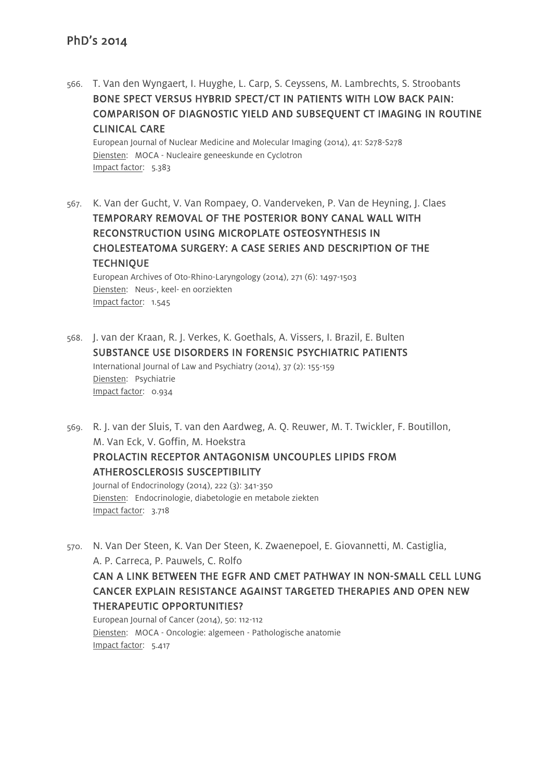566. T. Van den Wyngaert, I. Huyghe, L. Carp, S. Ceyssens, M. Lambrechts, S. Stroobants BONE SPECT VERSUS HYBRID SPECT/CT IN PATIENTS WITH LOW BACK PAIN: COMPARISON OF DIAGNOSTIC YIELD AND SUBSEQUENT CT IMAGING IN ROUTINE CLINICAL CARE

European Journal of Nuclear Medicine and Molecular Imaging (2014), 41: S278-S278 Diensten: MOCA - Nucleaire geneeskunde en Cyclotron Impact factor: 5.383

567. K. Van der Gucht, V. Van Rompaey, O. Vanderveken, P. Van de Heyning, J. Claes TEMPORARY REMOVAL OF THE POSTERIOR BONY CANAL WALL WITH RECONSTRUCTION USING MICROPLATE OSTEOSYNTHESIS IN CHOLESTEATOMA SURGERY: A CASE SERIES AND DESCRIPTION OF THE **TECHNIQUE** European Archives of Oto-Rhino-Laryngology (2014), 271 (6): 1497-1503

Diensten: Neus-, keel- en oorziekten Impact factor: 1.545

- 568. J. van der Kraan, R. J. Verkes, K. Goethals, A. Vissers, I. Brazil, E. Bulten SUBSTANCE USE DISORDERS IN FORENSIC PSYCHIATRIC PATIENTS International Journal of Law and Psychiatry (2014), 37 (2): 155-159 Diensten: Psychiatrie Impact factor: 0.934
- 569. R. J. van der Sluis, T. van den Aardweg, A. Q. Reuwer, M. T. Twickler, F. Boutillon, M. Van Eck, V. Goffin, M. Hoekstra PROLACTIN RECEPTOR ANTAGONISM UNCOUPLES LIPIDS FROM ATHEROSCLEROSIS SUSCEPTIBILITY Journal of Endocrinology (2014), 222 (3): 341-350 Diensten: Endocrinologie, diabetologie en metabole ziekten Impact factor: 3.718
- 570. N. Van Der Steen, K. Van Der Steen, K. Zwaenepoel, E. Giovannetti, M. Castiglia, A. P. Carreca, P. Pauwels, C. Rolfo

CAN A LINK BETWEEN THE EGFR AND CMET PATHWAY IN NON-SMALL CELL LUNG CANCER EXPLAIN RESISTANCE AGAINST TARGETED THERAPIES AND OPEN NEW THERAPEUTIC OPPORTUNITIES?

European Journal of Cancer (2014), 50: 112-112 Diensten: MOCA - Oncologie: algemeen - Pathologische anatomie Impact factor: 5.417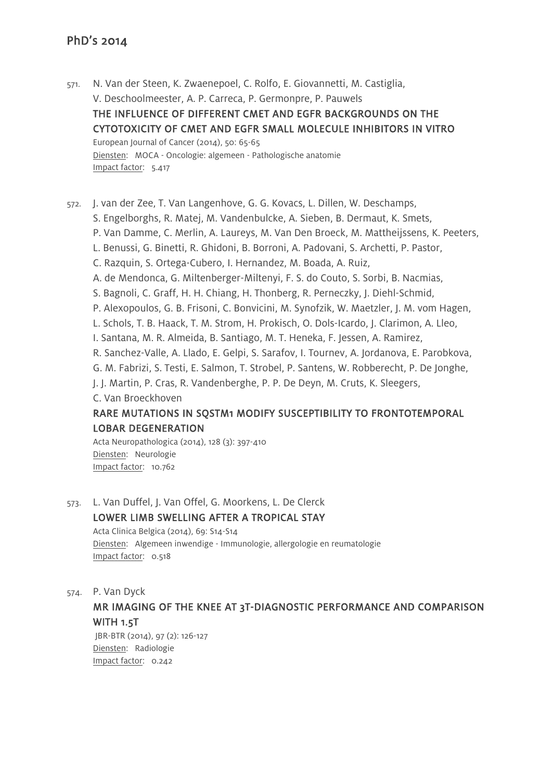571. N. Van der Steen, K. Zwaenepoel, C. Rolfo, E. Giovannetti, M. Castiglia, V. Deschoolmeester, A. P. Carreca, P. Germonpre, P. Pauwels THE INFLUENCE OF DIFFERENT CMET AND EGFR BACKGROUNDS ON THE CYTOTOXICITY OF CMET AND EGFR SMALL MOLECULE INHIBITORS IN VITRO European Journal of Cancer (2014), 50: 65-65 Diensten: MOCA - Oncologie: algemeen - Pathologische anatomie Impact factor: 5.417

572. J. van der Zee, T. Van Langenhove, G. G. Kovacs, L. Dillen, W. Deschamps, S. Engelborghs, R. Matej, M. Vandenbulcke, A. Sieben, B. Dermaut, K. Smets, P. Van Damme, C. Merlin, A. Laureys, M. Van Den Broeck, M. Mattheijssens, K. Peeters, L. Benussi, G. Binetti, R. Ghidoni, B. Borroni, A. Padovani, S. Archetti, P. Pastor, C. Razquin, S. Ortega-Cubero, I. Hernandez, M. Boada, A. Ruiz, A. de Mendonca, G. Miltenberger-Miltenyi, F. S. do Couto, S. Sorbi, B. Nacmias, S. Bagnoli, C. Graff, H. H. Chiang, H. Thonberg, R. Perneczky, J. Diehl-Schmid, P. Alexopoulos, G. B. Frisoni, C. Bonvicini, M. Synofzik, W. Maetzler, J. M. vom Hagen, L. Schols, T. B. Haack, T. M. Strom, H. Prokisch, O. Dols-Icardo, J. Clarimon, A. Lleo, I. Santana, M. R. Almeida, B. Santiago, M. T. Heneka, F. Jessen, A. Ramirez, R. Sanchez-Valle, A. Llado, E. Gelpi, S. Sarafov, I. Tournev, A. Jordanova, E. Parobkova, G. M. Fabrizi, S. Testi, E. Salmon, T. Strobel, P. Santens, W. Robberecht, P. De Jonghe, J. J. Martin, P. Cras, R. Vandenberghe, P. P. De Deyn, M. Cruts, K. Sleegers, C. Van Broeckhoven RARE MUTATIONS IN SQSTM1 MODIFY SUSCEPTIBILITY TO FRONTOTEMPORAL LOBAR DEGENERATION

Acta Neuropathologica (2014), 128 (3): 397-410 Diensten: Neurologie Impact factor: 10.762

573. L. Van Duffel, J. Van Offel, G. Moorkens, L. De Clerck LOWER LIMB SWELLING AFTER A TROPICAL STAY Acta Clinica Belgica (2014), 69: S14-S14 Diensten: Algemeen inwendige - Immunologie, allergologie en reumatologie Impact factor: 0.518

#### 574. P. Van Dyck

MR IMAGING OF THE KNEE AT 3T-DIAGNOSTIC PERFORMANCE AND COMPARISON WITH 1.5T

JBR-BTR (2014), 97 (2): 126-127 Diensten: Radiologie Impact factor: 0.242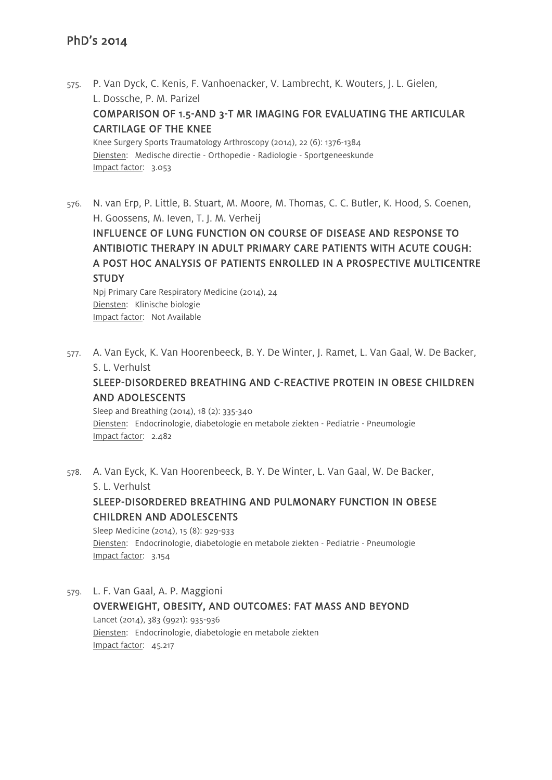- 575. P. Van Dyck, C. Kenis, F. Vanhoenacker, V. Lambrecht, K. Wouters, J. L. Gielen, L. Dossche, P. M. Parizel COMPARISON OF 1.5-AND 3-T MR IMAGING FOR EVALUATING THE ARTICULAR CARTILAGE OF THE KNEE Knee Surgery Sports Traumatology Arthroscopy (2014), 22 (6): 1376-1384 Diensten: Medische directie - Orthopedie - Radiologie - Sportgeneeskunde Impact factor: 3.053
- 576. N. van Erp, P. Little, B. Stuart, M. Moore, M. Thomas, C. C. Butler, K. Hood, S. Coenen, H. Goossens, M. Ieven, T. J. M. Verheij

INFLUENCE OF LUNG FUNCTION ON COURSE OF DISEASE AND RESPONSE TO ANTIBIOTIC THERAPY IN ADULT PRIMARY CARE PATIENTS WITH ACUTE COUGH: A POST HOC ANALYSIS OF PATIENTS ENROLLED IN A PROSPECTIVE MULTICENTRE **STUDY** 

Npj Primary Care Respiratory Medicine (2014), 24 Diensten: Klinische biologie Impact factor: Not Available

577. A. Van Eyck, K. Van Hoorenbeeck, B. Y. De Winter, J. Ramet, L. Van Gaal, W. De Backer, S. L. Verhulst

# SLEEP-DISORDERED BREATHING AND C-REACTIVE PROTEIN IN OBESE CHILDREN AND ADOLESCENTS

Sleep and Breathing (2014), 18 (2): 335-340 Diensten: Endocrinologie, diabetologie en metabole ziekten - Pediatrie - Pneumologie Impact factor: 2.482

578. A. Van Eyck, K. Van Hoorenbeeck, B. Y. De Winter, L. Van Gaal, W. De Backer, S. L. Verhulst

# SLEEP-DISORDERED BREATHING AND PULMONARY FUNCTION IN OBESE CHILDREN AND ADOLESCENTS

Sleep Medicine (2014), 15 (8): 929-933 Diensten: Endocrinologie, diabetologie en metabole ziekten - Pediatrie - Pneumologie Impact factor: 3.154

579. L. F. Van Gaal, A. P. Maggioni OVERWEIGHT, OBESITY, AND OUTCOMES: FAT MASS AND BEYOND Lancet (2014), 383 (9921): 935-936 Diensten: Endocrinologie, diabetologie en metabole ziekten Impact factor: 45.217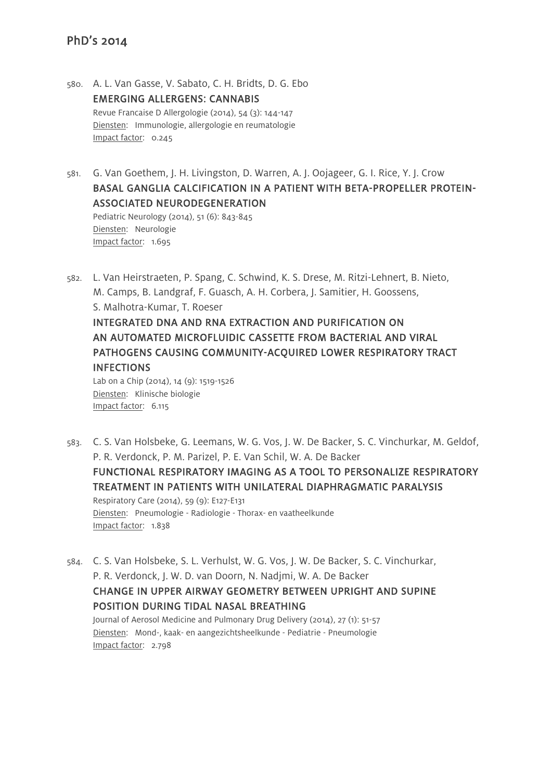580. A. L. Van Gasse, V. Sabato, C. H. Bridts, D. G. Ebo EMERGING ALLERGENS: CANNABIS Revue Francaise D Allergologie (2014), 54 (3): 144-147 Diensten: Immunologie, allergologie en reumatologie Impact factor: 0.245

581. G. Van Goethem, J. H. Livingston, D. Warren, A. J. Oojageer, G. I. Rice, Y. J. Crow BASAL GANGLIA CALCIFICATION IN A PATIENT WITH BETA-PROPELLER PROTEIN-ASSOCIATED NEURODEGENERATION Pediatric Neurology (2014), 51 (6): 843-845 Diensten: Neurologie Impact factor: 1.695

582. L. Van Heirstraeten, P. Spang, C. Schwind, K. S. Drese, M. Ritzi-Lehnert, B. Nieto, M. Camps, B. Landgraf, F. Guasch, A. H. Corbera, J. Samitier, H. Goossens, S. Malhotra-Kumar, T. Roeser INTEGRATED DNA AND RNA EXTRACTION AND PURIFICATION ON AN AUTOMATED MICROFLUIDIC CASSETTE FROM BACTERIAL AND VIRAL PATHOGENS CAUSING COMMUNITY-ACQUIRED LOWER RESPIRATORY TRACT **INFECTIONS** Lab on a Chip (2014), 14 (9): 1519-1526

Diensten: Klinische biologie Impact factor: 6.115

- 583. C. S. Van Holsbeke, G. Leemans, W. G. Vos, J. W. De Backer, S. C. Vinchurkar, M. Geldof, P. R. Verdonck, P. M. Parizel, P. E. Van Schil, W. A. De Backer FUNCTIONAL RESPIRATORY IMAGING AS A TOOL TO PERSONALIZE RESPIRATORY TREATMENT IN PATIENTS WITH UNILATERAL DIAPHRAGMATIC PARALYSIS Respiratory Care (2014), 59 (9): E127-E131 Diensten: Pneumologie - Radiologie - Thorax- en vaatheelkunde Impact factor: 1.838
- 584. C. S. Van Holsbeke, S. L. Verhulst, W. G. Vos, J. W. De Backer, S. C. Vinchurkar, P. R. Verdonck, J. W. D. van Doorn, N. Nadjmi, W. A. De Backer CHANGE IN UPPER AIRWAY GEOMETRY BETWEEN UPRIGHT AND SUPINE POSITION DURING TIDAL NASAL BREATHING Journal of Aerosol Medicine and Pulmonary Drug Delivery (2014), 27 (1): 51-57

Diensten: Mond-, kaak- en aangezichtsheelkunde - Pediatrie - Pneumologie Impact factor: 2.798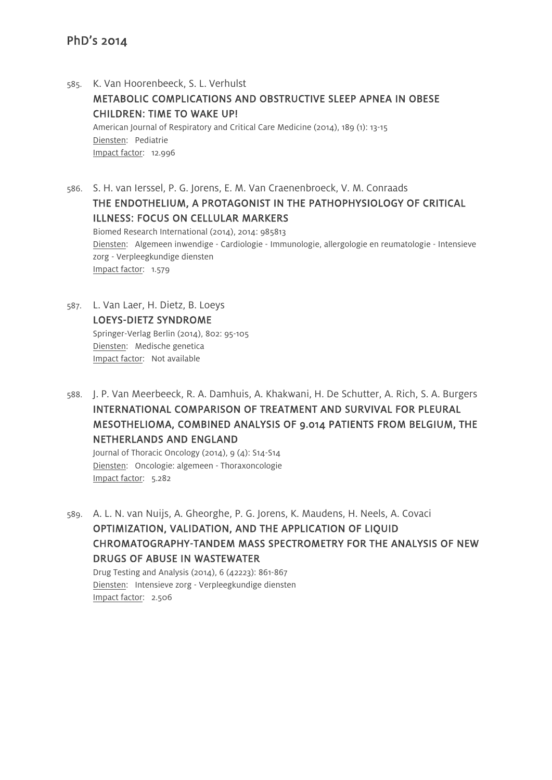585. K. Van Hoorenbeeck, S. L. Verhulst METABOLIC COMPLICATIONS AND OBSTRUCTIVE SLEEP APNEA IN OBESE CHILDREN: TIME TO WAKE UP! American Journal of Respiratory and Critical Care Medicine (2014), 189 (1): 13-15 Diensten: Pediatrie Impact factor: 12.996

586. S. H. van Ierssel, P. G. Jorens, E. M. Van Craenenbroeck, V. M. Conraads THE ENDOTHELIUM, A PROTAGONIST IN THE PATHOPHYSIOLOGY OF CRITICAL ILLNESS: FOCUS ON CELLULAR MARKERS Biomed Research International (2014), 2014: 985813 Diensten: Algemeen inwendige - Cardiologie - Immunologie, allergologie en reumatologie - Intensieve zorg - Verpleegkundige diensten

Impact factor: 1.579

- 587. L. Van Laer, H. Dietz, B. Loeys LOEYS-DIETZ SYNDROME Springer-Verlag Berlin (2014), 802: 95-105 Diensten: Medische genetica Impact factor: Not available
- 588. J. P. Van Meerbeeck, R. A. Damhuis, A. Khakwani, H. De Schutter, A. Rich, S. A. Burgers INTERNATIONAL COMPARISON OF TREATMENT AND SURVIVAL FOR PLEURAL MESOTHELIOMA, COMBINED ANALYSIS OF 9.014 PATIENTS FROM BELGIUM, THE NETHERLANDS AND ENGLAND

Journal of Thoracic Oncology (2014), 9 (4): S14-S14 Diensten: Oncologie: algemeen - Thoraxoncologie Impact factor: 5.282

589. A. L. N. van Nuijs, A. Gheorghe, P. G. Jorens, K. Maudens, H. Neels, A. Covaci OPTIMIZATION, VALIDATION, AND THE APPLICATION OF LIQUID CHROMATOGRAPHY-TANDEM MASS SPECTROMETRY FOR THE ANALYSIS OF NEW DRUGS OF ABUSE IN WASTEWATER

Drug Testing and Analysis (2014), 6 (42223): 861-867 Diensten: Intensieve zorg - Verpleegkundige diensten Impact factor: 2.506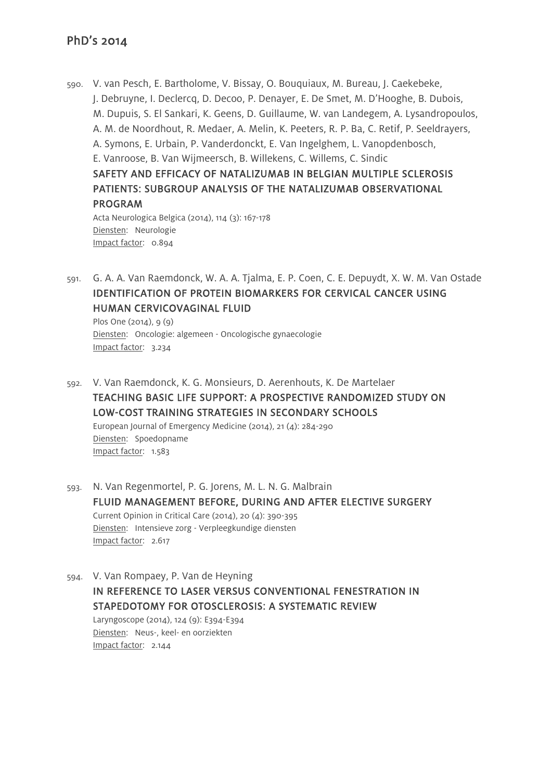Impact factor: 0.894

590. V. van Pesch, E. Bartholome, V. Bissay, O. Bouquiaux, M. Bureau, J. Caekebeke, J. Debruyne, I. Declercq, D. Decoo, P. Denayer, E. De Smet, M. D'Hooghe, B. Dubois, M. Dupuis, S. El Sankari, K. Geens, D. Guillaume, W. van Landegem, A. Lysandropoulos, A. M. de Noordhout, R. Medaer, A. Melin, K. Peeters, R. P. Ba, C. Retif, P. Seeldrayers, A. Symons, E. Urbain, P. Vanderdonckt, E. Van Ingelghem, L. Vanopdenbosch, E. Vanroose, B. Van Wijmeersch, B. Willekens, C. Willems, C. Sindic SAFETY AND EFFICACY OF NATALIZUMAB IN BELGIAN MULTIPLE SCLEROSIS PATIENTS: SUBGROUP ANALYSIS OF THE NATALIZUMAB OBSERVATIONAL PROGRAM Acta Neurologica Belgica (2014), 114 (3): 167-178 Diensten: Neurologie

591. G. A. A. Van Raemdonck, W. A. A. Tjalma, E. P. Coen, C. E. Depuydt, X. W. M. Van Ostade IDENTIFICATION OF PROTEIN BIOMARKERS FOR CERVICAL CANCER USING HUMAN CERVICOVAGINAL FLUID

Plos One (2014), 9 (9) Diensten: Oncologie: algemeen - Oncologische gynaecologie Impact factor: 3.234

592. V. Van Raemdonck, K. G. Monsieurs, D. Aerenhouts, K. De Martelaer TEACHING BASIC LIFE SUPPORT: A PROSPECTIVE RANDOMIZED STUDY ON LOW-COST TRAINING STRATEGIES IN SECONDARY SCHOOLS European Journal of Emergency Medicine (2014), 21 (4): 284-290 Diensten: Spoedopname Impact factor: 1.583

593. N. Van Regenmortel, P. G. Jorens, M. L. N. G. Malbrain FLUID MANAGEMENT BEFORE, DURING AND AFTER ELECTIVE SURGERY Current Opinion in Critical Care (2014), 20 (4): 390-395 Diensten: Intensieve zorg - Verpleegkundige diensten Impact factor: 2.617

594. V. Van Rompaey, P. Van de Heyning IN REFERENCE TO LASER VERSUS CONVENTIONAL FENESTRATION IN STAPEDOTOMY FOR OTOSCLEROSIS: A SYSTEMATIC REVIEW Laryngoscope (2014), 124 (9): E394-E394

Diensten: Neus-, keel- en oorziekten Impact factor: 2.144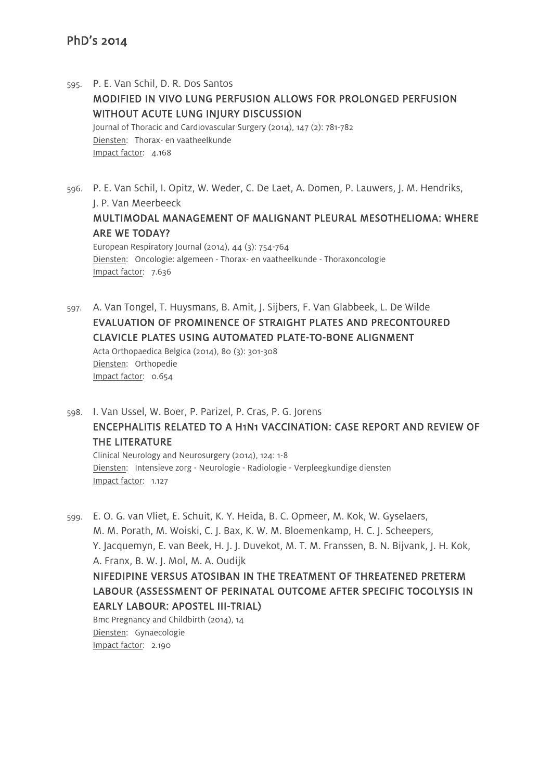- 595. P. E. Van Schil, D. R. Dos Santos MODIFIED IN VIVO LUNG PERFUSION ALLOWS FOR PROLONGED PERFUSION WITHOUT ACUTE LUNG INJURY DISCUSSION Journal of Thoracic and Cardiovascular Surgery (2014), 147 (2): 781-782 Diensten: Thorax- en vaatheelkunde Impact factor: 4.168
- 596. P. E. Van Schil, I. Opitz, W. Weder, C. De Laet, A. Domen, P. Lauwers, J. M. Hendriks, J. P. Van Meerbeeck MULTIMODAL MANAGEMENT OF MALIGNANT PLEURAL MESOTHELIOMA: WHERE ARE WE TODAY? European Respiratory Journal (2014), 44 (3): 754-764

Diensten: Oncologie: algemeen - Thorax- en vaatheelkunde - Thoraxoncologie Impact factor: 7.636

- 597. A. Van Tongel, T. Huysmans, B. Amit, J. Sijbers, F. Van Glabbeek, L. De Wilde EVALUATION OF PROMINENCE OF STRAIGHT PLATES AND PRECONTOURED CLAVICLE PLATES USING AUTOMATED PLATE-TO-BONE ALIGNMENT Acta Orthopaedica Belgica (2014), 80 (3): 301-308 Diensten: Orthopedie Impact factor: 0.654
- 598. I. Van Ussel, W. Boer, P. Parizel, P. Cras, P. G. Jorens ENCEPHALITIS RELATED TO A H1N1 VACCINATION: CASE REPORT AND REVIEW OF THE LITERATURE

Clinical Neurology and Neurosurgery (2014), 124: 1-8 Diensten: Intensieve zorg - Neurologie - Radiologie - Verpleegkundige diensten Impact factor: 1.127

599. E. O. G. van Vliet, E. Schuit, K. Y. Heida, B. C. Opmeer, M. Kok, W. Gyselaers, M. M. Porath, M. Woiski, C. J. Bax, K. W. M. Bloemenkamp, H. C. J. Scheepers, Y. Jacquemyn, E. van Beek, H. J. J. Duvekot, M. T. M. Franssen, B. N. Bijvank, J. H. Kok, A. Franx, B. W. J. Mol, M. A. Oudijk NIFEDIPINE VERSUS ATOSIBAN IN THE TREATMENT OF THREATENED PRETERM LABOUR (ASSESSMENT OF PERINATAL OUTCOME AFTER SPECIFIC TOCOLYSIS IN EARLY LABOUR: APOSTEL III-TRIAL) Bmc Pregnancy and Childbirth (2014), 14

Diensten: Gynaecologie Impact factor: 2.190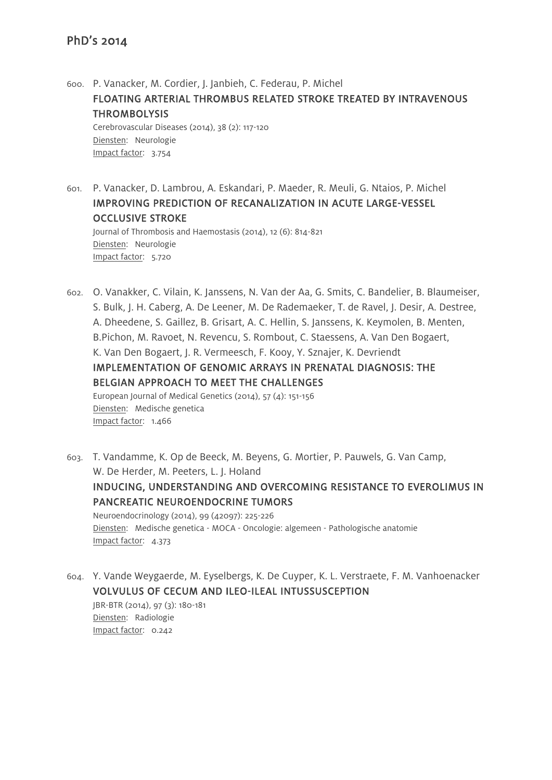600. P. Vanacker, M. Cordier, J. Janbieh, C. Federau, P. Michel FLOATING ARTERIAL THROMBUS RELATED STROKE TREATED BY INTRAVENOUS **THROMBOLYSIS** Cerebrovascular Diseases (2014), 38 (2): 117-120 Diensten: Neurologie Impact factor: 3.754

601. P. Vanacker, D. Lambrou, A. Eskandari, P. Maeder, R. Meuli, G. Ntaios, P. Michel IMPROVING PREDICTION OF RECANALIZATION IN ACUTE LARGE-VESSEL OCCLUSIVE STROKE Journal of Thrombosis and Haemostasis (2014), 12 (6): 814-821 Diensten: Neurologie Impact factor: 5.720

602. O. Vanakker, C. Vilain, K. Janssens, N. Van der Aa, G. Smits, C. Bandelier, B. Blaumeiser, S. Bulk, J. H. Caberg, A. De Leener, M. De Rademaeker, T. de Ravel, J. Desir, A. Destree, A. Dheedene, S. Gaillez, B. Grisart, A. C. Hellin, S. Janssens, K. Keymolen, B. Menten, B.Pichon, M. Ravoet, N. Revencu, S. Rombout, C. Staessens, A. Van Den Bogaert, K. Van Den Bogaert, J. R. Vermeesch, F. Kooy, Y. Sznajer, K. Devriendt IMPLEMENTATION OF GENOMIC ARRAYS IN PRENATAL DIAGNOSIS: THE BELGIAN APPROACH TO MEET THE CHALLENGES European Journal of Medical Genetics (2014), 57 (4): 151-156

Diensten: Medische genetica Impact factor: 1.466

- 603. T. Vandamme, K. Op de Beeck, M. Beyens, G. Mortier, P. Pauwels, G. Van Camp, W. De Herder, M. Peeters, L. J. Holand INDUCING, UNDERSTANDING AND OVERCOMING RESISTANCE TO EVEROLIMUS IN PANCREATIC NEUROENDOCRINE TUMORS Neuroendocrinology (2014), 99 (42097): 225-226 Diensten: Medische genetica - MOCA - Oncologie: algemeen - Pathologische anatomie Impact factor: 4.373
- 604. Y. Vande Weygaerde, M. Eyselbergs, K. De Cuyper, K. L. Verstraete, F. M. Vanhoenacker VOLVULUS OF CECUM AND ILEO-ILEAL INTUSSUSCEPTION JBR-BTR (2014), 97 (3): 180-181 Diensten: Radiologie Impact factor: 0.242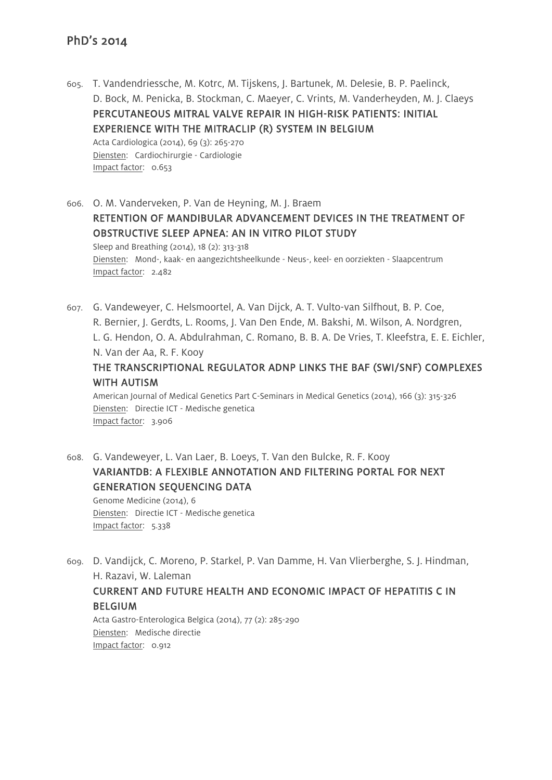605. T. Vandendriessche, M. Kotrc, M. Tijskens, J. Bartunek, M. Delesie, B. P. Paelinck, D. Bock, M. Penicka, B. Stockman, C. Maeyer, C. Vrints, M. Vanderheyden, M. J. Claeys PERCUTANEOUS MITRAL VALVE REPAIR IN HIGH-RISK PATIENTS: INITIAL EXPERIENCE WITH THE MITRACLIP (R) SYSTEM IN BELGIUM Acta Cardiologica (2014), 69 (3): 265-270

Diensten: Cardiochirurgie - Cardiologie Impact factor: 0.653

606. O. M. Vanderveken, P. Van de Heyning, M. J. Braem RETENTION OF MANDIBULAR ADVANCEMENT DEVICES IN THE TREATMENT OF OBSTRUCTIVE SLEEP APNEA: AN IN VITRO PILOT STUDY Sleep and Breathing (2014), 18 (2): 313-318 Diensten: Mond-, kaak- en aangezichtsheelkunde - Neus-, keel- en oorziekten - Slaapcentrum Impact factor: 2.482

607. G. Vandeweyer, C. Helsmoortel, A. Van Dijck, A. T. Vulto-van Silfhout, B. P. Coe, R. Bernier, J. Gerdts, L. Rooms, J. Van Den Ende, M. Bakshi, M. Wilson, A. Nordgren, L. G. Hendon, O. A. Abdulrahman, C. Romano, B. B. A. De Vries, T. Kleefstra, E. E. Eichler, N. Van der Aa, R. F. Kooy THE TRANSCRIPTIONAL REGULATOR ADNP LINKS THE BAF (SWI/SNF) COMPLEXES

# WITH AUTISM

American Journal of Medical Genetics Part C-Seminars in Medical Genetics (2014), 166 (3): 315-326 Diensten: Directie ICT - Medische genetica Impact factor: 3.906

- 608. G. Vandeweyer, L. Van Laer, B. Loeys, T. Van den Bulcke, R. F. Kooy VARIANTDB: A FLEXIBLE ANNOTATION AND FILTERING PORTAL FOR NEXT GENERATION SEQUENCING DATA Genome Medicine (2014), 6 Diensten: Directie ICT - Medische genetica Impact factor: 5.338
- 609. D. Vandijck, C. Moreno, P. Starkel, P. Van Damme, H. Van Vlierberghe, S. J. Hindman, H. Razavi, W. Laleman

## CURRENT AND FUTURE HEALTH AND ECONOMIC IMPACT OF HEPATITIS C IN **BELGIUM**

Acta Gastro-Enterologica Belgica (2014), 77 (2): 285-290 Diensten: Medische directie Impact factor: 0.912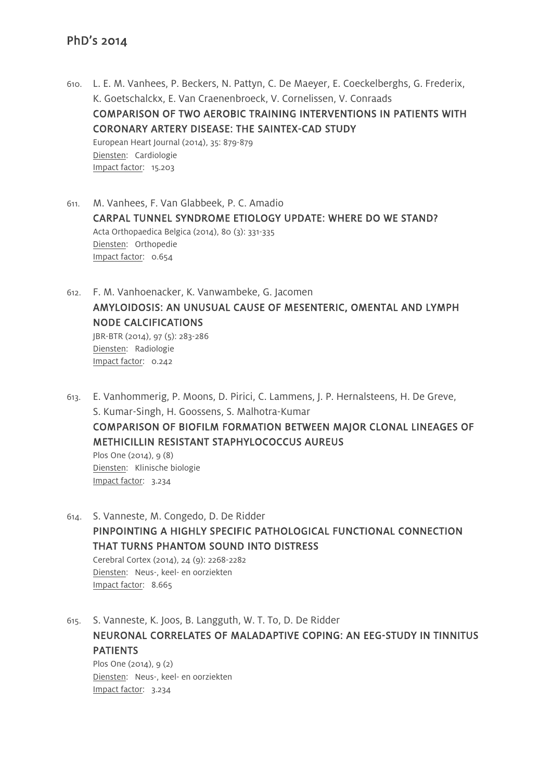- 610. L. E. M. Vanhees, P. Beckers, N. Pattyn, C. De Maeyer, E. Coeckelberghs, G. Frederix, K. Goetschalckx, E. Van Craenenbroeck, V. Cornelissen, V. Conraads COMPARISON OF TWO AEROBIC TRAINING INTERVENTIONS IN PATIENTS WITH CORONARY ARTERY DISEASE: THE SAINTEX-CAD STUDY European Heart Journal (2014), 35: 879-879 Diensten: Cardiologie Impact factor: 15.203
- 611. M. Vanhees, F. Van Glabbeek, P. C. Amadio CARPAL TUNNEL SYNDROME ETIOLOGY UPDATE: WHERE DO WE STAND? Acta Orthopaedica Belgica (2014), 80 (3): 331-335 Diensten: Orthopedie Impact factor: 0.654
- 612. F. M. Vanhoenacker, K. Vanwambeke, G. Jacomen AMYLOIDOSIS: AN UNUSUAL CAUSE OF MESENTERIC, OMENTAL AND LYMPH NODE CALCIFICATIONS JBR-BTR (2014), 97 (5): 283-286 Diensten: Radiologie Impact factor: 0.242
- 613. E. Vanhommerig, P. Moons, D. Pirici, C. Lammens, J. P. Hernalsteens, H. De Greve, S. Kumar-Singh, H. Goossens, S. Malhotra-Kumar COMPARISON OF BIOFILM FORMATION BETWEEN MAJOR CLONAL LINEAGES OF METHICILLIN RESISTANT STAPHYLOCOCCUS AUREUS Plos One (2014), 9 (8) Diensten: Klinische biologie Impact factor: 3.234
- 614. S. Vanneste, M. Congedo, D. De Ridder PINPOINTING A HIGHLY SPECIFIC PATHOLOGICAL FUNCTIONAL CONNECTION THAT TURNS PHANTOM SOUND INTO DISTRESS Cerebral Cortex (2014), 24 (9): 2268-2282 Diensten: Neus-, keel- en oorziekten Impact factor: 8.665
- 615. S. Vanneste, K. Joos, B. Langguth, W. T. To, D. De Ridder NEURONAL CORRELATES OF MALADAPTIVE COPING: AN EEG-STUDY IN TINNITUS PATIENTS Plos One (2014), 9 (2) Diensten: Neus-, keel- en oorziekten Impact factor: 3.234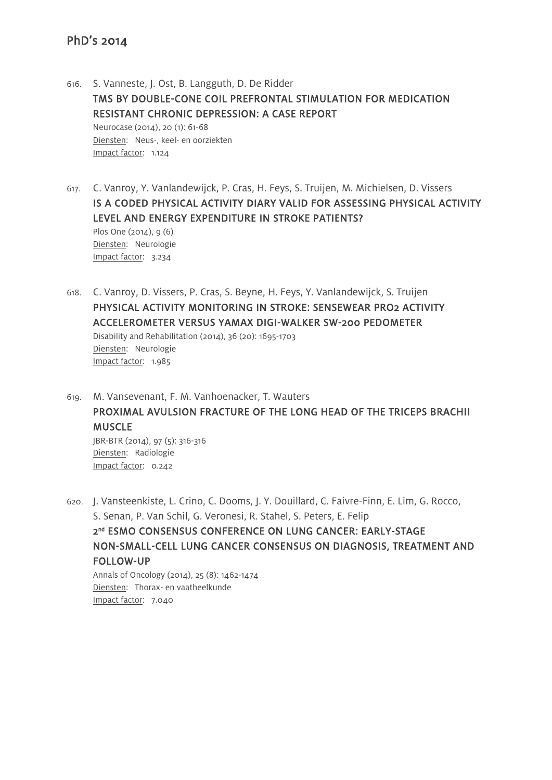- 616. S. Vanneste, J. Ost, B. Langguth, D. De Ridder TMS BY DOUBLE-CONE COIL PREFRONTAL STIMULATION FOR MEDICATION RESISTANT CHRONIC DEPRESSION: A CASE REPORT Neurocase (2014), 20 (1): 61-68 Diensten: Neus-, keel- en oorziekten Impact factor: 1.124
- 617. C. Vanroy, Y. Vanlandewijck, P. Cras, H. Feys, S. Truijen, M. Michielsen, D. Vissers IS A CODED PHYSICAL ACTIVITY DIARY VALID FOR ASSESSING PHYSICAL ACTIVITY LEVEL AND ENERGY EXPENDITURE IN STROKE PATIENTS? Plos One (2014), 9 (6) Diensten: Neurologie Impact factor: 3.234
- 618. C. Vanroy, D. Vissers, P. Cras, S. Beyne, H. Feys, Y. Vanlandewijck, S. Truijen PHYSICAL ACTIVITY MONITORING IN STROKE: SENSEWEAR PRO2 ACTIVITY ACCELEROMETER VERSUS YAMAX DIGI-WALKER SW-200 PEDOMETER Disability and Rehabilitation (2014), 36 (20): 1695-1703 Diensten: Neurologie Impact factor: 1.985
- 619. M. Vansevenant, F. M. Vanhoenacker, T. Wauters PROXIMAL AVULSION FRACTURE OF THE LONG HEAD OF THE TRICEPS BRACHII **MUSCLE** JBR-BTR (2014), 97 (5): 316-316 Diensten: Radiologie Impact factor: 0.242

620. J. Vansteenkiste, L. Crino, C. Dooms, J. Y. Douillard, C. Faivre-Finn, E. Lim, G. Rocco, S. Senan, P. Van Schil, G. Veronesi, R. Stahel, S. Peters, E. Felip 2<sup>nd</sup> ESMO CONSENSUS CONFERENCE ON LUNG CANCER: EARLY-STAGE NON-SMALL-CELL LUNG CANCER CONSENSUS ON DIAGNOSIS, TREATMENT AND FOLLOW-UP Annals of Oncology (2014), 25 (8): 1462-1474 Diensten: Thorax- en vaatheelkunde

Impact factor: 7.040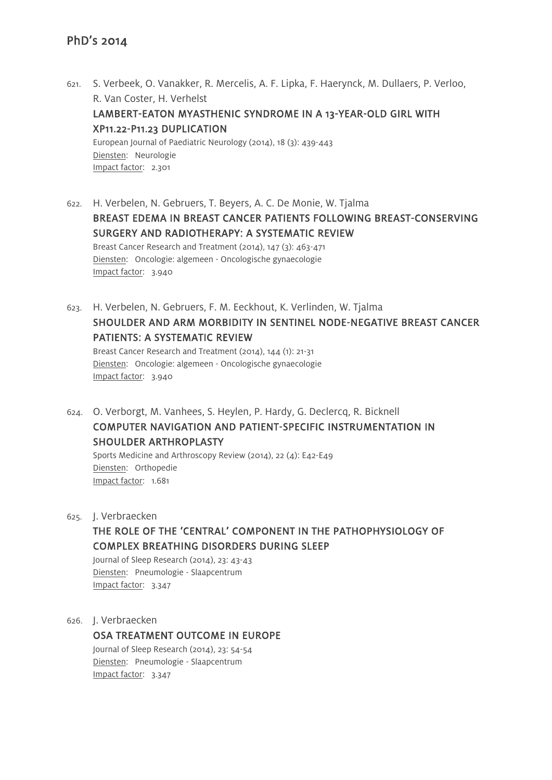- 621. S. Verbeek, O. Vanakker, R. Mercelis, A. F. Lipka, F. Haerynck, M. Dullaers, P. Verloo, R. Van Coster, H. Verhelst LAMBERT-EATON MYASTHENIC SYNDROME IN A 13-YEAR-OLD GIRL WITH XP11.22-P11.23 DUPLICATION European Journal of Paediatric Neurology (2014), 18 (3): 439-443 Diensten: Neurologie Impact factor: 2.301
- 622. H. Verbelen, N. Gebruers, T. Beyers, A. C. De Monie, W. Tjalma BREAST EDEMA IN BREAST CANCER PATIENTS FOLLOWING BREAST-CONSERVING SURGERY AND RADIOTHERAPY: A SYSTEMATIC REVIEW Breast Cancer Research and Treatment (2014), 147 (3): 463-471 Diensten: Oncologie: algemeen - Oncologische gynaecologie Impact factor: 3.940
- 623. H. Verbelen, N. Gebruers, F. M. Eeckhout, K. Verlinden, W. Tjalma SHOULDER AND ARM MORBIDITY IN SENTINEL NODE-NEGATIVE BREAST CANCER PATIENTS: A SYSTEMATIC REVIEW Breast Cancer Research and Treatment (2014), 144 (1): 21-31 Diensten: Oncologie: algemeen - Oncologische gynaecologie Impact factor: 3.940
- 624. O. Verborgt, M. Vanhees, S. Heylen, P. Hardy, G. Declercq, R. Bicknell COMPUTER NAVIGATION AND PATIENT-SPECIFIC INSTRUMENTATION IN SHOULDER ARTHROPLASTY

Sports Medicine and Arthroscopy Review (2014), 22 (4): E42-E49 Diensten: Orthopedie Impact factor: 1.681

625. J. Verbraecken

# THE ROLE OF THE 'CENTRAL' COMPONENT IN THE PATHOPHYSIOLOGY OF COMPLEX BREATHING DISORDERS DURING SLEEP

Journal of Sleep Research (2014), 23: 43-43 Diensten: Pneumologie - Slaapcentrum Impact factor: 3.347

626. J. Verbraecken

OSA TREATMENT OUTCOME IN EUROPE Journal of Sleep Research (2014), 23: 54-54 Diensten: Pneumologie - Slaapcentrum Impact factor: 3.347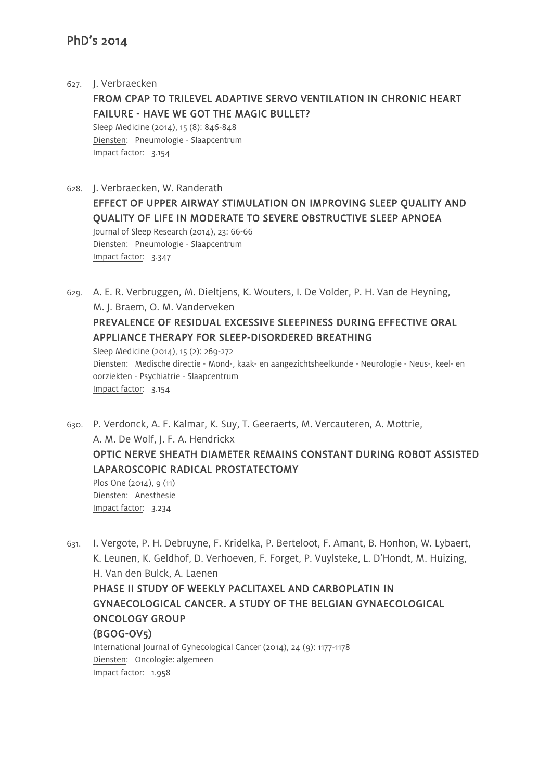627. J. Verbraecken FROM CPAP TO TRILEVEL ADAPTIVE SERVO VENTILATION IN CHRONIC HEART FAILURE - HAVE WE GOT THE MAGIC BULLET? Sleep Medicine (2014), 15 (8): 846-848 Diensten: Pneumologie - Slaapcentrum Impact factor: 3.154

628. J. Verbraecken, W. Randerath EFFECT OF UPPER AIRWAY STIMULATION ON IMPROVING SLEEP QUALITY AND QUALITY OF LIFE IN MODERATE TO SEVERE OBSTRUCTIVE SLEEP APNOEA Journal of Sleep Research (2014), 23: 66-66 Diensten: Pneumologie - Slaapcentrum Impact factor: 3.347

629. A. E. R. Verbruggen, M. Dieltjens, K. Wouters, I. De Volder, P. H. Van de Heyning, M. J. Braem, O. M. Vanderveken PREVALENCE OF RESIDUAL EXCESSIVE SLEEPINESS DURING EFFECTIVE ORAL APPLIANCE THERAPY FOR SLEEP-DISORDERED BREATHING Sleep Medicine (2014), 15 (2): 269-272 Diensten: Medische directie - Mond-, kaak- en aangezichtsheelkunde - Neurologie - Neus-, keel- en oorziekten - Psychiatrie - Slaapcentrum Impact factor: 3.154

630. P. Verdonck, A. F. Kalmar, K. Suy, T. Geeraerts, M. Vercauteren, A. Mottrie, A. M. De Wolf, J. F. A. Hendrickx OPTIC NERVE SHEATH DIAMETER REMAINS CONSTANT DURING ROBOT ASSISTED LAPAROSCOPIC RADICAL PROSTATECTOMY Plos One (2014), 9 (11)

Diensten: Anesthesie Impact factor: 3.234

631. I. Vergote, P. H. Debruyne, F. Kridelka, P. Berteloot, F. Amant, B. Honhon, W. Lybaert, K. Leunen, K. Geldhof, D. Verhoeven, F. Forget, P. Vuylsteke, L. D'Hondt, M. Huizing, H. Van den Bulck, A. Laenen PHASE II STUDY OF WEEKLY PACLITAXEL AND CARBOPLATIN IN GYNAECOLOGICAL CANCER. A STUDY OF THE BELGIAN GYNAECOLOGICAL ONCOLOGY GROUP (BGOG-OV5) International Journal of Gynecological Cancer (2014), 24 (9): 1177-1178 Diensten: Oncologie: algemeen

Impact factor: 1.958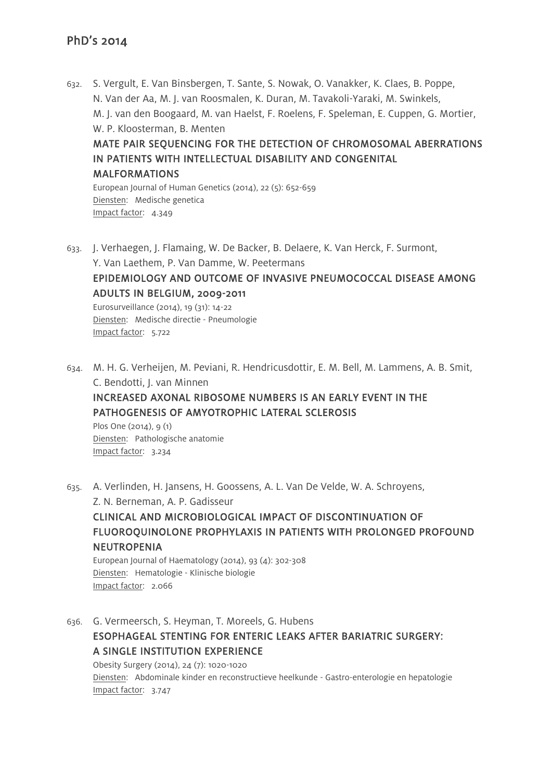632. S. Vergult, E. Van Binsbergen, T. Sante, S. Nowak, O. Vanakker, K. Claes, B. Poppe, N. Van der Aa, M. J. van Roosmalen, K. Duran, M. Tavakoli-Yaraki, M. Swinkels, M. J. van den Boogaard, M. van Haelst, F. Roelens, F. Speleman, E. Cuppen, G. Mortier, W. P. Kloosterman, B. Menten

#### MATE PAIR SEQUENCING FOR THE DETECTION OF CHROMOSOMAL ABERRATIONS IN PATIENTS WITH INTELLECTUAL DISABILITY AND CONGENITAL MALFORMATIONS

European Journal of Human Genetics (2014), 22 (5): 652-659 Diensten: Medische genetica Impact factor: 4.349

633. J. Verhaegen, J. Flamaing, W. De Backer, B. Delaere, K. Van Herck, F. Surmont, Y. Van Laethem, P. Van Damme, W. Peetermans EPIDEMIOLOGY AND OUTCOME OF INVASIVE PNEUMOCOCCAL DISEASE AMONG ADULTS IN BELGIUM, 2009-2011

Eurosurveillance (2014), 19 (31): 14-22 Diensten: Medische directie - Pneumologie Impact factor: 5.722

634. M. H. G. Verheijen, M. Peviani, R. Hendricusdottir, E. M. Bell, M. Lammens, A. B. Smit, C. Bendotti, J. van Minnen INCREASED AXONAL RIBOSOME NUMBERS IS AN EARLY EVENT IN THE

PATHOGENESIS OF AMYOTROPHIC LATERAL SCLEROSIS

Plos One (2014), 9 (1) Diensten: Pathologische anatomie Impact factor: 3.234

635. A. Verlinden, H. Jansens, H. Goossens, A. L. Van De Velde, W. A. Schroyens, Z. N. Berneman, A. P. Gadisseur CLINICAL AND MICROBIOLOGICAL IMPACT OF DISCONTINUATION OF FLUOROQUINOLONE PROPHYLAXIS IN PATIENTS WITH PROLONGED PROFOUND NEUTROPENIA European Journal of Haematology (2014), 93 (4): 302-308

Diensten: Hematologie - Klinische biologie Impact factor: 2.066

636. G. Vermeersch, S. Heyman, T. Moreels, G. Hubens ESOPHAGEAL STENTING FOR ENTERIC LEAKS AFTER BARIATRIC SURGERY: A SINGLE INSTITUTION EXPERIENCE Obesity Surgery (2014), 24 (7): 1020-1020 Diensten: Abdominale kinder en reconstructieve heelkunde - Gastro-enterologie en hepatologie

Impact factor: 3.747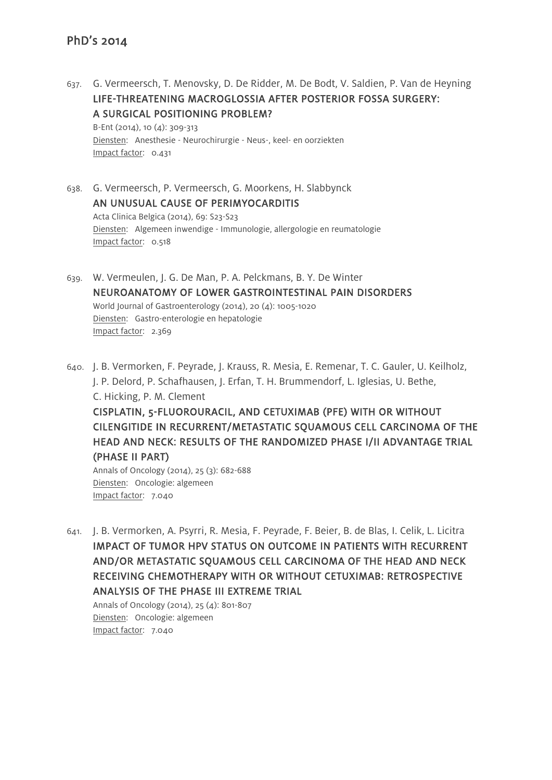637. G. Vermeersch, T. Menovsky, D. De Ridder, M. De Bodt, V. Saldien, P. Van de Heyning LIFE-THREATENING MACROGLOSSIA AFTER POSTERIOR FOSSA SURGERY: A SURGICAL POSITIONING PROBLEM? B-Ent (2014), 10 (4): 309-313

Diensten: Anesthesie - Neurochirurgie - Neus-, keel- en oorziekten Impact factor: 0.431

- 638. G. Vermeersch, P. Vermeersch, G. Moorkens, H. Slabbynck AN UNUSUAL CAUSE OF PERIMYOCARDITIS Acta Clinica Belgica (2014), 69: S23-S23 Diensten: Algemeen inwendige - Immunologie, allergologie en reumatologie Impact factor: 0.518
- 639. W. Vermeulen, J. G. De Man, P. A. Pelckmans, B. Y. De Winter NEUROANATOMY OF LOWER GASTROINTESTINAL PAIN DISORDERS World Journal of Gastroenterology (2014), 20 (4): 1005-1020 Diensten: Gastro-enterologie en hepatologie Impact factor: 2.369
- 640. J. B. Vermorken, F. Peyrade, J. Krauss, R. Mesia, E. Remenar, T. C. Gauler, U. Keilholz, J. P. Delord, P. Schafhausen, J. Erfan, T. H. Brummendorf, L. Iglesias, U. Bethe, C. Hicking, P. M. Clement CISPLATIN, 5-FLUOROURACIL, AND CETUXIMAB (PFE) WITH OR WITHOUT CILENGITIDE IN RECURRENT/METASTATIC SQUAMOUS CELL CARCINOMA OF THE HEAD AND NECK: RESULTS OF THE RANDOMIZED PHASE I/II ADVANTAGE TRIAL (PHASE II PART)

Annals of Oncology (2014), 25 (3): 682-688 Diensten: Oncologie: algemeen Impact factor: 7.040

641. J. B. Vermorken, A. Psyrri, R. Mesia, F. Peyrade, F. Beier, B. de Blas, I. Celik, L. Licitra IMPACT OF TUMOR HPV STATUS ON OUTCOME IN PATIENTS WITH RECURRENT AND/OR METASTATIC SQUAMOUS CELL CARCINOMA OF THE HEAD AND NECK RECEIVING CHEMOTHERAPY WITH OR WITHOUT CETUXIMAB: RETROSPECTIVE ANALYSIS OF THE PHASE III EXTREME TRIAL

Annals of Oncology (2014), 25 (4): 801-807 Diensten: Oncologie: algemeen Impact factor: 7.040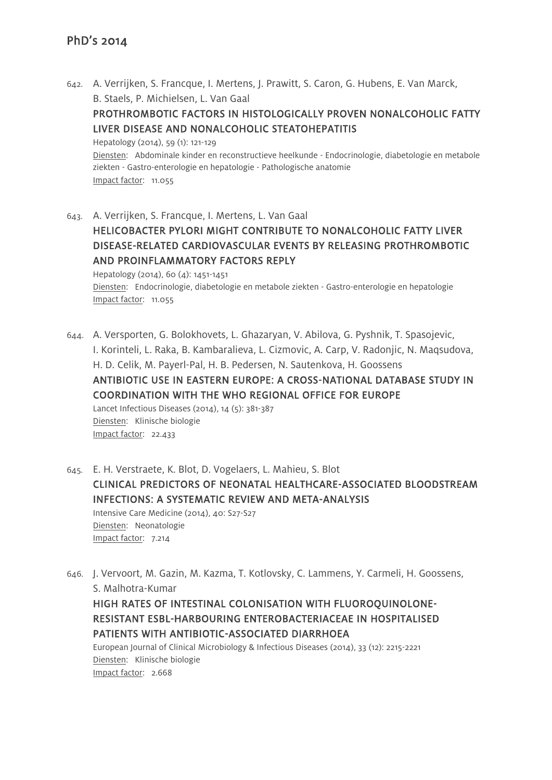642. A. Verrijken, S. Francque, I. Mertens, J. Prawitt, S. Caron, G. Hubens, E. Van Marck, B. Staels, P. Michielsen, L. Van Gaal

# PROTHROMBOTIC FACTORS IN HISTOLOGICALLY PROVEN NONALCOHOLIC FATTY LIVER DISEASE AND NONALCOHOLIC STEATOHEPATITIS

Hepatology (2014), 59 (1): 121-129 Diensten: Abdominale kinder en reconstructieve heelkunde - Endocrinologie, diabetologie en metabole ziekten - Gastro-enterologie en hepatologie - Pathologische anatomie Impact factor: 11.055

643. A. Verrijken, S. Francque, I. Mertens, L. Van Gaal HELICOBACTER PYLORI MIGHT CONTRIBUTE TO NONALCOHOLIC FATTY LIVER DISEASE-RELATED CARDIOVASCULAR EVENTS BY RELEASING PROTHROMBOTIC AND PROINFLAMMATORY FACTORS REPLY Hepatology (2014), 60 (4): 1451-1451

Diensten: Endocrinologie, diabetologie en metabole ziekten - Gastro-enterologie en hepatologie Impact factor: 11.055

644. A. Versporten, G. Bolokhovets, L. Ghazaryan, V. Abilova, G. Pyshnik, T. Spasojevic, I. Korinteli, L. Raka, B. Kambaralieva, L. Cizmovic, A. Carp, V. Radonjic, N. Maqsudova, H. D. Celik, M. Payerl-Pal, H. B. Pedersen, N. Sautenkova, H. Goossens ANTIBIOTIC USE IN EASTERN EUROPE: A CROSS-NATIONAL DATABASE STUDY IN COORDINATION WITH THE WHO REGIONAL OFFICE FOR EUROPE Lancet Infectious Diseases (2014), 14 (5): 381-387 Diensten: Klinische biologie Impact factor: 22.433

645. E. H. Verstraete, K. Blot, D. Vogelaers, L. Mahieu, S. Blot CLINICAL PREDICTORS OF NEONATAL HEALTHCARE-ASSOCIATED BLOODSTREAM INFECTIONS: A SYSTEMATIC REVIEW AND META-ANALYSIS Intensive Care Medicine (2014), 40: S27-S27 Diensten: Neonatologie Impact factor: 7.214

646. J. Vervoort, M. Gazin, M. Kazma, T. Kotlovsky, C. Lammens, Y. Carmeli, H. Goossens, S. Malhotra-Kumar

HIGH RATES OF INTESTINAL COLONISATION WITH FLUOROQUINOLONE-RESISTANT ESBL-HARBOURING ENTEROBACTERIACEAE IN HOSPITALISED PATIENTS WITH ANTIBIOTIC-ASSOCIATED DIARRHOEA

European Journal of Clinical Microbiology & Infectious Diseases (2014), 33 (12): 2215-2221 Diensten: Klinische biologie Impact factor: 2.668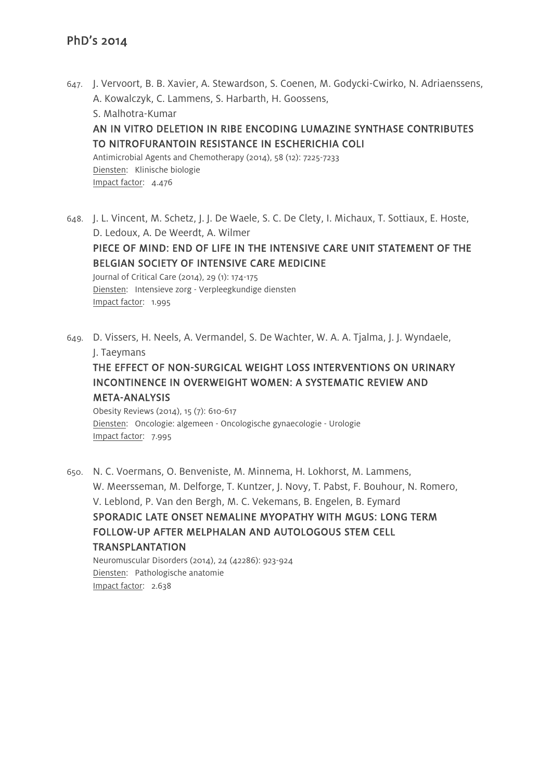- 647. J. Vervoort, B. B. Xavier, A. Stewardson, S. Coenen, M. Godycki-Cwirko, N. Adriaenssens, A. Kowalczyk, C. Lammens, S. Harbarth, H. Goossens, S. Malhotra-Kumar AN IN VITRO DELETION IN RIBE ENCODING LUMAZINE SYNTHASE CONTRIBUTES TO NITROFURANTOIN RESISTANCE IN ESCHERICHIA COLI Antimicrobial Agents and Chemotherapy (2014), 58 (12): 7225-7233 Diensten: Klinische biologie Impact factor: 4.476
- 648. J. L. Vincent, M. Schetz, J. J. De Waele, S. C. De Clety, I. Michaux, T. Sottiaux, E. Hoste, D. Ledoux, A. De Weerdt, A. Wilmer PIECE OF MIND: END OF LIFE IN THE INTENSIVE CARE UNIT STATEMENT OF THE BELGIAN SOCIETY OF INTENSIVE CARE MEDICINE Journal of Critical Care (2014), 29 (1): 174-175 Diensten: Intensieve zorg - Verpleegkundige diensten Impact factor: 1.995
- 649. D. Vissers, H. Neels, A. Vermandel, S. De Wachter, W. A. A. Tjalma, J. J. Wyndaele, J. Taeymans

# THE EFFECT OF NON-SURGICAL WEIGHT LOSS INTERVENTIONS ON URINARY INCONTINENCE IN OVERWEIGHT WOMEN: A SYSTEMATIC REVIEW AND META-ANALYSIS

Obesity Reviews (2014), 15 (7): 610-617 Diensten: Oncologie: algemeen - Oncologische gynaecologie - Urologie Impact factor: 7.995

650. N. C. Voermans, O. Benveniste, M. Minnema, H. Lokhorst, M. Lammens, W. Meersseman, M. Delforge, T. Kuntzer, J. Novy, T. Pabst, F. Bouhour, N. Romero, V. Leblond, P. Van den Bergh, M. C. Vekemans, B. Engelen, B. Eymard SPORADIC LATE ONSET NEMALINE MYOPATHY WITH MGUS: LONG TERM FOLLOW-UP AFTER MELPHALAN AND AUTOLOGOUS STEM CELL TRANSPLANTATION Neuromuscular Disorders (2014), 24 (42286): 923-924

Diensten: Pathologische anatomie Impact factor: 2.638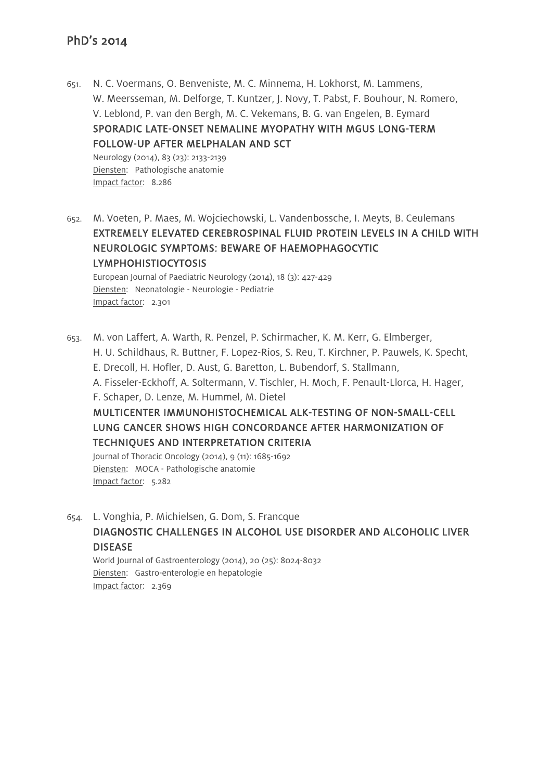651. N. C. Voermans, O. Benveniste, M. C. Minnema, H. Lokhorst, M. Lammens, W. Meersseman, M. Delforge, T. Kuntzer, J. Novy, T. Pabst, F. Bouhour, N. Romero, V. Leblond, P. van den Bergh, M. C. Vekemans, B. G. van Engelen, B. Eymard SPORADIC LATE-ONSET NEMALINE MYOPATHY WITH MGUS LONG-TERM FOLLOW-UP AFTER MELPHALAN AND SCT

Neurology (2014), 83 (23): 2133-2139 Diensten: Pathologische anatomie Impact factor: 8.286

652. M. Voeten, P. Maes, M. Wojciechowski, L. Vandenbossche, I. Meyts, B. Ceulemans EXTREMELY ELEVATED CEREBROSPINAL FLUID PROTEIN LEVELS IN A CHILD WITH NEUROLOGIC SYMPTOMS: BEWARE OF HAEMOPHAGOCYTIC LYMPHOHISTIOCYTOSIS

European Journal of Paediatric Neurology (2014), 18 (3): 427-429 Diensten: Neonatologie - Neurologie - Pediatrie Impact factor: 2.301

653. M. von Laffert, A. Warth, R. Penzel, P. Schirmacher, K. M. Kerr, G. Elmberger, H. U. Schildhaus, R. Buttner, F. Lopez-Rios, S. Reu, T. Kirchner, P. Pauwels, K. Specht, E. Drecoll, H. Hofler, D. Aust, G. Baretton, L. Bubendorf, S. Stallmann, A. Fisseler-Eckhoff, A. Soltermann, V. Tischler, H. Moch, F. Penault-Llorca, H. Hager, F. Schaper, D. Lenze, M. Hummel, M. Dietel MULTICENTER IMMUNOHISTOCHEMICAL ALK-TESTING OF NON-SMALL-CELL LUNG CANCER SHOWS HIGH CONCORDANCE AFTER HARMONIZATION OF TECHNIQUES AND INTERPRETATION CRITERIA Journal of Thoracic Oncology (2014), 9 (11): 1685-1692

Diensten: MOCA - Pathologische anatomie Impact factor: 5.282

654. L. Vonghia, P. Michielsen, G. Dom, S. Francque DIAGNOSTIC CHALLENGES IN ALCOHOL USE DISORDER AND ALCOHOLIC LIVER DISEASE

World Journal of Gastroenterology (2014), 20 (25): 8024-8032 Diensten: Gastro-enterologie en hepatologie Impact factor: 2.369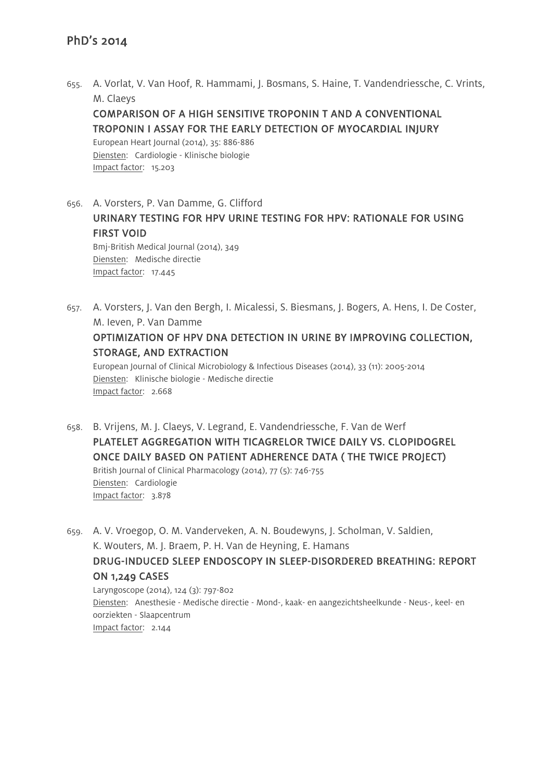655. A. Vorlat, V. Van Hoof, R. Hammami, J. Bosmans, S. Haine, T. Vandendriessche, C. Vrints, M. Claeys

COMPARISON OF A HIGH SENSITIVE TROPONIN T AND A CONVENTIONAL TROPONIN I ASSAY FOR THE EARLY DETECTION OF MYOCARDIAL INJURY

European Heart Journal (2014), 35: 886-886 Diensten: Cardiologie - Klinische biologie Impact factor: 15.203

Impact factor: 17.445

656. A. Vorsters, P. Van Damme, G. Clifford URINARY TESTING FOR HPV URINE TESTING FOR HPV: RATIONALE FOR USING FIRST VOID Bmj-British Medical Journal (2014), 349 Diensten: Medische directie

657. A. Vorsters, J. Van den Bergh, I. Micalessi, S. Biesmans, J. Bogers, A. Hens, I. De Coster, M. Ieven, P. Van Damme OPTIMIZATION OF HPV DNA DETECTION IN URINE BY IMPROVING COLLECTION, STORAGE, AND EXTRACTION European Journal of Clinical Microbiology & Infectious Diseases (2014), 33 (11): 2005-2014 Diensten: Klinische biologie - Medische directie Impact factor: 2.668

- 658. B. Vrijens, M. J. Claeys, V. Legrand, E. Vandendriessche, F. Van de Werf PLATELET AGGREGATION WITH TICAGRELOR TWICE DAILY VS. CLOPIDOGREL ONCE DAILY BASED ON PATIENT ADHERENCE DATA ( THE TWICE PROJECT) British Journal of Clinical Pharmacology (2014), 77 (5): 746-755 Diensten: Cardiologie Impact factor: 3.878
- 659. A. V. Vroegop, O. M. Vanderveken, A. N. Boudewyns, J. Scholman, V. Saldien, K. Wouters, M. J. Braem, P. H. Van de Heyning, E. Hamans DRUG-INDUCED SLEEP ENDOSCOPY IN SLEEP-DISORDERED BREATHING: REPORT ON 1,249 CASES Laryngoscope (2014), 124 (3): 797-802 Diensten: Anesthesie - Medische directie - Mond-, kaak- en aangezichtsheelkunde - Neus-, keel- en oorziekten - Slaapcentrum

Impact factor: 2.144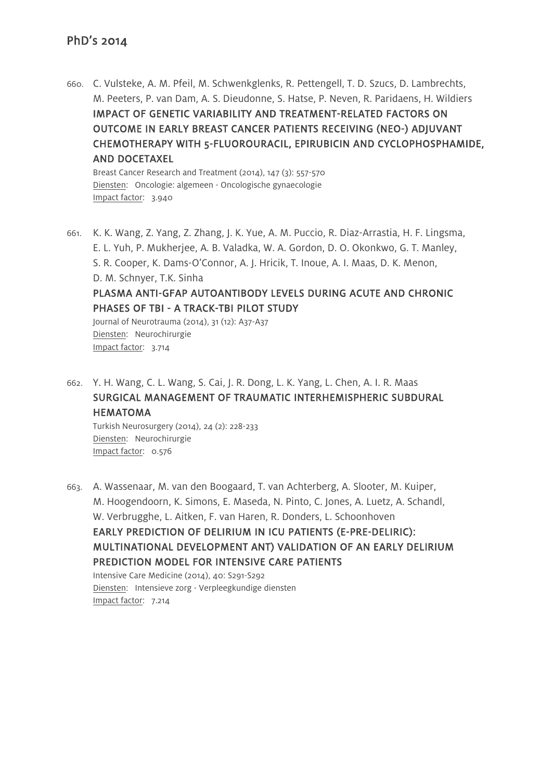660. C. Vulsteke, A. M. Pfeil, M. Schwenkglenks, R. Pettengell, T. D. Szucs, D. Lambrechts, M. Peeters, P. van Dam, A. S. Dieudonne, S. Hatse, P. Neven, R. Paridaens, H. Wildiers IMPACT OF GENETIC VARIABILITY AND TREATMENT-RELATED FACTORS ON OUTCOME IN EARLY BREAST CANCER PATIENTS RECEIVING (NEO-) ADJUVANT CHEMOTHERAPY WITH 5-FLUOROURACIL, EPIRUBICIN AND CYCLOPHOSPHAMIDE, AND DOCETAXEL

Breast Cancer Research and Treatment (2014), 147 (3): 557-570 Diensten: Oncologie: algemeen - Oncologische gynaecologie Impact factor: 3.940

661. K. K. Wang, Z. Yang, Z. Zhang, J. K. Yue, A. M. Puccio, R. Diaz-Arrastia, H. F. Lingsma, E. L. Yuh, P. Mukherjee, A. B. Valadka, W. A. Gordon, D. O. Okonkwo, G. T. Manley, S. R. Cooper, K. Dams-O'Connor, A. J. Hricik, T. Inoue, A. I. Maas, D. K. Menon, D. M. Schnyer, T.K. Sinha PLASMA ANTI-GFAP AUTOANTIBODY LEVELS DURING ACUTE AND CHRONIC PHASES OF TBI - A TRACK-TBI PILOT STUDY Journal of Neurotrauma (2014), 31 (12): A37-A37 Diensten: Neurochirurgie

Impact factor: 3.714

662. Y. H. Wang, C. L. Wang, S. Cai, J. R. Dong, L. K. Yang, L. Chen, A. I. R. Maas SURGICAL MANAGEMENT OF TRAUMATIC INTERHEMISPHERIC SUBDURAL HEMATOMA

Turkish Neurosurgery (2014), 24 (2): 228-233 Diensten: Neurochirurgie Impact factor: 0.576

663. A. Wassenaar, M. van den Boogaard, T. van Achterberg, A. Slooter, M. Kuiper, M. Hoogendoorn, K. Simons, E. Maseda, N. Pinto, C. Jones, A. Luetz, A. Schandl, W. Verbrugghe, L. Aitken, F. van Haren, R. Donders, L. Schoonhoven EARLY PREDICTION OF DELIRIUM IN ICU PATIENTS (E-PRE-DELIRIC): MULTINATIONAL DEVELOPMENT ANT) VALIDATION OF AN EARLY DELIRIUM PREDICTION MODEL FOR INTENSIVE CARE PATIENTS Intensive Care Medicine (2014), 40: S291-S292 Diensten: Intensieve zorg - Verpleegkundige diensten

Impact factor: 7.214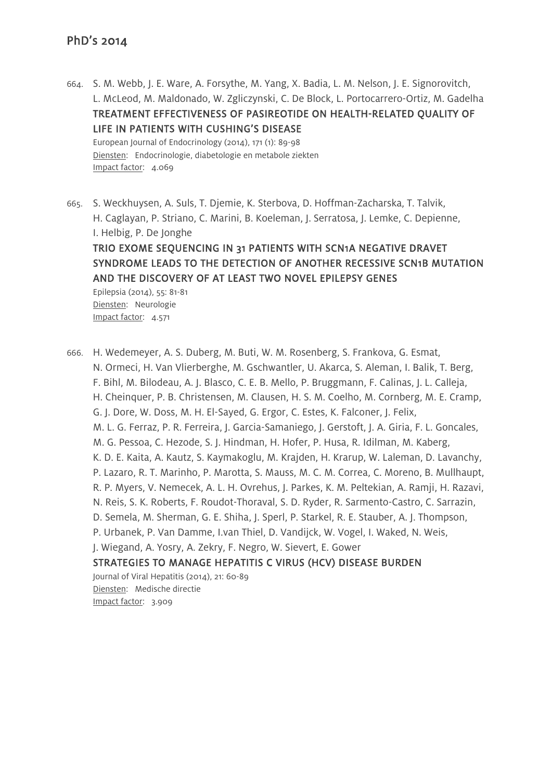- 664. S. M. Webb, J. E. Ware, A. Forsythe, M. Yang, X. Badia, L. M. Nelson, J. E. Signorovitch, L. McLeod, M. Maldonado, W. Zgliczynski, C. De Block, L. Portocarrero-Ortiz, M. Gadelha TREATMENT EFFECTIVENESS OF PASIREOTIDE ON HEALTH-RELATED QUALITY OF LIFE IN PATIENTS WITH CUSHING'S DISEASE European Journal of Endocrinology (2014), 171 (1): 89-98 Diensten: Endocrinologie, diabetologie en metabole ziekten Impact factor: 4.069
- 665. S. Weckhuysen, A. Suls, T. Djemie, K. Sterbova, D. Hoffman-Zacharska, T. Talvik, H. Caglayan, P. Striano, C. Marini, B. Koeleman, J. Serratosa, J. Lemke, C. Depienne, I. Helbig, P. De Jonghe

# TRIO EXOME SEQUENCING IN 31 PATIENTS WITH SCN1A NEGATIVE DRAVET SYNDROME LEADS TO THE DETECTION OF ANOTHER RECESSIVE SCN1B MUTATION AND THE DISCOVERY OF AT LEAST TWO NOVEL EPILEPSY GENES

Epilepsia (2014), 55: 81-81 Diensten: Neurologie Impact factor: 4.571

666. H. Wedemeyer, A. S. Duberg, M. Buti, W. M. Rosenberg, S. Frankova, G. Esmat, N. Ormeci, H. Van Vlierberghe, M. Gschwantler, U. Akarca, S. Aleman, I. Balik, T. Berg, F. Bihl, M. Bilodeau, A. J. Blasco, C. E. B. Mello, P. Bruggmann, F. Calinas, J. L. Calleja, H. Cheinquer, P. B. Christensen, M. Clausen, H. S. M. Coelho, M. Cornberg, M. E. Cramp, G. J. Dore, W. Doss, M. H. El-Sayed, G. Ergor, C. Estes, K. Falconer, J. Felix, M. L. G. Ferraz, P. R. Ferreira, J. Garcia-Samaniego, J. Gerstoft, J. A. Giria, F. L. Goncales, M. G. Pessoa, C. Hezode, S. J. Hindman, H. Hofer, P. Husa, R. Idilman, M. Kaberg, K. D. E. Kaita, A. Kautz, S. Kaymakoglu, M. Krajden, H. Krarup, W. Laleman, D. Lavanchy, P. Lazaro, R. T. Marinho, P. Marotta, S. Mauss, M. C. M. Correa, C. Moreno, B. Mullhaupt, R. P. Myers, V. Nemecek, A. L. H. Ovrehus, J. Parkes, K. M. Peltekian, A. Ramji, H. Razavi, N. Reis, S. K. Roberts, F. Roudot-Thoraval, S. D. Ryder, R. Sarmento-Castro, C. Sarrazin, D. Semela, M. Sherman, G. E. Shiha, J. Sperl, P. Starkel, R. E. Stauber, A. J. Thompson, P. Urbanek, P. Van Damme, I.van Thiel, D. Vandijck, W. Vogel, I. Waked, N. Weis, J. Wiegand, A. Yosry, A. Zekry, F. Negro, W. Sievert, E. Gower STRATEGIES TO MANAGE HEPATITIS C VIRUS (HCV) DISEASE BURDEN Journal of Viral Hepatitis (2014), 21: 60-89 Diensten: Medische directie Impact factor: 3.909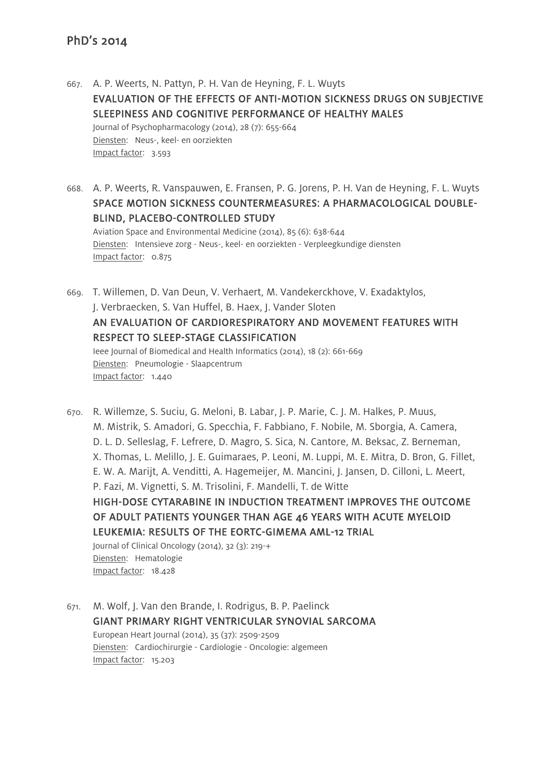667. A. P. Weerts, N. Pattyn, P. H. Van de Heyning, F. L. Wuyts EVALUATION OF THE EFFECTS OF ANTI-MOTION SICKNESS DRUGS ON SUBJECTIVE SLEEPINESS AND COGNITIVE PERFORMANCE OF HEALTHY MALES Journal of Psychopharmacology (2014), 28 (7): 655-664 Diensten: Neus-, keel- en oorziekten Impact factor: 3.593

668. A. P. Weerts, R. Vanspauwen, E. Fransen, P. G. Jorens, P. H. Van de Heyning, F. L. Wuyts SPACE MOTION SICKNESS COUNTERMEASURES: A PHARMACOLOGICAL DOUBLE-BLIND, PLACEBO-CONTROLLED STUDY Aviation Space and Environmental Medicine (2014), 85 (6): 638-644 Diensten: Intensieve zorg - Neus-, keel- en oorziekten - Verpleegkundige diensten Impact factor: 0.875

669. T. Willemen, D. Van Deun, V. Verhaert, M. Vandekerckhove, V. Exadaktylos, J. Verbraecken, S. Van Huffel, B. Haex, J. Vander Sloten AN EVALUATION OF CARDIORESPIRATORY AND MOVEMENT FEATURES WITH RESPECT TO SLEEP-STAGE CLASSIFICATION Ieee Journal of Biomedical and Health Informatics (2014), 18 (2): 661-669 Diensten: Pneumologie - Slaapcentrum Impact factor: 1.440

670. R. Willemze, S. Suciu, G. Meloni, B. Labar, J. P. Marie, C. J. M. Halkes, P. Muus, M. Mistrik, S. Amadori, G. Specchia, F. Fabbiano, F. Nobile, M. Sborgia, A. Camera, D. L. D. Selleslag, F. Lefrere, D. Magro, S. Sica, N. Cantore, M. Beksac, Z. Berneman, X. Thomas, L. Melillo, J. E. Guimaraes, P. Leoni, M. Luppi, M. E. Mitra, D. Bron, G. Fillet, E. W. A. Marijt, A. Venditti, A. Hagemeijer, M. Mancini, J. Jansen, D. Cilloni, L. Meert, P. Fazi, M. Vignetti, S. M. Trisolini, F. Mandelli, T. de Witte HIGH-DOSE CYTARABINE IN INDUCTION TREATMENT IMPROVES THE OUTCOME OF ADULT PATIENTS YOUNGER THAN AGE 46 YEARS WITH ACUTE MYELOID LEUKEMIA: RESULTS OF THE EORTC-GIMEMA AML-12 TRIAL Journal of Clinical Oncology (2014), 32 (3): 219-+ Diensten: Hematologie Impact factor: 18.428

671. M. Wolf, J. Van den Brande, I. Rodrigus, B. P. Paelinck GIANT PRIMARY RIGHT VENTRICULAR SYNOVIAL SARCOMA European Heart Journal (2014), 35 (37): 2509-2509 Diensten: Cardiochirurgie - Cardiologie - Oncologie: algemeen Impact factor: 15.203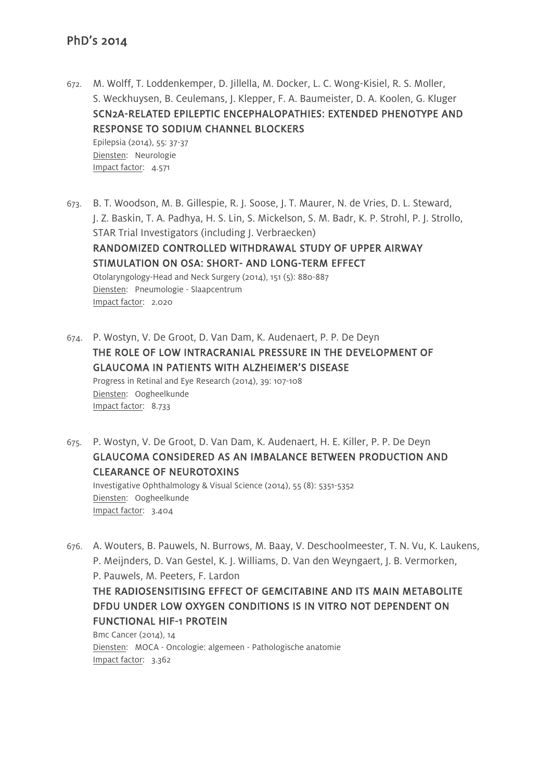672. M. Wolff, T. Loddenkemper, D. Jillella, M. Docker, L. C. Wong-Kisiel, R. S. Moller, S. Weckhuysen, B. Ceulemans, J. Klepper, F. A. Baumeister, D. A. Koolen, G. Kluger SCN2A-RELATED EPILEPTIC ENCEPHALOPATHIES: EXTENDED PHENOTYPE AND RESPONSE TO SODIUM CHANNEL BLOCKERS Epilepsia (2014), 55: 37-37 Diensten: Neurologie

Impact factor: 4.571

- 673. B. T. Woodson, M. B. Gillespie, R. J. Soose, J. T. Maurer, N. de Vries, D. L. Steward, J. Z. Baskin, T. A. Padhya, H. S. Lin, S. Mickelson, S. M. Badr, K. P. Strohl, P. J. Strollo, STAR Trial Investigators (including J. Verbraecken) RANDOMIZED CONTROLLED WITHDRAWAL STUDY OF UPPER AIRWAY STIMULATION ON OSA: SHORT- AND LONG-TERM EFFECT Otolaryngology-Head and Neck Surgery (2014), 151 (5): 880-887 Diensten: Pneumologie - Slaapcentrum Impact factor: 2.020
- 674. P. Wostyn, V. De Groot, D. Van Dam, K. Audenaert, P. P. De Deyn THE ROLE OF LOW INTRACRANIAL PRESSURE IN THE DEVELOPMENT OF GLAUCOMA IN PATIENTS WITH ALZHEIMER'S DISEASE Progress in Retinal and Eye Research (2014), 39: 107-108 Diensten: Oogheelkunde Impact factor: 8.733
- 675. P. Wostyn, V. De Groot, D. Van Dam, K. Audenaert, H. E. Killer, P. P. De Deyn GLAUCOMA CONSIDERED AS AN IMBALANCE BETWEEN PRODUCTION AND CLEARANCE OF NEUROTOXINS

Investigative Ophthalmology & Visual Science (2014), 55 (8): 5351-5352 Diensten: Oogheelkunde Impact factor: 3.404

676. A. Wouters, B. Pauwels, N. Burrows, M. Baay, V. Deschoolmeester, T. N. Vu, K. Laukens, P. Meijnders, D. Van Gestel, K. J. Williams, D. Van den Weyngaert, J. B. Vermorken, P. Pauwels, M. Peeters, F. Lardon

THE RADIOSENSITISING EFFECT OF GEMCITABINE AND ITS MAIN METABOLITE DFDU UNDER LOW OXYGEN CONDITIONS IS IN VITRO NOT DEPENDENT ON FUNCTIONAL HIF-1 PROTEIN

Bmc Cancer (2014), 14 Diensten: MOCA - Oncologie: algemeen - Pathologische anatomie Impact factor: 3.362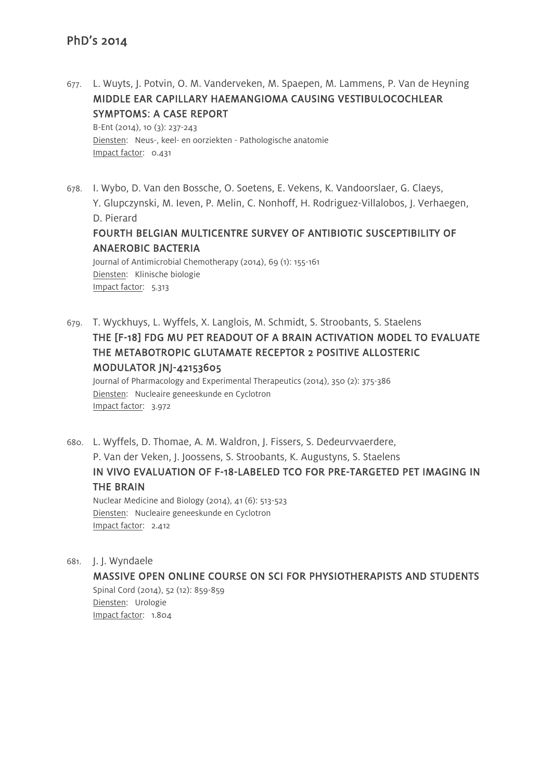677. L. Wuyts, J. Potvin, O. M. Vanderveken, M. Spaepen, M. Lammens, P. Van de Heyning MIDDLE EAR CAPILLARY HAEMANGIOMA CAUSING VESTIBULOCOCHLEAR SYMPTOMS: A CASE REPORT

B-Ent (2014), 10 (3): 237-243 Diensten: Neus-, keel- en oorziekten - Pathologische anatomie Impact factor: 0.431

- 678. I. Wybo, D. Van den Bossche, O. Soetens, E. Vekens, K. Vandoorslaer, G. Claeys, Y. Glupczynski, M. Ieven, P. Melin, C. Nonhoff, H. Rodriguez-Villalobos, J. Verhaegen, D. Pierard FOURTH BELGIAN MULTICENTRE SURVEY OF ANTIBIOTIC SUSCEPTIBILITY OF ANAEROBIC BACTERIA Journal of Antimicrobial Chemotherapy (2014), 69 (1): 155-161 Diensten: Klinische biologie Impact factor: 5.313
- 679. T. Wyckhuys, L. Wyffels, X. Langlois, M. Schmidt, S. Stroobants, S. Staelens THE [F-18] FDG MU PET READOUT OF A BRAIN ACTIVATION MODEL TO EVALUATE THE METABOTROPIC GLUTAMATE RECEPTOR 2 POSITIVE ALLOSTERIC MODULATOR JNJ-42153605

Journal of Pharmacology and Experimental Therapeutics (2014), 350 (2): 375-386 Diensten: Nucleaire geneeskunde en Cyclotron Impact factor: 3.972

680. L. Wyffels, D. Thomae, A. M. Waldron, J. Fissers, S. Dedeurvvaerdere, P. Van der Veken, J. Joossens, S. Stroobants, K. Augustyns, S. Staelens IN VIVO EVALUATION OF F-18-LABELED TCO FOR PRE-TARGETED PET IMAGING IN THE BRAIN Nuclear Medicine and Biology (2014), 41 (6): 513-523

Diensten: Nucleaire geneeskunde en Cyclotron Impact factor: 2.412

681. J. J. Wyndaele

MASSIVE OPEN ONLINE COURSE ON SCI FOR PHYSIOTHERAPISTS AND STUDENTS Spinal Cord (2014), 52 (12): 859-859 Diensten: Urologie Impact factor: 1.804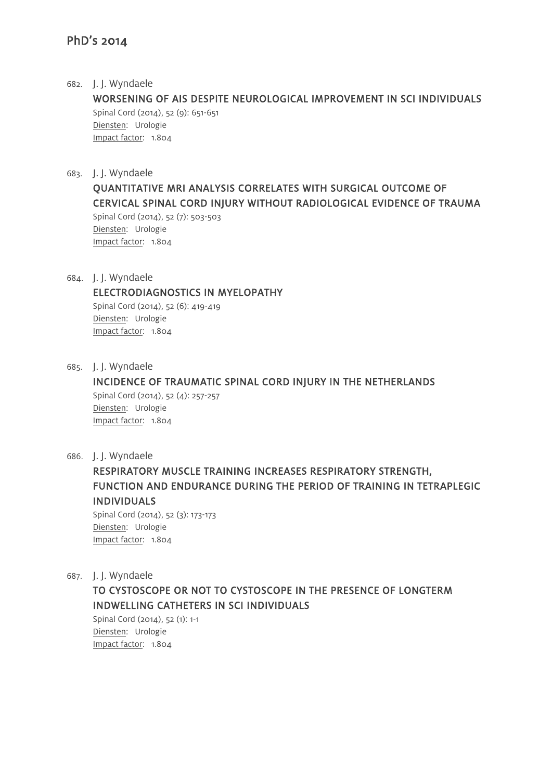#### 682. J. J. Wyndaele

WORSENING OF AIS DESPITE NEUROLOGICAL IMPROVEMENT IN SCI INDIVIDUALS Spinal Cord (2014), 52 (9): 651-651 Diensten: Urologie Impact factor: 1.804

683. J. J. Wyndaele

QUANTITATIVE MRI ANALYSIS CORRELATES WITH SURGICAL OUTCOME OF CERVICAL SPINAL CORD INJURY WITHOUT RADIOLOGICAL EVIDENCE OF TRAUMA

Spinal Cord (2014), 52 (7): 503-503 Diensten: Urologie Impact factor: 1.804

684. J. J. Wyndaele

#### ELECTRODIAGNOSTICS IN MYELOPATHY

Spinal Cord (2014), 52 (6): 419-419 Diensten: Urologie Impact factor: 1.804

685. J. J. Wyndaele

INCIDENCE OF TRAUMATIC SPINAL CORD INJURY IN THE NETHERLANDS Spinal Cord (2014), 52 (4): 257-257 Diensten: Urologie Impact factor: 1.804

686. J. J. Wyndaele

RESPIRATORY MUSCLE TRAINING INCREASES RESPIRATORY STRENGTH, FUNCTION AND ENDURANCE DURING THE PERIOD OF TRAINING IN TETRAPLEGIC INDIVIDUALS

Spinal Cord (2014), 52 (3): 173-173 Diensten: Urologie Impact factor: 1.804

687. J. J. Wyndaele

TO CYSTOSCOPE OR NOT TO CYSTOSCOPE IN THE PRESENCE OF LONGTERM INDWELLING CATHETERS IN SCI INDIVIDUALS

Spinal Cord (2014), 52 (1): 1-1 Diensten: Urologie Impact factor: 1.804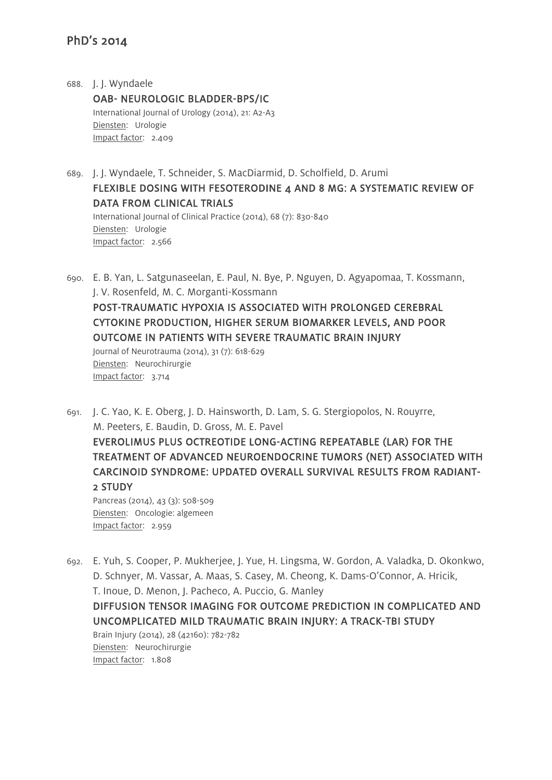688. J. J. Wyndaele OAB- NEUROLOGIC BLADDER-BPS/IC International Journal of Urology (2014), 21: A2-A3 Diensten: Urologie Impact factor: 2.409

689. J. J. Wyndaele, T. Schneider, S. MacDiarmid, D. Scholfield, D. Arumi FLEXIBLE DOSING WITH FESOTERODINE 4 AND 8 MG: A SYSTEMATIC REVIEW OF DATA FROM CLINICAL TRIALS International Journal of Clinical Practice (2014), 68 (7): 830-840 Diensten: Urologie Impact factor: 2.566

690. E. B. Yan, L. Satgunaseelan, E. Paul, N. Bye, P. Nguyen, D. Agyapomaa, T. Kossmann, J. V. Rosenfeld, M. C. Morganti-Kossmann POST-TRAUMATIC HYPOXIA IS ASSOCIATED WITH PROLONGED CEREBRAL CYTOKINE PRODUCTION, HIGHER SERUM BIOMARKER LEVELS, AND POOR OUTCOME IN PATIENTS WITH SEVERE TRAUMATIC BRAIN INJURY Journal of Neurotrauma (2014), 31 (7): 618-629 Diensten: Neurochirurgie Impact factor: 3.714

691. J. C. Yao, K. E. Oberg, J. D. Hainsworth, D. Lam, S. G. Stergiopolos, N. Rouyrre, M. Peeters, E. Baudin, D. Gross, M. E. Pavel

EVEROLIMUS PLUS OCTREOTIDE LONG-ACTING REPEATABLE (LAR) FOR THE TREATMENT OF ADVANCED NEUROENDOCRINE TUMORS (NET) ASSOCIATED WITH CARCINOID SYNDROME: UPDATED OVERALL SURVIVAL RESULTS FROM RADIANT-2 STUDY

Pancreas (2014), 43 (3): 508-509 Diensten: Oncologie: algemeen Impact factor: 2.959

692. E. Yuh, S. Cooper, P. Mukherjee, J. Yue, H. Lingsma, W. Gordon, A. Valadka, D. Okonkwo, D. Schnyer, M. Vassar, A. Maas, S. Casey, M. Cheong, K. Dams-O'Connor, A. Hricik, T. Inoue, D. Menon, J. Pacheco, A. Puccio, G. Manley DIFFUSION TENSOR IMAGING FOR OUTCOME PREDICTION IN COMPLICATED AND UNCOMPLICATED MILD TRAUMATIC BRAIN INJURY: A TRACK-TBI STUDY Brain Injury (2014), 28 (42160): 782-782

Diensten: Neurochirurgie Impact factor: 1.808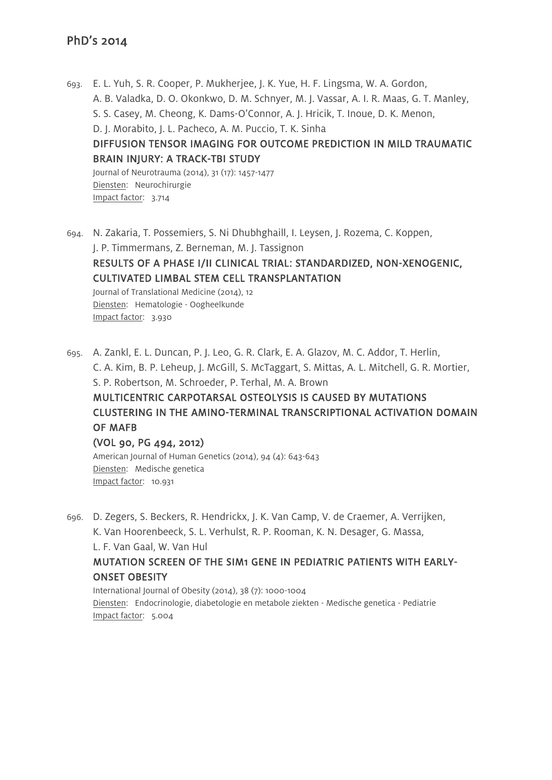Impact factor: 3.930

693. E. L. Yuh, S. R. Cooper, P. Mukherjee, J. K. Yue, H. F. Lingsma, W. A. Gordon, A. B. Valadka, D. O. Okonkwo, D. M. Schnyer, M. J. Vassar, A. I. R. Maas, G. T. Manley, S. S. Casey, M. Cheong, K. Dams-O'Connor, A. J. Hricik, T. Inoue, D. K. Menon, D. J. Morabito, J. L. Pacheco, A. M. Puccio, T. K. Sinha DIFFUSION TENSOR IMAGING FOR OUTCOME PREDICTION IN MILD TRAUMATIC BRAIN INJURY: A TRACK-TBI STUDY Journal of Neurotrauma (2014), 31 (17): 1457-1477 Diensten: Neurochirurgie Impact factor: 3.714

694. N. Zakaria, T. Possemiers, S. Ni Dhubhghaill, I. Leysen, J. Rozema, C. Koppen, J. P. Timmermans, Z. Berneman, M. J. Tassignon RESULTS OF A PHASE I/II CLINICAL TRIAL: STANDARDIZED, NON-XENOGENIC, CULTIVATED LIMBAL STEM CELL TRANSPLANTATION Journal of Translational Medicine (2014), 12 Diensten: Hematologie - Oogheelkunde

695. A. Zankl, E. L. Duncan, P. J. Leo, G. R. Clark, E. A. Glazov, M. C. Addor, T. Herlin, C. A. Kim, B. P. Leheup, J. McGill, S. McTaggart, S. Mittas, A. L. Mitchell, G. R. Mortier, S. P. Robertson, M. Schroeder, P. Terhal, M. A. Brown MULTICENTRIC CARPOTARSAL OSTEOLYSIS IS CAUSED BY MUTATIONS CLUSTERING IN THE AMINO-TERMINAL TRANSCRIPTIONAL ACTIVATION DOMAIN OF MAFB (VOL 90, PG 494, 2012)

American Journal of Human Genetics (2014), 94 (4): 643-643 Diensten: Medische genetica Impact factor: 10.931

696. D. Zegers, S. Beckers, R. Hendrickx, J. K. Van Camp, V. de Craemer, A. Verrijken, K. Van Hoorenbeeck, S. L. Verhulst, R. P. Rooman, K. N. Desager, G. Massa, L. F. Van Gaal, W. Van Hul MUTATION SCREEN OF THE SIM1 GENE IN PEDIATRIC PATIENTS WITH EARLY-ONSET OBESITY

International Journal of Obesity (2014), 38 (7): 1000-1004 Diensten: Endocrinologie, diabetologie en metabole ziekten - Medische genetica - Pediatrie Impact factor: 5.004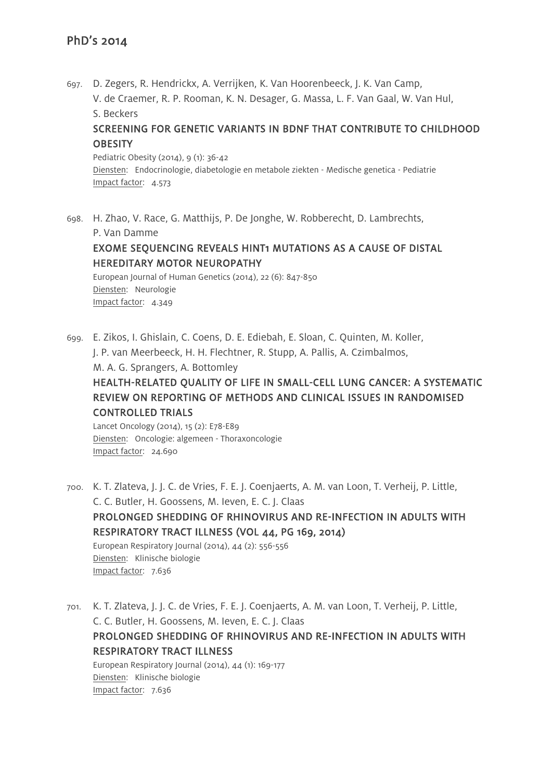697. D. Zegers, R. Hendrickx, A. Verrijken, K. Van Hoorenbeeck, J. K. Van Camp, V. de Craemer, R. P. Rooman, K. N. Desager, G. Massa, L. F. Van Gaal, W. Van Hul, S. Beckers

## SCREENING FOR GENETIC VARIANTS IN BDNF THAT CONTRIBUTE TO CHILDHOOD **OBESITY**

Pediatric Obesity (2014), 9 (1): 36-42 Diensten: Endocrinologie, diabetologie en metabole ziekten - Medische genetica - Pediatrie Impact factor: 4.573

698. H. Zhao, V. Race, G. Matthijs, P. De Jonghe, W. Robberecht, D. Lambrechts,

P. Van Damme

## EXOME SEQUENCING REVEALS HINT1 MUTATIONS AS A CAUSE OF DISTAL HEREDITARY MOTOR NEUROPATHY

European Journal of Human Genetics (2014), 22 (6): 847-850 Diensten: Neurologie Impact factor: 4.349

699. E. Zikos, I. Ghislain, C. Coens, D. E. Ediebah, E. Sloan, C. Quinten, M. Koller, J. P. van Meerbeeck, H. H. Flechtner, R. Stupp, A. Pallis, A. Czimbalmos,

M. A. G. Sprangers, A. Bottomley

## HEALTH-RELATED QUALITY OF LIFE IN SMALL-CELL LUNG CANCER: A SYSTEMATIC REVIEW ON REPORTING OF METHODS AND CLINICAL ISSUES IN RANDOMISED CONTROLLED TRIALS

Lancet Oncology (2014), 15 (2): E78-E89 Diensten: Oncologie: algemeen - Thoraxoncologie Impact factor: 24.690

700. K. T. Zlateva, J. J. C. de Vries, F. E. J. Coenjaerts, A. M. van Loon, T. Verheij, P. Little, C. C. Butler, H. Goossens, M. Ieven, E. C. J. Claas PROLONGED SHEDDING OF RHINOVIRUS AND RE-INFECTION IN ADULTS WITH RESPIRATORY TRACT ILLNESS (VOL 44, PG 169, 2014) European Respiratory Journal (2014), 44 (2): 556-556 Diensten: Klinische biologie Impact factor: 7.636

701. K. T. Zlateva, J. J. C. de Vries, F. E. J. Coenjaerts, A. M. van Loon, T. Verheij, P. Little, C. C. Butler, H. Goossens, M. Ieven, E. C. J. Claas PROLONGED SHEDDING OF RHINOVIRUS AND RE-INFECTION IN ADULTS WITH RESPIRATORY TRACT ILLNESS European Respiratory Journal (2014), 44 (1): 169-177 Diensten: Klinische biologie Impact factor: 7.636